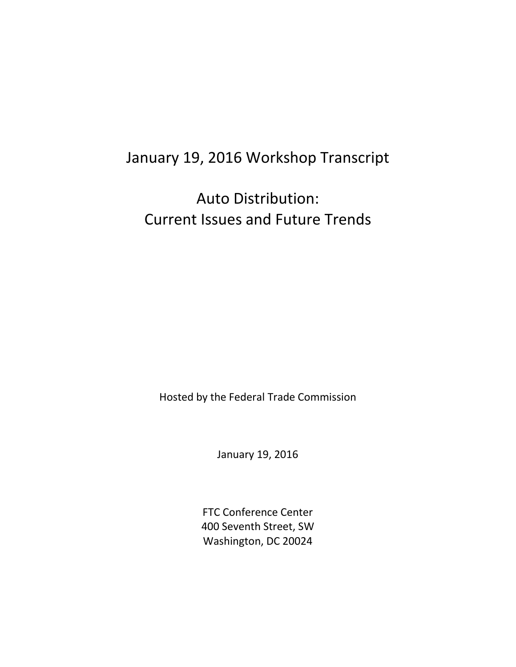# January 19, 2016 Workshop Transcript

Auto Distribution: Current Issues and Future Trends

Hosted by the Federal Trade Commission

January 19, 2016

FTC Conference Center 400 Seventh Street, SW Washington, DC 20024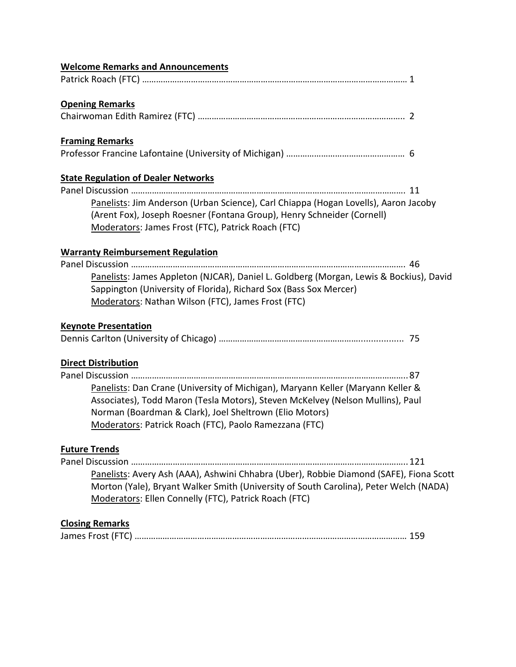| <b>Welcome Remarks and Announcements</b>                                                                                                                                                                            |
|---------------------------------------------------------------------------------------------------------------------------------------------------------------------------------------------------------------------|
|                                                                                                                                                                                                                     |
| <b>Opening Remarks</b>                                                                                                                                                                                              |
|                                                                                                                                                                                                                     |
| <b>Framing Remarks</b>                                                                                                                                                                                              |
|                                                                                                                                                                                                                     |
| <b>State Regulation of Dealer Networks</b>                                                                                                                                                                          |
|                                                                                                                                                                                                                     |
| Panelists: Jim Anderson (Urban Science), Carl Chiappa (Hogan Lovells), Aaron Jacoby<br>(Arent Fox), Joseph Roesner (Fontana Group), Henry Schneider (Cornell)<br>Moderators: James Frost (FTC), Patrick Roach (FTC) |
| <b>Warranty Reimbursement Regulation</b>                                                                                                                                                                            |
|                                                                                                                                                                                                                     |
| Panelists: James Appleton (NJCAR), Daniel L. Goldberg (Morgan, Lewis & Bockius), David                                                                                                                              |
| Sappington (University of Florida), Richard Sox (Bass Sox Mercer)                                                                                                                                                   |
| Moderators: Nathan Wilson (FTC), James Frost (FTC)                                                                                                                                                                  |
|                                                                                                                                                                                                                     |
| <b>Keynote Presentation</b>                                                                                                                                                                                         |
|                                                                                                                                                                                                                     |
| <b>Direct Distribution</b>                                                                                                                                                                                          |
|                                                                                                                                                                                                                     |
| Panelists: Dan Crane (University of Michigan), Maryann Keller (Maryann Keller &                                                                                                                                     |
| Associates), Todd Maron (Tesla Motors), Steven McKelvey (Nelson Mullins), Paul                                                                                                                                      |
| Norman (Boardman & Clark), Joel Sheltrown (Elio Motors)                                                                                                                                                             |
| Moderators: Patrick Roach (FTC), Paolo Ramezzana (FTC)                                                                                                                                                              |
| <b>Future Trends</b>                                                                                                                                                                                                |
|                                                                                                                                                                                                                     |
| Panelists: Avery Ash (AAA), Ashwini Chhabra (Uber), Robbie Diamond (SAFE), Fiona Scott                                                                                                                              |
| Morton (Yale), Bryant Walker Smith (University of South Carolina), Peter Welch (NADA)                                                                                                                               |
| Moderators: Ellen Connelly (FTC), Patrick Roach (FTC)                                                                                                                                                               |
|                                                                                                                                                                                                                     |
| <b>Closing Remarks</b>                                                                                                                                                                                              |
|                                                                                                                                                                                                                     |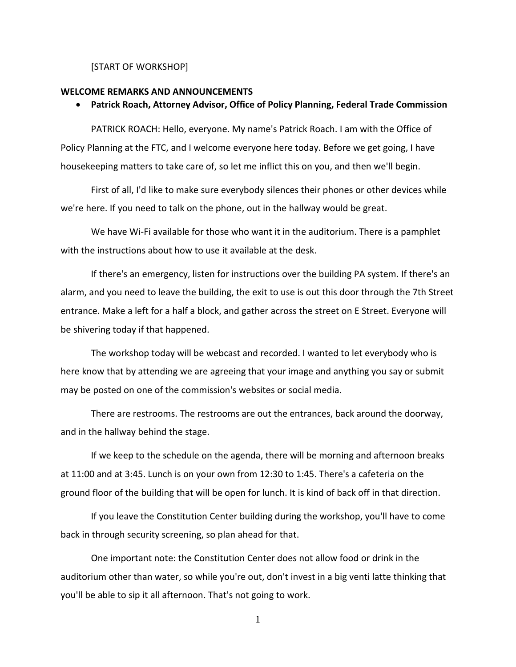#### [START OF WORKSHOP]

#### **WELCOME REMARKS AND ANNOUNCEMENTS**

#### • **Patrick Roach, Attorney Advisor, Office of Policy Planning, Federal Trade Commission**

PATRICK ROACH: Hello, everyone. My name's Patrick Roach. I am with the Office of Policy Planning at the FTC, and I welcome everyone here today. Before we get going, I have housekeeping matters to take care of, so let me inflict this on you, and then we'll begin.

First of all, I'd like to make sure everybody silences their phones or other devices while we're here. If you need to talk on the phone, out in the hallway would be great.

We have Wi-Fi available for those who want it in the auditorium. There is a pamphlet with the instructions about how to use it available at the desk.

If there's an emergency, listen for instructions over the building PA system. If there's an alarm, and you need to leave the building, the exit to use is out this door through the 7th Street entrance. Make a left for a half a block, and gather across the street on E Street. Everyone will be shivering today if that happened.

The workshop today will be webcast and recorded. I wanted to let everybody who is here know that by attending we are agreeing that your image and anything you say or submit may be posted on one of the commission's websites or social media.

There are restrooms. The restrooms are out the entrances, back around the doorway, and in the hallway behind the stage.

If we keep to the schedule on the agenda, there will be morning and afternoon breaks at 11:00 and at 3:45. Lunch is on your own from 12:30 to 1:45. There's a cafeteria on the ground floor of the building that will be open for lunch. It is kind of back off in that direction.

If you leave the Constitution Center building during the workshop, you'll have to come back in through security screening, so plan ahead for that.

One important note: the Constitution Center does not allow food or drink in the auditorium other than water, so while you're out, don't invest in a big venti latte thinking that you'll be able to sip it all afternoon. That's not going to work.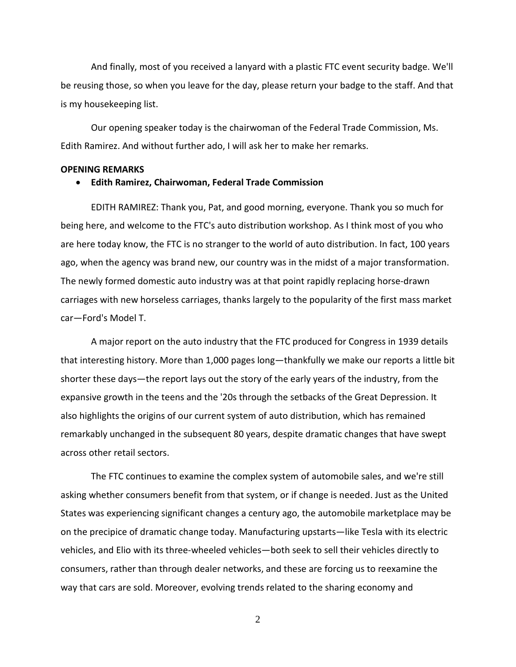And finally, most of you received a lanyard with a plastic FTC event security badge. We'll be reusing those, so when you leave for the day, please return your badge to the staff. And that is my housekeeping list.

Our opening speaker today is the chairwoman of the Federal Trade Commission, Ms. Edith Ramirez. And without further ado, I will ask her to make her remarks.

#### **OPENING REMARKS**

### • **Edith Ramirez, Chairwoman, Federal Trade Commission**

EDITH RAMIREZ: Thank you, Pat, and good morning, everyone. Thank you so much for being here, and welcome to the FTC's auto distribution workshop. As I think most of you who are here today know, the FTC is no stranger to the world of auto distribution. In fact, 100 years ago, when the agency was brand new, our country was in the midst of a major transformation. The newly formed domestic auto industry was at that point rapidly replacing horse-drawn carriages with new horseless carriages, thanks largely to the popularity of the first mass market car—Ford's Model T.

A major report on the auto industry that the FTC produced for Congress in 1939 details that interesting history. More than 1,000 pages long—thankfully we make our reports a little bit shorter these days—the report lays out the story of the early years of the industry, from the expansive growth in the teens and the '20s through the setbacks of the Great Depression. It also highlights the origins of our current system of auto distribution, which has remained remarkably unchanged in the subsequent 80 years, despite dramatic changes that have swept across other retail sectors.

The FTC continues to examine the complex system of automobile sales, and we're still asking whether consumers benefit from that system, or if change is needed. Just as the United States was experiencing significant changes a century ago, the automobile marketplace may be on the precipice of dramatic change today. Manufacturing upstarts—like Tesla with its electric vehicles, and Elio with its three-wheeled vehicles—both seek to sell their vehicles directly to consumers, rather than through dealer networks, and these are forcing us to reexamine the way that cars are sold. Moreover, evolving trends related to the sharing economy and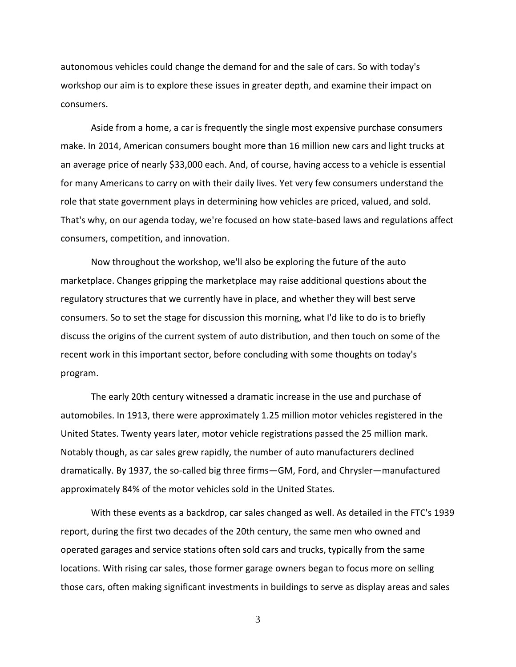autonomous vehicles could change the demand for and the sale of cars. So with today's workshop our aim is to explore these issues in greater depth, and examine their impact on consumers.

Aside from a home, a car is frequently the single most expensive purchase consumers make. In 2014, American consumers bought more than 16 million new cars and light trucks at an average price of nearly \$33,000 each. And, of course, having access to a vehicle is essential for many Americans to carry on with their daily lives. Yet very few consumers understand the role that state government plays in determining how vehicles are priced, valued, and sold. That's why, on our agenda today, we're focused on how state-based laws and regulations affect consumers, competition, and innovation.

Now throughout the workshop, we'll also be exploring the future of the auto marketplace. Changes gripping the marketplace may raise additional questions about the regulatory structures that we currently have in place, and whether they will best serve consumers. So to set the stage for discussion this morning, what I'd like to do is to briefly discuss the origins of the current system of auto distribution, and then touch on some of the recent work in this important sector, before concluding with some thoughts on today's program.

The early 20th century witnessed a dramatic increase in the use and purchase of automobiles. In 1913, there were approximately 1.25 million motor vehicles registered in the United States. Twenty years later, motor vehicle registrations passed the 25 million mark. Notably though, as car sales grew rapidly, the number of auto manufacturers declined dramatically. By 1937, the so-called big three firms—GM, Ford, and Chrysler—manufactured approximately 84% of the motor vehicles sold in the United States.

With these events as a backdrop, car sales changed as well. As detailed in the FTC's 1939 report, during the first two decades of the 20th century, the same men who owned and operated garages and service stations often sold cars and trucks, typically from the same locations. With rising car sales, those former garage owners began to focus more on selling those cars, often making significant investments in buildings to serve as display areas and sales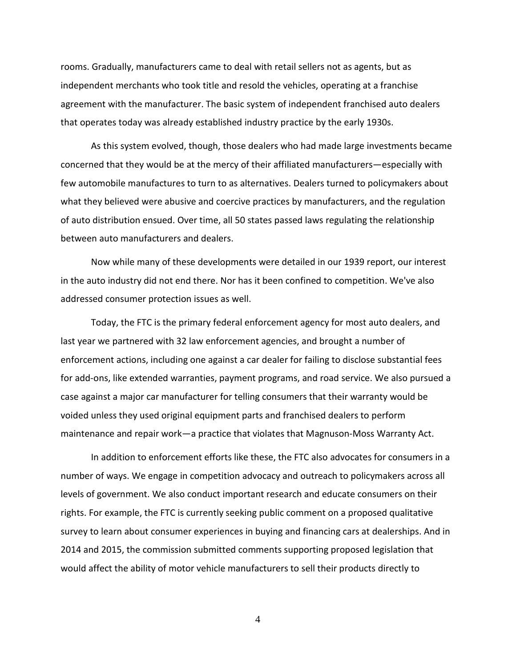rooms. Gradually, manufacturers came to deal with retail sellers not as agents, but as independent merchants who took title and resold the vehicles, operating at a franchise agreement with the manufacturer. The basic system of independent franchised auto dealers that operates today was already established industry practice by the early 1930s.

As this system evolved, though, those dealers who had made large investments became concerned that they would be at the mercy of their affiliated manufacturers—especially with few automobile manufactures to turn to as alternatives. Dealers turned to policymakers about what they believed were abusive and coercive practices by manufacturers, and the regulation of auto distribution ensued. Over time, all 50 states passed laws regulating the relationship between auto manufacturers and dealers.

Now while many of these developments were detailed in our 1939 report, our interest in the auto industry did not end there. Nor has it been confined to competition. We've also addressed consumer protection issues as well.

Today, the FTC is the primary federal enforcement agency for most auto dealers, and last year we partnered with 32 law enforcement agencies, and brought a number of enforcement actions, including one against a car dealer for failing to disclose substantial fees for add-ons, like extended warranties, payment programs, and road service. We also pursued a case against a major car manufacturer for telling consumers that their warranty would be voided unless they used original equipment parts and franchised dealers to perform maintenance and repair work—a practice that violates that Magnuson-Moss Warranty Act.

In addition to enforcement efforts like these, the FTC also advocates for consumers in a number of ways. We engage in competition advocacy and outreach to policymakers across all levels of government. We also conduct important research and educate consumers on their rights. For example, the FTC is currently seeking public comment on a proposed qualitative survey to learn about consumer experiences in buying and financing cars at dealerships. And in 2014 and 2015, the commission submitted comments supporting proposed legislation that would affect the ability of motor vehicle manufacturers to sell their products directly to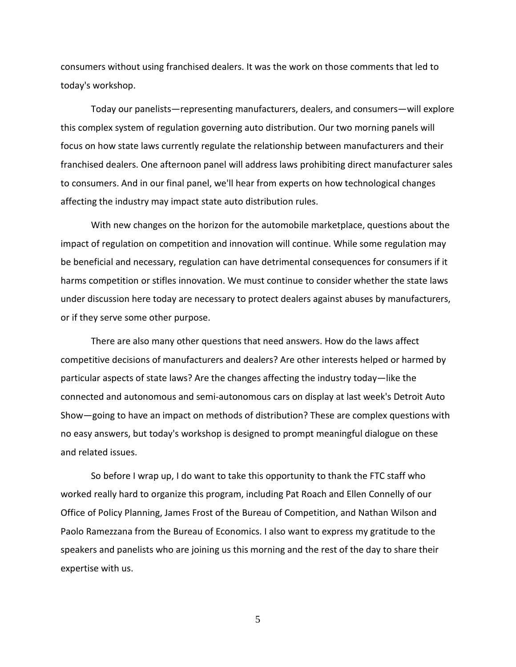consumers without using franchised dealers. It was the work on those comments that led to today's workshop.

Today our panelists—representing manufacturers, dealers, and consumers—will explore this complex system of regulation governing auto distribution. Our two morning panels will focus on how state laws currently regulate the relationship between manufacturers and their franchised dealers. One afternoon panel will address laws prohibiting direct manufacturer sales to consumers. And in our final panel, we'll hear from experts on how technological changes affecting the industry may impact state auto distribution rules.

With new changes on the horizon for the automobile marketplace, questions about the impact of regulation on competition and innovation will continue. While some regulation may be beneficial and necessary, regulation can have detrimental consequences for consumers if it harms competition or stifles innovation. We must continue to consider whether the state laws under discussion here today are necessary to protect dealers against abuses by manufacturers, or if they serve some other purpose.

There are also many other questions that need answers. How do the laws affect competitive decisions of manufacturers and dealers? Are other interests helped or harmed by particular aspects of state laws? Are the changes affecting the industry today—like the connected and autonomous and semi-autonomous cars on display at last week's Detroit Auto Show—going to have an impact on methods of distribution? These are complex questions with no easy answers, but today's workshop is designed to prompt meaningful dialogue on these and related issues.

So before I wrap up, I do want to take this opportunity to thank the FTC staff who worked really hard to organize this program, including Pat Roach and Ellen Connelly of our Office of Policy Planning, James Frost of the Bureau of Competition, and Nathan Wilson and Paolo Ramezzana from the Bureau of Economics. I also want to express my gratitude to the speakers and panelists who are joining us this morning and the rest of the day to share their expertise with us.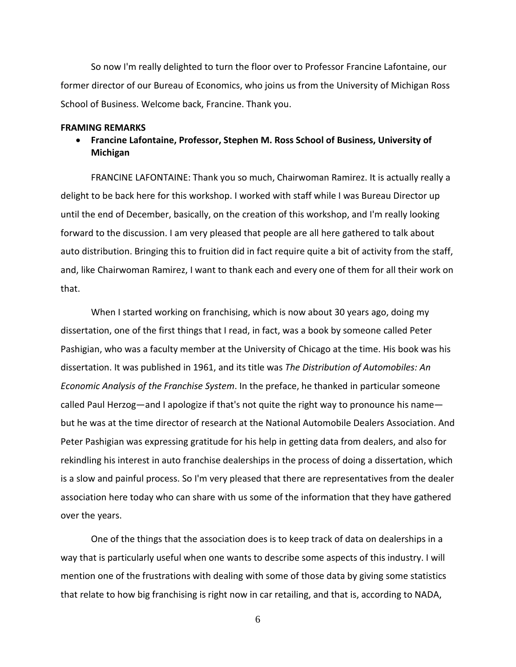So now I'm really delighted to turn the floor over to Professor Francine Lafontaine, our former director of our Bureau of Economics, who joins us from the University of Michigan Ross School of Business. Welcome back, Francine. Thank you.

#### **FRAMING REMARKS**

• **Francine Lafontaine, Professor, Stephen M. Ross School of Business, University of Michigan**

FRANCINE LAFONTAINE: Thank you so much, Chairwoman Ramirez. It is actually really a delight to be back here for this workshop. I worked with staff while I was Bureau Director up until the end of December, basically, on the creation of this workshop, and I'm really looking forward to the discussion. I am very pleased that people are all here gathered to talk about auto distribution. Bringing this to fruition did in fact require quite a bit of activity from the staff, and, like Chairwoman Ramirez, I want to thank each and every one of them for all their work on that.

When I started working on franchising, which is now about 30 years ago, doing my dissertation, one of the first things that I read, in fact, was a book by someone called Peter Pashigian, who was a faculty member at the University of Chicago at the time. His book was his dissertation. It was published in 1961, and its title was *The Distribution of Automobiles: An Economic Analysis of the Franchise System*. In the preface, he thanked in particular someone called Paul Herzog—and I apologize if that's not quite the right way to pronounce his name but he was at the time director of research at the National Automobile Dealers Association. And Peter Pashigian was expressing gratitude for his help in getting data from dealers, and also for rekindling his interest in auto franchise dealerships in the process of doing a dissertation, which is a slow and painful process. So I'm very pleased that there are representatives from the dealer association here today who can share with us some of the information that they have gathered over the years.

One of the things that the association does is to keep track of data on dealerships in a way that is particularly useful when one wants to describe some aspects of this industry. I will mention one of the frustrations with dealing with some of those data by giving some statistics that relate to how big franchising is right now in car retailing, and that is, according to NADA,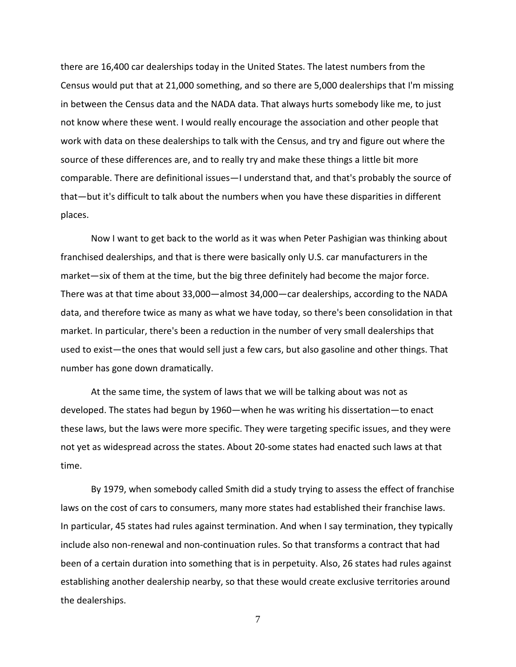there are 16,400 car dealerships today in the United States. The latest numbers from the Census would put that at 21,000 something, and so there are 5,000 dealerships that I'm missing in between the Census data and the NADA data. That always hurts somebody like me, to just not know where these went. I would really encourage the association and other people that work with data on these dealerships to talk with the Census, and try and figure out where the source of these differences are, and to really try and make these things a little bit more comparable. There are definitional issues—I understand that, and that's probably the source of that—but it's difficult to talk about the numbers when you have these disparities in different places.

Now I want to get back to the world as it was when Peter Pashigian was thinking about franchised dealerships, and that is there were basically only U.S. car manufacturers in the market—six of them at the time, but the big three definitely had become the major force. There was at that time about 33,000—almost 34,000—car dealerships, according to the NADA data, and therefore twice as many as what we have today, so there's been consolidation in that market. In particular, there's been a reduction in the number of very small dealerships that used to exist—the ones that would sell just a few cars, but also gasoline and other things. That number has gone down dramatically.

At the same time, the system of laws that we will be talking about was not as developed. The states had begun by 1960—when he was writing his dissertation—to enact these laws, but the laws were more specific. They were targeting specific issues, and they were not yet as widespread across the states. About 20-some states had enacted such laws at that time.

By 1979, when somebody called Smith did a study trying to assess the effect of franchise laws on the cost of cars to consumers, many more states had established their franchise laws. In particular, 45 states had rules against termination. And when I say termination, they typically include also non-renewal and non-continuation rules. So that transforms a contract that had been of a certain duration into something that is in perpetuity. Also, 26 states had rules against establishing another dealership nearby, so that these would create exclusive territories around the dealerships.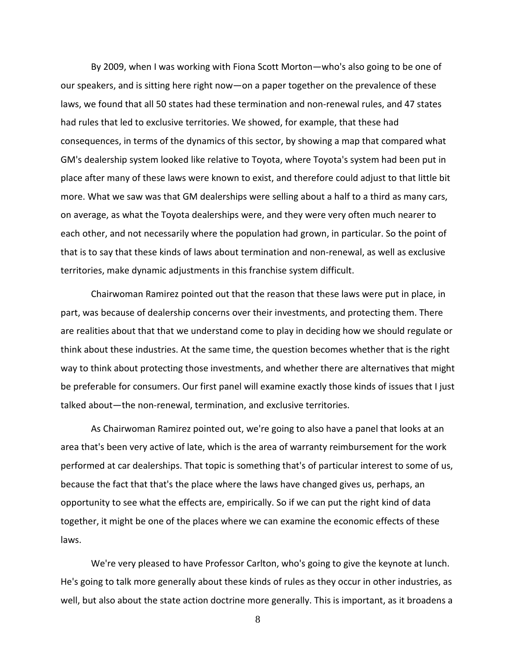By 2009, when I was working with Fiona Scott Morton—who's also going to be one of our speakers, and is sitting here right now—on a paper together on the prevalence of these laws, we found that all 50 states had these termination and non-renewal rules, and 47 states had rules that led to exclusive territories. We showed, for example, that these had consequences, in terms of the dynamics of this sector, by showing a map that compared what GM's dealership system looked like relative to Toyota, where Toyota's system had been put in place after many of these laws were known to exist, and therefore could adjust to that little bit more. What we saw was that GM dealerships were selling about a half to a third as many cars, on average, as what the Toyota dealerships were, and they were very often much nearer to each other, and not necessarily where the population had grown, in particular. So the point of that is to say that these kinds of laws about termination and non-renewal, as well as exclusive territories, make dynamic adjustments in this franchise system difficult.

Chairwoman Ramirez pointed out that the reason that these laws were put in place, in part, was because of dealership concerns over their investments, and protecting them. There are realities about that that we understand come to play in deciding how we should regulate or think about these industries. At the same time, the question becomes whether that is the right way to think about protecting those investments, and whether there are alternatives that might be preferable for consumers. Our first panel will examine exactly those kinds of issues that I just talked about—the non-renewal, termination, and exclusive territories.

As Chairwoman Ramirez pointed out, we're going to also have a panel that looks at an area that's been very active of late, which is the area of warranty reimbursement for the work performed at car dealerships. That topic is something that's of particular interest to some of us, because the fact that that's the place where the laws have changed gives us, perhaps, an opportunity to see what the effects are, empirically. So if we can put the right kind of data together, it might be one of the places where we can examine the economic effects of these laws.

We're very pleased to have Professor Carlton, who's going to give the keynote at lunch. He's going to talk more generally about these kinds of rules as they occur in other industries, as well, but also about the state action doctrine more generally. This is important, as it broadens a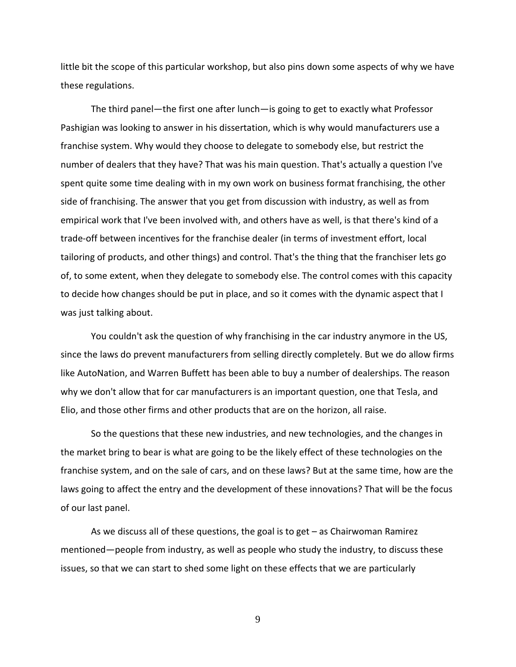little bit the scope of this particular workshop, but also pins down some aspects of why we have these regulations.

The third panel—the first one after lunch—is going to get to exactly what Professor Pashigian was looking to answer in his dissertation, which is why would manufacturers use a franchise system. Why would they choose to delegate to somebody else, but restrict the number of dealers that they have? That was his main question. That's actually a question I've spent quite some time dealing with in my own work on business format franchising, the other side of franchising. The answer that you get from discussion with industry, as well as from empirical work that I've been involved with, and others have as well, is that there's kind of a trade-off between incentives for the franchise dealer (in terms of investment effort, local tailoring of products, and other things) and control. That's the thing that the franchiser lets go of, to some extent, when they delegate to somebody else. The control comes with this capacity to decide how changes should be put in place, and so it comes with the dynamic aspect that I was just talking about.

You couldn't ask the question of why franchising in the car industry anymore in the US, since the laws do prevent manufacturers from selling directly completely. But we do allow firms like AutoNation, and Warren Buffett has been able to buy a number of dealerships. The reason why we don't allow that for car manufacturers is an important question, one that Tesla, and Elio, and those other firms and other products that are on the horizon, all raise.

So the questions that these new industries, and new technologies, and the changes in the market bring to bear is what are going to be the likely effect of these technologies on the franchise system, and on the sale of cars, and on these laws? But at the same time, how are the laws going to affect the entry and the development of these innovations? That will be the focus of our last panel.

As we discuss all of these questions, the goal is to get – as Chairwoman Ramirez mentioned—people from industry, as well as people who study the industry, to discuss these issues, so that we can start to shed some light on these effects that we are particularly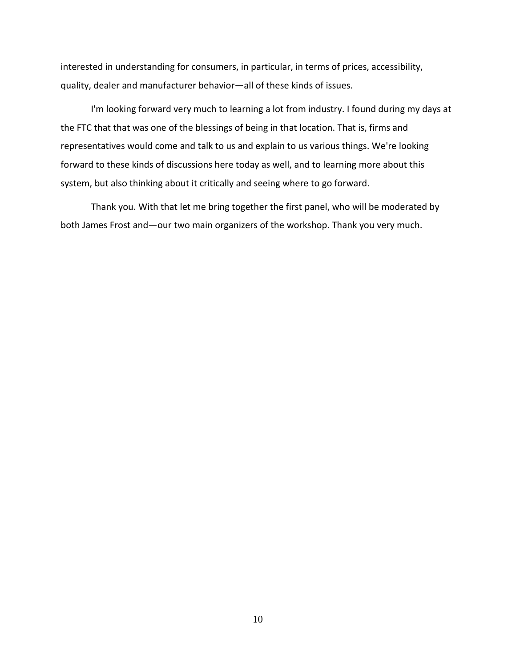interested in understanding for consumers, in particular, in terms of prices, accessibility, quality, dealer and manufacturer behavior—all of these kinds of issues.

I'm looking forward very much to learning a lot from industry. I found during my days at the FTC that that was one of the blessings of being in that location. That is, firms and representatives would come and talk to us and explain to us various things. We're looking forward to these kinds of discussions here today as well, and to learning more about this system, but also thinking about it critically and seeing where to go forward.

Thank you. With that let me bring together the first panel, who will be moderated by both James Frost and—our two main organizers of the workshop. Thank you very much.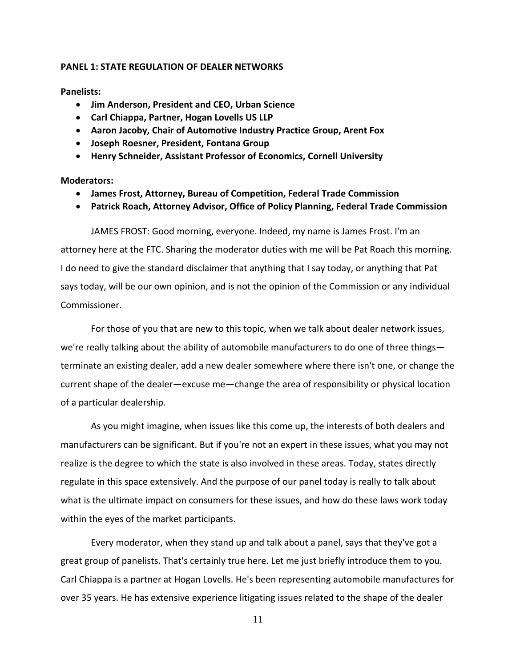## **PANEL 1: STATE REGULATION OF DEALER NETWORKS**

**Panelists:**

- **Jim Anderson, President and CEO, Urban Science**
- **Carl Chiappa, Partner, Hogan Lovells US LLP**
- **Aaron Jacoby, Chair of Automotive Industry Practice Group, Arent Fox**
- **Joseph Roesner, President, Fontana Group**
- **Henry Schneider, Assistant Professor of Economics, Cornell University**

# **Moderators:**

- **James Frost, Attorney, Bureau of Competition, Federal Trade Commission**
- **Patrick Roach, Attorney Advisor, Office of Policy Planning, Federal Trade Commission**

JAMES FROST: Good morning, everyone. Indeed, my name is James Frost. I'm an attorney here at the FTC. Sharing the moderator duties with me will be Pat Roach this morning. I do need to give the standard disclaimer that anything that I say today, or anything that Pat says today, will be our own opinion, and is not the opinion of the Commission or any individual Commissioner.

For those of you that are new to this topic, when we talk about dealer network issues, we're really talking about the ability of automobile manufacturers to do one of three things terminate an existing dealer, add a new dealer somewhere where there isn't one, or change the current shape of the dealer—excuse me—change the area of responsibility or physical location of a particular dealership.

As you might imagine, when issues like this come up, the interests of both dealers and manufacturers can be significant. But if you're not an expert in these issues, what you may not realize is the degree to which the state is also involved in these areas. Today, states directly regulate in this space extensively. And the purpose of our panel today is really to talk about what is the ultimate impact on consumers for these issues, and how do these laws work today within the eyes of the market participants.

Every moderator, when they stand up and talk about a panel, says that they've got a great group of panelists. That's certainly true here. Let me just briefly introduce them to you. Carl Chiappa is a partner at Hogan Lovells. He's been representing automobile manufactures for over 35 years. He has extensive experience litigating issues related to the shape of the dealer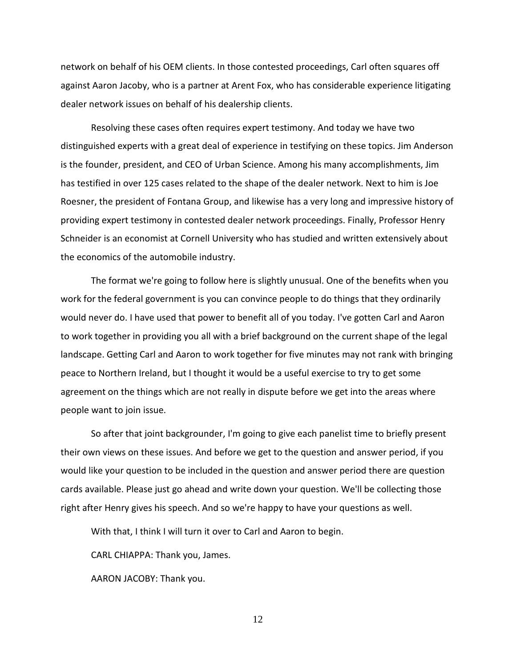network on behalf of his OEM clients. In those contested proceedings, Carl often squares off against Aaron Jacoby, who is a partner at Arent Fox, who has considerable experience litigating dealer network issues on behalf of his dealership clients.

Resolving these cases often requires expert testimony. And today we have two distinguished experts with a great deal of experience in testifying on these topics. Jim Anderson is the founder, president, and CEO of Urban Science. Among his many accomplishments, Jim has testified in over 125 cases related to the shape of the dealer network. Next to him is Joe Roesner, the president of Fontana Group, and likewise has a very long and impressive history of providing expert testimony in contested dealer network proceedings. Finally, Professor Henry Schneider is an economist at Cornell University who has studied and written extensively about the economics of the automobile industry.

The format we're going to follow here is slightly unusual. One of the benefits when you work for the federal government is you can convince people to do things that they ordinarily would never do. I have used that power to benefit all of you today. I've gotten Carl and Aaron to work together in providing you all with a brief background on the current shape of the legal landscape. Getting Carl and Aaron to work together for five minutes may not rank with bringing peace to Northern Ireland, but I thought it would be a useful exercise to try to get some agreement on the things which are not really in dispute before we get into the areas where people want to join issue.

So after that joint backgrounder, I'm going to give each panelist time to briefly present their own views on these issues. And before we get to the question and answer period, if you would like your question to be included in the question and answer period there are question cards available. Please just go ahead and write down your question. We'll be collecting those right after Henry gives his speech. And so we're happy to have your questions as well.

With that, I think I will turn it over to Carl and Aaron to begin.

CARL CHIAPPA: Thank you, James.

AARON JACOBY: Thank you.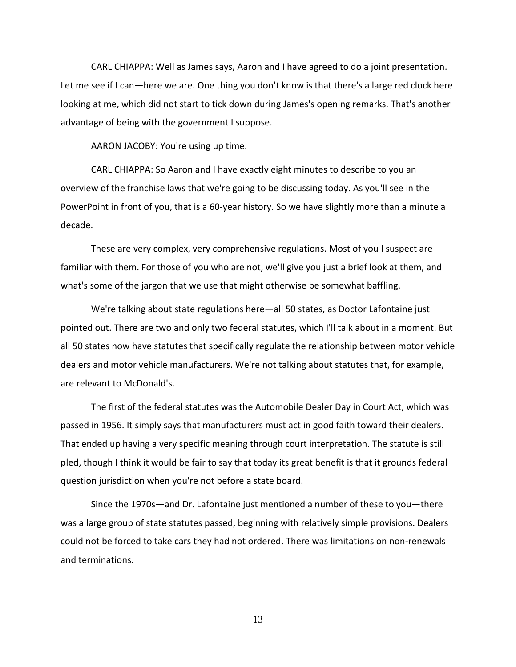CARL CHIAPPA: Well as James says, Aaron and I have agreed to do a joint presentation. Let me see if I can—here we are. One thing you don't know is that there's a large red clock here looking at me, which did not start to tick down during James's opening remarks. That's another advantage of being with the government I suppose.

AARON JACOBY: You're using up time.

CARL CHIAPPA: So Aaron and I have exactly eight minutes to describe to you an overview of the franchise laws that we're going to be discussing today. As you'll see in the PowerPoint in front of you, that is a 60-year history. So we have slightly more than a minute a decade.

These are very complex, very comprehensive regulations. Most of you I suspect are familiar with them. For those of you who are not, we'll give you just a brief look at them, and what's some of the jargon that we use that might otherwise be somewhat baffling.

We're talking about state regulations here—all 50 states, as Doctor Lafontaine just pointed out. There are two and only two federal statutes, which I'll talk about in a moment. But all 50 states now have statutes that specifically regulate the relationship between motor vehicle dealers and motor vehicle manufacturers. We're not talking about statutes that, for example, are relevant to McDonald's.

The first of the federal statutes was the Automobile Dealer Day in Court Act, which was passed in 1956. It simply says that manufacturers must act in good faith toward their dealers. That ended up having a very specific meaning through court interpretation. The statute is still pled, though I think it would be fair to say that today its great benefit is that it grounds federal question jurisdiction when you're not before a state board.

Since the 1970s—and Dr. Lafontaine just mentioned a number of these to you—there was a large group of state statutes passed, beginning with relatively simple provisions. Dealers could not be forced to take cars they had not ordered. There was limitations on non-renewals and terminations.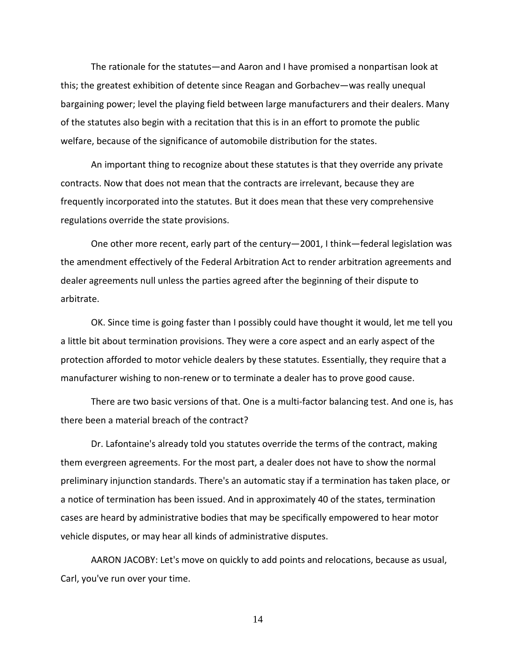The rationale for the statutes—and Aaron and I have promised a nonpartisan look at this; the greatest exhibition of detente since Reagan and Gorbachev—was really unequal bargaining power; level the playing field between large manufacturers and their dealers. Many of the statutes also begin with a recitation that this is in an effort to promote the public welfare, because of the significance of automobile distribution for the states.

An important thing to recognize about these statutes is that they override any private contracts. Now that does not mean that the contracts are irrelevant, because they are frequently incorporated into the statutes. But it does mean that these very comprehensive regulations override the state provisions.

One other more recent, early part of the century—2001, I think—federal legislation was the amendment effectively of the Federal Arbitration Act to render arbitration agreements and dealer agreements null unless the parties agreed after the beginning of their dispute to arbitrate.

OK. Since time is going faster than I possibly could have thought it would, let me tell you a little bit about termination provisions. They were a core aspect and an early aspect of the protection afforded to motor vehicle dealers by these statutes. Essentially, they require that a manufacturer wishing to non-renew or to terminate a dealer has to prove good cause.

There are two basic versions of that. One is a multi-factor balancing test. And one is, has there been a material breach of the contract?

Dr. Lafontaine's already told you statutes override the terms of the contract, making them evergreen agreements. For the most part, a dealer does not have to show the normal preliminary injunction standards. There's an automatic stay if a termination has taken place, or a notice of termination has been issued. And in approximately 40 of the states, termination cases are heard by administrative bodies that may be specifically empowered to hear motor vehicle disputes, or may hear all kinds of administrative disputes.

AARON JACOBY: Let's move on quickly to add points and relocations, because as usual, Carl, you've run over your time.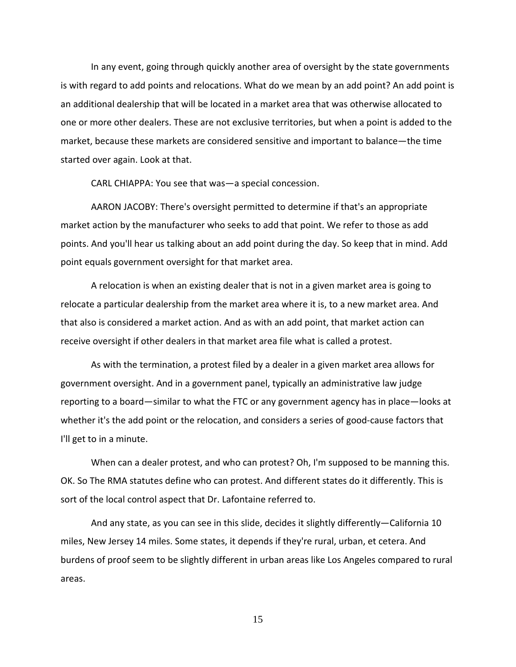In any event, going through quickly another area of oversight by the state governments is with regard to add points and relocations. What do we mean by an add point? An add point is an additional dealership that will be located in a market area that was otherwise allocated to one or more other dealers. These are not exclusive territories, but when a point is added to the market, because these markets are considered sensitive and important to balance—the time started over again. Look at that.

CARL CHIAPPA: You see that was—a special concession.

AARON JACOBY: There's oversight permitted to determine if that's an appropriate market action by the manufacturer who seeks to add that point. We refer to those as add points. And you'll hear us talking about an add point during the day. So keep that in mind. Add point equals government oversight for that market area.

A relocation is when an existing dealer that is not in a given market area is going to relocate a particular dealership from the market area where it is, to a new market area. And that also is considered a market action. And as with an add point, that market action can receive oversight if other dealers in that market area file what is called a protest.

As with the termination, a protest filed by a dealer in a given market area allows for government oversight. And in a government panel, typically an administrative law judge reporting to a board—similar to what the FTC or any government agency has in place—looks at whether it's the add point or the relocation, and considers a series of good-cause factors that I'll get to in a minute.

When can a dealer protest, and who can protest? Oh, I'm supposed to be manning this. OK. So The RMA statutes define who can protest. And different states do it differently. This is sort of the local control aspect that Dr. Lafontaine referred to.

And any state, as you can see in this slide, decides it slightly differently—California 10 miles, New Jersey 14 miles. Some states, it depends if they're rural, urban, et cetera. And burdens of proof seem to be slightly different in urban areas like Los Angeles compared to rural areas.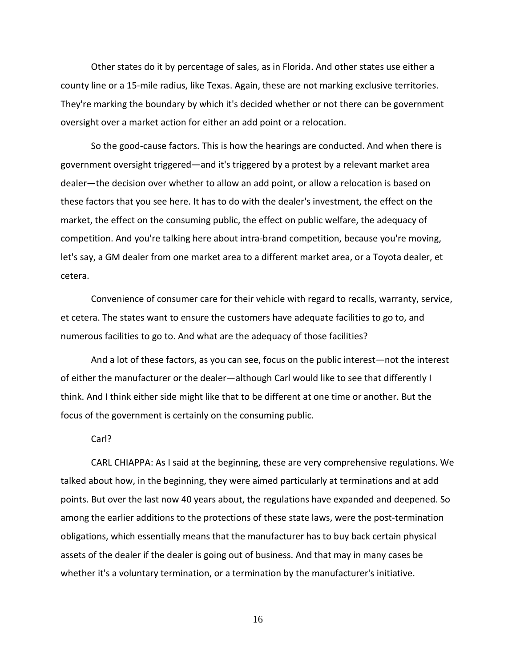Other states do it by percentage of sales, as in Florida. And other states use either a county line or a 15-mile radius, like Texas. Again, these are not marking exclusive territories. They're marking the boundary by which it's decided whether or not there can be government oversight over a market action for either an add point or a relocation.

So the good-cause factors. This is how the hearings are conducted. And when there is government oversight triggered—and it's triggered by a protest by a relevant market area dealer—the decision over whether to allow an add point, or allow a relocation is based on these factors that you see here. It has to do with the dealer's investment, the effect on the market, the effect on the consuming public, the effect on public welfare, the adequacy of competition. And you're talking here about intra-brand competition, because you're moving, let's say, a GM dealer from one market area to a different market area, or a Toyota dealer, et cetera.

Convenience of consumer care for their vehicle with regard to recalls, warranty, service, et cetera. The states want to ensure the customers have adequate facilities to go to, and numerous facilities to go to. And what are the adequacy of those facilities?

And a lot of these factors, as you can see, focus on the public interest—not the interest of either the manufacturer or the dealer—although Carl would like to see that differently I think. And I think either side might like that to be different at one time or another. But the focus of the government is certainly on the consuming public.

#### Carl?

CARL CHIAPPA: As I said at the beginning, these are very comprehensive regulations. We talked about how, in the beginning, they were aimed particularly at terminations and at add points. But over the last now 40 years about, the regulations have expanded and deepened. So among the earlier additions to the protections of these state laws, were the post-termination obligations, which essentially means that the manufacturer has to buy back certain physical assets of the dealer if the dealer is going out of business. And that may in many cases be whether it's a voluntary termination, or a termination by the manufacturer's initiative.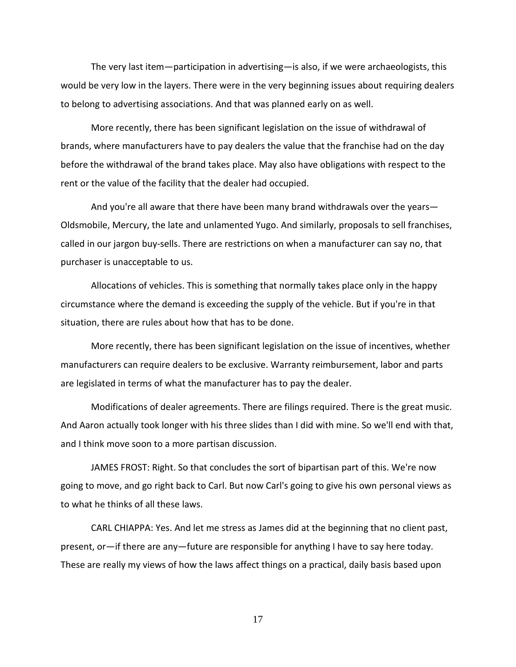The very last item—participation in advertising—is also, if we were archaeologists, this would be very low in the layers. There were in the very beginning issues about requiring dealers to belong to advertising associations. And that was planned early on as well.

More recently, there has been significant legislation on the issue of withdrawal of brands, where manufacturers have to pay dealers the value that the franchise had on the day before the withdrawal of the brand takes place. May also have obligations with respect to the rent or the value of the facility that the dealer had occupied.

And you're all aware that there have been many brand withdrawals over the years— Oldsmobile, Mercury, the late and unlamented Yugo. And similarly, proposals to sell franchises, called in our jargon buy-sells. There are restrictions on when a manufacturer can say no, that purchaser is unacceptable to us.

Allocations of vehicles. This is something that normally takes place only in the happy circumstance where the demand is exceeding the supply of the vehicle. But if you're in that situation, there are rules about how that has to be done.

More recently, there has been significant legislation on the issue of incentives, whether manufacturers can require dealers to be exclusive. Warranty reimbursement, labor and parts are legislated in terms of what the manufacturer has to pay the dealer.

Modifications of dealer agreements. There are filings required. There is the great music. And Aaron actually took longer with his three slides than I did with mine. So we'll end with that, and I think move soon to a more partisan discussion.

JAMES FROST: Right. So that concludes the sort of bipartisan part of this. We're now going to move, and go right back to Carl. But now Carl's going to give his own personal views as to what he thinks of all these laws.

CARL CHIAPPA: Yes. And let me stress as James did at the beginning that no client past, present, or—if there are any—future are responsible for anything I have to say here today. These are really my views of how the laws affect things on a practical, daily basis based upon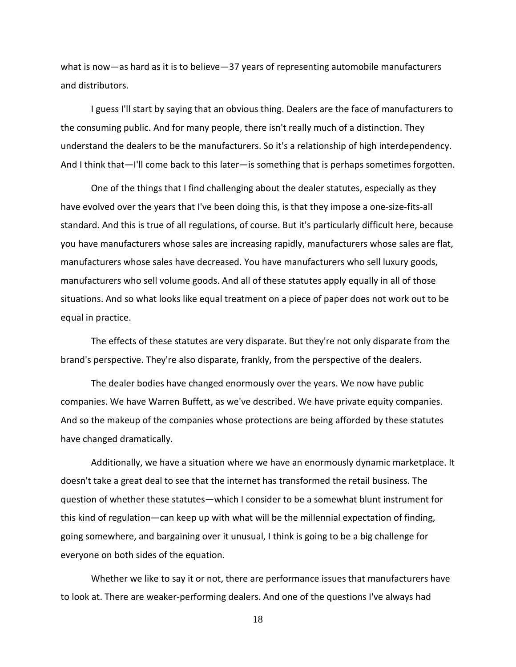what is now—as hard as it is to believe—37 years of representing automobile manufacturers and distributors.

I guess I'll start by saying that an obvious thing. Dealers are the face of manufacturers to the consuming public. And for many people, there isn't really much of a distinction. They understand the dealers to be the manufacturers. So it's a relationship of high interdependency. And I think that—I'll come back to this later—is something that is perhaps sometimes forgotten.

One of the things that I find challenging about the dealer statutes, especially as they have evolved over the years that I've been doing this, is that they impose a one-size-fits-all standard. And this is true of all regulations, of course. But it's particularly difficult here, because you have manufacturers whose sales are increasing rapidly, manufacturers whose sales are flat, manufacturers whose sales have decreased. You have manufacturers who sell luxury goods, manufacturers who sell volume goods. And all of these statutes apply equally in all of those situations. And so what looks like equal treatment on a piece of paper does not work out to be equal in practice.

The effects of these statutes are very disparate. But they're not only disparate from the brand's perspective. They're also disparate, frankly, from the perspective of the dealers.

The dealer bodies have changed enormously over the years. We now have public companies. We have Warren Buffett, as we've described. We have private equity companies. And so the makeup of the companies whose protections are being afforded by these statutes have changed dramatically.

Additionally, we have a situation where we have an enormously dynamic marketplace. It doesn't take a great deal to see that the internet has transformed the retail business. The question of whether these statutes—which I consider to be a somewhat blunt instrument for this kind of regulation—can keep up with what will be the millennial expectation of finding, going somewhere, and bargaining over it unusual, I think is going to be a big challenge for everyone on both sides of the equation.

Whether we like to say it or not, there are performance issues that manufacturers have to look at. There are weaker-performing dealers. And one of the questions I've always had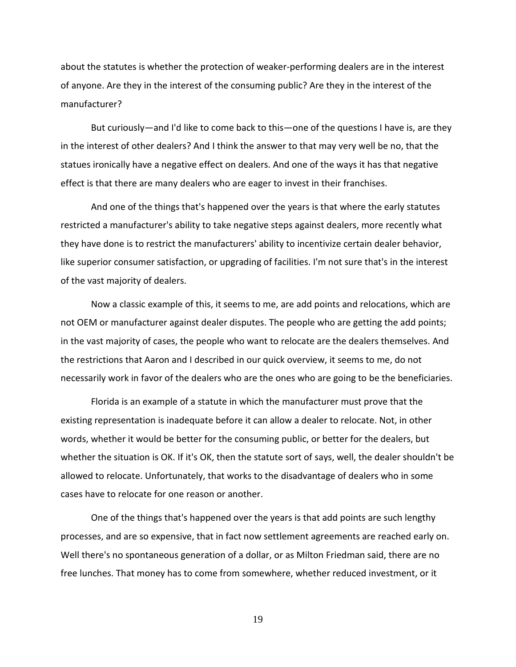about the statutes is whether the protection of weaker-performing dealers are in the interest of anyone. Are they in the interest of the consuming public? Are they in the interest of the manufacturer?

But curiously—and I'd like to come back to this—one of the questions I have is, are they in the interest of other dealers? And I think the answer to that may very well be no, that the statues ironically have a negative effect on dealers. And one of the ways it has that negative effect is that there are many dealers who are eager to invest in their franchises.

And one of the things that's happened over the years is that where the early statutes restricted a manufacturer's ability to take negative steps against dealers, more recently what they have done is to restrict the manufacturers' ability to incentivize certain dealer behavior, like superior consumer satisfaction, or upgrading of facilities. I'm not sure that's in the interest of the vast majority of dealers.

Now a classic example of this, it seems to me, are add points and relocations, which are not OEM or manufacturer against dealer disputes. The people who are getting the add points; in the vast majority of cases, the people who want to relocate are the dealers themselves. And the restrictions that Aaron and I described in our quick overview, it seems to me, do not necessarily work in favor of the dealers who are the ones who are going to be the beneficiaries.

Florida is an example of a statute in which the manufacturer must prove that the existing representation is inadequate before it can allow a dealer to relocate. Not, in other words, whether it would be better for the consuming public, or better for the dealers, but whether the situation is OK. If it's OK, then the statute sort of says, well, the dealer shouldn't be allowed to relocate. Unfortunately, that works to the disadvantage of dealers who in some cases have to relocate for one reason or another.

One of the things that's happened over the years is that add points are such lengthy processes, and are so expensive, that in fact now settlement agreements are reached early on. Well there's no spontaneous generation of a dollar, or as Milton Friedman said, there are no free lunches. That money has to come from somewhere, whether reduced investment, or it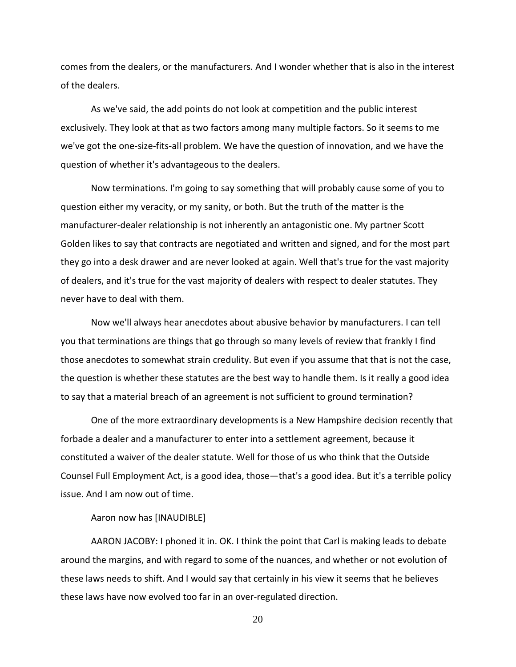comes from the dealers, or the manufacturers. And I wonder whether that is also in the interest of the dealers.

As we've said, the add points do not look at competition and the public interest exclusively. They look at that as two factors among many multiple factors. So it seems to me we've got the one-size-fits-all problem. We have the question of innovation, and we have the question of whether it's advantageous to the dealers.

Now terminations. I'm going to say something that will probably cause some of you to question either my veracity, or my sanity, or both. But the truth of the matter is the manufacturer-dealer relationship is not inherently an antagonistic one. My partner Scott Golden likes to say that contracts are negotiated and written and signed, and for the most part they go into a desk drawer and are never looked at again. Well that's true for the vast majority of dealers, and it's true for the vast majority of dealers with respect to dealer statutes. They never have to deal with them.

Now we'll always hear anecdotes about abusive behavior by manufacturers. I can tell you that terminations are things that go through so many levels of review that frankly I find those anecdotes to somewhat strain credulity. But even if you assume that that is not the case, the question is whether these statutes are the best way to handle them. Is it really a good idea to say that a material breach of an agreement is not sufficient to ground termination?

One of the more extraordinary developments is a New Hampshire decision recently that forbade a dealer and a manufacturer to enter into a settlement agreement, because it constituted a waiver of the dealer statute. Well for those of us who think that the Outside Counsel Full Employment Act, is a good idea, those—that's a good idea. But it's a terrible policy issue. And I am now out of time.

#### Aaron now has [INAUDIBLE]

AARON JACOBY: I phoned it in. OK. I think the point that Carl is making leads to debate around the margins, and with regard to some of the nuances, and whether or not evolution of these laws needs to shift. And I would say that certainly in his view it seems that he believes these laws have now evolved too far in an over-regulated direction.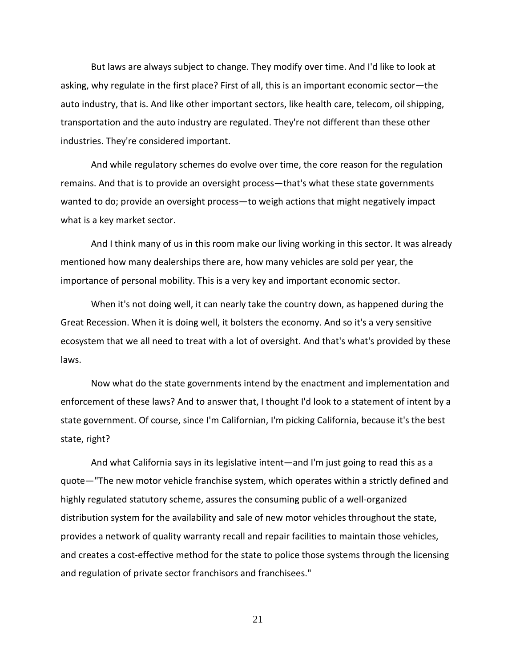But laws are always subject to change. They modify over time. And I'd like to look at asking, why regulate in the first place? First of all, this is an important economic sector—the auto industry, that is. And like other important sectors, like health care, telecom, oil shipping, transportation and the auto industry are regulated. They're not different than these other industries. They're considered important.

And while regulatory schemes do evolve over time, the core reason for the regulation remains. And that is to provide an oversight process—that's what these state governments wanted to do; provide an oversight process—to weigh actions that might negatively impact what is a key market sector.

And I think many of us in this room make our living working in this sector. It was already mentioned how many dealerships there are, how many vehicles are sold per year, the importance of personal mobility. This is a very key and important economic sector.

When it's not doing well, it can nearly take the country down, as happened during the Great Recession. When it is doing well, it bolsters the economy. And so it's a very sensitive ecosystem that we all need to treat with a lot of oversight. And that's what's provided by these laws.

Now what do the state governments intend by the enactment and implementation and enforcement of these laws? And to answer that, I thought I'd look to a statement of intent by a state government. Of course, since I'm Californian, I'm picking California, because it's the best state, right?

And what California says in its legislative intent—and I'm just going to read this as a quote—"The new motor vehicle franchise system, which operates within a strictly defined and highly regulated statutory scheme, assures the consuming public of a well-organized distribution system for the availability and sale of new motor vehicles throughout the state, provides a network of quality warranty recall and repair facilities to maintain those vehicles, and creates a cost-effective method for the state to police those systems through the licensing and regulation of private sector franchisors and franchisees."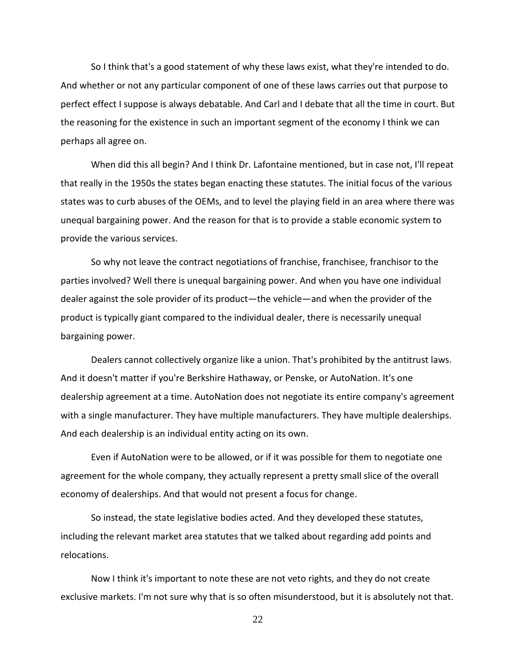So I think that's a good statement of why these laws exist, what they're intended to do. And whether or not any particular component of one of these laws carries out that purpose to perfect effect I suppose is always debatable. And Carl and I debate that all the time in court. But the reasoning for the existence in such an important segment of the economy I think we can perhaps all agree on.

When did this all begin? And I think Dr. Lafontaine mentioned, but in case not, I'll repeat that really in the 1950s the states began enacting these statutes. The initial focus of the various states was to curb abuses of the OEMs, and to level the playing field in an area where there was unequal bargaining power. And the reason for that is to provide a stable economic system to provide the various services.

So why not leave the contract negotiations of franchise, franchisee, franchisor to the parties involved? Well there is unequal bargaining power. And when you have one individual dealer against the sole provider of its product—the vehicle—and when the provider of the product is typically giant compared to the individual dealer, there is necessarily unequal bargaining power.

Dealers cannot collectively organize like a union. That's prohibited by the antitrust laws. And it doesn't matter if you're Berkshire Hathaway, or Penske, or AutoNation. It's one dealership agreement at a time. AutoNation does not negotiate its entire company's agreement with a single manufacturer. They have multiple manufacturers. They have multiple dealerships. And each dealership is an individual entity acting on its own.

Even if AutoNation were to be allowed, or if it was possible for them to negotiate one agreement for the whole company, they actually represent a pretty small slice of the overall economy of dealerships. And that would not present a focus for change.

So instead, the state legislative bodies acted. And they developed these statutes, including the relevant market area statutes that we talked about regarding add points and relocations.

Now I think it's important to note these are not veto rights, and they do not create exclusive markets. I'm not sure why that is so often misunderstood, but it is absolutely not that.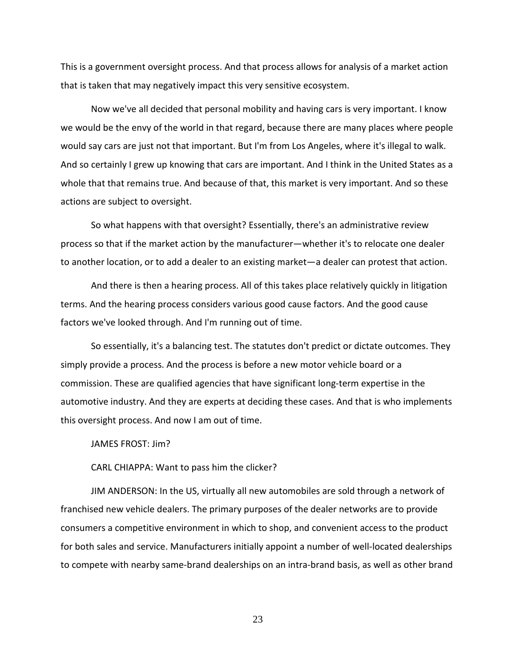This is a government oversight process. And that process allows for analysis of a market action that is taken that may negatively impact this very sensitive ecosystem.

Now we've all decided that personal mobility and having cars is very important. I know we would be the envy of the world in that regard, because there are many places where people would say cars are just not that important. But I'm from Los Angeles, where it's illegal to walk. And so certainly I grew up knowing that cars are important. And I think in the United States as a whole that that remains true. And because of that, this market is very important. And so these actions are subject to oversight.

So what happens with that oversight? Essentially, there's an administrative review process so that if the market action by the manufacturer—whether it's to relocate one dealer to another location, or to add a dealer to an existing market—a dealer can protest that action.

And there is then a hearing process. All of this takes place relatively quickly in litigation terms. And the hearing process considers various good cause factors. And the good cause factors we've looked through. And I'm running out of time.

So essentially, it's a balancing test. The statutes don't predict or dictate outcomes. They simply provide a process. And the process is before a new motor vehicle board or a commission. These are qualified agencies that have significant long-term expertise in the automotive industry. And they are experts at deciding these cases. And that is who implements this oversight process. And now I am out of time.

JAMES FROST: Jim?

CARL CHIAPPA: Want to pass him the clicker?

JIM ANDERSON: In the US, virtually all new automobiles are sold through a network of franchised new vehicle dealers. The primary purposes of the dealer networks are to provide consumers a competitive environment in which to shop, and convenient access to the product for both sales and service. Manufacturers initially appoint a number of well-located dealerships to compete with nearby same-brand dealerships on an intra-brand basis, as well as other brand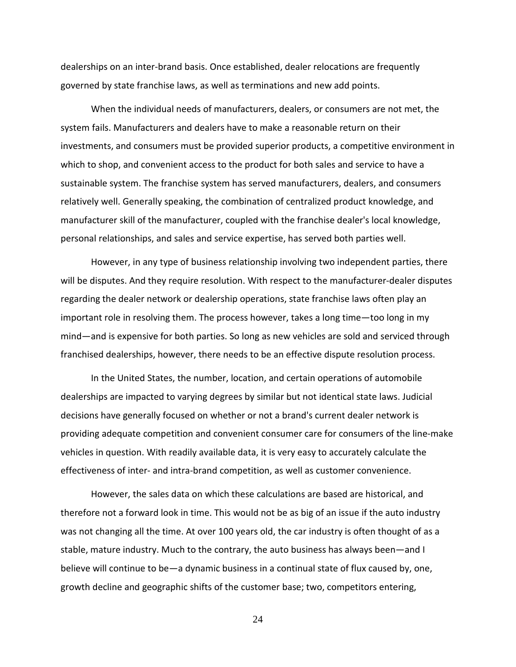dealerships on an inter-brand basis. Once established, dealer relocations are frequently governed by state franchise laws, as well as terminations and new add points.

When the individual needs of manufacturers, dealers, or consumers are not met, the system fails. Manufacturers and dealers have to make a reasonable return on their investments, and consumers must be provided superior products, a competitive environment in which to shop, and convenient access to the product for both sales and service to have a sustainable system. The franchise system has served manufacturers, dealers, and consumers relatively well. Generally speaking, the combination of centralized product knowledge, and manufacturer skill of the manufacturer, coupled with the franchise dealer's local knowledge, personal relationships, and sales and service expertise, has served both parties well.

However, in any type of business relationship involving two independent parties, there will be disputes. And they require resolution. With respect to the manufacturer-dealer disputes regarding the dealer network or dealership operations, state franchise laws often play an important role in resolving them. The process however, takes a long time—too long in my mind—and is expensive for both parties. So long as new vehicles are sold and serviced through franchised dealerships, however, there needs to be an effective dispute resolution process.

In the United States, the number, location, and certain operations of automobile dealerships are impacted to varying degrees by similar but not identical state laws. Judicial decisions have generally focused on whether or not a brand's current dealer network is providing adequate competition and convenient consumer care for consumers of the line-make vehicles in question. With readily available data, it is very easy to accurately calculate the effectiveness of inter- and intra-brand competition, as well as customer convenience.

However, the sales data on which these calculations are based are historical, and therefore not a forward look in time. This would not be as big of an issue if the auto industry was not changing all the time. At over 100 years old, the car industry is often thought of as a stable, mature industry. Much to the contrary, the auto business has always been—and I believe will continue to be—a dynamic business in a continual state of flux caused by, one, growth decline and geographic shifts of the customer base; two, competitors entering,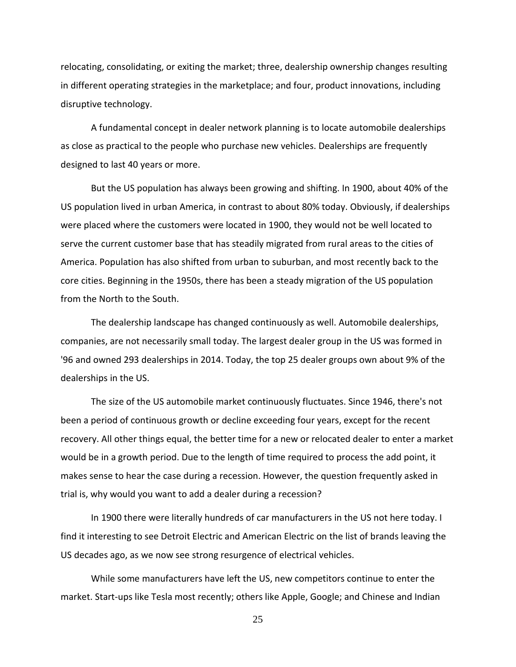relocating, consolidating, or exiting the market; three, dealership ownership changes resulting in different operating strategies in the marketplace; and four, product innovations, including disruptive technology.

A fundamental concept in dealer network planning is to locate automobile dealerships as close as practical to the people who purchase new vehicles. Dealerships are frequently designed to last 40 years or more.

But the US population has always been growing and shifting. In 1900, about 40% of the US population lived in urban America, in contrast to about 80% today. Obviously, if dealerships were placed where the customers were located in 1900, they would not be well located to serve the current customer base that has steadily migrated from rural areas to the cities of America. Population has also shifted from urban to suburban, and most recently back to the core cities. Beginning in the 1950s, there has been a steady migration of the US population from the North to the South.

The dealership landscape has changed continuously as well. Automobile dealerships, companies, are not necessarily small today. The largest dealer group in the US was formed in '96 and owned 293 dealerships in 2014. Today, the top 25 dealer groups own about 9% of the dealerships in the US.

The size of the US automobile market continuously fluctuates. Since 1946, there's not been a period of continuous growth or decline exceeding four years, except for the recent recovery. All other things equal, the better time for a new or relocated dealer to enter a market would be in a growth period. Due to the length of time required to process the add point, it makes sense to hear the case during a recession. However, the question frequently asked in trial is, why would you want to add a dealer during a recession?

In 1900 there were literally hundreds of car manufacturers in the US not here today. I find it interesting to see Detroit Electric and American Electric on the list of brands leaving the US decades ago, as we now see strong resurgence of electrical vehicles.

While some manufacturers have left the US, new competitors continue to enter the market. Start-ups like Tesla most recently; others like Apple, Google; and Chinese and Indian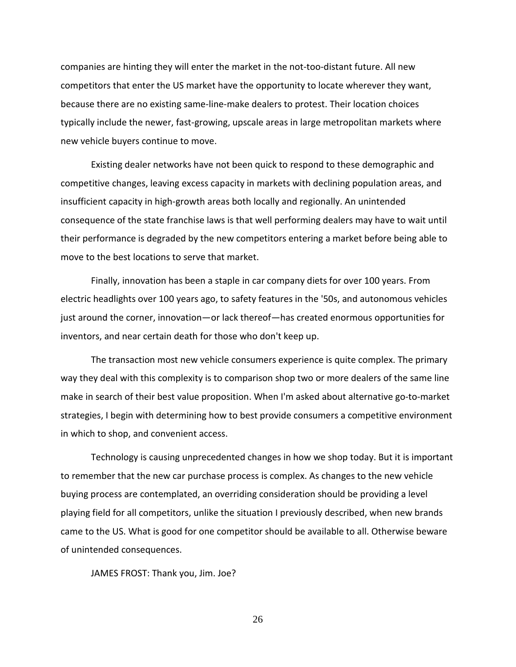companies are hinting they will enter the market in the not-too-distant future. All new competitors that enter the US market have the opportunity to locate wherever they want, because there are no existing same-line-make dealers to protest. Their location choices typically include the newer, fast-growing, upscale areas in large metropolitan markets where new vehicle buyers continue to move.

Existing dealer networks have not been quick to respond to these demographic and competitive changes, leaving excess capacity in markets with declining population areas, and insufficient capacity in high-growth areas both locally and regionally. An unintended consequence of the state franchise laws is that well performing dealers may have to wait until their performance is degraded by the new competitors entering a market before being able to move to the best locations to serve that market.

Finally, innovation has been a staple in car company diets for over 100 years. From electric headlights over 100 years ago, to safety features in the '50s, and autonomous vehicles just around the corner, innovation—or lack thereof—has created enormous opportunities for inventors, and near certain death for those who don't keep up.

The transaction most new vehicle consumers experience is quite complex. The primary way they deal with this complexity is to comparison shop two or more dealers of the same line make in search of their best value proposition. When I'm asked about alternative go-to-market strategies, I begin with determining how to best provide consumers a competitive environment in which to shop, and convenient access.

Technology is causing unprecedented changes in how we shop today. But it is important to remember that the new car purchase process is complex. As changes to the new vehicle buying process are contemplated, an overriding consideration should be providing a level playing field for all competitors, unlike the situation I previously described, when new brands came to the US. What is good for one competitor should be available to all. Otherwise beware of unintended consequences.

JAMES FROST: Thank you, Jim. Joe?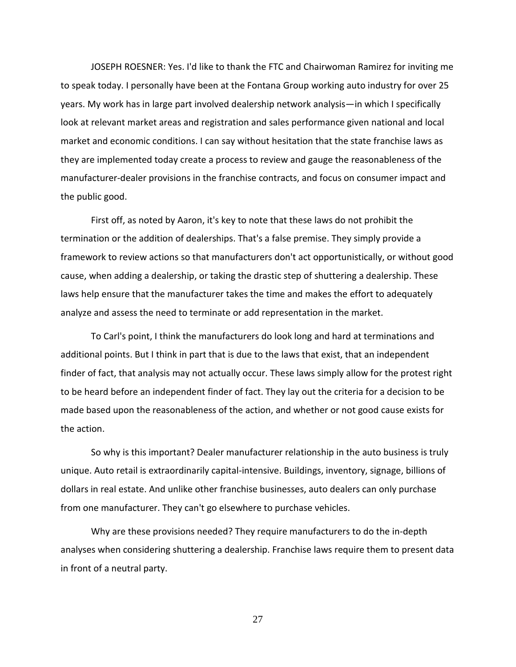JOSEPH ROESNER: Yes. I'd like to thank the FTC and Chairwoman Ramirez for inviting me to speak today. I personally have been at the Fontana Group working auto industry for over 25 years. My work has in large part involved dealership network analysis—in which I specifically look at relevant market areas and registration and sales performance given national and local market and economic conditions. I can say without hesitation that the state franchise laws as they are implemented today create a process to review and gauge the reasonableness of the manufacturer-dealer provisions in the franchise contracts, and focus on consumer impact and the public good.

First off, as noted by Aaron, it's key to note that these laws do not prohibit the termination or the addition of dealerships. That's a false premise. They simply provide a framework to review actions so that manufacturers don't act opportunistically, or without good cause, when adding a dealership, or taking the drastic step of shuttering a dealership. These laws help ensure that the manufacturer takes the time and makes the effort to adequately analyze and assess the need to terminate or add representation in the market.

To Carl's point, I think the manufacturers do look long and hard at terminations and additional points. But I think in part that is due to the laws that exist, that an independent finder of fact, that analysis may not actually occur. These laws simply allow for the protest right to be heard before an independent finder of fact. They lay out the criteria for a decision to be made based upon the reasonableness of the action, and whether or not good cause exists for the action.

So why is this important? Dealer manufacturer relationship in the auto business is truly unique. Auto retail is extraordinarily capital-intensive. Buildings, inventory, signage, billions of dollars in real estate. And unlike other franchise businesses, auto dealers can only purchase from one manufacturer. They can't go elsewhere to purchase vehicles.

Why are these provisions needed? They require manufacturers to do the in-depth analyses when considering shuttering a dealership. Franchise laws require them to present data in front of a neutral party.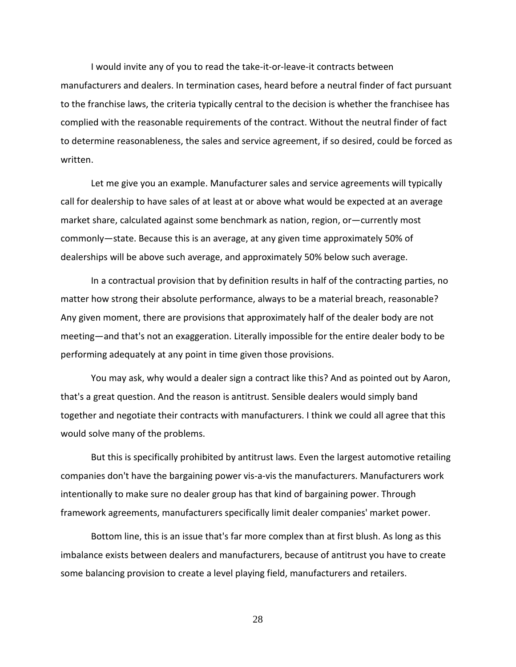I would invite any of you to read the take-it-or-leave-it contracts between manufacturers and dealers. In termination cases, heard before a neutral finder of fact pursuant to the franchise laws, the criteria typically central to the decision is whether the franchisee has complied with the reasonable requirements of the contract. Without the neutral finder of fact to determine reasonableness, the sales and service agreement, if so desired, could be forced as written.

Let me give you an example. Manufacturer sales and service agreements will typically call for dealership to have sales of at least at or above what would be expected at an average market share, calculated against some benchmark as nation, region, or—currently most commonly—state. Because this is an average, at any given time approximately 50% of dealerships will be above such average, and approximately 50% below such average.

In a contractual provision that by definition results in half of the contracting parties, no matter how strong their absolute performance, always to be a material breach, reasonable? Any given moment, there are provisions that approximately half of the dealer body are not meeting—and that's not an exaggeration. Literally impossible for the entire dealer body to be performing adequately at any point in time given those provisions.

You may ask, why would a dealer sign a contract like this? And as pointed out by Aaron, that's a great question. And the reason is antitrust. Sensible dealers would simply band together and negotiate their contracts with manufacturers. I think we could all agree that this would solve many of the problems.

But this is specifically prohibited by antitrust laws. Even the largest automotive retailing companies don't have the bargaining power vis-a-vis the manufacturers. Manufacturers work intentionally to make sure no dealer group has that kind of bargaining power. Through framework agreements, manufacturers specifically limit dealer companies' market power.

Bottom line, this is an issue that's far more complex than at first blush. As long as this imbalance exists between dealers and manufacturers, because of antitrust you have to create some balancing provision to create a level playing field, manufacturers and retailers.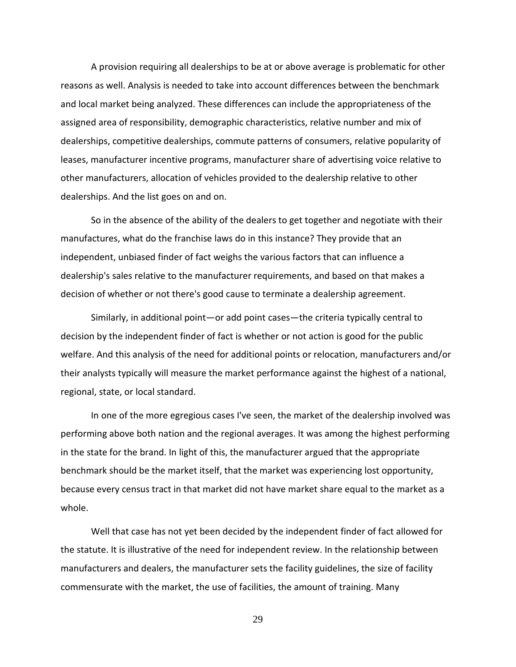A provision requiring all dealerships to be at or above average is problematic for other reasons as well. Analysis is needed to take into account differences between the benchmark and local market being analyzed. These differences can include the appropriateness of the assigned area of responsibility, demographic characteristics, relative number and mix of dealerships, competitive dealerships, commute patterns of consumers, relative popularity of leases, manufacturer incentive programs, manufacturer share of advertising voice relative to other manufacturers, allocation of vehicles provided to the dealership relative to other dealerships. And the list goes on and on.

So in the absence of the ability of the dealers to get together and negotiate with their manufactures, what do the franchise laws do in this instance? They provide that an independent, unbiased finder of fact weighs the various factors that can influence a dealership's sales relative to the manufacturer requirements, and based on that makes a decision of whether or not there's good cause to terminate a dealership agreement.

Similarly, in additional point—or add point cases—the criteria typically central to decision by the independent finder of fact is whether or not action is good for the public welfare. And this analysis of the need for additional points or relocation, manufacturers and/or their analysts typically will measure the market performance against the highest of a national, regional, state, or local standard.

In one of the more egregious cases I've seen, the market of the dealership involved was performing above both nation and the regional averages. It was among the highest performing in the state for the brand. In light of this, the manufacturer argued that the appropriate benchmark should be the market itself, that the market was experiencing lost opportunity, because every census tract in that market did not have market share equal to the market as a whole.

Well that case has not yet been decided by the independent finder of fact allowed for the statute. It is illustrative of the need for independent review. In the relationship between manufacturers and dealers, the manufacturer sets the facility guidelines, the size of facility commensurate with the market, the use of facilities, the amount of training. Many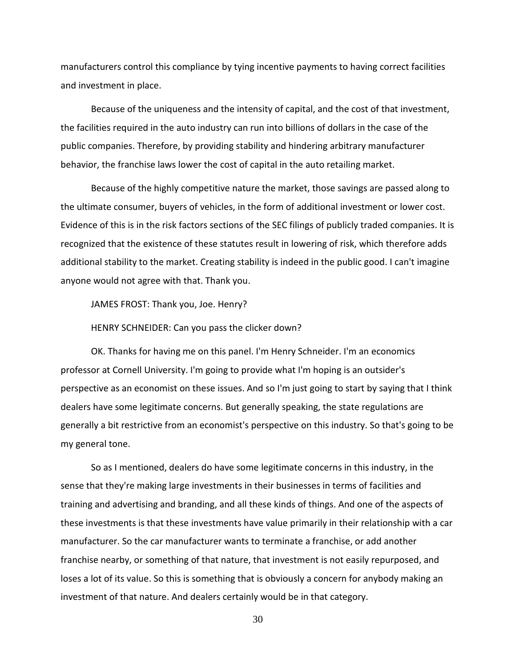manufacturers control this compliance by tying incentive payments to having correct facilities and investment in place.

Because of the uniqueness and the intensity of capital, and the cost of that investment, the facilities required in the auto industry can run into billions of dollars in the case of the public companies. Therefore, by providing stability and hindering arbitrary manufacturer behavior, the franchise laws lower the cost of capital in the auto retailing market.

Because of the highly competitive nature the market, those savings are passed along to the ultimate consumer, buyers of vehicles, in the form of additional investment or lower cost. Evidence of this is in the risk factors sections of the SEC filings of publicly traded companies. It is recognized that the existence of these statutes result in lowering of risk, which therefore adds additional stability to the market. Creating stability is indeed in the public good. I can't imagine anyone would not agree with that. Thank you.

JAMES FROST: Thank you, Joe. Henry?

HENRY SCHNEIDER: Can you pass the clicker down?

OK. Thanks for having me on this panel. I'm Henry Schneider. I'm an economics professor at Cornell University. I'm going to provide what I'm hoping is an outsider's perspective as an economist on these issues. And so I'm just going to start by saying that I think dealers have some legitimate concerns. But generally speaking, the state regulations are generally a bit restrictive from an economist's perspective on this industry. So that's going to be my general tone.

So as I mentioned, dealers do have some legitimate concerns in this industry, in the sense that they're making large investments in their businesses in terms of facilities and training and advertising and branding, and all these kinds of things. And one of the aspects of these investments is that these investments have value primarily in their relationship with a car manufacturer. So the car manufacturer wants to terminate a franchise, or add another franchise nearby, or something of that nature, that investment is not easily repurposed, and loses a lot of its value. So this is something that is obviously a concern for anybody making an investment of that nature. And dealers certainly would be in that category.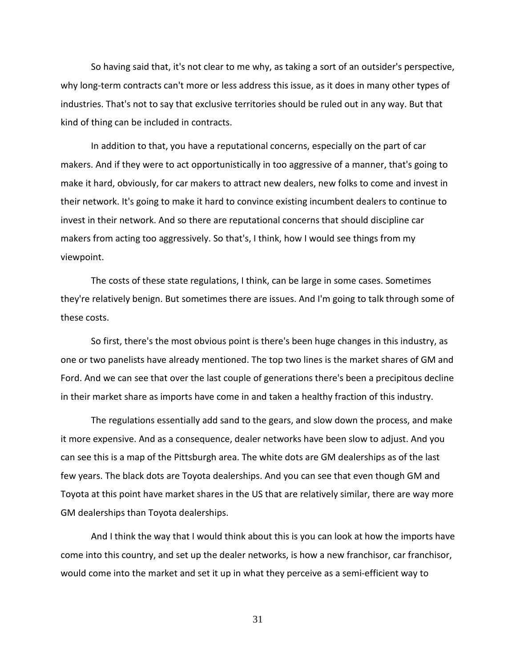So having said that, it's not clear to me why, as taking a sort of an outsider's perspective, why long-term contracts can't more or less address this issue, as it does in many other types of industries. That's not to say that exclusive territories should be ruled out in any way. But that kind of thing can be included in contracts.

In addition to that, you have a reputational concerns, especially on the part of car makers. And if they were to act opportunistically in too aggressive of a manner, that's going to make it hard, obviously, for car makers to attract new dealers, new folks to come and invest in their network. It's going to make it hard to convince existing incumbent dealers to continue to invest in their network. And so there are reputational concerns that should discipline car makers from acting too aggressively. So that's, I think, how I would see things from my viewpoint.

The costs of these state regulations, I think, can be large in some cases. Sometimes they're relatively benign. But sometimes there are issues. And I'm going to talk through some of these costs.

So first, there's the most obvious point is there's been huge changes in this industry, as one or two panelists have already mentioned. The top two lines is the market shares of GM and Ford. And we can see that over the last couple of generations there's been a precipitous decline in their market share as imports have come in and taken a healthy fraction of this industry.

The regulations essentially add sand to the gears, and slow down the process, and make it more expensive. And as a consequence, dealer networks have been slow to adjust. And you can see this is a map of the Pittsburgh area. The white dots are GM dealerships as of the last few years. The black dots are Toyota dealerships. And you can see that even though GM and Toyota at this point have market shares in the US that are relatively similar, there are way more GM dealerships than Toyota dealerships.

And I think the way that I would think about this is you can look at how the imports have come into this country, and set up the dealer networks, is how a new franchisor, car franchisor, would come into the market and set it up in what they perceive as a semi-efficient way to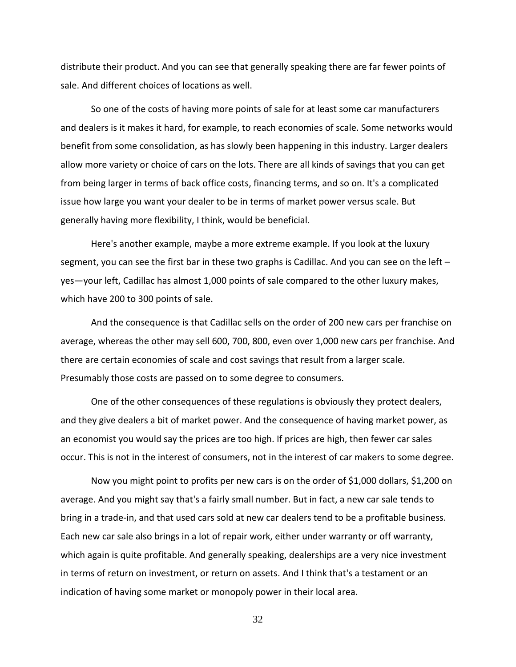distribute their product. And you can see that generally speaking there are far fewer points of sale. And different choices of locations as well.

So one of the costs of having more points of sale for at least some car manufacturers and dealers is it makes it hard, for example, to reach economies of scale. Some networks would benefit from some consolidation, as has slowly been happening in this industry. Larger dealers allow more variety or choice of cars on the lots. There are all kinds of savings that you can get from being larger in terms of back office costs, financing terms, and so on. It's a complicated issue how large you want your dealer to be in terms of market power versus scale. But generally having more flexibility, I think, would be beneficial.

Here's another example, maybe a more extreme example. If you look at the luxury segment, you can see the first bar in these two graphs is Cadillac. And you can see on the left – yes—your left, Cadillac has almost 1,000 points of sale compared to the other luxury makes, which have 200 to 300 points of sale.

And the consequence is that Cadillac sells on the order of 200 new cars per franchise on average, whereas the other may sell 600, 700, 800, even over 1,000 new cars per franchise. And there are certain economies of scale and cost savings that result from a larger scale. Presumably those costs are passed on to some degree to consumers.

One of the other consequences of these regulations is obviously they protect dealers, and they give dealers a bit of market power. And the consequence of having market power, as an economist you would say the prices are too high. If prices are high, then fewer car sales occur. This is not in the interest of consumers, not in the interest of car makers to some degree.

Now you might point to profits per new cars is on the order of \$1,000 dollars, \$1,200 on average. And you might say that's a fairly small number. But in fact, a new car sale tends to bring in a trade-in, and that used cars sold at new car dealers tend to be a profitable business. Each new car sale also brings in a lot of repair work, either under warranty or off warranty, which again is quite profitable. And generally speaking, dealerships are a very nice investment in terms of return on investment, or return on assets. And I think that's a testament or an indication of having some market or monopoly power in their local area.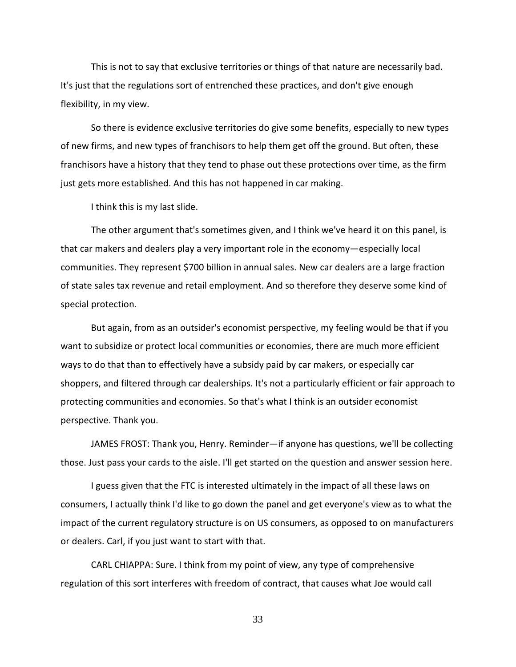This is not to say that exclusive territories or things of that nature are necessarily bad. It's just that the regulations sort of entrenched these practices, and don't give enough flexibility, in my view.

So there is evidence exclusive territories do give some benefits, especially to new types of new firms, and new types of franchisors to help them get off the ground. But often, these franchisors have a history that they tend to phase out these protections over time, as the firm just gets more established. And this has not happened in car making.

I think this is my last slide.

The other argument that's sometimes given, and I think we've heard it on this panel, is that car makers and dealers play a very important role in the economy—especially local communities. They represent \$700 billion in annual sales. New car dealers are a large fraction of state sales tax revenue and retail employment. And so therefore they deserve some kind of special protection.

But again, from as an outsider's economist perspective, my feeling would be that if you want to subsidize or protect local communities or economies, there are much more efficient ways to do that than to effectively have a subsidy paid by car makers, or especially car shoppers, and filtered through car dealerships. It's not a particularly efficient or fair approach to protecting communities and economies. So that's what I think is an outsider economist perspective. Thank you.

JAMES FROST: Thank you, Henry. Reminder—if anyone has questions, we'll be collecting those. Just pass your cards to the aisle. I'll get started on the question and answer session here.

I guess given that the FTC is interested ultimately in the impact of all these laws on consumers, I actually think I'd like to go down the panel and get everyone's view as to what the impact of the current regulatory structure is on US consumers, as opposed to on manufacturers or dealers. Carl, if you just want to start with that.

CARL CHIAPPA: Sure. I think from my point of view, any type of comprehensive regulation of this sort interferes with freedom of contract, that causes what Joe would call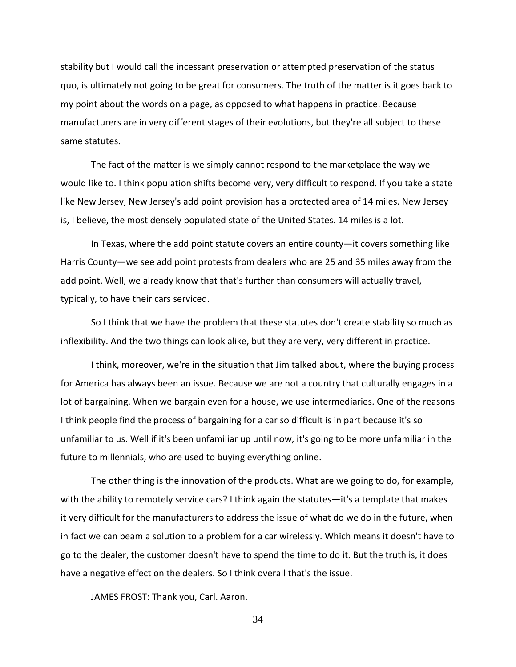stability but I would call the incessant preservation or attempted preservation of the status quo, is ultimately not going to be great for consumers. The truth of the matter is it goes back to my point about the words on a page, as opposed to what happens in practice. Because manufacturers are in very different stages of their evolutions, but they're all subject to these same statutes.

The fact of the matter is we simply cannot respond to the marketplace the way we would like to. I think population shifts become very, very difficult to respond. If you take a state like New Jersey, New Jersey's add point provision has a protected area of 14 miles. New Jersey is, I believe, the most densely populated state of the United States. 14 miles is a lot.

In Texas, where the add point statute covers an entire county—it covers something like Harris County—we see add point protests from dealers who are 25 and 35 miles away from the add point. Well, we already know that that's further than consumers will actually travel, typically, to have their cars serviced.

So I think that we have the problem that these statutes don't create stability so much as inflexibility. And the two things can look alike, but they are very, very different in practice.

I think, moreover, we're in the situation that Jim talked about, where the buying process for America has always been an issue. Because we are not a country that culturally engages in a lot of bargaining. When we bargain even for a house, we use intermediaries. One of the reasons I think people find the process of bargaining for a car so difficult is in part because it's so unfamiliar to us. Well if it's been unfamiliar up until now, it's going to be more unfamiliar in the future to millennials, who are used to buying everything online.

The other thing is the innovation of the products. What are we going to do, for example, with the ability to remotely service cars? I think again the statutes—it's a template that makes it very difficult for the manufacturers to address the issue of what do we do in the future, when in fact we can beam a solution to a problem for a car wirelessly. Which means it doesn't have to go to the dealer, the customer doesn't have to spend the time to do it. But the truth is, it does have a negative effect on the dealers. So I think overall that's the issue.

JAMES FROST: Thank you, Carl. Aaron.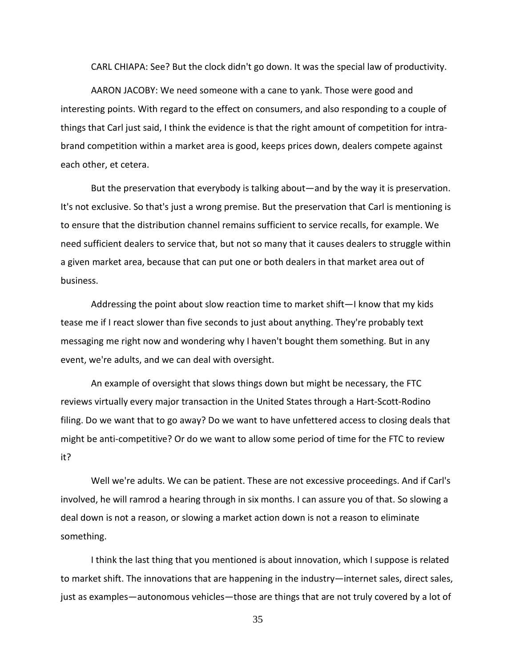CARL CHIAPA: See? But the clock didn't go down. It was the special law of productivity.

AARON JACOBY: We need someone with a cane to yank. Those were good and interesting points. With regard to the effect on consumers, and also responding to a couple of things that Carl just said, I think the evidence is that the right amount of competition for intrabrand competition within a market area is good, keeps prices down, dealers compete against each other, et cetera.

But the preservation that everybody is talking about—and by the way it is preservation. It's not exclusive. So that's just a wrong premise. But the preservation that Carl is mentioning is to ensure that the distribution channel remains sufficient to service recalls, for example. We need sufficient dealers to service that, but not so many that it causes dealers to struggle within a given market area, because that can put one or both dealers in that market area out of business.

Addressing the point about slow reaction time to market shift—I know that my kids tease me if I react slower than five seconds to just about anything. They're probably text messaging me right now and wondering why I haven't bought them something. But in any event, we're adults, and we can deal with oversight.

An example of oversight that slows things down but might be necessary, the FTC reviews virtually every major transaction in the United States through a Hart-Scott-Rodino filing. Do we want that to go away? Do we want to have unfettered access to closing deals that might be anti-competitive? Or do we want to allow some period of time for the FTC to review it?

Well we're adults. We can be patient. These are not excessive proceedings. And if Carl's involved, he will ramrod a hearing through in six months. I can assure you of that. So slowing a deal down is not a reason, or slowing a market action down is not a reason to eliminate something.

I think the last thing that you mentioned is about innovation, which I suppose is related to market shift. The innovations that are happening in the industry—internet sales, direct sales, just as examples—autonomous vehicles—those are things that are not truly covered by a lot of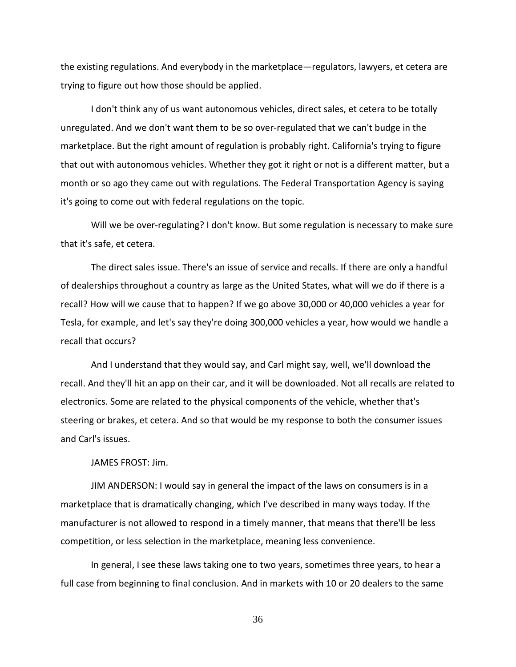the existing regulations. And everybody in the marketplace—regulators, lawyers, et cetera are trying to figure out how those should be applied.

I don't think any of us want autonomous vehicles, direct sales, et cetera to be totally unregulated. And we don't want them to be so over-regulated that we can't budge in the marketplace. But the right amount of regulation is probably right. California's trying to figure that out with autonomous vehicles. Whether they got it right or not is a different matter, but a month or so ago they came out with regulations. The Federal Transportation Agency is saying it's going to come out with federal regulations on the topic.

Will we be over-regulating? I don't know. But some regulation is necessary to make sure that it's safe, et cetera.

The direct sales issue. There's an issue of service and recalls. If there are only a handful of dealerships throughout a country as large as the United States, what will we do if there is a recall? How will we cause that to happen? If we go above 30,000 or 40,000 vehicles a year for Tesla, for example, and let's say they're doing 300,000 vehicles a year, how would we handle a recall that occurs?

And I understand that they would say, and Carl might say, well, we'll download the recall. And they'll hit an app on their car, and it will be downloaded. Not all recalls are related to electronics. Some are related to the physical components of the vehicle, whether that's steering or brakes, et cetera. And so that would be my response to both the consumer issues and Carl's issues.

JAMES FROST: Jim.

JIM ANDERSON: I would say in general the impact of the laws on consumers is in a marketplace that is dramatically changing, which I've described in many ways today. If the manufacturer is not allowed to respond in a timely manner, that means that there'll be less competition, or less selection in the marketplace, meaning less convenience.

In general, I see these laws taking one to two years, sometimes three years, to hear a full case from beginning to final conclusion. And in markets with 10 or 20 dealers to the same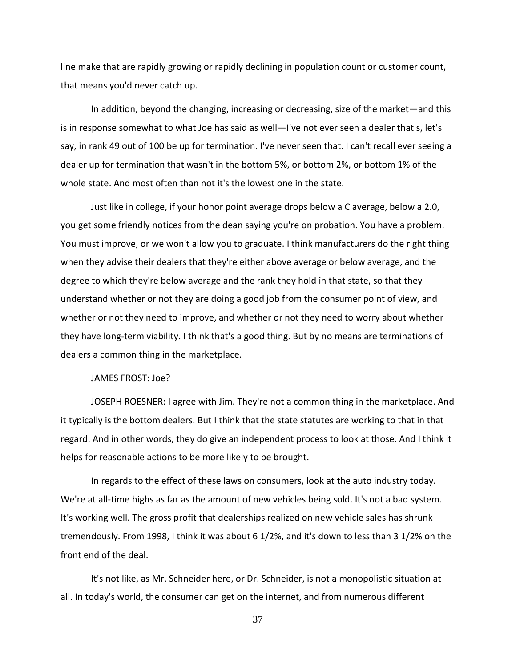line make that are rapidly growing or rapidly declining in population count or customer count, that means you'd never catch up.

In addition, beyond the changing, increasing or decreasing, size of the market—and this is in response somewhat to what Joe has said as well—I've not ever seen a dealer that's, let's say, in rank 49 out of 100 be up for termination. I've never seen that. I can't recall ever seeing a dealer up for termination that wasn't in the bottom 5%, or bottom 2%, or bottom 1% of the whole state. And most often than not it's the lowest one in the state.

Just like in college, if your honor point average drops below a C average, below a 2.0, you get some friendly notices from the dean saying you're on probation. You have a problem. You must improve, or we won't allow you to graduate. I think manufacturers do the right thing when they advise their dealers that they're either above average or below average, and the degree to which they're below average and the rank they hold in that state, so that they understand whether or not they are doing a good job from the consumer point of view, and whether or not they need to improve, and whether or not they need to worry about whether they have long-term viability. I think that's a good thing. But by no means are terminations of dealers a common thing in the marketplace.

### JAMES FROST: Joe?

JOSEPH ROESNER: I agree with Jim. They're not a common thing in the marketplace. And it typically is the bottom dealers. But I think that the state statutes are working to that in that regard. And in other words, they do give an independent process to look at those. And I think it helps for reasonable actions to be more likely to be brought.

In regards to the effect of these laws on consumers, look at the auto industry today. We're at all-time highs as far as the amount of new vehicles being sold. It's not a bad system. It's working well. The gross profit that dealerships realized on new vehicle sales has shrunk tremendously. From 1998, I think it was about 6 1/2%, and it's down to less than 3 1/2% on the front end of the deal.

It's not like, as Mr. Schneider here, or Dr. Schneider, is not a monopolistic situation at all. In today's world, the consumer can get on the internet, and from numerous different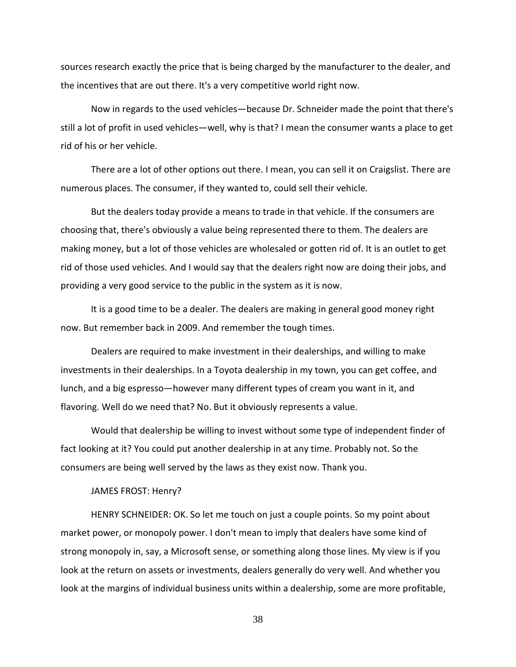sources research exactly the price that is being charged by the manufacturer to the dealer, and the incentives that are out there. It's a very competitive world right now.

Now in regards to the used vehicles—because Dr. Schneider made the point that there's still a lot of profit in used vehicles—well, why is that? I mean the consumer wants a place to get rid of his or her vehicle.

There are a lot of other options out there. I mean, you can sell it on Craigslist. There are numerous places. The consumer, if they wanted to, could sell their vehicle.

But the dealers today provide a means to trade in that vehicle. If the consumers are choosing that, there's obviously a value being represented there to them. The dealers are making money, but a lot of those vehicles are wholesaled or gotten rid of. It is an outlet to get rid of those used vehicles. And I would say that the dealers right now are doing their jobs, and providing a very good service to the public in the system as it is now.

It is a good time to be a dealer. The dealers are making in general good money right now. But remember back in 2009. And remember the tough times.

Dealers are required to make investment in their dealerships, and willing to make investments in their dealerships. In a Toyota dealership in my town, you can get coffee, and lunch, and a big espresso—however many different types of cream you want in it, and flavoring. Well do we need that? No. But it obviously represents a value.

Would that dealership be willing to invest without some type of independent finder of fact looking at it? You could put another dealership in at any time. Probably not. So the consumers are being well served by the laws as they exist now. Thank you.

### JAMES FROST: Henry?

HENRY SCHNEIDER: OK. So let me touch on just a couple points. So my point about market power, or monopoly power. I don't mean to imply that dealers have some kind of strong monopoly in, say, a Microsoft sense, or something along those lines. My view is if you look at the return on assets or investments, dealers generally do very well. And whether you look at the margins of individual business units within a dealership, some are more profitable,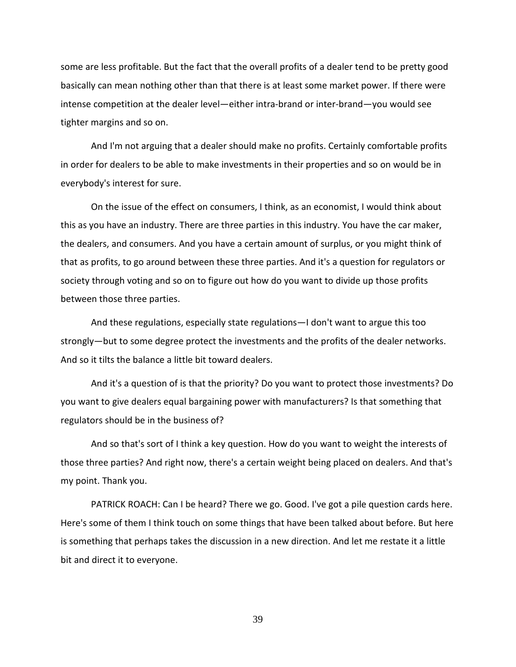some are less profitable. But the fact that the overall profits of a dealer tend to be pretty good basically can mean nothing other than that there is at least some market power. If there were intense competition at the dealer level—either intra-brand or inter-brand—you would see tighter margins and so on.

And I'm not arguing that a dealer should make no profits. Certainly comfortable profits in order for dealers to be able to make investments in their properties and so on would be in everybody's interest for sure.

On the issue of the effect on consumers, I think, as an economist, I would think about this as you have an industry. There are three parties in this industry. You have the car maker, the dealers, and consumers. And you have a certain amount of surplus, or you might think of that as profits, to go around between these three parties. And it's a question for regulators or society through voting and so on to figure out how do you want to divide up those profits between those three parties.

And these regulations, especially state regulations—I don't want to argue this too strongly—but to some degree protect the investments and the profits of the dealer networks. And so it tilts the balance a little bit toward dealers.

And it's a question of is that the priority? Do you want to protect those investments? Do you want to give dealers equal bargaining power with manufacturers? Is that something that regulators should be in the business of?

And so that's sort of I think a key question. How do you want to weight the interests of those three parties? And right now, there's a certain weight being placed on dealers. And that's my point. Thank you.

PATRICK ROACH: Can I be heard? There we go. Good. I've got a pile question cards here. Here's some of them I think touch on some things that have been talked about before. But here is something that perhaps takes the discussion in a new direction. And let me restate it a little bit and direct it to everyone.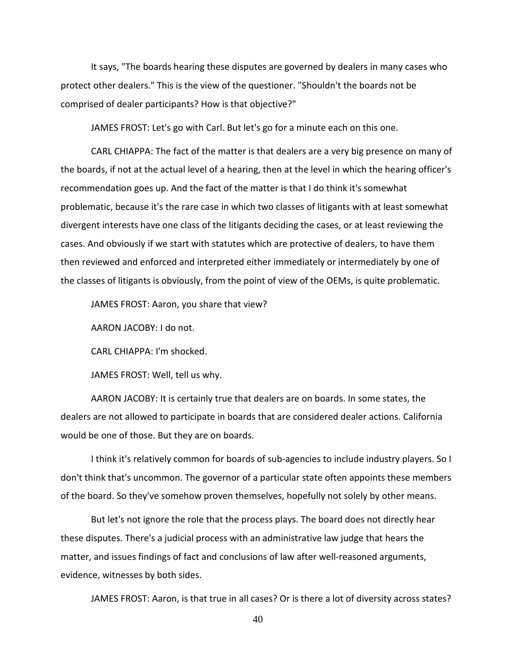It says, "The boards hearing these disputes are governed by dealers in many cases who protect other dealers." This is the view of the questioner. "Shouldn't the boards not be comprised of dealer participants? How is that objective?"

JAMES FROST: Let's go with Carl. But let's go for a minute each on this one.

CARL CHIAPPA: The fact of the matter is that dealers are a very big presence on many of the boards, if not at the actual level of a hearing, then at the level in which the hearing officer's recommendation goes up. And the fact of the matter is that I do think it's somewhat problematic, because it's the rare case in which two classes of litigants with at least somewhat divergent interests have one class of the litigants deciding the cases, or at least reviewing the cases. And obviously if we start with statutes which are protective of dealers, to have them then reviewed and enforced and interpreted either immediately or intermediately by one of the classes of litigants is obviously, from the point of view of the OEMs, is quite problematic.

JAMES FROST: Aaron, you share that view?

AARON JACOBY: I do not.

CARL CHIAPPA: I'm shocked.

JAMES FROST: Well, tell us why.

AARON JACOBY: It is certainly true that dealers are on boards. In some states, the dealers are not allowed to participate in boards that are considered dealer actions. California would be one of those. But they are on boards.

I think it's relatively common for boards of sub-agencies to include industry players. So I don't think that's uncommon. The governor of a particular state often appoints these members of the board. So they've somehow proven themselves, hopefully not solely by other means.

But let's not ignore the role that the process plays. The board does not directly hear these disputes. There's a judicial process with an administrative law judge that hears the matter, and issues findings of fact and conclusions of law after well-reasoned arguments, evidence, witnesses by both sides.

JAMES FROST: Aaron, is that true in all cases? Or is there a lot of diversity across states?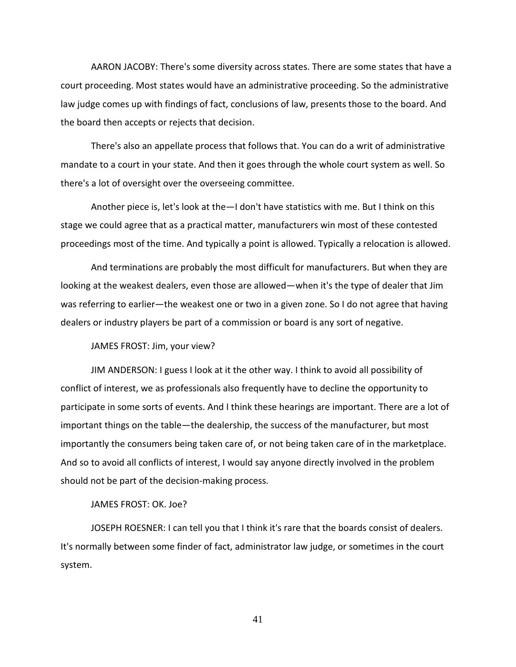AARON JACOBY: There's some diversity across states. There are some states that have a court proceeding. Most states would have an administrative proceeding. So the administrative law judge comes up with findings of fact, conclusions of law, presents those to the board. And the board then accepts or rejects that decision.

There's also an appellate process that follows that. You can do a writ of administrative mandate to a court in your state. And then it goes through the whole court system as well. So there's a lot of oversight over the overseeing committee.

Another piece is, let's look at the—I don't have statistics with me. But I think on this stage we could agree that as a practical matter, manufacturers win most of these contested proceedings most of the time. And typically a point is allowed. Typically a relocation is allowed.

And terminations are probably the most difficult for manufacturers. But when they are looking at the weakest dealers, even those are allowed—when it's the type of dealer that Jim was referring to earlier—the weakest one or two in a given zone. So I do not agree that having dealers or industry players be part of a commission or board is any sort of negative.

JAMES FROST: Jim, your view?

JIM ANDERSON: I guess I look at it the other way. I think to avoid all possibility of conflict of interest, we as professionals also frequently have to decline the opportunity to participate in some sorts of events. And I think these hearings are important. There are a lot of important things on the table—the dealership, the success of the manufacturer, but most importantly the consumers being taken care of, or not being taken care of in the marketplace. And so to avoid all conflicts of interest, I would say anyone directly involved in the problem should not be part of the decision-making process.

JAMES FROST: OK. Joe?

JOSEPH ROESNER: I can tell you that I think it's rare that the boards consist of dealers. It's normally between some finder of fact, administrator law judge, or sometimes in the court system.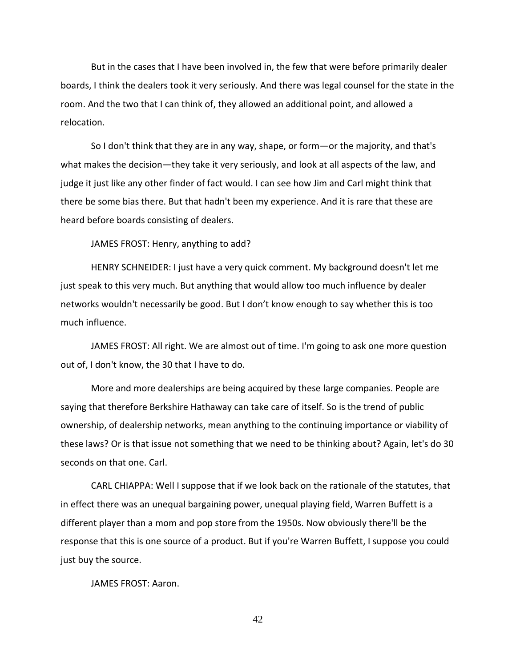But in the cases that I have been involved in, the few that were before primarily dealer boards, I think the dealers took it very seriously. And there was legal counsel for the state in the room. And the two that I can think of, they allowed an additional point, and allowed a relocation.

So I don't think that they are in any way, shape, or form—or the majority, and that's what makes the decision—they take it very seriously, and look at all aspects of the law, and judge it just like any other finder of fact would. I can see how Jim and Carl might think that there be some bias there. But that hadn't been my experience. And it is rare that these are heard before boards consisting of dealers.

JAMES FROST: Henry, anything to add?

HENRY SCHNEIDER: I just have a very quick comment. My background doesn't let me just speak to this very much. But anything that would allow too much influence by dealer networks wouldn't necessarily be good. But I don't know enough to say whether this is too much influence.

JAMES FROST: All right. We are almost out of time. I'm going to ask one more question out of, I don't know, the 30 that I have to do.

More and more dealerships are being acquired by these large companies. People are saying that therefore Berkshire Hathaway can take care of itself. So is the trend of public ownership, of dealership networks, mean anything to the continuing importance or viability of these laws? Or is that issue not something that we need to be thinking about? Again, let's do 30 seconds on that one. Carl.

CARL CHIAPPA: Well I suppose that if we look back on the rationale of the statutes, that in effect there was an unequal bargaining power, unequal playing field, Warren Buffett is a different player than a mom and pop store from the 1950s. Now obviously there'll be the response that this is one source of a product. But if you're Warren Buffett, I suppose you could just buy the source.

JAMES FROST: Aaron.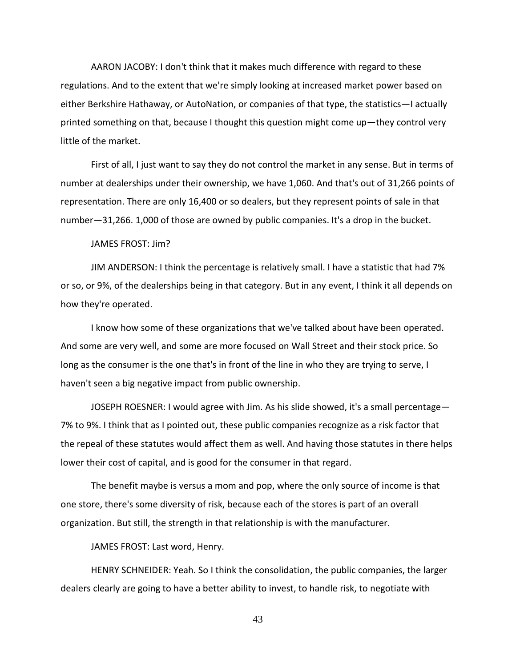AARON JACOBY: I don't think that it makes much difference with regard to these regulations. And to the extent that we're simply looking at increased market power based on either Berkshire Hathaway, or AutoNation, or companies of that type, the statistics—I actually printed something on that, because I thought this question might come up—they control very little of the market.

First of all, I just want to say they do not control the market in any sense. But in terms of number at dealerships under their ownership, we have 1,060. And that's out of 31,266 points of representation. There are only 16,400 or so dealers, but they represent points of sale in that number—31,266. 1,000 of those are owned by public companies. It's a drop in the bucket.

#### JAMES FROST: Jim?

JIM ANDERSON: I think the percentage is relatively small. I have a statistic that had 7% or so, or 9%, of the dealerships being in that category. But in any event, I think it all depends on how they're operated.

I know how some of these organizations that we've talked about have been operated. And some are very well, and some are more focused on Wall Street and their stock price. So long as the consumer is the one that's in front of the line in who they are trying to serve, I haven't seen a big negative impact from public ownership.

JOSEPH ROESNER: I would agree with Jim. As his slide showed, it's a small percentage— 7% to 9%. I think that as I pointed out, these public companies recognize as a risk factor that the repeal of these statutes would affect them as well. And having those statutes in there helps lower their cost of capital, and is good for the consumer in that regard.

The benefit maybe is versus a mom and pop, where the only source of income is that one store, there's some diversity of risk, because each of the stores is part of an overall organization. But still, the strength in that relationship is with the manufacturer.

JAMES FROST: Last word, Henry.

HENRY SCHNEIDER: Yeah. So I think the consolidation, the public companies, the larger dealers clearly are going to have a better ability to invest, to handle risk, to negotiate with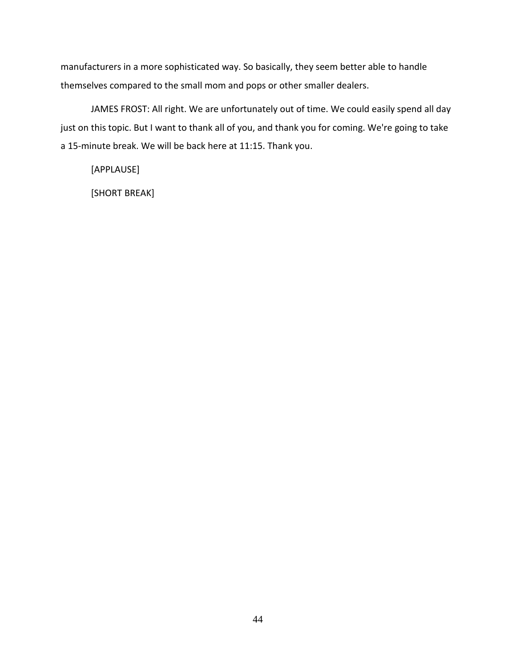manufacturers in a more sophisticated way. So basically, they seem better able to handle themselves compared to the small mom and pops or other smaller dealers.

JAMES FROST: All right. We are unfortunately out of time. We could easily spend all day just on this topic. But I want to thank all of you, and thank you for coming. We're going to take a 15-minute break. We will be back here at 11:15. Thank you.

[APPLAUSE]

[SHORT BREAK]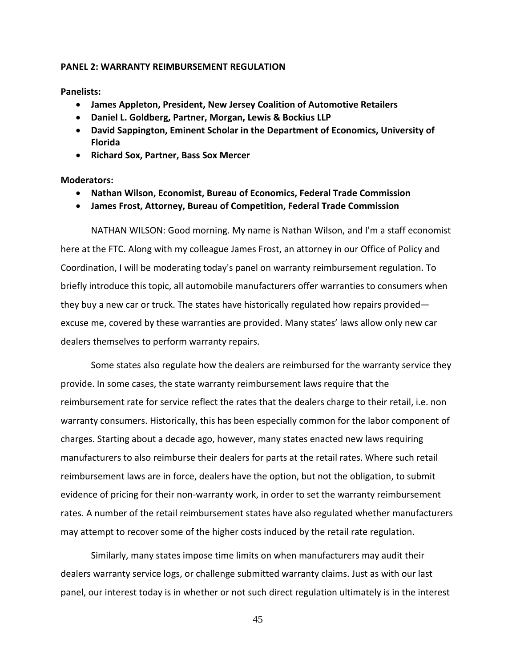## **PANEL 2: WARRANTY REIMBURSEMENT REGULATION**

**Panelists:**

- **James Appleton, President, New Jersey Coalition of Automotive Retailers**
- **Daniel L. Goldberg, Partner, Morgan, Lewis & Bockius LLP**
- **David Sappington, Eminent Scholar in the Department of Economics, University of Florida**
- **Richard Sox, Partner, Bass Sox Mercer**

# **Moderators:**

- **Nathan Wilson, Economist, Bureau of Economics, Federal Trade Commission**
- **James Frost, Attorney, Bureau of Competition, Federal Trade Commission**

NATHAN WILSON: Good morning. My name is Nathan Wilson, and I'm a staff economist here at the FTC. Along with my colleague James Frost, an attorney in our Office of Policy and Coordination, I will be moderating today's panel on warranty reimbursement regulation. To briefly introduce this topic, all automobile manufacturers offer warranties to consumers when they buy a new car or truck. The states have historically regulated how repairs provided excuse me, covered by these warranties are provided. Many states' laws allow only new car dealers themselves to perform warranty repairs.

Some states also regulate how the dealers are reimbursed for the warranty service they provide. In some cases, the state warranty reimbursement laws require that the reimbursement rate for service reflect the rates that the dealers charge to their retail, i.e. non warranty consumers. Historically, this has been especially common for the labor component of charges. Starting about a decade ago, however, many states enacted new laws requiring manufacturers to also reimburse their dealers for parts at the retail rates. Where such retail reimbursement laws are in force, dealers have the option, but not the obligation, to submit evidence of pricing for their non-warranty work, in order to set the warranty reimbursement rates. A number of the retail reimbursement states have also regulated whether manufacturers may attempt to recover some of the higher costs induced by the retail rate regulation.

Similarly, many states impose time limits on when manufacturers may audit their dealers warranty service logs, or challenge submitted warranty claims. Just as with our last panel, our interest today is in whether or not such direct regulation ultimately is in the interest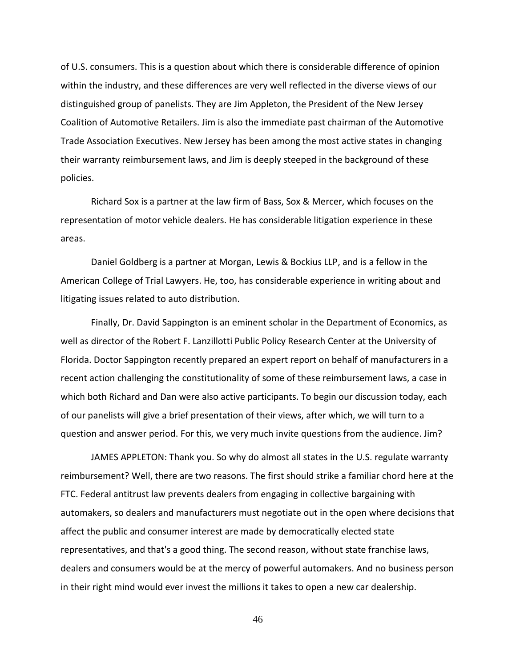of U.S. consumers. This is a question about which there is considerable difference of opinion within the industry, and these differences are very well reflected in the diverse views of our distinguished group of panelists. They are Jim Appleton, the President of the New Jersey Coalition of Automotive Retailers. Jim is also the immediate past chairman of the Automotive Trade Association Executives. New Jersey has been among the most active states in changing their warranty reimbursement laws, and Jim is deeply steeped in the background of these policies.

Richard Sox is a partner at the law firm of Bass, Sox & Mercer, which focuses on the representation of motor vehicle dealers. He has considerable litigation experience in these areas.

Daniel Goldberg is a partner at Morgan, Lewis & Bockius LLP, and is a fellow in the American College of Trial Lawyers. He, too, has considerable experience in writing about and litigating issues related to auto distribution.

Finally, Dr. David Sappington is an eminent scholar in the Department of Economics, as well as director of the Robert F. Lanzillotti Public Policy Research Center at the University of Florida. Doctor Sappington recently prepared an expert report on behalf of manufacturers in a recent action challenging the constitutionality of some of these reimbursement laws, a case in which both Richard and Dan were also active participants. To begin our discussion today, each of our panelists will give a brief presentation of their views, after which, we will turn to a question and answer period. For this, we very much invite questions from the audience. Jim?

JAMES APPLETON: Thank you. So why do almost all states in the U.S. regulate warranty reimbursement? Well, there are two reasons. The first should strike a familiar chord here at the FTC. Federal antitrust law prevents dealers from engaging in collective bargaining with automakers, so dealers and manufacturers must negotiate out in the open where decisions that affect the public and consumer interest are made by democratically elected state representatives, and that's a good thing. The second reason, without state franchise laws, dealers and consumers would be at the mercy of powerful automakers. And no business person in their right mind would ever invest the millions it takes to open a new car dealership.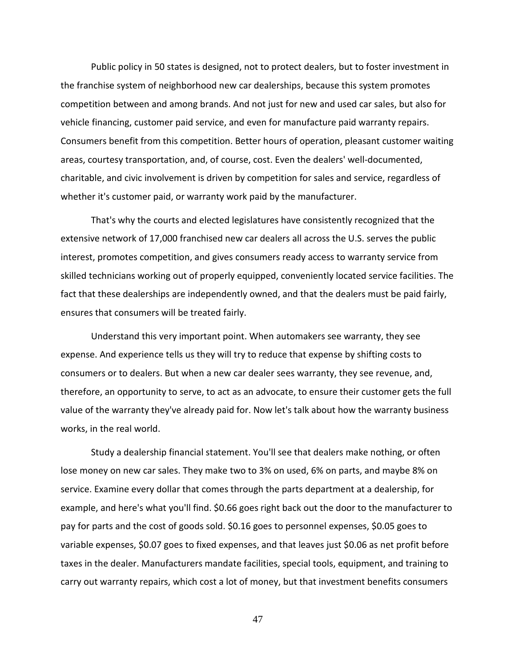Public policy in 50 states is designed, not to protect dealers, but to foster investment in the franchise system of neighborhood new car dealerships, because this system promotes competition between and among brands. And not just for new and used car sales, but also for vehicle financing, customer paid service, and even for manufacture paid warranty repairs. Consumers benefit from this competition. Better hours of operation, pleasant customer waiting areas, courtesy transportation, and, of course, cost. Even the dealers' well-documented, charitable, and civic involvement is driven by competition for sales and service, regardless of whether it's customer paid, or warranty work paid by the manufacturer.

That's why the courts and elected legislatures have consistently recognized that the extensive network of 17,000 franchised new car dealers all across the U.S. serves the public interest, promotes competition, and gives consumers ready access to warranty service from skilled technicians working out of properly equipped, conveniently located service facilities. The fact that these dealerships are independently owned, and that the dealers must be paid fairly, ensures that consumers will be treated fairly.

Understand this very important point. When automakers see warranty, they see expense. And experience tells us they will try to reduce that expense by shifting costs to consumers or to dealers. But when a new car dealer sees warranty, they see revenue, and, therefore, an opportunity to serve, to act as an advocate, to ensure their customer gets the full value of the warranty they've already paid for. Now let's talk about how the warranty business works, in the real world.

Study a dealership financial statement. You'll see that dealers make nothing, or often lose money on new car sales. They make two to 3% on used, 6% on parts, and maybe 8% on service. Examine every dollar that comes through the parts department at a dealership, for example, and here's what you'll find. \$0.66 goes right back out the door to the manufacturer to pay for parts and the cost of goods sold. \$0.16 goes to personnel expenses, \$0.05 goes to variable expenses, \$0.07 goes to fixed expenses, and that leaves just \$0.06 as net profit before taxes in the dealer. Manufacturers mandate facilities, special tools, equipment, and training to carry out warranty repairs, which cost a lot of money, but that investment benefits consumers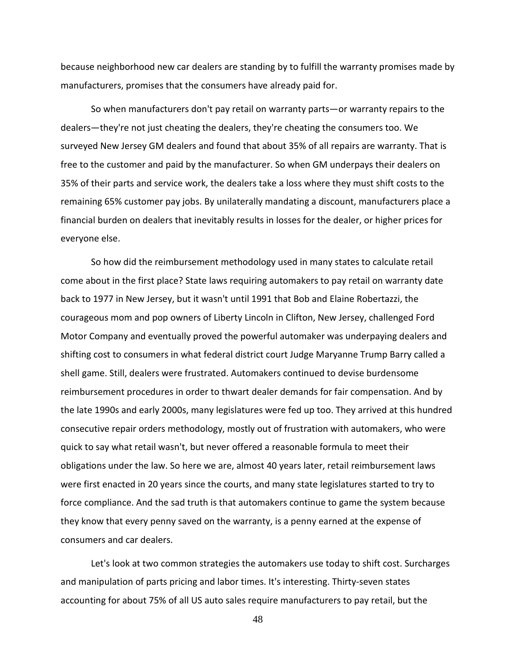because neighborhood new car dealers are standing by to fulfill the warranty promises made by manufacturers, promises that the consumers have already paid for.

So when manufacturers don't pay retail on warranty parts—or warranty repairs to the dealers—they're not just cheating the dealers, they're cheating the consumers too. We surveyed New Jersey GM dealers and found that about 35% of all repairs are warranty. That is free to the customer and paid by the manufacturer. So when GM underpays their dealers on 35% of their parts and service work, the dealers take a loss where they must shift costs to the remaining 65% customer pay jobs. By unilaterally mandating a discount, manufacturers place a financial burden on dealers that inevitably results in losses for the dealer, or higher prices for everyone else.

So how did the reimbursement methodology used in many states to calculate retail come about in the first place? State laws requiring automakers to pay retail on warranty date back to 1977 in New Jersey, but it wasn't until 1991 that Bob and Elaine Robertazzi, the courageous mom and pop owners of Liberty Lincoln in Clifton, New Jersey, challenged Ford Motor Company and eventually proved the powerful automaker was underpaying dealers and shifting cost to consumers in what federal district court Judge Maryanne Trump Barry called a shell game. Still, dealers were frustrated. Automakers continued to devise burdensome reimbursement procedures in order to thwart dealer demands for fair compensation. And by the late 1990s and early 2000s, many legislatures were fed up too. They arrived at this hundred consecutive repair orders methodology, mostly out of frustration with automakers, who were quick to say what retail wasn't, but never offered a reasonable formula to meet their obligations under the law. So here we are, almost 40 years later, retail reimbursement laws were first enacted in 20 years since the courts, and many state legislatures started to try to force compliance. And the sad truth is that automakers continue to game the system because they know that every penny saved on the warranty, is a penny earned at the expense of consumers and car dealers.

Let's look at two common strategies the automakers use today to shift cost. Surcharges and manipulation of parts pricing and labor times. It's interesting. Thirty-seven states accounting for about 75% of all US auto sales require manufacturers to pay retail, but the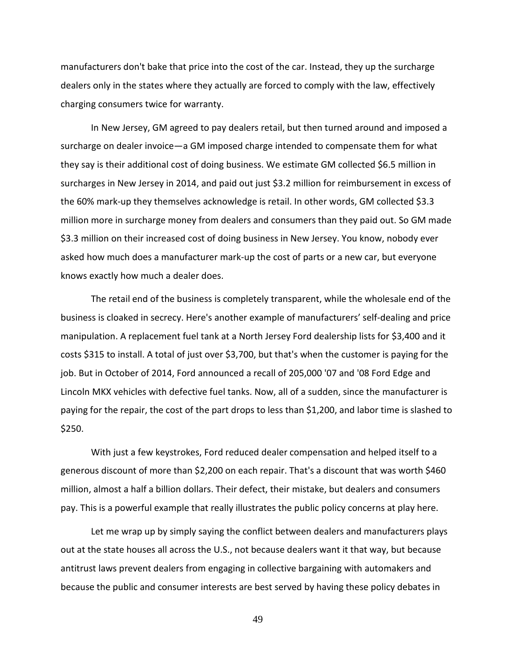manufacturers don't bake that price into the cost of the car. Instead, they up the surcharge dealers only in the states where they actually are forced to comply with the law, effectively charging consumers twice for warranty.

In New Jersey, GM agreed to pay dealers retail, but then turned around and imposed a surcharge on dealer invoice—a GM imposed charge intended to compensate them for what they say is their additional cost of doing business. We estimate GM collected \$6.5 million in surcharges in New Jersey in 2014, and paid out just \$3.2 million for reimbursement in excess of the 60% mark-up they themselves acknowledge is retail. In other words, GM collected \$3.3 million more in surcharge money from dealers and consumers than they paid out. So GM made \$3.3 million on their increased cost of doing business in New Jersey. You know, nobody ever asked how much does a manufacturer mark-up the cost of parts or a new car, but everyone knows exactly how much a dealer does.

The retail end of the business is completely transparent, while the wholesale end of the business is cloaked in secrecy. Here's another example of manufacturers' self-dealing and price manipulation. A replacement fuel tank at a North Jersey Ford dealership lists for \$3,400 and it costs \$315 to install. A total of just over \$3,700, but that's when the customer is paying for the job. But in October of 2014, Ford announced a recall of 205,000 '07 and '08 Ford Edge and Lincoln MKX vehicles with defective fuel tanks. Now, all of a sudden, since the manufacturer is paying for the repair, the cost of the part drops to less than \$1,200, and labor time is slashed to \$250.

With just a few keystrokes, Ford reduced dealer compensation and helped itself to a generous discount of more than \$2,200 on each repair. That's a discount that was worth \$460 million, almost a half a billion dollars. Their defect, their mistake, but dealers and consumers pay. This is a powerful example that really illustrates the public policy concerns at play here.

Let me wrap up by simply saying the conflict between dealers and manufacturers plays out at the state houses all across the U.S., not because dealers want it that way, but because antitrust laws prevent dealers from engaging in collective bargaining with automakers and because the public and consumer interests are best served by having these policy debates in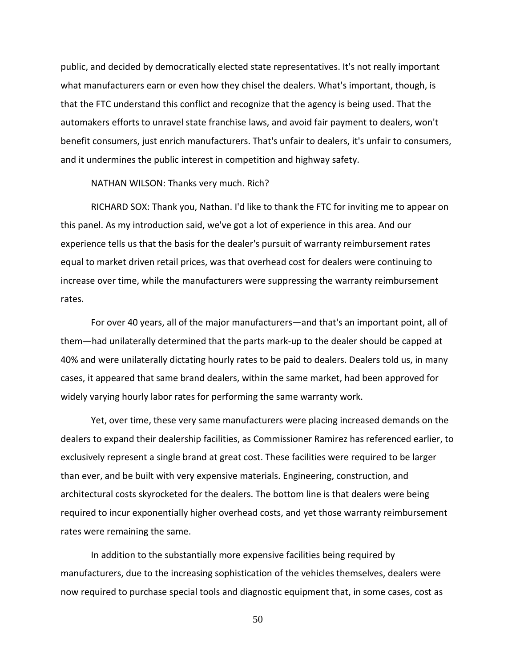public, and decided by democratically elected state representatives. It's not really important what manufacturers earn or even how they chisel the dealers. What's important, though, is that the FTC understand this conflict and recognize that the agency is being used. That the automakers efforts to unravel state franchise laws, and avoid fair payment to dealers, won't benefit consumers, just enrich manufacturers. That's unfair to dealers, it's unfair to consumers, and it undermines the public interest in competition and highway safety.

NATHAN WILSON: Thanks very much. Rich?

RICHARD SOX: Thank you, Nathan. I'd like to thank the FTC for inviting me to appear on this panel. As my introduction said, we've got a lot of experience in this area. And our experience tells us that the basis for the dealer's pursuit of warranty reimbursement rates equal to market driven retail prices, was that overhead cost for dealers were continuing to increase over time, while the manufacturers were suppressing the warranty reimbursement rates.

For over 40 years, all of the major manufacturers—and that's an important point, all of them—had unilaterally determined that the parts mark-up to the dealer should be capped at 40% and were unilaterally dictating hourly rates to be paid to dealers. Dealers told us, in many cases, it appeared that same brand dealers, within the same market, had been approved for widely varying hourly labor rates for performing the same warranty work.

Yet, over time, these very same manufacturers were placing increased demands on the dealers to expand their dealership facilities, as Commissioner Ramirez has referenced earlier, to exclusively represent a single brand at great cost. These facilities were required to be larger than ever, and be built with very expensive materials. Engineering, construction, and architectural costs skyrocketed for the dealers. The bottom line is that dealers were being required to incur exponentially higher overhead costs, and yet those warranty reimbursement rates were remaining the same.

In addition to the substantially more expensive facilities being required by manufacturers, due to the increasing sophistication of the vehicles themselves, dealers were now required to purchase special tools and diagnostic equipment that, in some cases, cost as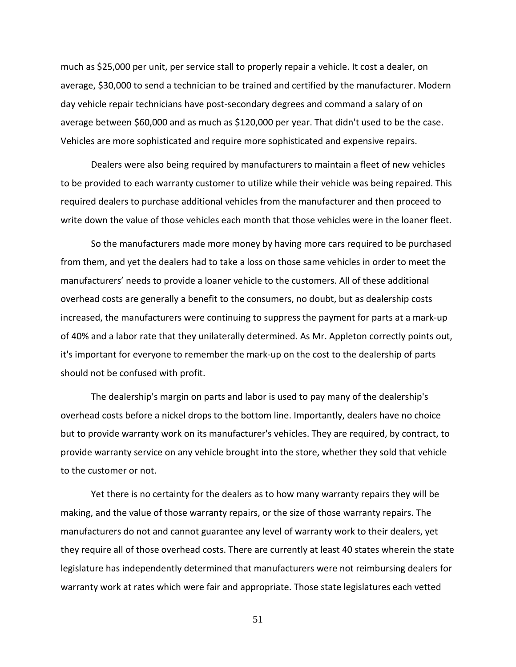much as \$25,000 per unit, per service stall to properly repair a vehicle. It cost a dealer, on average, \$30,000 to send a technician to be trained and certified by the manufacturer. Modern day vehicle repair technicians have post-secondary degrees and command a salary of on average between \$60,000 and as much as \$120,000 per year. That didn't used to be the case. Vehicles are more sophisticated and require more sophisticated and expensive repairs.

Dealers were also being required by manufacturers to maintain a fleet of new vehicles to be provided to each warranty customer to utilize while their vehicle was being repaired. This required dealers to purchase additional vehicles from the manufacturer and then proceed to write down the value of those vehicles each month that those vehicles were in the loaner fleet.

So the manufacturers made more money by having more cars required to be purchased from them, and yet the dealers had to take a loss on those same vehicles in order to meet the manufacturers' needs to provide a loaner vehicle to the customers. All of these additional overhead costs are generally a benefit to the consumers, no doubt, but as dealership costs increased, the manufacturers were continuing to suppress the payment for parts at a mark-up of 40% and a labor rate that they unilaterally determined. As Mr. Appleton correctly points out, it's important for everyone to remember the mark-up on the cost to the dealership of parts should not be confused with profit.

The dealership's margin on parts and labor is used to pay many of the dealership's overhead costs before a nickel drops to the bottom line. Importantly, dealers have no choice but to provide warranty work on its manufacturer's vehicles. They are required, by contract, to provide warranty service on any vehicle brought into the store, whether they sold that vehicle to the customer or not.

Yet there is no certainty for the dealers as to how many warranty repairs they will be making, and the value of those warranty repairs, or the size of those warranty repairs. The manufacturers do not and cannot guarantee any level of warranty work to their dealers, yet they require all of those overhead costs. There are currently at least 40 states wherein the state legislature has independently determined that manufacturers were not reimbursing dealers for warranty work at rates which were fair and appropriate. Those state legislatures each vetted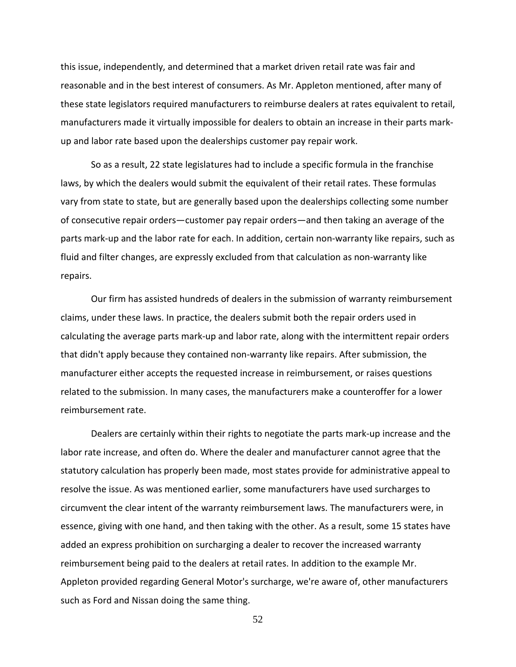this issue, independently, and determined that a market driven retail rate was fair and reasonable and in the best interest of consumers. As Mr. Appleton mentioned, after many of these state legislators required manufacturers to reimburse dealers at rates equivalent to retail, manufacturers made it virtually impossible for dealers to obtain an increase in their parts markup and labor rate based upon the dealerships customer pay repair work.

So as a result, 22 state legislatures had to include a specific formula in the franchise laws, by which the dealers would submit the equivalent of their retail rates. These formulas vary from state to state, but are generally based upon the dealerships collecting some number of consecutive repair orders—customer pay repair orders—and then taking an average of the parts mark-up and the labor rate for each. In addition, certain non-warranty like repairs, such as fluid and filter changes, are expressly excluded from that calculation as non-warranty like repairs.

Our firm has assisted hundreds of dealers in the submission of warranty reimbursement claims, under these laws. In practice, the dealers submit both the repair orders used in calculating the average parts mark-up and labor rate, along with the intermittent repair orders that didn't apply because they contained non-warranty like repairs. After submission, the manufacturer either accepts the requested increase in reimbursement, or raises questions related to the submission. In many cases, the manufacturers make a counteroffer for a lower reimbursement rate.

Dealers are certainly within their rights to negotiate the parts mark-up increase and the labor rate increase, and often do. Where the dealer and manufacturer cannot agree that the statutory calculation has properly been made, most states provide for administrative appeal to resolve the issue. As was mentioned earlier, some manufacturers have used surcharges to circumvent the clear intent of the warranty reimbursement laws. The manufacturers were, in essence, giving with one hand, and then taking with the other. As a result, some 15 states have added an express prohibition on surcharging a dealer to recover the increased warranty reimbursement being paid to the dealers at retail rates. In addition to the example Mr. Appleton provided regarding General Motor's surcharge, we're aware of, other manufacturers such as Ford and Nissan doing the same thing.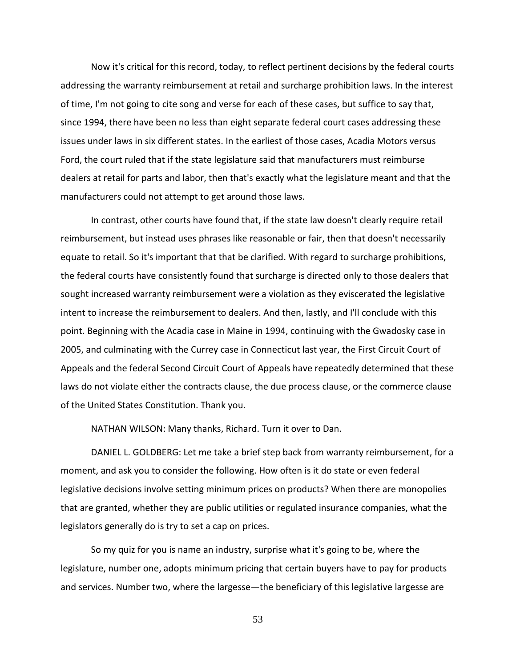Now it's critical for this record, today, to reflect pertinent decisions by the federal courts addressing the warranty reimbursement at retail and surcharge prohibition laws. In the interest of time, I'm not going to cite song and verse for each of these cases, but suffice to say that, since 1994, there have been no less than eight separate federal court cases addressing these issues under laws in six different states. In the earliest of those cases, Acadia Motors versus Ford, the court ruled that if the state legislature said that manufacturers must reimburse dealers at retail for parts and labor, then that's exactly what the legislature meant and that the manufacturers could not attempt to get around those laws.

In contrast, other courts have found that, if the state law doesn't clearly require retail reimbursement, but instead uses phrases like reasonable or fair, then that doesn't necessarily equate to retail. So it's important that that be clarified. With regard to surcharge prohibitions, the federal courts have consistently found that surcharge is directed only to those dealers that sought increased warranty reimbursement were a violation as they eviscerated the legislative intent to increase the reimbursement to dealers. And then, lastly, and I'll conclude with this point. Beginning with the Acadia case in Maine in 1994, continuing with the Gwadosky case in 2005, and culminating with the Currey case in Connecticut last year, the First Circuit Court of Appeals and the federal Second Circuit Court of Appeals have repeatedly determined that these laws do not violate either the contracts clause, the due process clause, or the commerce clause of the United States Constitution. Thank you.

NATHAN WILSON: Many thanks, Richard. Turn it over to Dan.

DANIEL L. GOLDBERG: Let me take a brief step back from warranty reimbursement, for a moment, and ask you to consider the following. How often is it do state or even federal legislative decisions involve setting minimum prices on products? When there are monopolies that are granted, whether they are public utilities or regulated insurance companies, what the legislators generally do is try to set a cap on prices.

So my quiz for you is name an industry, surprise what it's going to be, where the legislature, number one, adopts minimum pricing that certain buyers have to pay for products and services. Number two, where the largesse—the beneficiary of this legislative largesse are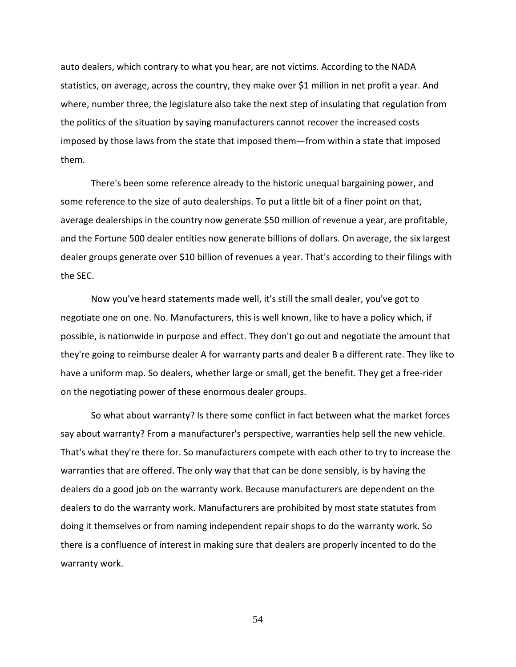auto dealers, which contrary to what you hear, are not victims. According to the NADA statistics, on average, across the country, they make over \$1 million in net profit a year. And where, number three, the legislature also take the next step of insulating that regulation from the politics of the situation by saying manufacturers cannot recover the increased costs imposed by those laws from the state that imposed them—from within a state that imposed them.

There's been some reference already to the historic unequal bargaining power, and some reference to the size of auto dealerships. To put a little bit of a finer point on that, average dealerships in the country now generate \$50 million of revenue a year, are profitable, and the Fortune 500 dealer entities now generate billions of dollars. On average, the six largest dealer groups generate over \$10 billion of revenues a year. That's according to their filings with the SEC.

Now you've heard statements made well, it's still the small dealer, you've got to negotiate one on one. No. Manufacturers, this is well known, like to have a policy which, if possible, is nationwide in purpose and effect. They don't go out and negotiate the amount that they're going to reimburse dealer A for warranty parts and dealer B a different rate. They like to have a uniform map. So dealers, whether large or small, get the benefit. They get a free-rider on the negotiating power of these enormous dealer groups.

So what about warranty? Is there some conflict in fact between what the market forces say about warranty? From a manufacturer's perspective, warranties help sell the new vehicle. That's what they're there for. So manufacturers compete with each other to try to increase the warranties that are offered. The only way that that can be done sensibly, is by having the dealers do a good job on the warranty work. Because manufacturers are dependent on the dealers to do the warranty work. Manufacturers are prohibited by most state statutes from doing it themselves or from naming independent repair shops to do the warranty work. So there is a confluence of interest in making sure that dealers are properly incented to do the warranty work.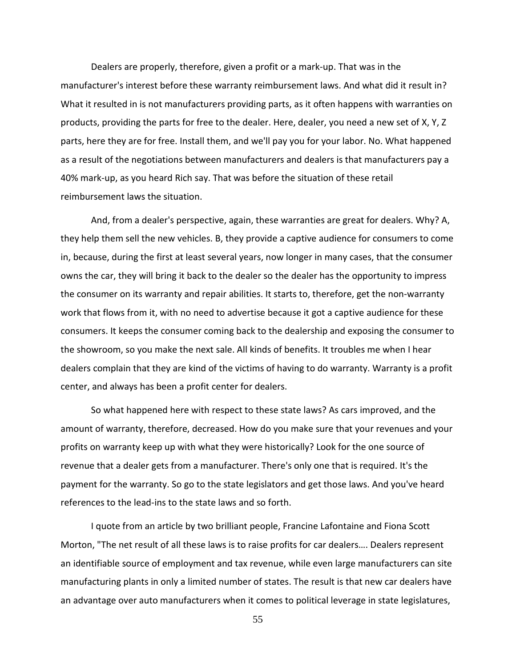Dealers are properly, therefore, given a profit or a mark-up. That was in the manufacturer's interest before these warranty reimbursement laws. And what did it result in? What it resulted in is not manufacturers providing parts, as it often happens with warranties on products, providing the parts for free to the dealer. Here, dealer, you need a new set of X, Y, Z parts, here they are for free. Install them, and we'll pay you for your labor. No. What happened as a result of the negotiations between manufacturers and dealers is that manufacturers pay a 40% mark-up, as you heard Rich say. That was before the situation of these retail reimbursement laws the situation.

And, from a dealer's perspective, again, these warranties are great for dealers. Why? A, they help them sell the new vehicles. B, they provide a captive audience for consumers to come in, because, during the first at least several years, now longer in many cases, that the consumer owns the car, they will bring it back to the dealer so the dealer has the opportunity to impress the consumer on its warranty and repair abilities. It starts to, therefore, get the non-warranty work that flows from it, with no need to advertise because it got a captive audience for these consumers. It keeps the consumer coming back to the dealership and exposing the consumer to the showroom, so you make the next sale. All kinds of benefits. It troubles me when I hear dealers complain that they are kind of the victims of having to do warranty. Warranty is a profit center, and always has been a profit center for dealers.

So what happened here with respect to these state laws? As cars improved, and the amount of warranty, therefore, decreased. How do you make sure that your revenues and your profits on warranty keep up with what they were historically? Look for the one source of revenue that a dealer gets from a manufacturer. There's only one that is required. It's the payment for the warranty. So go to the state legislators and get those laws. And you've heard references to the lead-ins to the state laws and so forth.

I quote from an article by two brilliant people, Francine Lafontaine and Fiona Scott Morton, "The net result of all these laws is to raise profits for car dealers…. Dealers represent an identifiable source of employment and tax revenue, while even large manufacturers can site manufacturing plants in only a limited number of states. The result is that new car dealers have an advantage over auto manufacturers when it comes to political leverage in state legislatures,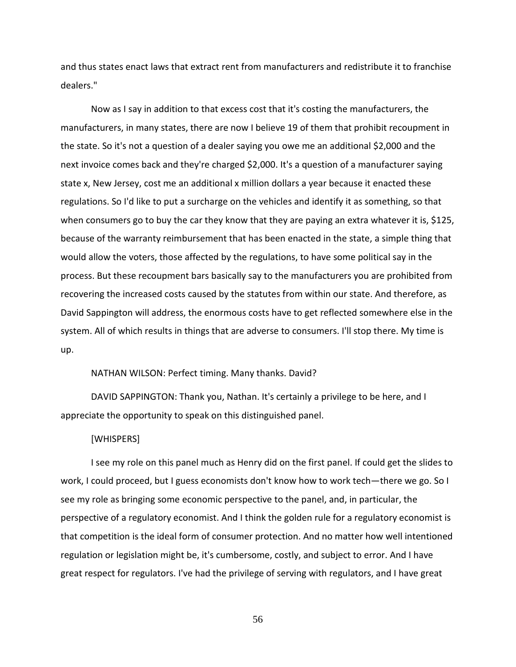and thus states enact laws that extract rent from manufacturers and redistribute it to franchise dealers."

Now as I say in addition to that excess cost that it's costing the manufacturers, the manufacturers, in many states, there are now I believe 19 of them that prohibit recoupment in the state. So it's not a question of a dealer saying you owe me an additional \$2,000 and the next invoice comes back and they're charged \$2,000. It's a question of a manufacturer saying state x, New Jersey, cost me an additional x million dollars a year because it enacted these regulations. So I'd like to put a surcharge on the vehicles and identify it as something, so that when consumers go to buy the car they know that they are paying an extra whatever it is, \$125, because of the warranty reimbursement that has been enacted in the state, a simple thing that would allow the voters, those affected by the regulations, to have some political say in the process. But these recoupment bars basically say to the manufacturers you are prohibited from recovering the increased costs caused by the statutes from within our state. And therefore, as David Sappington will address, the enormous costs have to get reflected somewhere else in the system. All of which results in things that are adverse to consumers. I'll stop there. My time is up.

### NATHAN WILSON: Perfect timing. Many thanks. David?

DAVID SAPPINGTON: Thank you, Nathan. It's certainly a privilege to be here, and I appreciate the opportunity to speak on this distinguished panel.

### [WHISPERS]

I see my role on this panel much as Henry did on the first panel. If could get the slides to work, I could proceed, but I guess economists don't know how to work tech—there we go. So I see my role as bringing some economic perspective to the panel, and, in particular, the perspective of a regulatory economist. And I think the golden rule for a regulatory economist is that competition is the ideal form of consumer protection. And no matter how well intentioned regulation or legislation might be, it's cumbersome, costly, and subject to error. And I have great respect for regulators. I've had the privilege of serving with regulators, and I have great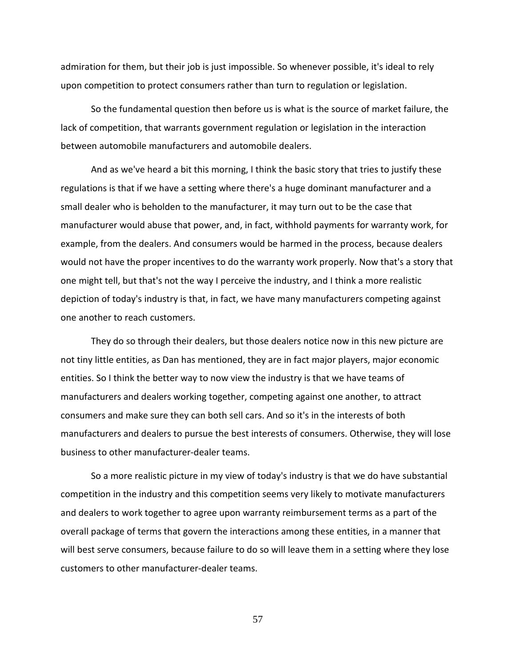admiration for them, but their job is just impossible. So whenever possible, it's ideal to rely upon competition to protect consumers rather than turn to regulation or legislation.

So the fundamental question then before us is what is the source of market failure, the lack of competition, that warrants government regulation or legislation in the interaction between automobile manufacturers and automobile dealers.

And as we've heard a bit this morning, I think the basic story that tries to justify these regulations is that if we have a setting where there's a huge dominant manufacturer and a small dealer who is beholden to the manufacturer, it may turn out to be the case that manufacturer would abuse that power, and, in fact, withhold payments for warranty work, for example, from the dealers. And consumers would be harmed in the process, because dealers would not have the proper incentives to do the warranty work properly. Now that's a story that one might tell, but that's not the way I perceive the industry, and I think a more realistic depiction of today's industry is that, in fact, we have many manufacturers competing against one another to reach customers.

They do so through their dealers, but those dealers notice now in this new picture are not tiny little entities, as Dan has mentioned, they are in fact major players, major economic entities. So I think the better way to now view the industry is that we have teams of manufacturers and dealers working together, competing against one another, to attract consumers and make sure they can both sell cars. And so it's in the interests of both manufacturers and dealers to pursue the best interests of consumers. Otherwise, they will lose business to other manufacturer-dealer teams.

So a more realistic picture in my view of today's industry is that we do have substantial competition in the industry and this competition seems very likely to motivate manufacturers and dealers to work together to agree upon warranty reimbursement terms as a part of the overall package of terms that govern the interactions among these entities, in a manner that will best serve consumers, because failure to do so will leave them in a setting where they lose customers to other manufacturer-dealer teams.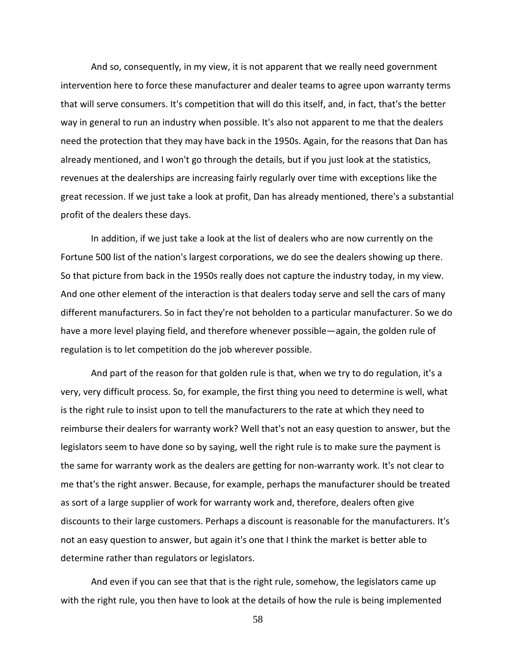And so, consequently, in my view, it is not apparent that we really need government intervention here to force these manufacturer and dealer teams to agree upon warranty terms that will serve consumers. It's competition that will do this itself, and, in fact, that's the better way in general to run an industry when possible. It's also not apparent to me that the dealers need the protection that they may have back in the 1950s. Again, for the reasons that Dan has already mentioned, and I won't go through the details, but if you just look at the statistics, revenues at the dealerships are increasing fairly regularly over time with exceptions like the great recession. If we just take a look at profit, Dan has already mentioned, there's a substantial profit of the dealers these days.

In addition, if we just take a look at the list of dealers who are now currently on the Fortune 500 list of the nation's largest corporations, we do see the dealers showing up there. So that picture from back in the 1950s really does not capture the industry today, in my view. And one other element of the interaction is that dealers today serve and sell the cars of many different manufacturers. So in fact they're not beholden to a particular manufacturer. So we do have a more level playing field, and therefore whenever possible—again, the golden rule of regulation is to let competition do the job wherever possible.

And part of the reason for that golden rule is that, when we try to do regulation, it's a very, very difficult process. So, for example, the first thing you need to determine is well, what is the right rule to insist upon to tell the manufacturers to the rate at which they need to reimburse their dealers for warranty work? Well that's not an easy question to answer, but the legislators seem to have done so by saying, well the right rule is to make sure the payment is the same for warranty work as the dealers are getting for non-warranty work. It's not clear to me that's the right answer. Because, for example, perhaps the manufacturer should be treated as sort of a large supplier of work for warranty work and, therefore, dealers often give discounts to their large customers. Perhaps a discount is reasonable for the manufacturers. It's not an easy question to answer, but again it's one that I think the market is better able to determine rather than regulators or legislators.

And even if you can see that that is the right rule, somehow, the legislators came up with the right rule, you then have to look at the details of how the rule is being implemented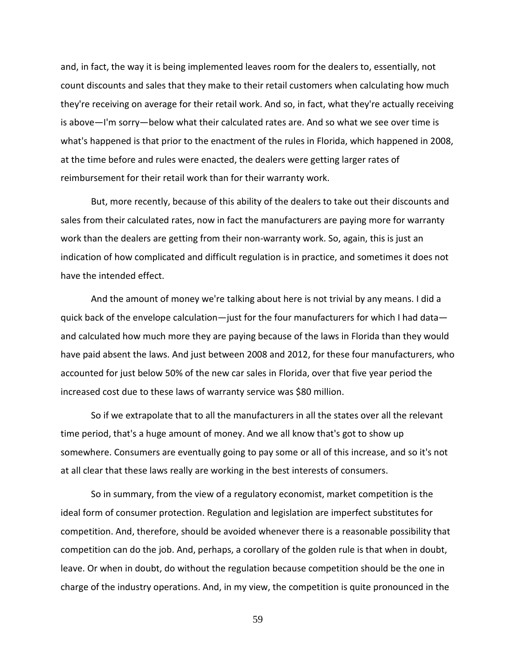and, in fact, the way it is being implemented leaves room for the dealers to, essentially, not count discounts and sales that they make to their retail customers when calculating how much they're receiving on average for their retail work. And so, in fact, what they're actually receiving is above—I'm sorry—below what their calculated rates are. And so what we see over time is what's happened is that prior to the enactment of the rules in Florida, which happened in 2008, at the time before and rules were enacted, the dealers were getting larger rates of reimbursement for their retail work than for their warranty work.

But, more recently, because of this ability of the dealers to take out their discounts and sales from their calculated rates, now in fact the manufacturers are paying more for warranty work than the dealers are getting from their non-warranty work. So, again, this is just an indication of how complicated and difficult regulation is in practice, and sometimes it does not have the intended effect.

And the amount of money we're talking about here is not trivial by any means. I did a quick back of the envelope calculation—just for the four manufacturers for which I had data and calculated how much more they are paying because of the laws in Florida than they would have paid absent the laws. And just between 2008 and 2012, for these four manufacturers, who accounted for just below 50% of the new car sales in Florida, over that five year period the increased cost due to these laws of warranty service was \$80 million.

So if we extrapolate that to all the manufacturers in all the states over all the relevant time period, that's a huge amount of money. And we all know that's got to show up somewhere. Consumers are eventually going to pay some or all of this increase, and so it's not at all clear that these laws really are working in the best interests of consumers.

So in summary, from the view of a regulatory economist, market competition is the ideal form of consumer protection. Regulation and legislation are imperfect substitutes for competition. And, therefore, should be avoided whenever there is a reasonable possibility that competition can do the job. And, perhaps, a corollary of the golden rule is that when in doubt, leave. Or when in doubt, do without the regulation because competition should be the one in charge of the industry operations. And, in my view, the competition is quite pronounced in the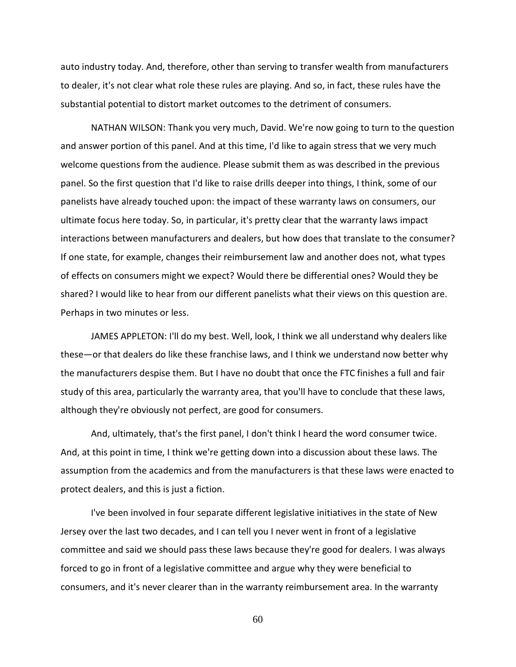auto industry today. And, therefore, other than serving to transfer wealth from manufacturers to dealer, it's not clear what role these rules are playing. And so, in fact, these rules have the substantial potential to distort market outcomes to the detriment of consumers.

NATHAN WILSON: Thank you very much, David. We're now going to turn to the question and answer portion of this panel. And at this time, I'd like to again stress that we very much welcome questions from the audience. Please submit them as was described in the previous panel. So the first question that I'd like to raise drills deeper into things, I think, some of our panelists have already touched upon: the impact of these warranty laws on consumers, our ultimate focus here today. So, in particular, it's pretty clear that the warranty laws impact interactions between manufacturers and dealers, but how does that translate to the consumer? If one state, for example, changes their reimbursement law and another does not, what types of effects on consumers might we expect? Would there be differential ones? Would they be shared? I would like to hear from our different panelists what their views on this question are. Perhaps in two minutes or less.

JAMES APPLETON: I'll do my best. Well, look, I think we all understand why dealers like these—or that dealers do like these franchise laws, and I think we understand now better why the manufacturers despise them. But I have no doubt that once the FTC finishes a full and fair study of this area, particularly the warranty area, that you'll have to conclude that these laws, although they're obviously not perfect, are good for consumers.

And, ultimately, that's the first panel, I don't think I heard the word consumer twice. And, at this point in time, I think we're getting down into a discussion about these laws. The assumption from the academics and from the manufacturers is that these laws were enacted to protect dealers, and this is just a fiction.

I've been involved in four separate different legislative initiatives in the state of New Jersey over the last two decades, and I can tell you I never went in front of a legislative committee and said we should pass these laws because they're good for dealers. I was always forced to go in front of a legislative committee and argue why they were beneficial to consumers, and it's never clearer than in the warranty reimbursement area. In the warranty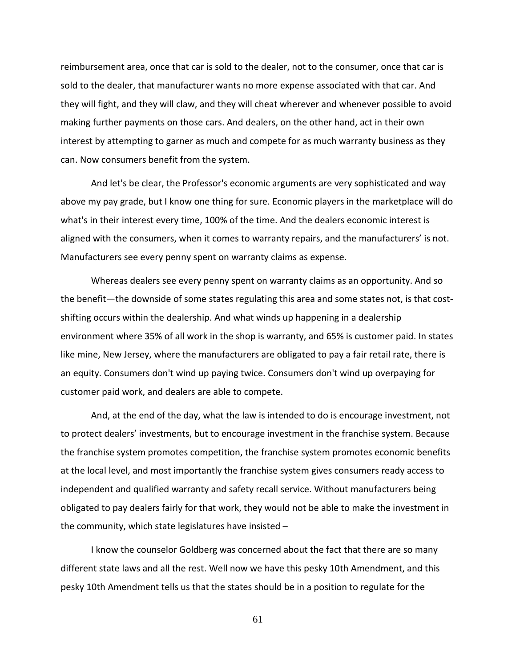reimbursement area, once that car is sold to the dealer, not to the consumer, once that car is sold to the dealer, that manufacturer wants no more expense associated with that car. And they will fight, and they will claw, and they will cheat wherever and whenever possible to avoid making further payments on those cars. And dealers, on the other hand, act in their own interest by attempting to garner as much and compete for as much warranty business as they can. Now consumers benefit from the system.

And let's be clear, the Professor's economic arguments are very sophisticated and way above my pay grade, but I know one thing for sure. Economic players in the marketplace will do what's in their interest every time, 100% of the time. And the dealers economic interest is aligned with the consumers, when it comes to warranty repairs, and the manufacturers' is not. Manufacturers see every penny spent on warranty claims as expense.

Whereas dealers see every penny spent on warranty claims as an opportunity. And so the benefit—the downside of some states regulating this area and some states not, is that costshifting occurs within the dealership. And what winds up happening in a dealership environment where 35% of all work in the shop is warranty, and 65% is customer paid. In states like mine, New Jersey, where the manufacturers are obligated to pay a fair retail rate, there is an equity. Consumers don't wind up paying twice. Consumers don't wind up overpaying for customer paid work, and dealers are able to compete.

And, at the end of the day, what the law is intended to do is encourage investment, not to protect dealers' investments, but to encourage investment in the franchise system. Because the franchise system promotes competition, the franchise system promotes economic benefits at the local level, and most importantly the franchise system gives consumers ready access to independent and qualified warranty and safety recall service. Without manufacturers being obligated to pay dealers fairly for that work, they would not be able to make the investment in the community, which state legislatures have insisted –

I know the counselor Goldberg was concerned about the fact that there are so many different state laws and all the rest. Well now we have this pesky 10th Amendment, and this pesky 10th Amendment tells us that the states should be in a position to regulate for the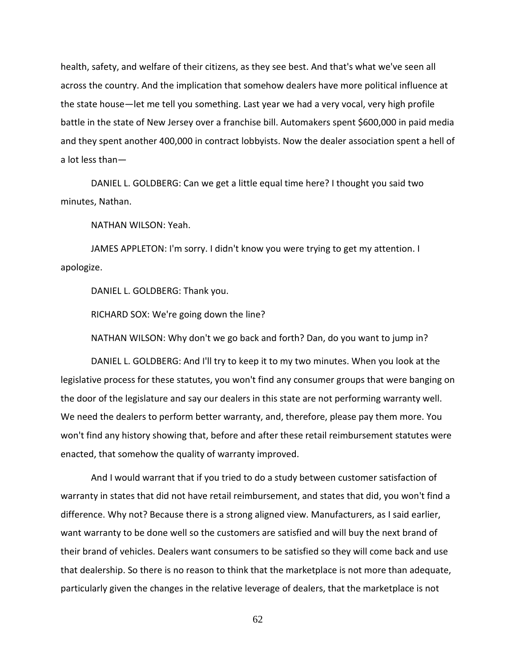health, safety, and welfare of their citizens, as they see best. And that's what we've seen all across the country. And the implication that somehow dealers have more political influence at the state house—let me tell you something. Last year we had a very vocal, very high profile battle in the state of New Jersey over a franchise bill. Automakers spent \$600,000 in paid media and they spent another 400,000 in contract lobbyists. Now the dealer association spent a hell of a lot less than—

DANIEL L. GOLDBERG: Can we get a little equal time here? I thought you said two minutes, Nathan.

NATHAN WILSON: Yeah.

JAMES APPLETON: I'm sorry. I didn't know you were trying to get my attention. I apologize.

DANIEL L. GOLDBERG: Thank you.

RICHARD SOX: We're going down the line?

NATHAN WILSON: Why don't we go back and forth? Dan, do you want to jump in?

DANIEL L. GOLDBERG: And I'll try to keep it to my two minutes. When you look at the legislative process for these statutes, you won't find any consumer groups that were banging on the door of the legislature and say our dealers in this state are not performing warranty well. We need the dealers to perform better warranty, and, therefore, please pay them more. You won't find any history showing that, before and after these retail reimbursement statutes were enacted, that somehow the quality of warranty improved.

And I would warrant that if you tried to do a study between customer satisfaction of warranty in states that did not have retail reimbursement, and states that did, you won't find a difference. Why not? Because there is a strong aligned view. Manufacturers, as I said earlier, want warranty to be done well so the customers are satisfied and will buy the next brand of their brand of vehicles. Dealers want consumers to be satisfied so they will come back and use that dealership. So there is no reason to think that the marketplace is not more than adequate, particularly given the changes in the relative leverage of dealers, that the marketplace is not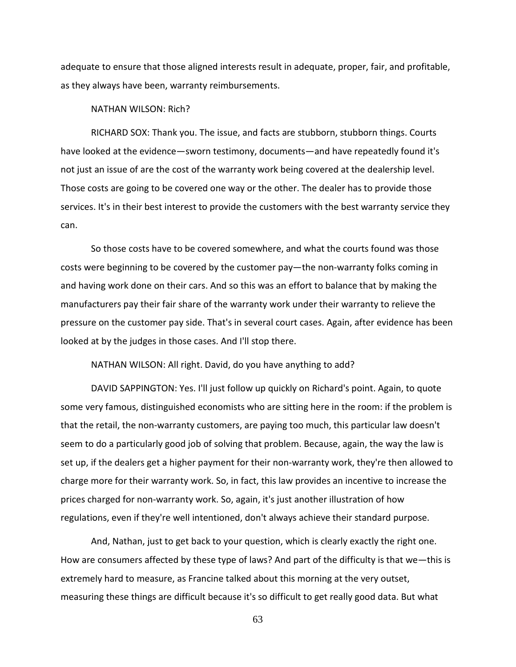adequate to ensure that those aligned interests result in adequate, proper, fair, and profitable, as they always have been, warranty reimbursements.

NATHAN WILSON: Rich?

RICHARD SOX: Thank you. The issue, and facts are stubborn, stubborn things. Courts have looked at the evidence—sworn testimony, documents—and have repeatedly found it's not just an issue of are the cost of the warranty work being covered at the dealership level. Those costs are going to be covered one way or the other. The dealer has to provide those services. It's in their best interest to provide the customers with the best warranty service they can.

So those costs have to be covered somewhere, and what the courts found was those costs were beginning to be covered by the customer pay—the non-warranty folks coming in and having work done on their cars. And so this was an effort to balance that by making the manufacturers pay their fair share of the warranty work under their warranty to relieve the pressure on the customer pay side. That's in several court cases. Again, after evidence has been looked at by the judges in those cases. And I'll stop there.

NATHAN WILSON: All right. David, do you have anything to add?

DAVID SAPPINGTON: Yes. I'll just follow up quickly on Richard's point. Again, to quote some very famous, distinguished economists who are sitting here in the room: if the problem is that the retail, the non-warranty customers, are paying too much, this particular law doesn't seem to do a particularly good job of solving that problem. Because, again, the way the law is set up, if the dealers get a higher payment for their non-warranty work, they're then allowed to charge more for their warranty work. So, in fact, this law provides an incentive to increase the prices charged for non-warranty work. So, again, it's just another illustration of how regulations, even if they're well intentioned, don't always achieve their standard purpose.

And, Nathan, just to get back to your question, which is clearly exactly the right one. How are consumers affected by these type of laws? And part of the difficulty is that we—this is extremely hard to measure, as Francine talked about this morning at the very outset, measuring these things are difficult because it's so difficult to get really good data. But what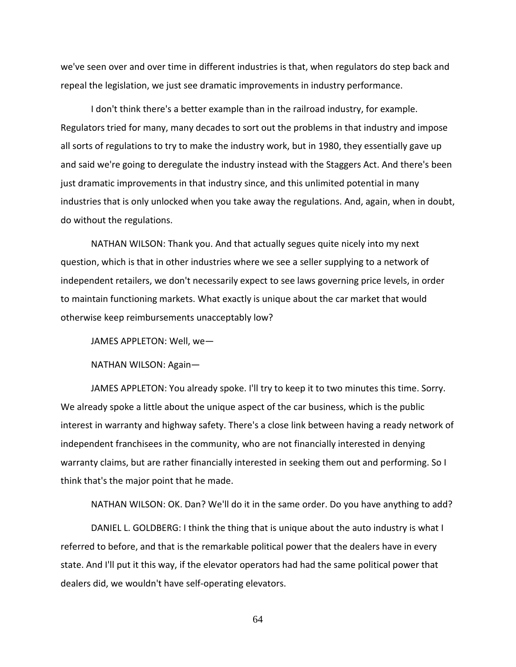we've seen over and over time in different industries is that, when regulators do step back and repeal the legislation, we just see dramatic improvements in industry performance.

I don't think there's a better example than in the railroad industry, for example. Regulators tried for many, many decades to sort out the problems in that industry and impose all sorts of regulations to try to make the industry work, but in 1980, they essentially gave up and said we're going to deregulate the industry instead with the Staggers Act. And there's been just dramatic improvements in that industry since, and this unlimited potential in many industries that is only unlocked when you take away the regulations. And, again, when in doubt, do without the regulations.

NATHAN WILSON: Thank you. And that actually segues quite nicely into my next question, which is that in other industries where we see a seller supplying to a network of independent retailers, we don't necessarily expect to see laws governing price levels, in order to maintain functioning markets. What exactly is unique about the car market that would otherwise keep reimbursements unacceptably low?

JAMES APPLETON: Well, we—

NATHAN WILSON: Again—

JAMES APPLETON: You already spoke. I'll try to keep it to two minutes this time. Sorry. We already spoke a little about the unique aspect of the car business, which is the public interest in warranty and highway safety. There's a close link between having a ready network of independent franchisees in the community, who are not financially interested in denying warranty claims, but are rather financially interested in seeking them out and performing. So I think that's the major point that he made.

NATHAN WILSON: OK. Dan? We'll do it in the same order. Do you have anything to add?

DANIEL L. GOLDBERG: I think the thing that is unique about the auto industry is what I referred to before, and that is the remarkable political power that the dealers have in every state. And I'll put it this way, if the elevator operators had had the same political power that dealers did, we wouldn't have self-operating elevators.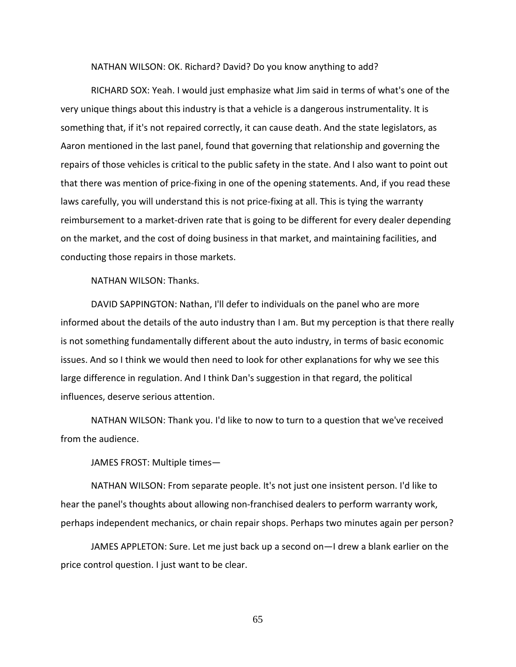NATHAN WILSON: OK. Richard? David? Do you know anything to add?

RICHARD SOX: Yeah. I would just emphasize what Jim said in terms of what's one of the very unique things about this industry is that a vehicle is a dangerous instrumentality. It is something that, if it's not repaired correctly, it can cause death. And the state legislators, as Aaron mentioned in the last panel, found that governing that relationship and governing the repairs of those vehicles is critical to the public safety in the state. And I also want to point out that there was mention of price-fixing in one of the opening statements. And, if you read these laws carefully, you will understand this is not price-fixing at all. This is tying the warranty reimbursement to a market-driven rate that is going to be different for every dealer depending on the market, and the cost of doing business in that market, and maintaining facilities, and conducting those repairs in those markets.

NATHAN WILSON: Thanks.

DAVID SAPPINGTON: Nathan, I'll defer to individuals on the panel who are more informed about the details of the auto industry than I am. But my perception is that there really is not something fundamentally different about the auto industry, in terms of basic economic issues. And so I think we would then need to look for other explanations for why we see this large difference in regulation. And I think Dan's suggestion in that regard, the political influences, deserve serious attention.

NATHAN WILSON: Thank you. I'd like to now to turn to a question that we've received from the audience.

JAMES FROST: Multiple times—

NATHAN WILSON: From separate people. It's not just one insistent person. I'd like to hear the panel's thoughts about allowing non-franchised dealers to perform warranty work, perhaps independent mechanics, or chain repair shops. Perhaps two minutes again per person?

JAMES APPLETON: Sure. Let me just back up a second on—I drew a blank earlier on the price control question. I just want to be clear.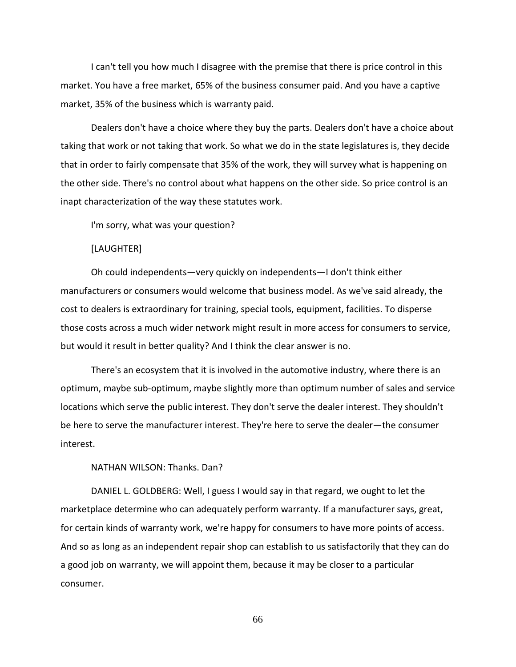I can't tell you how much I disagree with the premise that there is price control in this market. You have a free market, 65% of the business consumer paid. And you have a captive market, 35% of the business which is warranty paid.

Dealers don't have a choice where they buy the parts. Dealers don't have a choice about taking that work or not taking that work. So what we do in the state legislatures is, they decide that in order to fairly compensate that 35% of the work, they will survey what is happening on the other side. There's no control about what happens on the other side. So price control is an inapt characterization of the way these statutes work.

I'm sorry, what was your question?

[LAUGHTER]

Oh could independents—very quickly on independents—I don't think either manufacturers or consumers would welcome that business model. As we've said already, the cost to dealers is extraordinary for training, special tools, equipment, facilities. To disperse those costs across a much wider network might result in more access for consumers to service, but would it result in better quality? And I think the clear answer is no.

There's an ecosystem that it is involved in the automotive industry, where there is an optimum, maybe sub-optimum, maybe slightly more than optimum number of sales and service locations which serve the public interest. They don't serve the dealer interest. They shouldn't be here to serve the manufacturer interest. They're here to serve the dealer—the consumer interest.

NATHAN WILSON: Thanks. Dan?

DANIEL L. GOLDBERG: Well, I guess I would say in that regard, we ought to let the marketplace determine who can adequately perform warranty. If a manufacturer says, great, for certain kinds of warranty work, we're happy for consumers to have more points of access. And so as long as an independent repair shop can establish to us satisfactorily that they can do a good job on warranty, we will appoint them, because it may be closer to a particular consumer.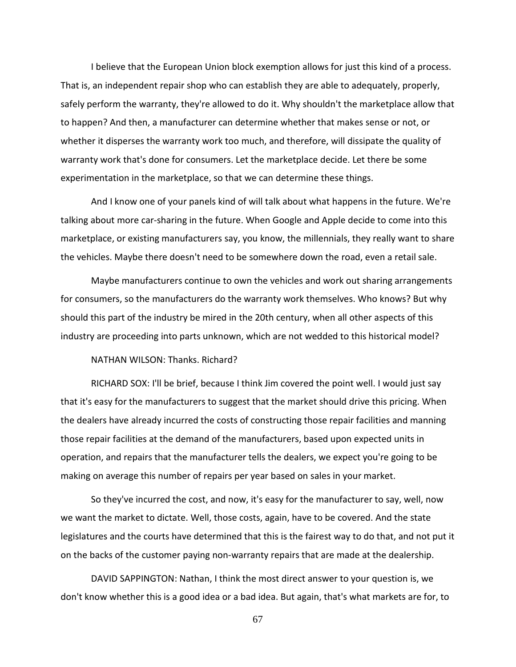I believe that the European Union block exemption allows for just this kind of a process. That is, an independent repair shop who can establish they are able to adequately, properly, safely perform the warranty, they're allowed to do it. Why shouldn't the marketplace allow that to happen? And then, a manufacturer can determine whether that makes sense or not, or whether it disperses the warranty work too much, and therefore, will dissipate the quality of warranty work that's done for consumers. Let the marketplace decide. Let there be some experimentation in the marketplace, so that we can determine these things.

And I know one of your panels kind of will talk about what happens in the future. We're talking about more car-sharing in the future. When Google and Apple decide to come into this marketplace, or existing manufacturers say, you know, the millennials, they really want to share the vehicles. Maybe there doesn't need to be somewhere down the road, even a retail sale.

Maybe manufacturers continue to own the vehicles and work out sharing arrangements for consumers, so the manufacturers do the warranty work themselves. Who knows? But why should this part of the industry be mired in the 20th century, when all other aspects of this industry are proceeding into parts unknown, which are not wedded to this historical model?

NATHAN WILSON: Thanks. Richard?

RICHARD SOX: I'll be brief, because I think Jim covered the point well. I would just say that it's easy for the manufacturers to suggest that the market should drive this pricing. When the dealers have already incurred the costs of constructing those repair facilities and manning those repair facilities at the demand of the manufacturers, based upon expected units in operation, and repairs that the manufacturer tells the dealers, we expect you're going to be making on average this number of repairs per year based on sales in your market.

So they've incurred the cost, and now, it's easy for the manufacturer to say, well, now we want the market to dictate. Well, those costs, again, have to be covered. And the state legislatures and the courts have determined that this is the fairest way to do that, and not put it on the backs of the customer paying non-warranty repairs that are made at the dealership.

DAVID SAPPINGTON: Nathan, I think the most direct answer to your question is, we don't know whether this is a good idea or a bad idea. But again, that's what markets are for, to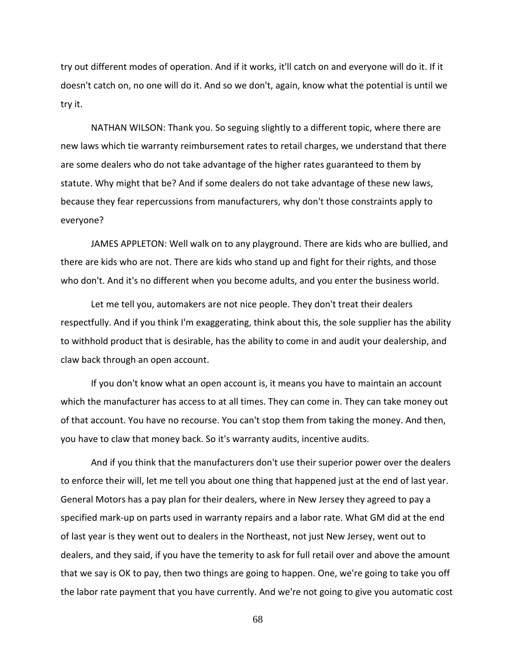try out different modes of operation. And if it works, it'll catch on and everyone will do it. If it doesn't catch on, no one will do it. And so we don't, again, know what the potential is until we try it.

NATHAN WILSON: Thank you. So seguing slightly to a different topic, where there are new laws which tie warranty reimbursement rates to retail charges, we understand that there are some dealers who do not take advantage of the higher rates guaranteed to them by statute. Why might that be? And if some dealers do not take advantage of these new laws, because they fear repercussions from manufacturers, why don't those constraints apply to everyone?

JAMES APPLETON: Well walk on to any playground. There are kids who are bullied, and there are kids who are not. There are kids who stand up and fight for their rights, and those who don't. And it's no different when you become adults, and you enter the business world.

Let me tell you, automakers are not nice people. They don't treat their dealers respectfully. And if you think I'm exaggerating, think about this, the sole supplier has the ability to withhold product that is desirable, has the ability to come in and audit your dealership, and claw back through an open account.

If you don't know what an open account is, it means you have to maintain an account which the manufacturer has access to at all times. They can come in. They can take money out of that account. You have no recourse. You can't stop them from taking the money. And then, you have to claw that money back. So it's warranty audits, incentive audits.

And if you think that the manufacturers don't use their superior power over the dealers to enforce their will, let me tell you about one thing that happened just at the end of last year. General Motors has a pay plan for their dealers, where in New Jersey they agreed to pay a specified mark-up on parts used in warranty repairs and a labor rate. What GM did at the end of last year is they went out to dealers in the Northeast, not just New Jersey, went out to dealers, and they said, if you have the temerity to ask for full retail over and above the amount that we say is OK to pay, then two things are going to happen. One, we're going to take you off the labor rate payment that you have currently. And we're not going to give you automatic cost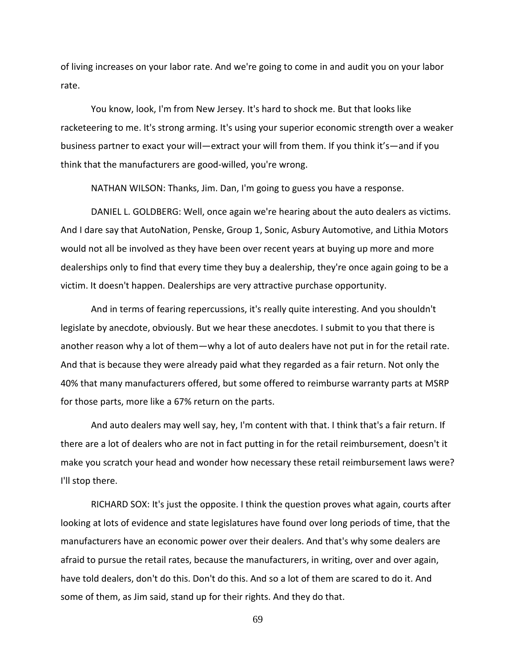of living increases on your labor rate. And we're going to come in and audit you on your labor rate.

You know, look, I'm from New Jersey. It's hard to shock me. But that looks like racketeering to me. It's strong arming. It's using your superior economic strength over a weaker business partner to exact your will—extract your will from them. If you think it's—and if you think that the manufacturers are good-willed, you're wrong.

NATHAN WILSON: Thanks, Jim. Dan, I'm going to guess you have a response.

DANIEL L. GOLDBERG: Well, once again we're hearing about the auto dealers as victims. And I dare say that AutoNation, Penske, Group 1, Sonic, Asbury Automotive, and Lithia Motors would not all be involved as they have been over recent years at buying up more and more dealerships only to find that every time they buy a dealership, they're once again going to be a victim. It doesn't happen. Dealerships are very attractive purchase opportunity.

And in terms of fearing repercussions, it's really quite interesting. And you shouldn't legislate by anecdote, obviously. But we hear these anecdotes. I submit to you that there is another reason why a lot of them—why a lot of auto dealers have not put in for the retail rate. And that is because they were already paid what they regarded as a fair return. Not only the 40% that many manufacturers offered, but some offered to reimburse warranty parts at MSRP for those parts, more like a 67% return on the parts.

And auto dealers may well say, hey, I'm content with that. I think that's a fair return. If there are a lot of dealers who are not in fact putting in for the retail reimbursement, doesn't it make you scratch your head and wonder how necessary these retail reimbursement laws were? I'll stop there.

RICHARD SOX: It's just the opposite. I think the question proves what again, courts after looking at lots of evidence and state legislatures have found over long periods of time, that the manufacturers have an economic power over their dealers. And that's why some dealers are afraid to pursue the retail rates, because the manufacturers, in writing, over and over again, have told dealers, don't do this. Don't do this. And so a lot of them are scared to do it. And some of them, as Jim said, stand up for their rights. And they do that.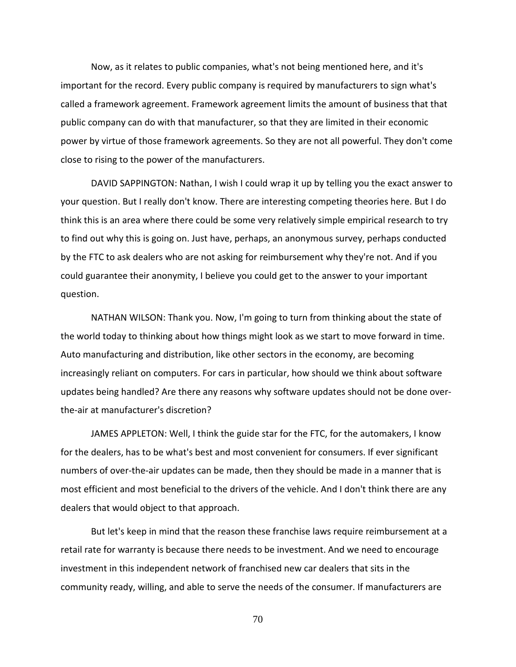Now, as it relates to public companies, what's not being mentioned here, and it's important for the record. Every public company is required by manufacturers to sign what's called a framework agreement. Framework agreement limits the amount of business that that public company can do with that manufacturer, so that they are limited in their economic power by virtue of those framework agreements. So they are not all powerful. They don't come close to rising to the power of the manufacturers.

DAVID SAPPINGTON: Nathan, I wish I could wrap it up by telling you the exact answer to your question. But I really don't know. There are interesting competing theories here. But I do think this is an area where there could be some very relatively simple empirical research to try to find out why this is going on. Just have, perhaps, an anonymous survey, perhaps conducted by the FTC to ask dealers who are not asking for reimbursement why they're not. And if you could guarantee their anonymity, I believe you could get to the answer to your important question.

NATHAN WILSON: Thank you. Now, I'm going to turn from thinking about the state of the world today to thinking about how things might look as we start to move forward in time. Auto manufacturing and distribution, like other sectors in the economy, are becoming increasingly reliant on computers. For cars in particular, how should we think about software updates being handled? Are there any reasons why software updates should not be done overthe-air at manufacturer's discretion?

JAMES APPLETON: Well, I think the guide star for the FTC, for the automakers, I know for the dealers, has to be what's best and most convenient for consumers. If ever significant numbers of over-the-air updates can be made, then they should be made in a manner that is most efficient and most beneficial to the drivers of the vehicle. And I don't think there are any dealers that would object to that approach.

But let's keep in mind that the reason these franchise laws require reimbursement at a retail rate for warranty is because there needs to be investment. And we need to encourage investment in this independent network of franchised new car dealers that sits in the community ready, willing, and able to serve the needs of the consumer. If manufacturers are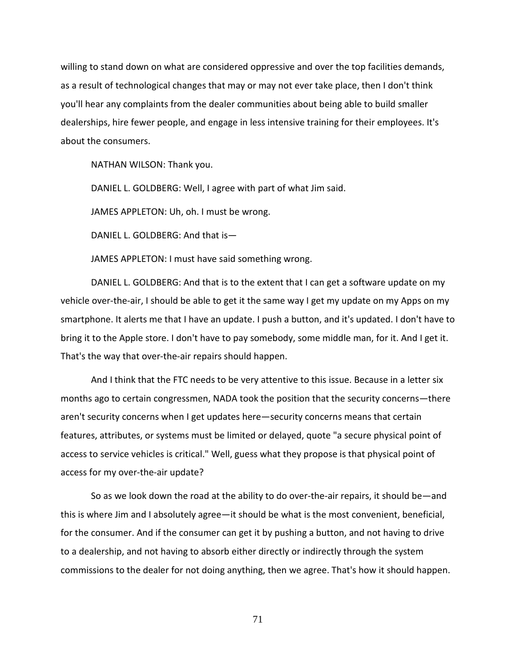willing to stand down on what are considered oppressive and over the top facilities demands, as a result of technological changes that may or may not ever take place, then I don't think you'll hear any complaints from the dealer communities about being able to build smaller dealerships, hire fewer people, and engage in less intensive training for their employees. It's about the consumers.

NATHAN WILSON: Thank you.

DANIEL L. GOLDBERG: Well, I agree with part of what Jim said.

JAMES APPLETON: Uh, oh. I must be wrong.

DANIEL L. GOLDBERG: And that is—

JAMES APPLETON: I must have said something wrong.

DANIEL L. GOLDBERG: And that is to the extent that I can get a software update on my vehicle over-the-air, I should be able to get it the same way I get my update on my Apps on my smartphone. It alerts me that I have an update. I push a button, and it's updated. I don't have to bring it to the Apple store. I don't have to pay somebody, some middle man, for it. And I get it. That's the way that over-the-air repairs should happen.

And I think that the FTC needs to be very attentive to this issue. Because in a letter six months ago to certain congressmen, NADA took the position that the security concerns—there aren't security concerns when I get updates here—security concerns means that certain features, attributes, or systems must be limited or delayed, quote "a secure physical point of access to service vehicles is critical." Well, guess what they propose is that physical point of access for my over-the-air update?

So as we look down the road at the ability to do over-the-air repairs, it should be—and this is where Jim and I absolutely agree—it should be what is the most convenient, beneficial, for the consumer. And if the consumer can get it by pushing a button, and not having to drive to a dealership, and not having to absorb either directly or indirectly through the system commissions to the dealer for not doing anything, then we agree. That's how it should happen.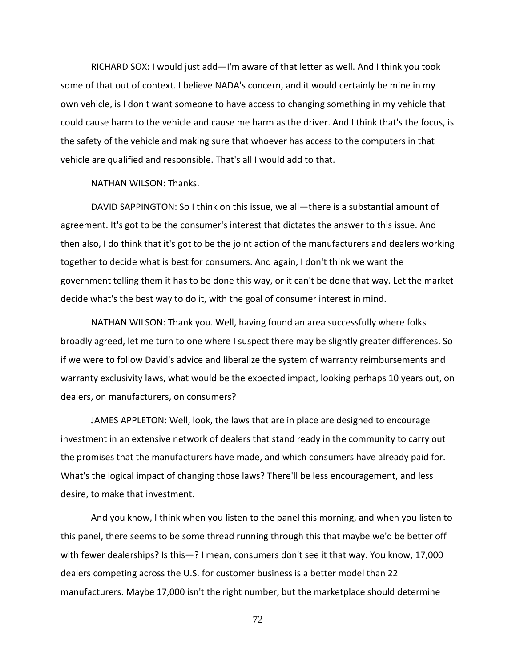RICHARD SOX: I would just add—I'm aware of that letter as well. And I think you took some of that out of context. I believe NADA's concern, and it would certainly be mine in my own vehicle, is I don't want someone to have access to changing something in my vehicle that could cause harm to the vehicle and cause me harm as the driver. And I think that's the focus, is the safety of the vehicle and making sure that whoever has access to the computers in that vehicle are qualified and responsible. That's all I would add to that.

NATHAN WILSON: Thanks.

DAVID SAPPINGTON: So I think on this issue, we all—there is a substantial amount of agreement. It's got to be the consumer's interest that dictates the answer to this issue. And then also, I do think that it's got to be the joint action of the manufacturers and dealers working together to decide what is best for consumers. And again, I don't think we want the government telling them it has to be done this way, or it can't be done that way. Let the market decide what's the best way to do it, with the goal of consumer interest in mind.

NATHAN WILSON: Thank you. Well, having found an area successfully where folks broadly agreed, let me turn to one where I suspect there may be slightly greater differences. So if we were to follow David's advice and liberalize the system of warranty reimbursements and warranty exclusivity laws, what would be the expected impact, looking perhaps 10 years out, on dealers, on manufacturers, on consumers?

JAMES APPLETON: Well, look, the laws that are in place are designed to encourage investment in an extensive network of dealers that stand ready in the community to carry out the promises that the manufacturers have made, and which consumers have already paid for. What's the logical impact of changing those laws? There'll be less encouragement, and less desire, to make that investment.

And you know, I think when you listen to the panel this morning, and when you listen to this panel, there seems to be some thread running through this that maybe we'd be better off with fewer dealerships? Is this—? I mean, consumers don't see it that way. You know, 17,000 dealers competing across the U.S. for customer business is a better model than 22 manufacturers. Maybe 17,000 isn't the right number, but the marketplace should determine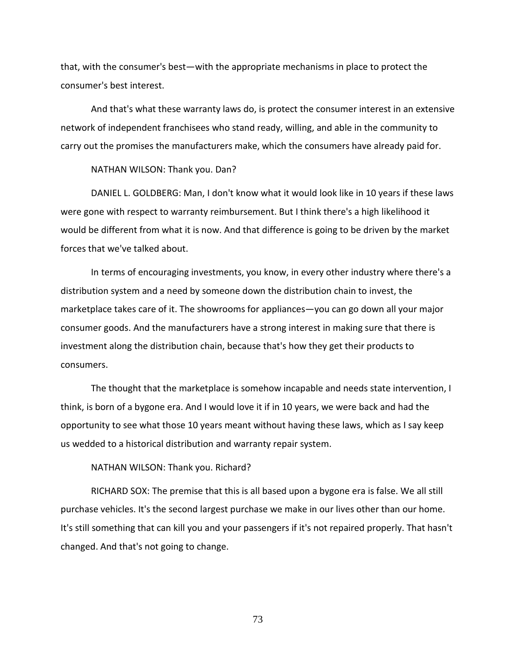that, with the consumer's best—with the appropriate mechanisms in place to protect the consumer's best interest.

And that's what these warranty laws do, is protect the consumer interest in an extensive network of independent franchisees who stand ready, willing, and able in the community to carry out the promises the manufacturers make, which the consumers have already paid for.

NATHAN WILSON: Thank you. Dan?

DANIEL L. GOLDBERG: Man, I don't know what it would look like in 10 years if these laws were gone with respect to warranty reimbursement. But I think there's a high likelihood it would be different from what it is now. And that difference is going to be driven by the market forces that we've talked about.

In terms of encouraging investments, you know, in every other industry where there's a distribution system and a need by someone down the distribution chain to invest, the marketplace takes care of it. The showrooms for appliances—you can go down all your major consumer goods. And the manufacturers have a strong interest in making sure that there is investment along the distribution chain, because that's how they get their products to consumers.

The thought that the marketplace is somehow incapable and needs state intervention, I think, is born of a bygone era. And I would love it if in 10 years, we were back and had the opportunity to see what those 10 years meant without having these laws, which as I say keep us wedded to a historical distribution and warranty repair system.

NATHAN WILSON: Thank you. Richard?

RICHARD SOX: The premise that this is all based upon a bygone era is false. We all still purchase vehicles. It's the second largest purchase we make in our lives other than our home. It's still something that can kill you and your passengers if it's not repaired properly. That hasn't changed. And that's not going to change.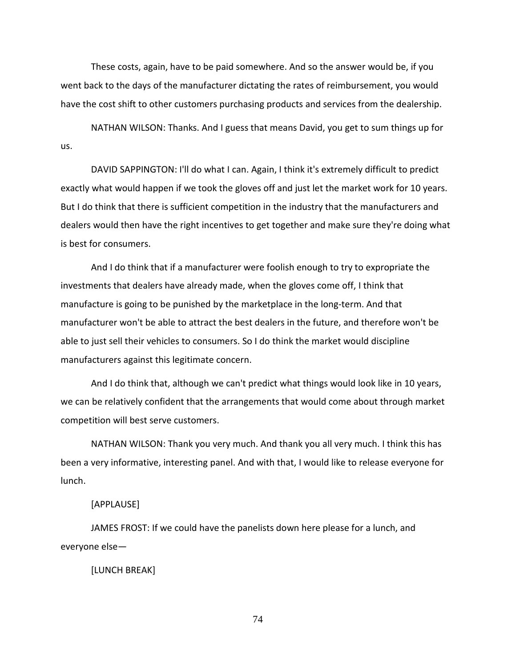These costs, again, have to be paid somewhere. And so the answer would be, if you went back to the days of the manufacturer dictating the rates of reimbursement, you would have the cost shift to other customers purchasing products and services from the dealership.

NATHAN WILSON: Thanks. And I guess that means David, you get to sum things up for us.

DAVID SAPPINGTON: I'll do what I can. Again, I think it's extremely difficult to predict exactly what would happen if we took the gloves off and just let the market work for 10 years. But I do think that there is sufficient competition in the industry that the manufacturers and dealers would then have the right incentives to get together and make sure they're doing what is best for consumers.

And I do think that if a manufacturer were foolish enough to try to expropriate the investments that dealers have already made, when the gloves come off, I think that manufacture is going to be punished by the marketplace in the long-term. And that manufacturer won't be able to attract the best dealers in the future, and therefore won't be able to just sell their vehicles to consumers. So I do think the market would discipline manufacturers against this legitimate concern.

And I do think that, although we can't predict what things would look like in 10 years, we can be relatively confident that the arrangements that would come about through market competition will best serve customers.

NATHAN WILSON: Thank you very much. And thank you all very much. I think this has been a very informative, interesting panel. And with that, I would like to release everyone for lunch.

## [APPLAUSE]

JAMES FROST: If we could have the panelists down here please for a lunch, and everyone else—

# [LUNCH BREAK]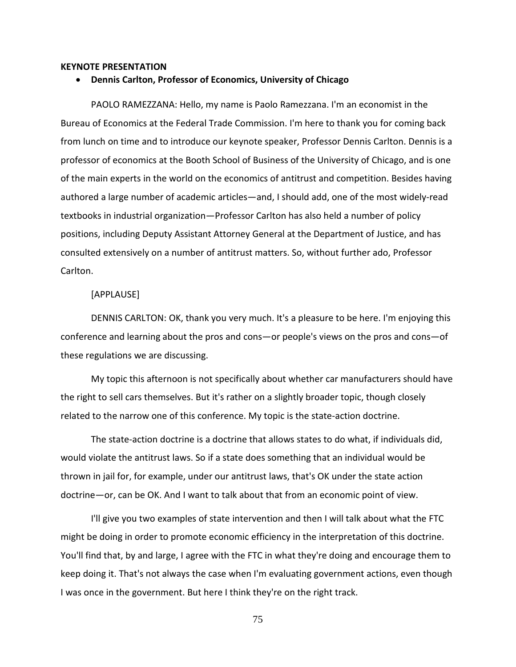#### **KEYNOTE PRESENTATION**

### • **Dennis Carlton, Professor of Economics, University of Chicago**

PAOLO RAMEZZANA: Hello, my name is Paolo Ramezzana. I'm an economist in the Bureau of Economics at the Federal Trade Commission. I'm here to thank you for coming back from lunch on time and to introduce our keynote speaker, Professor Dennis Carlton. Dennis is a professor of economics at the Booth School of Business of the University of Chicago, and is one of the main experts in the world on the economics of antitrust and competition. Besides having authored a large number of academic articles—and, I should add, one of the most widely-read textbooks in industrial organization—Professor Carlton has also held a number of policy positions, including Deputy Assistant Attorney General at the Department of Justice, and has consulted extensively on a number of antitrust matters. So, without further ado, Professor Carlton.

## [APPLAUSE]

DENNIS CARLTON: OK, thank you very much. It's a pleasure to be here. I'm enjoying this conference and learning about the pros and cons—or people's views on the pros and cons—of these regulations we are discussing.

My topic this afternoon is not specifically about whether car manufacturers should have the right to sell cars themselves. But it's rather on a slightly broader topic, though closely related to the narrow one of this conference. My topic is the state-action doctrine.

The state-action doctrine is a doctrine that allows states to do what, if individuals did, would violate the antitrust laws. So if a state does something that an individual would be thrown in jail for, for example, under our antitrust laws, that's OK under the state action doctrine—or, can be OK. And I want to talk about that from an economic point of view.

I'll give you two examples of state intervention and then I will talk about what the FTC might be doing in order to promote economic efficiency in the interpretation of this doctrine. You'll find that, by and large, I agree with the FTC in what they're doing and encourage them to keep doing it. That's not always the case when I'm evaluating government actions, even though I was once in the government. But here I think they're on the right track.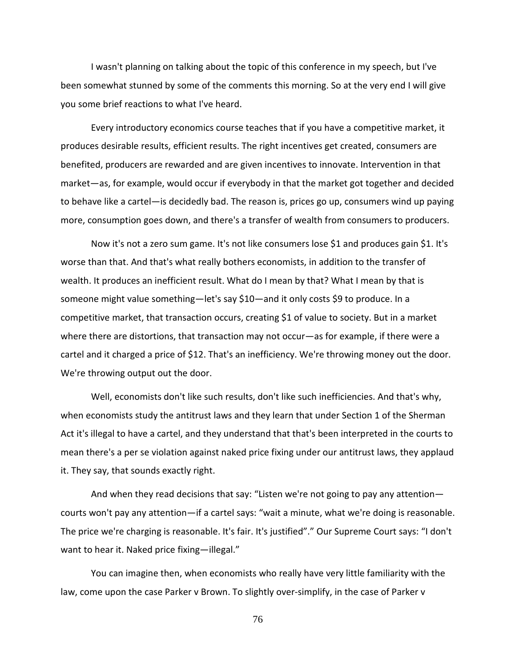I wasn't planning on talking about the topic of this conference in my speech, but I've been somewhat stunned by some of the comments this morning. So at the very end I will give you some brief reactions to what I've heard.

Every introductory economics course teaches that if you have a competitive market, it produces desirable results, efficient results. The right incentives get created, consumers are benefited, producers are rewarded and are given incentives to innovate. Intervention in that market—as, for example, would occur if everybody in that the market got together and decided to behave like a cartel—is decidedly bad. The reason is, prices go up, consumers wind up paying more, consumption goes down, and there's a transfer of wealth from consumers to producers.

Now it's not a zero sum game. It's not like consumers lose \$1 and produces gain \$1. It's worse than that. And that's what really bothers economists, in addition to the transfer of wealth. It produces an inefficient result. What do I mean by that? What I mean by that is someone might value something—let's say \$10—and it only costs \$9 to produce. In a competitive market, that transaction occurs, creating \$1 of value to society. But in a market where there are distortions, that transaction may not occur—as for example, if there were a cartel and it charged a price of \$12. That's an inefficiency. We're throwing money out the door. We're throwing output out the door.

Well, economists don't like such results, don't like such inefficiencies. And that's why, when economists study the antitrust laws and they learn that under Section 1 of the Sherman Act it's illegal to have a cartel, and they understand that that's been interpreted in the courts to mean there's a per se violation against naked price fixing under our antitrust laws, they applaud it. They say, that sounds exactly right.

And when they read decisions that say: "Listen we're not going to pay any attention courts won't pay any attention—if a cartel says: "wait a minute, what we're doing is reasonable. The price we're charging is reasonable. It's fair. It's justified"." Our Supreme Court says: "I don't want to hear it. Naked price fixing—illegal."

You can imagine then, when economists who really have very little familiarity with the law, come upon the case Parker v Brown. To slightly over-simplify, in the case of Parker v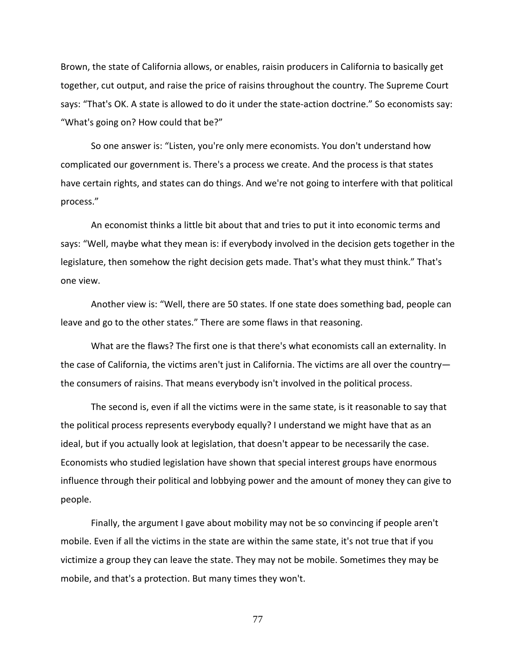Brown, the state of California allows, or enables, raisin producers in California to basically get together, cut output, and raise the price of raisins throughout the country. The Supreme Court says: "That's OK. A state is allowed to do it under the state-action doctrine." So economists say: "What's going on? How could that be?"

So one answer is: "Listen, you're only mere economists. You don't understand how complicated our government is. There's a process we create. And the process is that states have certain rights, and states can do things. And we're not going to interfere with that political process."

An economist thinks a little bit about that and tries to put it into economic terms and says: "Well, maybe what they mean is: if everybody involved in the decision gets together in the legislature, then somehow the right decision gets made. That's what they must think." That's one view.

Another view is: "Well, there are 50 states. If one state does something bad, people can leave and go to the other states." There are some flaws in that reasoning.

What are the flaws? The first one is that there's what economists call an externality. In the case of California, the victims aren't just in California. The victims are all over the country the consumers of raisins. That means everybody isn't involved in the political process.

The second is, even if all the victims were in the same state, is it reasonable to say that the political process represents everybody equally? I understand we might have that as an ideal, but if you actually look at legislation, that doesn't appear to be necessarily the case. Economists who studied legislation have shown that special interest groups have enormous influence through their political and lobbying power and the amount of money they can give to people.

Finally, the argument I gave about mobility may not be so convincing if people aren't mobile. Even if all the victims in the state are within the same state, it's not true that if you victimize a group they can leave the state. They may not be mobile. Sometimes they may be mobile, and that's a protection. But many times they won't.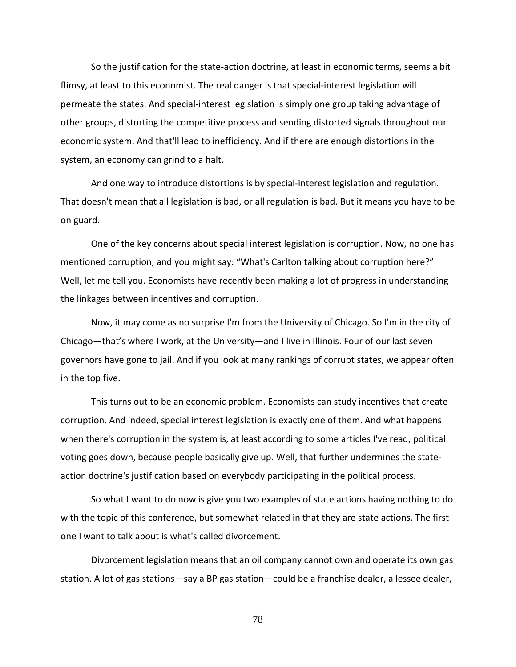So the justification for the state-action doctrine, at least in economic terms, seems a bit flimsy, at least to this economist. The real danger is that special-interest legislation will permeate the states. And special-interest legislation is simply one group taking advantage of other groups, distorting the competitive process and sending distorted signals throughout our economic system. And that'll lead to inefficiency. And if there are enough distortions in the system, an economy can grind to a halt.

And one way to introduce distortions is by special-interest legislation and regulation. That doesn't mean that all legislation is bad, or all regulation is bad. But it means you have to be on guard.

One of the key concerns about special interest legislation is corruption. Now, no one has mentioned corruption, and you might say: "What's Carlton talking about corruption here?" Well, let me tell you. Economists have recently been making a lot of progress in understanding the linkages between incentives and corruption.

Now, it may come as no surprise I'm from the University of Chicago. So I'm in the city of Chicago—that's where I work, at the University—and I live in Illinois. Four of our last seven governors have gone to jail. And if you look at many rankings of corrupt states, we appear often in the top five.

This turns out to be an economic problem. Economists can study incentives that create corruption. And indeed, special interest legislation is exactly one of them. And what happens when there's corruption in the system is, at least according to some articles I've read, political voting goes down, because people basically give up. Well, that further undermines the stateaction doctrine's justification based on everybody participating in the political process.

So what I want to do now is give you two examples of state actions having nothing to do with the topic of this conference, but somewhat related in that they are state actions. The first one I want to talk about is what's called divorcement.

Divorcement legislation means that an oil company cannot own and operate its own gas station. A lot of gas stations—say a BP gas station—could be a franchise dealer, a lessee dealer,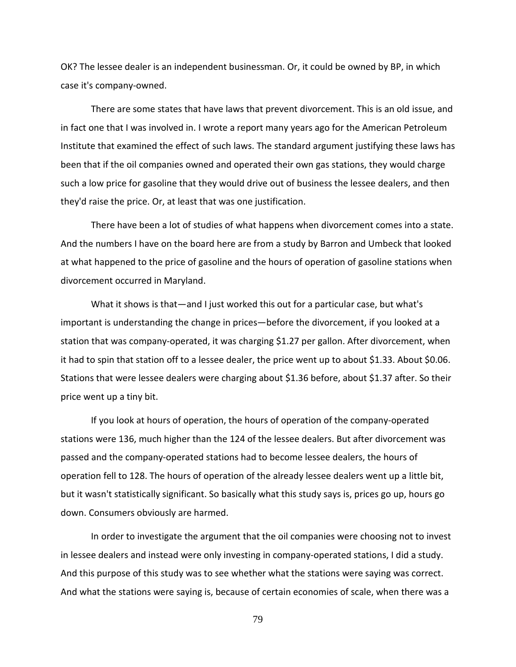OK? The lessee dealer is an independent businessman. Or, it could be owned by BP, in which case it's company-owned.

There are some states that have laws that prevent divorcement. This is an old issue, and in fact one that I was involved in. I wrote a report many years ago for the American Petroleum Institute that examined the effect of such laws. The standard argument justifying these laws has been that if the oil companies owned and operated their own gas stations, they would charge such a low price for gasoline that they would drive out of business the lessee dealers, and then they'd raise the price. Or, at least that was one justification.

There have been a lot of studies of what happens when divorcement comes into a state. And the numbers I have on the board here are from a study by Barron and Umbeck that looked at what happened to the price of gasoline and the hours of operation of gasoline stations when divorcement occurred in Maryland.

What it shows is that—and I just worked this out for a particular case, but what's important is understanding the change in prices—before the divorcement, if you looked at a station that was company-operated, it was charging \$1.27 per gallon. After divorcement, when it had to spin that station off to a lessee dealer, the price went up to about \$1.33. About \$0.06. Stations that were lessee dealers were charging about \$1.36 before, about \$1.37 after. So their price went up a tiny bit.

If you look at hours of operation, the hours of operation of the company-operated stations were 136, much higher than the 124 of the lessee dealers. But after divorcement was passed and the company-operated stations had to become lessee dealers, the hours of operation fell to 128. The hours of operation of the already lessee dealers went up a little bit, but it wasn't statistically significant. So basically what this study says is, prices go up, hours go down. Consumers obviously are harmed.

In order to investigate the argument that the oil companies were choosing not to invest in lessee dealers and instead were only investing in company-operated stations, I did a study. And this purpose of this study was to see whether what the stations were saying was correct. And what the stations were saying is, because of certain economies of scale, when there was a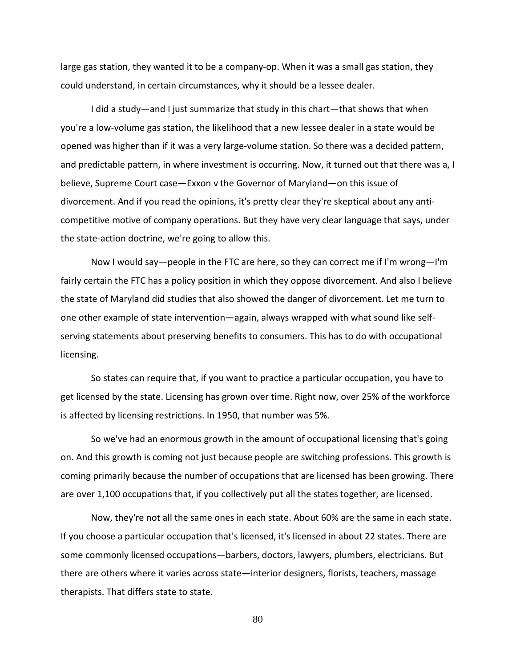large gas station, they wanted it to be a company-op. When it was a small gas station, they could understand, in certain circumstances, why it should be a lessee dealer.

I did a study—and I just summarize that study in this chart—that shows that when you're a low-volume gas station, the likelihood that a new lessee dealer in a state would be opened was higher than if it was a very large-volume station. So there was a decided pattern, and predictable pattern, in where investment is occurring. Now, it turned out that there was a, I believe, Supreme Court case—Exxon v the Governor of Maryland—on this issue of divorcement. And if you read the opinions, it's pretty clear they're skeptical about any anticompetitive motive of company operations. But they have very clear language that says, under the state-action doctrine, we're going to allow this.

Now I would say—people in the FTC are here, so they can correct me if I'm wrong—I'm fairly certain the FTC has a policy position in which they oppose divorcement. And also I believe the state of Maryland did studies that also showed the danger of divorcement. Let me turn to one other example of state intervention—again, always wrapped with what sound like selfserving statements about preserving benefits to consumers. This has to do with occupational licensing.

So states can require that, if you want to practice a particular occupation, you have to get licensed by the state. Licensing has grown over time. Right now, over 25% of the workforce is affected by licensing restrictions. In 1950, that number was 5%.

So we've had an enormous growth in the amount of occupational licensing that's going on. And this growth is coming not just because people are switching professions. This growth is coming primarily because the number of occupations that are licensed has been growing. There are over 1,100 occupations that, if you collectively put all the states together, are licensed.

Now, they're not all the same ones in each state. About 60% are the same in each state. If you choose a particular occupation that's licensed, it's licensed in about 22 states. There are some commonly licensed occupations—barbers, doctors, lawyers, plumbers, electricians. But there are others where it varies across state—interior designers, florists, teachers, massage therapists. That differs state to state.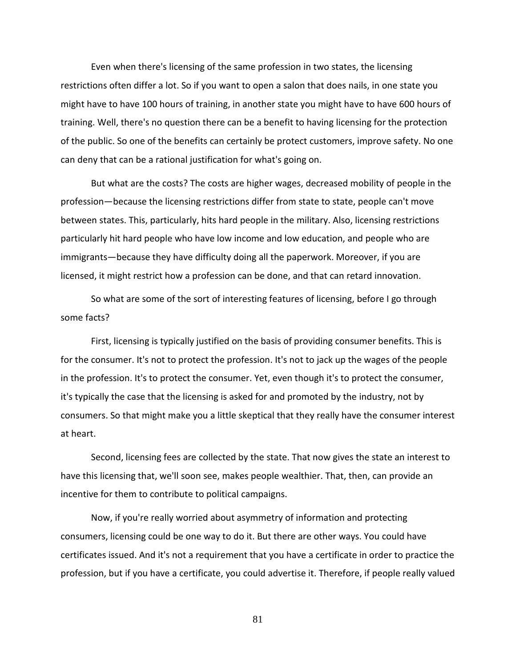Even when there's licensing of the same profession in two states, the licensing restrictions often differ a lot. So if you want to open a salon that does nails, in one state you might have to have 100 hours of training, in another state you might have to have 600 hours of training. Well, there's no question there can be a benefit to having licensing for the protection of the public. So one of the benefits can certainly be protect customers, improve safety. No one can deny that can be a rational justification for what's going on.

But what are the costs? The costs are higher wages, decreased mobility of people in the profession—because the licensing restrictions differ from state to state, people can't move between states. This, particularly, hits hard people in the military. Also, licensing restrictions particularly hit hard people who have low income and low education, and people who are immigrants—because they have difficulty doing all the paperwork. Moreover, if you are licensed, it might restrict how a profession can be done, and that can retard innovation.

So what are some of the sort of interesting features of licensing, before I go through some facts?

First, licensing is typically justified on the basis of providing consumer benefits. This is for the consumer. It's not to protect the profession. It's not to jack up the wages of the people in the profession. It's to protect the consumer. Yet, even though it's to protect the consumer, it's typically the case that the licensing is asked for and promoted by the industry, not by consumers. So that might make you a little skeptical that they really have the consumer interest at heart.

Second, licensing fees are collected by the state. That now gives the state an interest to have this licensing that, we'll soon see, makes people wealthier. That, then, can provide an incentive for them to contribute to political campaigns.

Now, if you're really worried about asymmetry of information and protecting consumers, licensing could be one way to do it. But there are other ways. You could have certificates issued. And it's not a requirement that you have a certificate in order to practice the profession, but if you have a certificate, you could advertise it. Therefore, if people really valued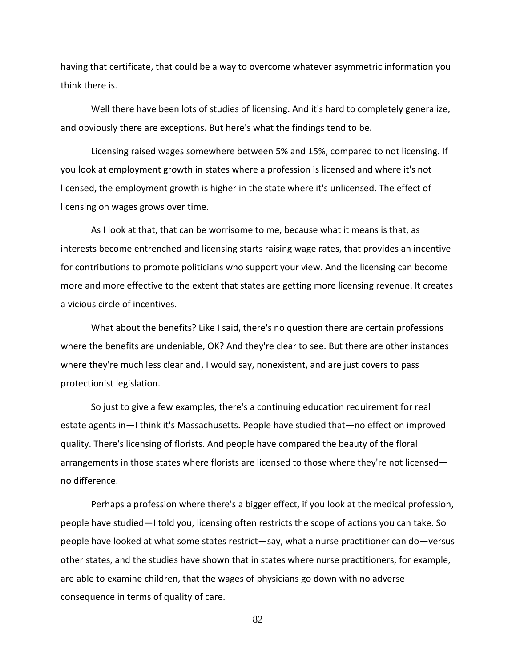having that certificate, that could be a way to overcome whatever asymmetric information you think there is.

Well there have been lots of studies of licensing. And it's hard to completely generalize, and obviously there are exceptions. But here's what the findings tend to be.

Licensing raised wages somewhere between 5% and 15%, compared to not licensing. If you look at employment growth in states where a profession is licensed and where it's not licensed, the employment growth is higher in the state where it's unlicensed. The effect of licensing on wages grows over time.

As I look at that, that can be worrisome to me, because what it means is that, as interests become entrenched and licensing starts raising wage rates, that provides an incentive for contributions to promote politicians who support your view. And the licensing can become more and more effective to the extent that states are getting more licensing revenue. It creates a vicious circle of incentives.

What about the benefits? Like I said, there's no question there are certain professions where the benefits are undeniable, OK? And they're clear to see. But there are other instances where they're much less clear and, I would say, nonexistent, and are just covers to pass protectionist legislation.

So just to give a few examples, there's a continuing education requirement for real estate agents in—I think it's Massachusetts. People have studied that—no effect on improved quality. There's licensing of florists. And people have compared the beauty of the floral arrangements in those states where florists are licensed to those where they're not licensed no difference.

Perhaps a profession where there's a bigger effect, if you look at the medical profession, people have studied—I told you, licensing often restricts the scope of actions you can take. So people have looked at what some states restrict—say, what a nurse practitioner can do—versus other states, and the studies have shown that in states where nurse practitioners, for example, are able to examine children, that the wages of physicians go down with no adverse consequence in terms of quality of care.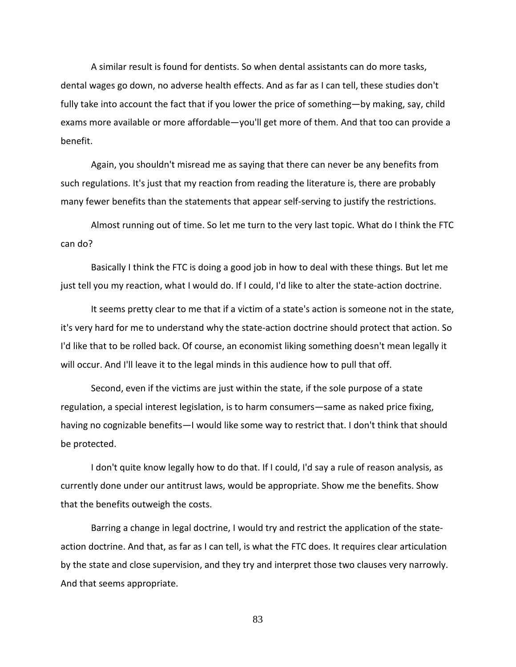A similar result is found for dentists. So when dental assistants can do more tasks, dental wages go down, no adverse health effects. And as far as I can tell, these studies don't fully take into account the fact that if you lower the price of something—by making, say, child exams more available or more affordable—you'll get more of them. And that too can provide a benefit.

Again, you shouldn't misread me as saying that there can never be any benefits from such regulations. It's just that my reaction from reading the literature is, there are probably many fewer benefits than the statements that appear self-serving to justify the restrictions.

Almost running out of time. So let me turn to the very last topic. What do I think the FTC can do?

Basically I think the FTC is doing a good job in how to deal with these things. But let me just tell you my reaction, what I would do. If I could, I'd like to alter the state-action doctrine.

It seems pretty clear to me that if a victim of a state's action is someone not in the state, it's very hard for me to understand why the state-action doctrine should protect that action. So I'd like that to be rolled back. Of course, an economist liking something doesn't mean legally it will occur. And I'll leave it to the legal minds in this audience how to pull that off.

Second, even if the victims are just within the state, if the sole purpose of a state regulation, a special interest legislation, is to harm consumers—same as naked price fixing, having no cognizable benefits—I would like some way to restrict that. I don't think that should be protected.

I don't quite know legally how to do that. If I could, I'd say a rule of reason analysis, as currently done under our antitrust laws, would be appropriate. Show me the benefits. Show that the benefits outweigh the costs.

Barring a change in legal doctrine, I would try and restrict the application of the stateaction doctrine. And that, as far as I can tell, is what the FTC does. It requires clear articulation by the state and close supervision, and they try and interpret those two clauses very narrowly. And that seems appropriate.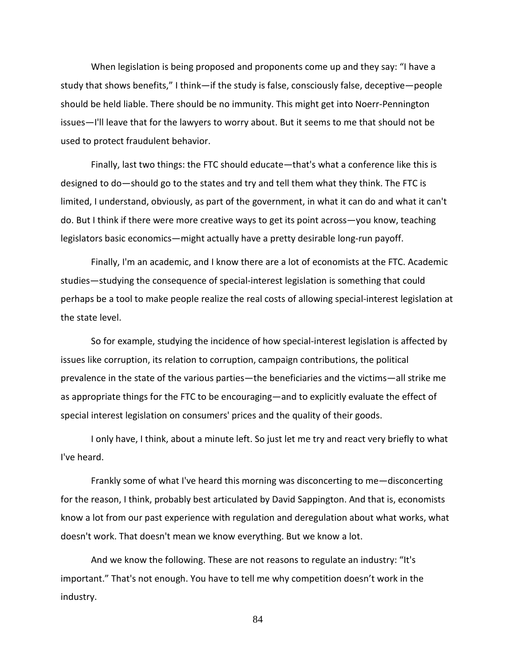When legislation is being proposed and proponents come up and they say: "I have a study that shows benefits," I think—if the study is false, consciously false, deceptive—people should be held liable. There should be no immunity. This might get into Noerr-Pennington issues—I'll leave that for the lawyers to worry about. But it seems to me that should not be used to protect fraudulent behavior.

Finally, last two things: the FTC should educate—that's what a conference like this is designed to do—should go to the states and try and tell them what they think. The FTC is limited, I understand, obviously, as part of the government, in what it can do and what it can't do. But I think if there were more creative ways to get its point across—you know, teaching legislators basic economics—might actually have a pretty desirable long-run payoff.

Finally, I'm an academic, and I know there are a lot of economists at the FTC. Academic studies—studying the consequence of special-interest legislation is something that could perhaps be a tool to make people realize the real costs of allowing special-interest legislation at the state level.

So for example, studying the incidence of how special-interest legislation is affected by issues like corruption, its relation to corruption, campaign contributions, the political prevalence in the state of the various parties—the beneficiaries and the victims—all strike me as appropriate things for the FTC to be encouraging—and to explicitly evaluate the effect of special interest legislation on consumers' prices and the quality of their goods.

I only have, I think, about a minute left. So just let me try and react very briefly to what I've heard.

Frankly some of what I've heard this morning was disconcerting to me—disconcerting for the reason, I think, probably best articulated by David Sappington. And that is, economists know a lot from our past experience with regulation and deregulation about what works, what doesn't work. That doesn't mean we know everything. But we know a lot.

And we know the following. These are not reasons to regulate an industry: "It's important." That's not enough. You have to tell me why competition doesn't work in the industry.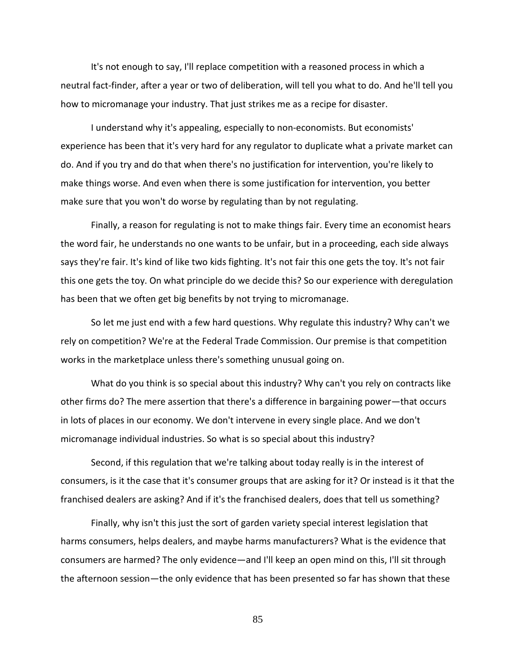It's not enough to say, I'll replace competition with a reasoned process in which a neutral fact-finder, after a year or two of deliberation, will tell you what to do. And he'll tell you how to micromanage your industry. That just strikes me as a recipe for disaster.

I understand why it's appealing, especially to non-economists. But economists' experience has been that it's very hard for any regulator to duplicate what a private market can do. And if you try and do that when there's no justification for intervention, you're likely to make things worse. And even when there is some justification for intervention, you better make sure that you won't do worse by regulating than by not regulating.

Finally, a reason for regulating is not to make things fair. Every time an economist hears the word fair, he understands no one wants to be unfair, but in a proceeding, each side always says they're fair. It's kind of like two kids fighting. It's not fair this one gets the toy. It's not fair this one gets the toy. On what principle do we decide this? So our experience with deregulation has been that we often get big benefits by not trying to micromanage.

So let me just end with a few hard questions. Why regulate this industry? Why can't we rely on competition? We're at the Federal Trade Commission. Our premise is that competition works in the marketplace unless there's something unusual going on.

What do you think is so special about this industry? Why can't you rely on contracts like other firms do? The mere assertion that there's a difference in bargaining power—that occurs in lots of places in our economy. We don't intervene in every single place. And we don't micromanage individual industries. So what is so special about this industry?

Second, if this regulation that we're talking about today really is in the interest of consumers, is it the case that it's consumer groups that are asking for it? Or instead is it that the franchised dealers are asking? And if it's the franchised dealers, does that tell us something?

Finally, why isn't this just the sort of garden variety special interest legislation that harms consumers, helps dealers, and maybe harms manufacturers? What is the evidence that consumers are harmed? The only evidence—and I'll keep an open mind on this, I'll sit through the afternoon session—the only evidence that has been presented so far has shown that these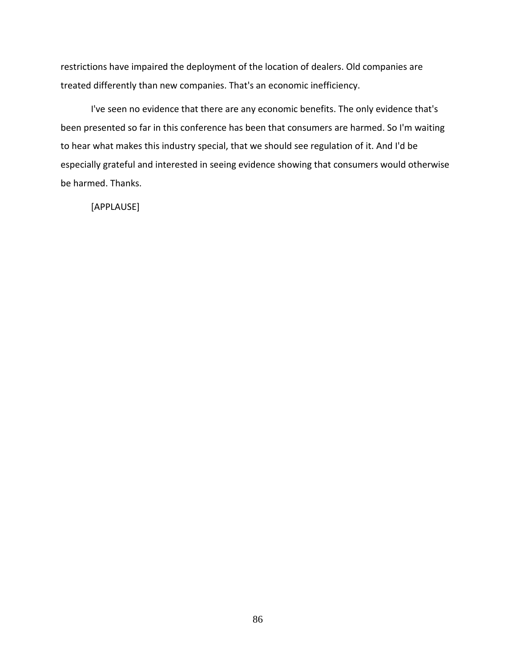restrictions have impaired the deployment of the location of dealers. Old companies are treated differently than new companies. That's an economic inefficiency.

I've seen no evidence that there are any economic benefits. The only evidence that's been presented so far in this conference has been that consumers are harmed. So I'm waiting to hear what makes this industry special, that we should see regulation of it. And I'd be especially grateful and interested in seeing evidence showing that consumers would otherwise be harmed. Thanks.

[APPLAUSE]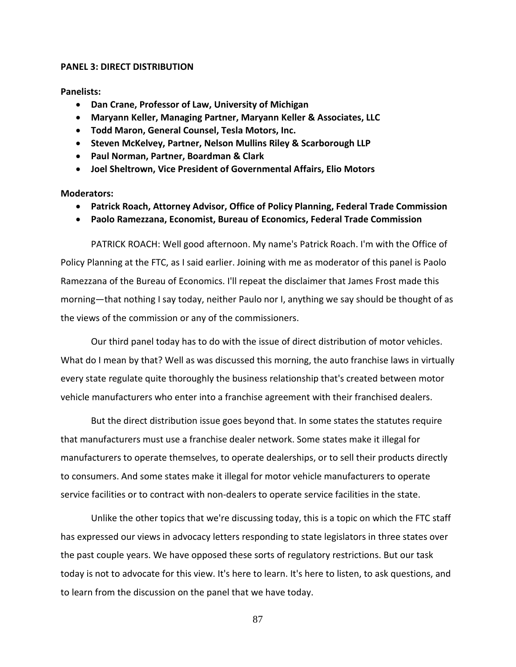# **PANEL 3: DIRECT DISTRIBUTION**

**Panelists:**

- **Dan Crane, Professor of Law, University of Michigan**
- **Maryann Keller, Managing Partner, Maryann Keller & Associates, LLC**
- **Todd Maron, General Counsel, Tesla Motors, Inc.**
- **Steven McKelvey, Partner, Nelson Mullins Riley & Scarborough LLP**
- **Paul Norman, Partner, Boardman & Clark**
- **Joel Sheltrown, Vice President of Governmental Affairs, Elio Motors**

**Moderators:**

- **Patrick Roach, Attorney Advisor, Office of Policy Planning, Federal Trade Commission**
- **Paolo Ramezzana, Economist, Bureau of Economics, Federal Trade Commission**

PATRICK ROACH: Well good afternoon. My name's Patrick Roach. I'm with the Office of Policy Planning at the FTC, as I said earlier. Joining with me as moderator of this panel is Paolo Ramezzana of the Bureau of Economics. I'll repeat the disclaimer that James Frost made this morning—that nothing I say today, neither Paulo nor I, anything we say should be thought of as the views of the commission or any of the commissioners.

Our third panel today has to do with the issue of direct distribution of motor vehicles. What do I mean by that? Well as was discussed this morning, the auto franchise laws in virtually every state regulate quite thoroughly the business relationship that's created between motor vehicle manufacturers who enter into a franchise agreement with their franchised dealers.

But the direct distribution issue goes beyond that. In some states the statutes require that manufacturers must use a franchise dealer network. Some states make it illegal for manufacturers to operate themselves, to operate dealerships, or to sell their products directly to consumers. And some states make it illegal for motor vehicle manufacturers to operate service facilities or to contract with non-dealers to operate service facilities in the state.

Unlike the other topics that we're discussing today, this is a topic on which the FTC staff has expressed our views in advocacy letters responding to state legislators in three states over the past couple years. We have opposed these sorts of regulatory restrictions. But our task today is not to advocate for this view. It's here to learn. It's here to listen, to ask questions, and to learn from the discussion on the panel that we have today.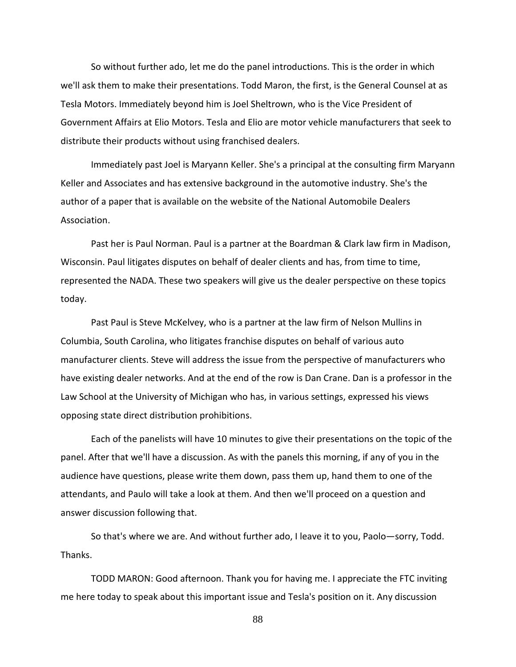So without further ado, let me do the panel introductions. This is the order in which we'll ask them to make their presentations. Todd Maron, the first, is the General Counsel at as Tesla Motors. Immediately beyond him is Joel Sheltrown, who is the Vice President of Government Affairs at Elio Motors. Tesla and Elio are motor vehicle manufacturers that seek to distribute their products without using franchised dealers.

Immediately past Joel is Maryann Keller. She's a principal at the consulting firm Maryann Keller and Associates and has extensive background in the automotive industry. She's the author of a paper that is available on the website of the National Automobile Dealers Association.

Past her is Paul Norman. Paul is a partner at the Boardman & Clark law firm in Madison, Wisconsin. Paul litigates disputes on behalf of dealer clients and has, from time to time, represented the NADA. These two speakers will give us the dealer perspective on these topics today.

Past Paul is Steve McKelvey, who is a partner at the law firm of Nelson Mullins in Columbia, South Carolina, who litigates franchise disputes on behalf of various auto manufacturer clients. Steve will address the issue from the perspective of manufacturers who have existing dealer networks. And at the end of the row is Dan Crane. Dan is a professor in the Law School at the University of Michigan who has, in various settings, expressed his views opposing state direct distribution prohibitions.

Each of the panelists will have 10 minutes to give their presentations on the topic of the panel. After that we'll have a discussion. As with the panels this morning, if any of you in the audience have questions, please write them down, pass them up, hand them to one of the attendants, and Paulo will take a look at them. And then we'll proceed on a question and answer discussion following that.

So that's where we are. And without further ado, I leave it to you, Paolo—sorry, Todd. Thanks.

TODD MARON: Good afternoon. Thank you for having me. I appreciate the FTC inviting me here today to speak about this important issue and Tesla's position on it. Any discussion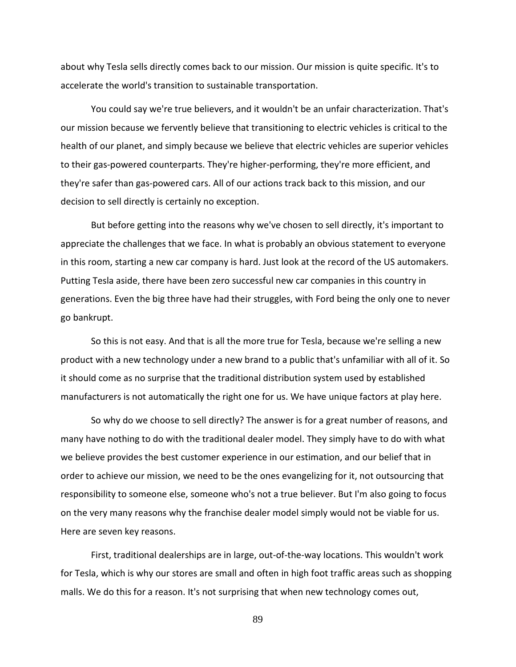about why Tesla sells directly comes back to our mission. Our mission is quite specific. It's to accelerate the world's transition to sustainable transportation.

You could say we're true believers, and it wouldn't be an unfair characterization. That's our mission because we fervently believe that transitioning to electric vehicles is critical to the health of our planet, and simply because we believe that electric vehicles are superior vehicles to their gas-powered counterparts. They're higher-performing, they're more efficient, and they're safer than gas-powered cars. All of our actions track back to this mission, and our decision to sell directly is certainly no exception.

But before getting into the reasons why we've chosen to sell directly, it's important to appreciate the challenges that we face. In what is probably an obvious statement to everyone in this room, starting a new car company is hard. Just look at the record of the US automakers. Putting Tesla aside, there have been zero successful new car companies in this country in generations. Even the big three have had their struggles, with Ford being the only one to never go bankrupt.

So this is not easy. And that is all the more true for Tesla, because we're selling a new product with a new technology under a new brand to a public that's unfamiliar with all of it. So it should come as no surprise that the traditional distribution system used by established manufacturers is not automatically the right one for us. We have unique factors at play here.

So why do we choose to sell directly? The answer is for a great number of reasons, and many have nothing to do with the traditional dealer model. They simply have to do with what we believe provides the best customer experience in our estimation, and our belief that in order to achieve our mission, we need to be the ones evangelizing for it, not outsourcing that responsibility to someone else, someone who's not a true believer. But I'm also going to focus on the very many reasons why the franchise dealer model simply would not be viable for us. Here are seven key reasons.

First, traditional dealerships are in large, out-of-the-way locations. This wouldn't work for Tesla, which is why our stores are small and often in high foot traffic areas such as shopping malls. We do this for a reason. It's not surprising that when new technology comes out,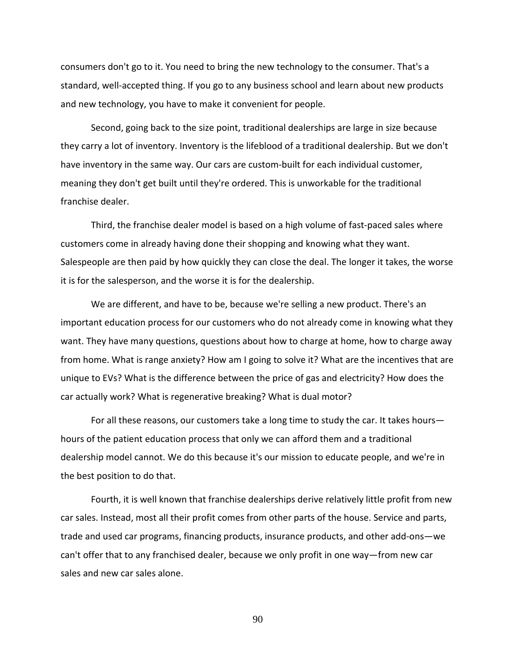consumers don't go to it. You need to bring the new technology to the consumer. That's a standard, well-accepted thing. If you go to any business school and learn about new products and new technology, you have to make it convenient for people.

Second, going back to the size point, traditional dealerships are large in size because they carry a lot of inventory. Inventory is the lifeblood of a traditional dealership. But we don't have inventory in the same way. Our cars are custom-built for each individual customer, meaning they don't get built until they're ordered. This is unworkable for the traditional franchise dealer.

Third, the franchise dealer model is based on a high volume of fast-paced sales where customers come in already having done their shopping and knowing what they want. Salespeople are then paid by how quickly they can close the deal. The longer it takes, the worse it is for the salesperson, and the worse it is for the dealership.

We are different, and have to be, because we're selling a new product. There's an important education process for our customers who do not already come in knowing what they want. They have many questions, questions about how to charge at home, how to charge away from home. What is range anxiety? How am I going to solve it? What are the incentives that are unique to EVs? What is the difference between the price of gas and electricity? How does the car actually work? What is regenerative breaking? What is dual motor?

For all these reasons, our customers take a long time to study the car. It takes hours hours of the patient education process that only we can afford them and a traditional dealership model cannot. We do this because it's our mission to educate people, and we're in the best position to do that.

Fourth, it is well known that franchise dealerships derive relatively little profit from new car sales. Instead, most all their profit comes from other parts of the house. Service and parts, trade and used car programs, financing products, insurance products, and other add-ons—we can't offer that to any franchised dealer, because we only profit in one way—from new car sales and new car sales alone.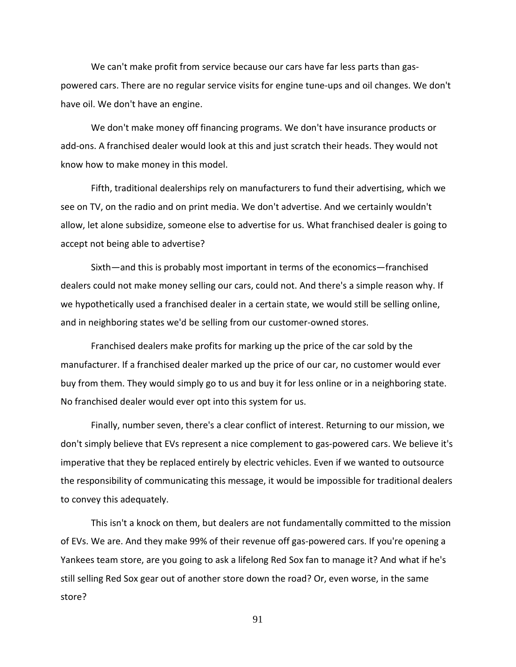We can't make profit from service because our cars have far less parts than gaspowered cars. There are no regular service visits for engine tune-ups and oil changes. We don't have oil. We don't have an engine.

We don't make money off financing programs. We don't have insurance products or add-ons. A franchised dealer would look at this and just scratch their heads. They would not know how to make money in this model.

Fifth, traditional dealerships rely on manufacturers to fund their advertising, which we see on TV, on the radio and on print media. We don't advertise. And we certainly wouldn't allow, let alone subsidize, someone else to advertise for us. What franchised dealer is going to accept not being able to advertise?

Sixth—and this is probably most important in terms of the economics—franchised dealers could not make money selling our cars, could not. And there's a simple reason why. If we hypothetically used a franchised dealer in a certain state, we would still be selling online, and in neighboring states we'd be selling from our customer-owned stores.

Franchised dealers make profits for marking up the price of the car sold by the manufacturer. If a franchised dealer marked up the price of our car, no customer would ever buy from them. They would simply go to us and buy it for less online or in a neighboring state. No franchised dealer would ever opt into this system for us.

Finally, number seven, there's a clear conflict of interest. Returning to our mission, we don't simply believe that EVs represent a nice complement to gas-powered cars. We believe it's imperative that they be replaced entirely by electric vehicles. Even if we wanted to outsource the responsibility of communicating this message, it would be impossible for traditional dealers to convey this adequately.

This isn't a knock on them, but dealers are not fundamentally committed to the mission of EVs. We are. And they make 99% of their revenue off gas-powered cars. If you're opening a Yankees team store, are you going to ask a lifelong Red Sox fan to manage it? And what if he's still selling Red Sox gear out of another store down the road? Or, even worse, in the same store?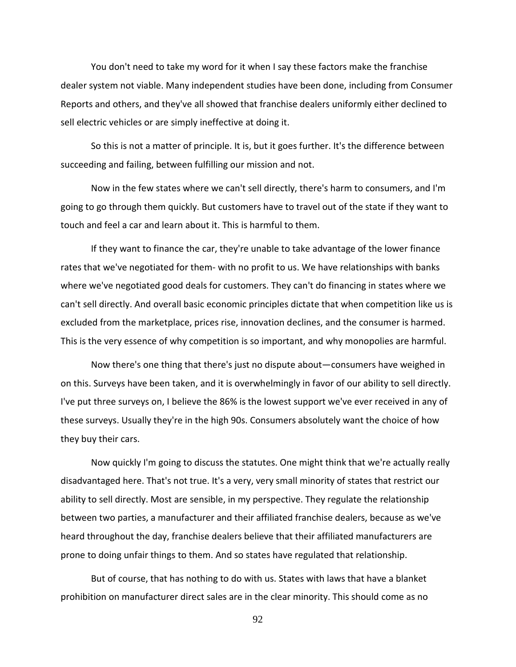You don't need to take my word for it when I say these factors make the franchise dealer system not viable. Many independent studies have been done, including from Consumer Reports and others, and they've all showed that franchise dealers uniformly either declined to sell electric vehicles or are simply ineffective at doing it.

So this is not a matter of principle. It is, but it goes further. It's the difference between succeeding and failing, between fulfilling our mission and not.

Now in the few states where we can't sell directly, there's harm to consumers, and I'm going to go through them quickly. But customers have to travel out of the state if they want to touch and feel a car and learn about it. This is harmful to them.

If they want to finance the car, they're unable to take advantage of the lower finance rates that we've negotiated for them- with no profit to us. We have relationships with banks where we've negotiated good deals for customers. They can't do financing in states where we can't sell directly. And overall basic economic principles dictate that when competition like us is excluded from the marketplace, prices rise, innovation declines, and the consumer is harmed. This is the very essence of why competition is so important, and why monopolies are harmful.

Now there's one thing that there's just no dispute about—consumers have weighed in on this. Surveys have been taken, and it is overwhelmingly in favor of our ability to sell directly. I've put three surveys on, I believe the 86% is the lowest support we've ever received in any of these surveys. Usually they're in the high 90s. Consumers absolutely want the choice of how they buy their cars.

Now quickly I'm going to discuss the statutes. One might think that we're actually really disadvantaged here. That's not true. It's a very, very small minority of states that restrict our ability to sell directly. Most are sensible, in my perspective. They regulate the relationship between two parties, a manufacturer and their affiliated franchise dealers, because as we've heard throughout the day, franchise dealers believe that their affiliated manufacturers are prone to doing unfair things to them. And so states have regulated that relationship.

But of course, that has nothing to do with us. States with laws that have a blanket prohibition on manufacturer direct sales are in the clear minority. This should come as no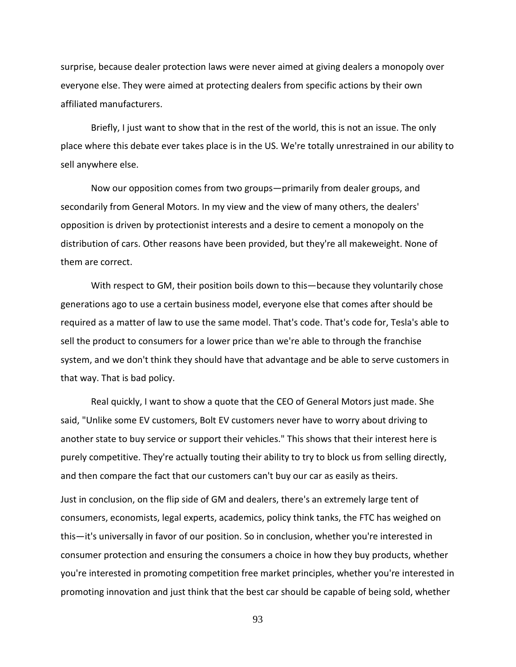surprise, because dealer protection laws were never aimed at giving dealers a monopoly over everyone else. They were aimed at protecting dealers from specific actions by their own affiliated manufacturers.

Briefly, I just want to show that in the rest of the world, this is not an issue. The only place where this debate ever takes place is in the US. We're totally unrestrained in our ability to sell anywhere else.

Now our opposition comes from two groups—primarily from dealer groups, and secondarily from General Motors. In my view and the view of many others, the dealers' opposition is driven by protectionist interests and a desire to cement a monopoly on the distribution of cars. Other reasons have been provided, but they're all makeweight. None of them are correct.

With respect to GM, their position boils down to this—because they voluntarily chose generations ago to use a certain business model, everyone else that comes after should be required as a matter of law to use the same model. That's code. That's code for, Tesla's able to sell the product to consumers for a lower price than we're able to through the franchise system, and we don't think they should have that advantage and be able to serve customers in that way. That is bad policy.

Real quickly, I want to show a quote that the CEO of General Motors just made. She said, "Unlike some EV customers, Bolt EV customers never have to worry about driving to another state to buy service or support their vehicles." This shows that their interest here is purely competitive. They're actually touting their ability to try to block us from selling directly, and then compare the fact that our customers can't buy our car as easily as theirs.

Just in conclusion, on the flip side of GM and dealers, there's an extremely large tent of consumers, economists, legal experts, academics, policy think tanks, the FTC has weighed on this—it's universally in favor of our position. So in conclusion, whether you're interested in consumer protection and ensuring the consumers a choice in how they buy products, whether you're interested in promoting competition free market principles, whether you're interested in promoting innovation and just think that the best car should be capable of being sold, whether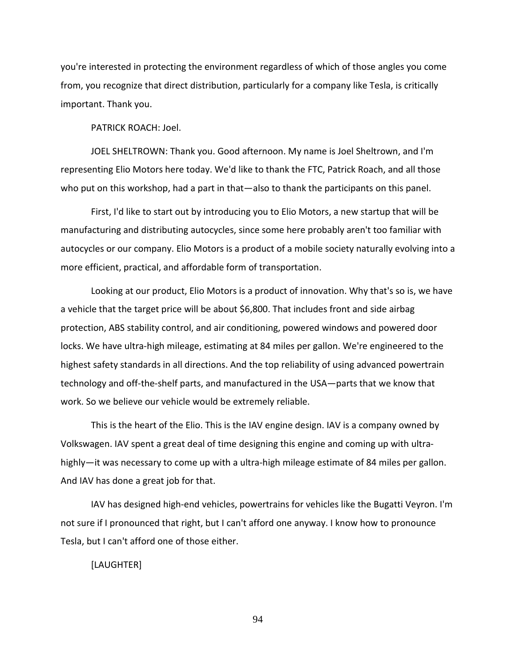you're interested in protecting the environment regardless of which of those angles you come from, you recognize that direct distribution, particularly for a company like Tesla, is critically important. Thank you.

PATRICK ROACH: Joel.

JOEL SHELTROWN: Thank you. Good afternoon. My name is Joel Sheltrown, and I'm representing Elio Motors here today. We'd like to thank the FTC, Patrick Roach, and all those who put on this workshop, had a part in that—also to thank the participants on this panel.

First, I'd like to start out by introducing you to Elio Motors, a new startup that will be manufacturing and distributing autocycles, since some here probably aren't too familiar with autocycles or our company. Elio Motors is a product of a mobile society naturally evolving into a more efficient, practical, and affordable form of transportation.

Looking at our product, Elio Motors is a product of innovation. Why that's so is, we have a vehicle that the target price will be about \$6,800. That includes front and side airbag protection, ABS stability control, and air conditioning, powered windows and powered door locks. We have ultra-high mileage, estimating at 84 miles per gallon. We're engineered to the highest safety standards in all directions. And the top reliability of using advanced powertrain technology and off-the-shelf parts, and manufactured in the USA—parts that we know that work. So we believe our vehicle would be extremely reliable.

This is the heart of the Elio. This is the IAV engine design. IAV is a company owned by Volkswagen. IAV spent a great deal of time designing this engine and coming up with ultrahighly—it was necessary to come up with a ultra-high mileage estimate of 84 miles per gallon. And IAV has done a great job for that.

IAV has designed high-end vehicles, powertrains for vehicles like the Bugatti Veyron. I'm not sure if I pronounced that right, but I can't afford one anyway. I know how to pronounce Tesla, but I can't afford one of those either.

[LAUGHTER]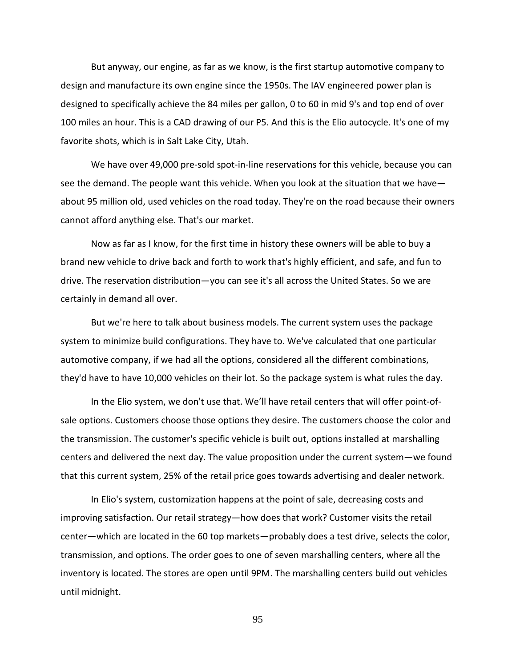But anyway, our engine, as far as we know, is the first startup automotive company to design and manufacture its own engine since the 1950s. The IAV engineered power plan is designed to specifically achieve the 84 miles per gallon, 0 to 60 in mid 9's and top end of over 100 miles an hour. This is a CAD drawing of our P5. And this is the Elio autocycle. It's one of my favorite shots, which is in Salt Lake City, Utah.

We have over 49,000 pre-sold spot-in-line reservations for this vehicle, because you can see the demand. The people want this vehicle. When you look at the situation that we have about 95 million old, used vehicles on the road today. They're on the road because their owners cannot afford anything else. That's our market.

Now as far as I know, for the first time in history these owners will be able to buy a brand new vehicle to drive back and forth to work that's highly efficient, and safe, and fun to drive. The reservation distribution—you can see it's all across the United States. So we are certainly in demand all over.

But we're here to talk about business models. The current system uses the package system to minimize build configurations. They have to. We've calculated that one particular automotive company, if we had all the options, considered all the different combinations, they'd have to have 10,000 vehicles on their lot. So the package system is what rules the day.

In the Elio system, we don't use that. We'll have retail centers that will offer point-ofsale options. Customers choose those options they desire. The customers choose the color and the transmission. The customer's specific vehicle is built out, options installed at marshalling centers and delivered the next day. The value proposition under the current system—we found that this current system, 25% of the retail price goes towards advertising and dealer network.

In Elio's system, customization happens at the point of sale, decreasing costs and improving satisfaction. Our retail strategy—how does that work? Customer visits the retail center—which are located in the 60 top markets—probably does a test drive, selects the color, transmission, and options. The order goes to one of seven marshalling centers, where all the inventory is located. The stores are open until 9PM. The marshalling centers build out vehicles until midnight.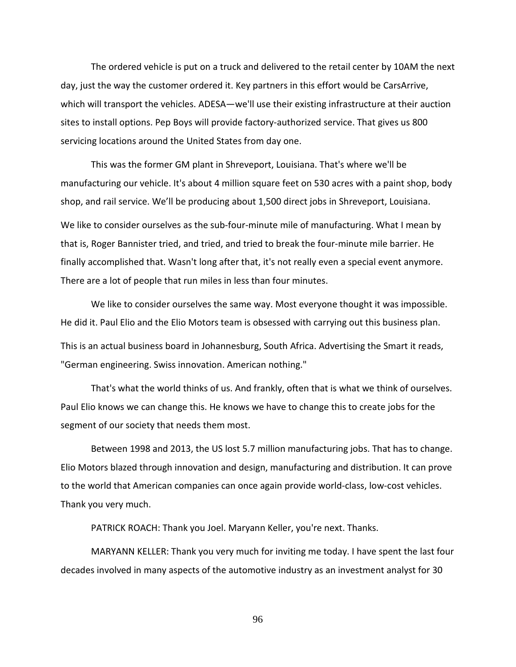The ordered vehicle is put on a truck and delivered to the retail center by 10AM the next day, just the way the customer ordered it. Key partners in this effort would be CarsArrive, which will transport the vehicles. ADESA—we'll use their existing infrastructure at their auction sites to install options. Pep Boys will provide factory-authorized service. That gives us 800 servicing locations around the United States from day one.

This was the former GM plant in Shreveport, Louisiana. That's where we'll be manufacturing our vehicle. It's about 4 million square feet on 530 acres with a paint shop, body shop, and rail service. We'll be producing about 1,500 direct jobs in Shreveport, Louisiana.

We like to consider ourselves as the sub-four-minute mile of manufacturing. What I mean by that is, Roger Bannister tried, and tried, and tried to break the four-minute mile barrier. He finally accomplished that. Wasn't long after that, it's not really even a special event anymore. There are a lot of people that run miles in less than four minutes.

We like to consider ourselves the same way. Most everyone thought it was impossible. He did it. Paul Elio and the Elio Motors team is obsessed with carrying out this business plan. This is an actual business board in Johannesburg, South Africa. Advertising the Smart it reads, "German engineering. Swiss innovation. American nothing."

That's what the world thinks of us. And frankly, often that is what we think of ourselves. Paul Elio knows we can change this. He knows we have to change this to create jobs for the segment of our society that needs them most.

Between 1998 and 2013, the US lost 5.7 million manufacturing jobs. That has to change. Elio Motors blazed through innovation and design, manufacturing and distribution. It can prove to the world that American companies can once again provide world-class, low-cost vehicles. Thank you very much.

PATRICK ROACH: Thank you Joel. Maryann Keller, you're next. Thanks.

MARYANN KELLER: Thank you very much for inviting me today. I have spent the last four decades involved in many aspects of the automotive industry as an investment analyst for 30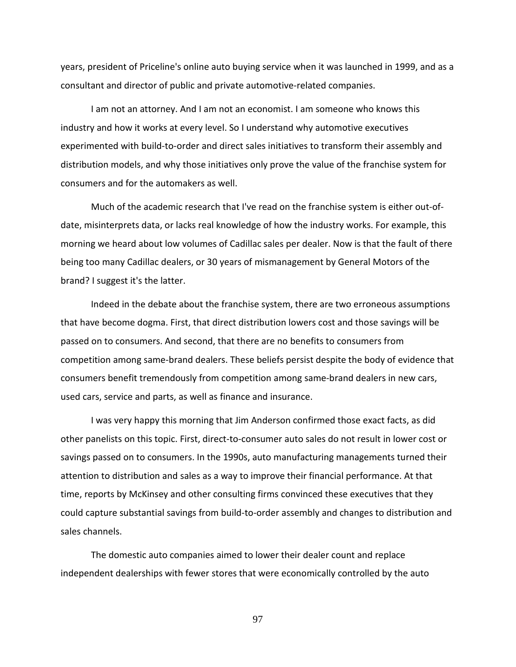years, president of Priceline's online auto buying service when it was launched in 1999, and as a consultant and director of public and private automotive-related companies.

I am not an attorney. And I am not an economist. I am someone who knows this industry and how it works at every level. So I understand why automotive executives experimented with build-to-order and direct sales initiatives to transform their assembly and distribution models, and why those initiatives only prove the value of the franchise system for consumers and for the automakers as well.

Much of the academic research that I've read on the franchise system is either out-ofdate, misinterprets data, or lacks real knowledge of how the industry works. For example, this morning we heard about low volumes of Cadillac sales per dealer. Now is that the fault of there being too many Cadillac dealers, or 30 years of mismanagement by General Motors of the brand? I suggest it's the latter.

Indeed in the debate about the franchise system, there are two erroneous assumptions that have become dogma. First, that direct distribution lowers cost and those savings will be passed on to consumers. And second, that there are no benefits to consumers from competition among same-brand dealers. These beliefs persist despite the body of evidence that consumers benefit tremendously from competition among same-brand dealers in new cars, used cars, service and parts, as well as finance and insurance.

I was very happy this morning that Jim Anderson confirmed those exact facts, as did other panelists on this topic. First, direct-to-consumer auto sales do not result in lower cost or savings passed on to consumers. In the 1990s, auto manufacturing managements turned their attention to distribution and sales as a way to improve their financial performance. At that time, reports by McKinsey and other consulting firms convinced these executives that they could capture substantial savings from build-to-order assembly and changes to distribution and sales channels.

The domestic auto companies aimed to lower their dealer count and replace independent dealerships with fewer stores that were economically controlled by the auto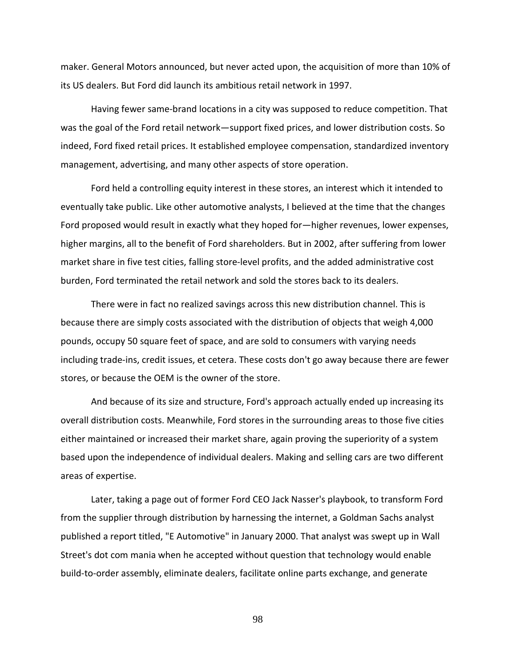maker. General Motors announced, but never acted upon, the acquisition of more than 10% of its US dealers. But Ford did launch its ambitious retail network in 1997.

Having fewer same-brand locations in a city was supposed to reduce competition. That was the goal of the Ford retail network—support fixed prices, and lower distribution costs. So indeed, Ford fixed retail prices. It established employee compensation, standardized inventory management, advertising, and many other aspects of store operation.

Ford held a controlling equity interest in these stores, an interest which it intended to eventually take public. Like other automotive analysts, I believed at the time that the changes Ford proposed would result in exactly what they hoped for—higher revenues, lower expenses, higher margins, all to the benefit of Ford shareholders. But in 2002, after suffering from lower market share in five test cities, falling store-level profits, and the added administrative cost burden, Ford terminated the retail network and sold the stores back to its dealers.

There were in fact no realized savings across this new distribution channel. This is because there are simply costs associated with the distribution of objects that weigh 4,000 pounds, occupy 50 square feet of space, and are sold to consumers with varying needs including trade-ins, credit issues, et cetera. These costs don't go away because there are fewer stores, or because the OEM is the owner of the store.

And because of its size and structure, Ford's approach actually ended up increasing its overall distribution costs. Meanwhile, Ford stores in the surrounding areas to those five cities either maintained or increased their market share, again proving the superiority of a system based upon the independence of individual dealers. Making and selling cars are two different areas of expertise.

Later, taking a page out of former Ford CEO Jack Nasser's playbook, to transform Ford from the supplier through distribution by harnessing the internet, a Goldman Sachs analyst published a report titled, "E Automotive" in January 2000. That analyst was swept up in Wall Street's dot com mania when he accepted without question that technology would enable build-to-order assembly, eliminate dealers, facilitate online parts exchange, and generate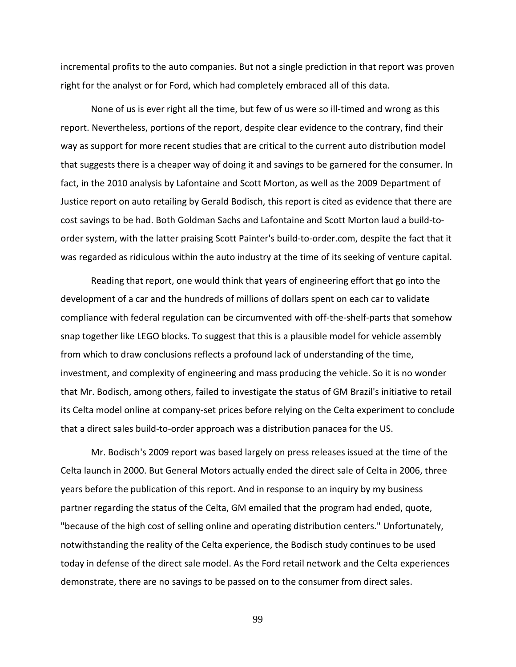incremental profits to the auto companies. But not a single prediction in that report was proven right for the analyst or for Ford, which had completely embraced all of this data.

None of us is ever right all the time, but few of us were so ill-timed and wrong as this report. Nevertheless, portions of the report, despite clear evidence to the contrary, find their way as support for more recent studies that are critical to the current auto distribution model that suggests there is a cheaper way of doing it and savings to be garnered for the consumer. In fact, in the 2010 analysis by Lafontaine and Scott Morton, as well as the 2009 Department of Justice report on auto retailing by Gerald Bodisch, this report is cited as evidence that there are cost savings to be had. Both Goldman Sachs and Lafontaine and Scott Morton laud a build-toorder system, with the latter praising Scott Painter's build-to-order.com, despite the fact that it was regarded as ridiculous within the auto industry at the time of its seeking of venture capital.

Reading that report, one would think that years of engineering effort that go into the development of a car and the hundreds of millions of dollars spent on each car to validate compliance with federal regulation can be circumvented with off-the-shelf-parts that somehow snap together like LEGO blocks. To suggest that this is a plausible model for vehicle assembly from which to draw conclusions reflects a profound lack of understanding of the time, investment, and complexity of engineering and mass producing the vehicle. So it is no wonder that Mr. Bodisch, among others, failed to investigate the status of GM Brazil's initiative to retail its Celta model online at company-set prices before relying on the Celta experiment to conclude that a direct sales build-to-order approach was a distribution panacea for the US.

Mr. Bodisch's 2009 report was based largely on press releases issued at the time of the Celta launch in 2000. But General Motors actually ended the direct sale of Celta in 2006, three years before the publication of this report. And in response to an inquiry by my business partner regarding the status of the Celta, GM emailed that the program had ended, quote, "because of the high cost of selling online and operating distribution centers." Unfortunately, notwithstanding the reality of the Celta experience, the Bodisch study continues to be used today in defense of the direct sale model. As the Ford retail network and the Celta experiences demonstrate, there are no savings to be passed on to the consumer from direct sales.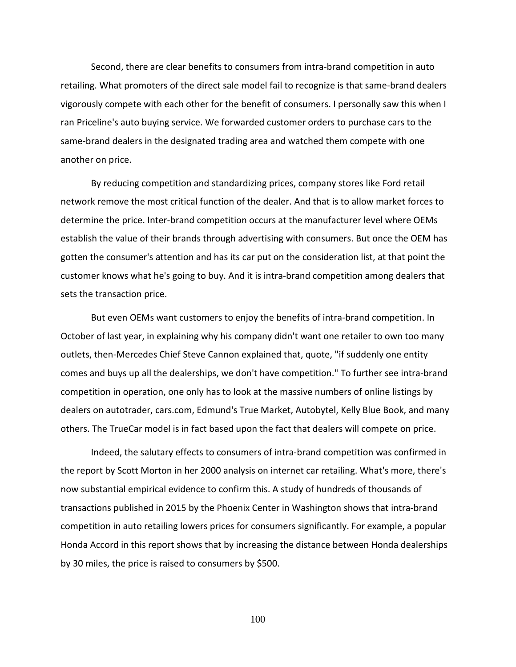Second, there are clear benefits to consumers from intra-brand competition in auto retailing. What promoters of the direct sale model fail to recognize is that same-brand dealers vigorously compete with each other for the benefit of consumers. I personally saw this when I ran Priceline's auto buying service. We forwarded customer orders to purchase cars to the same-brand dealers in the designated trading area and watched them compete with one another on price.

By reducing competition and standardizing prices, company stores like Ford retail network remove the most critical function of the dealer. And that is to allow market forces to determine the price. Inter-brand competition occurs at the manufacturer level where OEMs establish the value of their brands through advertising with consumers. But once the OEM has gotten the consumer's attention and has its car put on the consideration list, at that point the customer knows what he's going to buy. And it is intra-brand competition among dealers that sets the transaction price.

But even OEMs want customers to enjoy the benefits of intra-brand competition. In October of last year, in explaining why his company didn't want one retailer to own too many outlets, then-Mercedes Chief Steve Cannon explained that, quote, "if suddenly one entity comes and buys up all the dealerships, we don't have competition." To further see intra-brand competition in operation, one only has to look at the massive numbers of online listings by dealers on autotrader, cars.com, Edmund's True Market, Autobytel, Kelly Blue Book, and many others. The TrueCar model is in fact based upon the fact that dealers will compete on price.

Indeed, the salutary effects to consumers of intra-brand competition was confirmed in the report by Scott Morton in her 2000 analysis on internet car retailing. What's more, there's now substantial empirical evidence to confirm this. A study of hundreds of thousands of transactions published in 2015 by the Phoenix Center in Washington shows that intra-brand competition in auto retailing lowers prices for consumers significantly. For example, a popular Honda Accord in this report shows that by increasing the distance between Honda dealerships by 30 miles, the price is raised to consumers by \$500.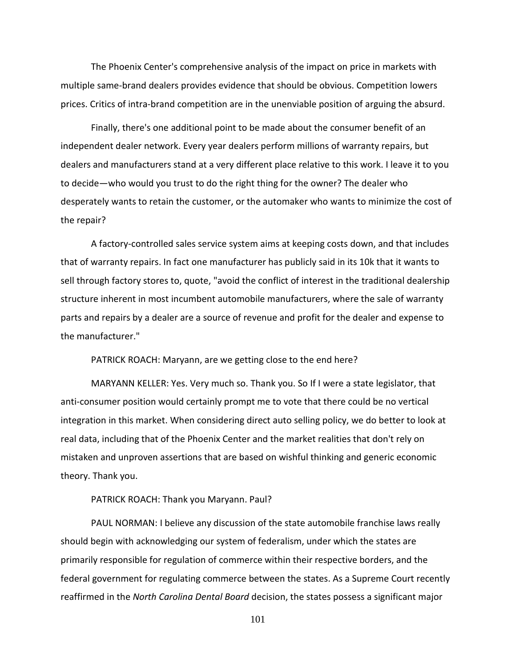The Phoenix Center's comprehensive analysis of the impact on price in markets with multiple same-brand dealers provides evidence that should be obvious. Competition lowers prices. Critics of intra-brand competition are in the unenviable position of arguing the absurd.

Finally, there's one additional point to be made about the consumer benefit of an independent dealer network. Every year dealers perform millions of warranty repairs, but dealers and manufacturers stand at a very different place relative to this work. I leave it to you to decide—who would you trust to do the right thing for the owner? The dealer who desperately wants to retain the customer, or the automaker who wants to minimize the cost of the repair?

A factory-controlled sales service system aims at keeping costs down, and that includes that of warranty repairs. In fact one manufacturer has publicly said in its 10k that it wants to sell through factory stores to, quote, "avoid the conflict of interest in the traditional dealership structure inherent in most incumbent automobile manufacturers, where the sale of warranty parts and repairs by a dealer are a source of revenue and profit for the dealer and expense to the manufacturer."

PATRICK ROACH: Maryann, are we getting close to the end here?

MARYANN KELLER: Yes. Very much so. Thank you. So If I were a state legislator, that anti-consumer position would certainly prompt me to vote that there could be no vertical integration in this market. When considering direct auto selling policy, we do better to look at real data, including that of the Phoenix Center and the market realities that don't rely on mistaken and unproven assertions that are based on wishful thinking and generic economic theory. Thank you.

PATRICK ROACH: Thank you Maryann. Paul?

PAUL NORMAN: I believe any discussion of the state automobile franchise laws really should begin with acknowledging our system of federalism, under which the states are primarily responsible for regulation of commerce within their respective borders, and the federal government for regulating commerce between the states. As a Supreme Court recently reaffirmed in the *North Carolina Dental Board* decision, the states possess a significant major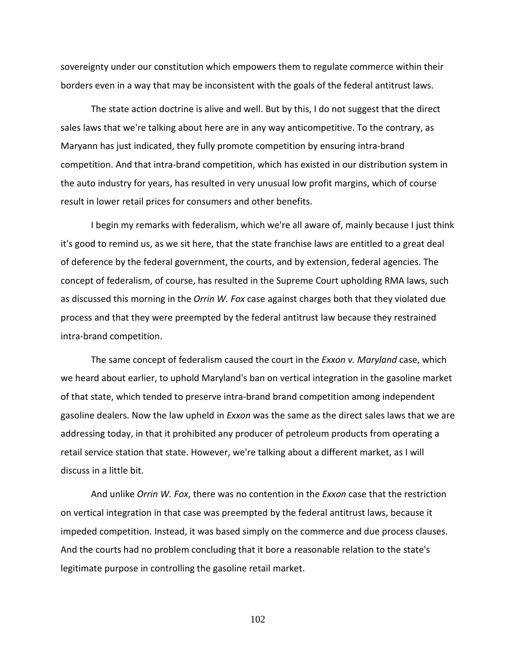sovereignty under our constitution which empowers them to regulate commerce within their borders even in a way that may be inconsistent with the goals of the federal antitrust laws.

The state action doctrine is alive and well. But by this, I do not suggest that the direct sales laws that we're talking about here are in any way anticompetitive. To the contrary, as Maryann has just indicated, they fully promote competition by ensuring intra-brand competition. And that intra-brand competition, which has existed in our distribution system in the auto industry for years, has resulted in very unusual low profit margins, which of course result in lower retail prices for consumers and other benefits.

I begin my remarks with federalism, which we're all aware of, mainly because I just think it's good to remind us, as we sit here, that the state franchise laws are entitled to a great deal of deference by the federal government, the courts, and by extension, federal agencies. The concept of federalism, of course, has resulted in the Supreme Court upholding RMA laws, such as discussed this morning in the *Orrin W. Fox* case against charges both that they violated due process and that they were preempted by the federal antitrust law because they restrained intra-brand competition.

The same concept of federalism caused the court in the *Exxon v. Maryland* case, which we heard about earlier, to uphold Maryland's ban on vertical integration in the gasoline market of that state, which tended to preserve intra-brand brand competition among independent gasoline dealers. Now the law upheld in *Exxon* was the same as the direct sales laws that we are addressing today, in that it prohibited any producer of petroleum products from operating a retail service station that state. However, we're talking about a different market, as I will discuss in a little bit.

And unlike *Orrin W. Fox*, there was no contention in the *Exxon* case that the restriction on vertical integration in that case was preempted by the federal antitrust laws, because it impeded competition. Instead, it was based simply on the commerce and due process clauses. And the courts had no problem concluding that it bore a reasonable relation to the state's legitimate purpose in controlling the gasoline retail market.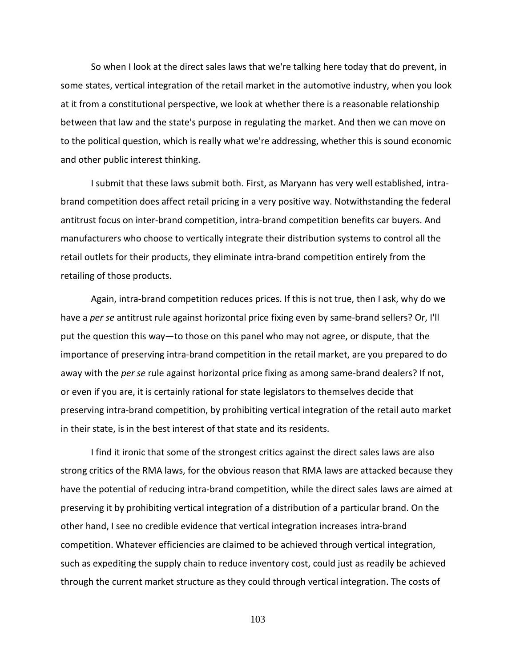So when I look at the direct sales laws that we're talking here today that do prevent, in some states, vertical integration of the retail market in the automotive industry, when you look at it from a constitutional perspective, we look at whether there is a reasonable relationship between that law and the state's purpose in regulating the market. And then we can move on to the political question, which is really what we're addressing, whether this is sound economic and other public interest thinking.

I submit that these laws submit both. First, as Maryann has very well established, intrabrand competition does affect retail pricing in a very positive way. Notwithstanding the federal antitrust focus on inter-brand competition, intra-brand competition benefits car buyers. And manufacturers who choose to vertically integrate their distribution systems to control all the retail outlets for their products, they eliminate intra-brand competition entirely from the retailing of those products.

Again, intra-brand competition reduces prices. If this is not true, then I ask, why do we have a *per se* antitrust rule against horizontal price fixing even by same-brand sellers? Or, I'll put the question this way—to those on this panel who may not agree, or dispute, that the importance of preserving intra-brand competition in the retail market, are you prepared to do away with the *per se* rule against horizontal price fixing as among same-brand dealers? If not, or even if you are, it is certainly rational for state legislators to themselves decide that preserving intra-brand competition, by prohibiting vertical integration of the retail auto market in their state, is in the best interest of that state and its residents.

I find it ironic that some of the strongest critics against the direct sales laws are also strong critics of the RMA laws, for the obvious reason that RMA laws are attacked because they have the potential of reducing intra-brand competition, while the direct sales laws are aimed at preserving it by prohibiting vertical integration of a distribution of a particular brand. On the other hand, I see no credible evidence that vertical integration increases intra-brand competition. Whatever efficiencies are claimed to be achieved through vertical integration, such as expediting the supply chain to reduce inventory cost, could just as readily be achieved through the current market structure as they could through vertical integration. The costs of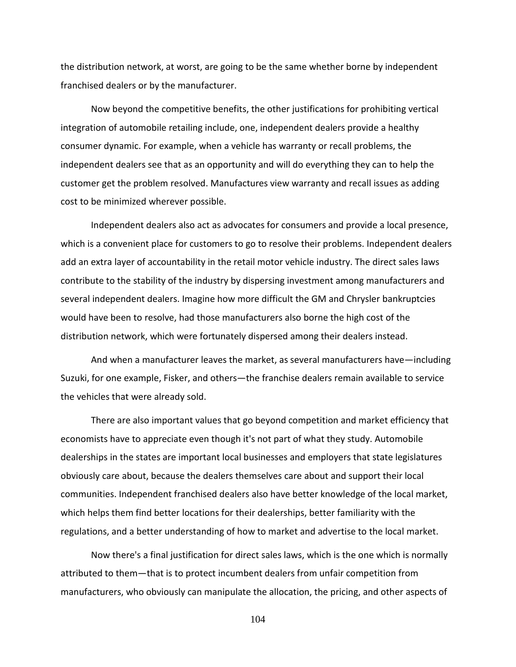the distribution network, at worst, are going to be the same whether borne by independent franchised dealers or by the manufacturer.

Now beyond the competitive benefits, the other justifications for prohibiting vertical integration of automobile retailing include, one, independent dealers provide a healthy consumer dynamic. For example, when a vehicle has warranty or recall problems, the independent dealers see that as an opportunity and will do everything they can to help the customer get the problem resolved. Manufactures view warranty and recall issues as adding cost to be minimized wherever possible.

Independent dealers also act as advocates for consumers and provide a local presence, which is a convenient place for customers to go to resolve their problems. Independent dealers add an extra layer of accountability in the retail motor vehicle industry. The direct sales laws contribute to the stability of the industry by dispersing investment among manufacturers and several independent dealers. Imagine how more difficult the GM and Chrysler bankruptcies would have been to resolve, had those manufacturers also borne the high cost of the distribution network, which were fortunately dispersed among their dealers instead.

And when a manufacturer leaves the market, as several manufacturers have—including Suzuki, for one example, Fisker, and others—the franchise dealers remain available to service the vehicles that were already sold.

There are also important values that go beyond competition and market efficiency that economists have to appreciate even though it's not part of what they study. Automobile dealerships in the states are important local businesses and employers that state legislatures obviously care about, because the dealers themselves care about and support their local communities. Independent franchised dealers also have better knowledge of the local market, which helps them find better locations for their dealerships, better familiarity with the regulations, and a better understanding of how to market and advertise to the local market.

Now there's a final justification for direct sales laws, which is the one which is normally attributed to them—that is to protect incumbent dealers from unfair competition from manufacturers, who obviously can manipulate the allocation, the pricing, and other aspects of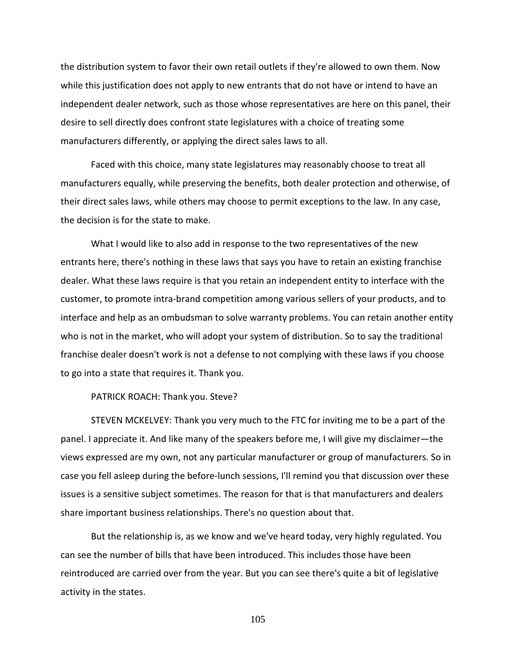the distribution system to favor their own retail outlets if they're allowed to own them. Now while this justification does not apply to new entrants that do not have or intend to have an independent dealer network, such as those whose representatives are here on this panel, their desire to sell directly does confront state legislatures with a choice of treating some manufacturers differently, or applying the direct sales laws to all.

Faced with this choice, many state legislatures may reasonably choose to treat all manufacturers equally, while preserving the benefits, both dealer protection and otherwise, of their direct sales laws, while others may choose to permit exceptions to the law. In any case, the decision is for the state to make.

What I would like to also add in response to the two representatives of the new entrants here, there's nothing in these laws that says you have to retain an existing franchise dealer. What these laws require is that you retain an independent entity to interface with the customer, to promote intra-brand competition among various sellers of your products, and to interface and help as an ombudsman to solve warranty problems. You can retain another entity who is not in the market, who will adopt your system of distribution. So to say the traditional franchise dealer doesn't work is not a defense to not complying with these laws if you choose to go into a state that requires it. Thank you.

PATRICK ROACH: Thank you. Steve?

STEVEN MCKELVEY: Thank you very much to the FTC for inviting me to be a part of the panel. I appreciate it. And like many of the speakers before me, I will give my disclaimer—the views expressed are my own, not any particular manufacturer or group of manufacturers. So in case you fell asleep during the before-lunch sessions, I'll remind you that discussion over these issues is a sensitive subject sometimes. The reason for that is that manufacturers and dealers share important business relationships. There's no question about that.

But the relationship is, as we know and we've heard today, very highly regulated. You can see the number of bills that have been introduced. This includes those have been reintroduced are carried over from the year. But you can see there's quite a bit of legislative activity in the states.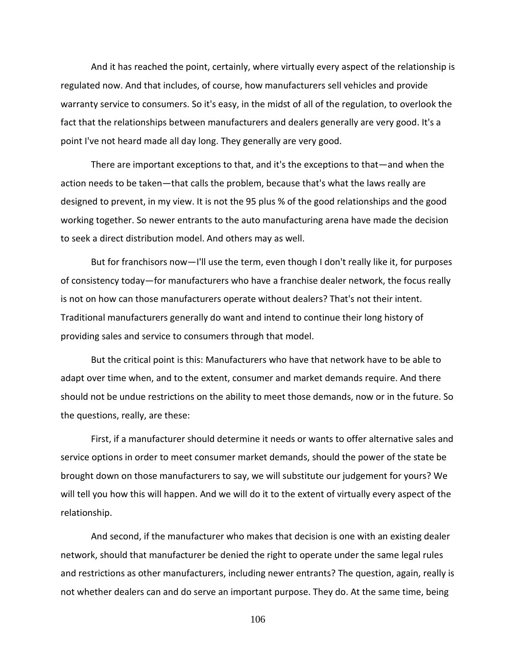And it has reached the point, certainly, where virtually every aspect of the relationship is regulated now. And that includes, of course, how manufacturers sell vehicles and provide warranty service to consumers. So it's easy, in the midst of all of the regulation, to overlook the fact that the relationships between manufacturers and dealers generally are very good. It's a point I've not heard made all day long. They generally are very good.

There are important exceptions to that, and it's the exceptions to that—and when the action needs to be taken—that calls the problem, because that's what the laws really are designed to prevent, in my view. It is not the 95 plus % of the good relationships and the good working together. So newer entrants to the auto manufacturing arena have made the decision to seek a direct distribution model. And others may as well.

But for franchisors now—I'll use the term, even though I don't really like it, for purposes of consistency today—for manufacturers who have a franchise dealer network, the focus really is not on how can those manufacturers operate without dealers? That's not their intent. Traditional manufacturers generally do want and intend to continue their long history of providing sales and service to consumers through that model.

But the critical point is this: Manufacturers who have that network have to be able to adapt over time when, and to the extent, consumer and market demands require. And there should not be undue restrictions on the ability to meet those demands, now or in the future. So the questions, really, are these:

First, if a manufacturer should determine it needs or wants to offer alternative sales and service options in order to meet consumer market demands, should the power of the state be brought down on those manufacturers to say, we will substitute our judgement for yours? We will tell you how this will happen. And we will do it to the extent of virtually every aspect of the relationship.

And second, if the manufacturer who makes that decision is one with an existing dealer network, should that manufacturer be denied the right to operate under the same legal rules and restrictions as other manufacturers, including newer entrants? The question, again, really is not whether dealers can and do serve an important purpose. They do. At the same time, being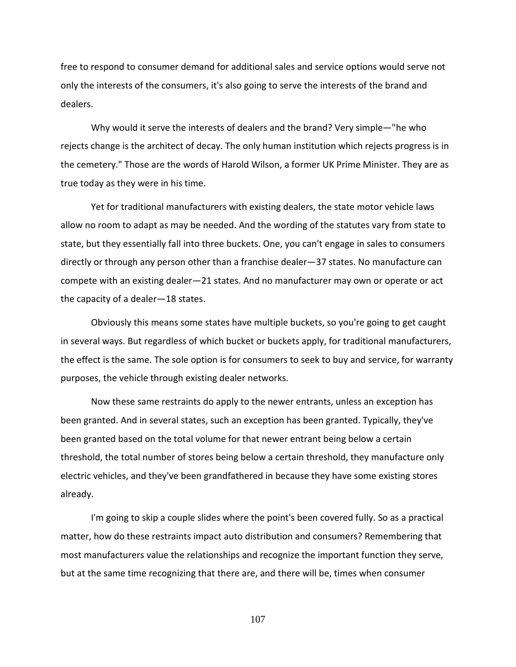free to respond to consumer demand for additional sales and service options would serve not only the interests of the consumers, it's also going to serve the interests of the brand and dealers.

Why would it serve the interests of dealers and the brand? Very simple—"he who rejects change is the architect of decay. The only human institution which rejects progress is in the cemetery." Those are the words of Harold Wilson, a former UK Prime Minister. They are as true today as they were in his time.

Yet for traditional manufacturers with existing dealers, the state motor vehicle laws allow no room to adapt as may be needed. And the wording of the statutes vary from state to state, but they essentially fall into three buckets. One, you can't engage in sales to consumers directly or through any person other than a franchise dealer—37 states. No manufacture can compete with an existing dealer—21 states. And no manufacturer may own or operate or act the capacity of a dealer—18 states.

Obviously this means some states have multiple buckets, so you're going to get caught in several ways. But regardless of which bucket or buckets apply, for traditional manufacturers, the effect is the same. The sole option is for consumers to seek to buy and service, for warranty purposes, the vehicle through existing dealer networks.

Now these same restraints do apply to the newer entrants, unless an exception has been granted. And in several states, such an exception has been granted. Typically, they've been granted based on the total volume for that newer entrant being below a certain threshold, the total number of stores being below a certain threshold, they manufacture only electric vehicles, and they've been grandfathered in because they have some existing stores already.

I'm going to skip a couple slides where the point's been covered fully. So as a practical matter, how do these restraints impact auto distribution and consumers? Remembering that most manufacturers value the relationships and recognize the important function they serve, but at the same time recognizing that there are, and there will be, times when consumer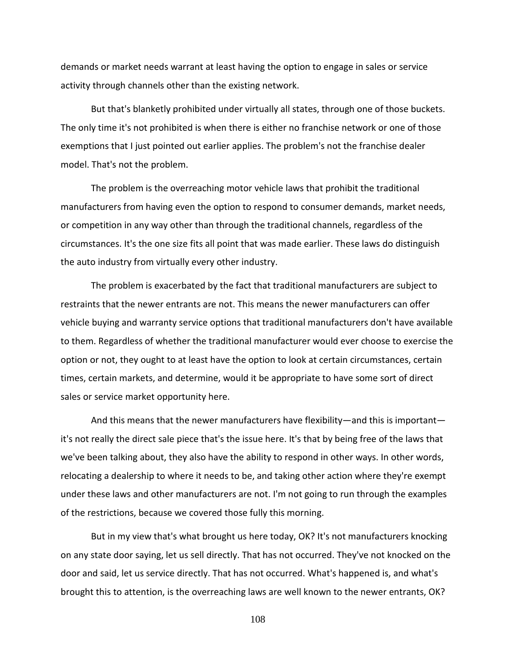demands or market needs warrant at least having the option to engage in sales or service activity through channels other than the existing network.

But that's blanketly prohibited under virtually all states, through one of those buckets. The only time it's not prohibited is when there is either no franchise network or one of those exemptions that I just pointed out earlier applies. The problem's not the franchise dealer model. That's not the problem.

The problem is the overreaching motor vehicle laws that prohibit the traditional manufacturers from having even the option to respond to consumer demands, market needs, or competition in any way other than through the traditional channels, regardless of the circumstances. It's the one size fits all point that was made earlier. These laws do distinguish the auto industry from virtually every other industry.

The problem is exacerbated by the fact that traditional manufacturers are subject to restraints that the newer entrants are not. This means the newer manufacturers can offer vehicle buying and warranty service options that traditional manufacturers don't have available to them. Regardless of whether the traditional manufacturer would ever choose to exercise the option or not, they ought to at least have the option to look at certain circumstances, certain times, certain markets, and determine, would it be appropriate to have some sort of direct sales or service market opportunity here.

And this means that the newer manufacturers have flexibility—and this is important it's not really the direct sale piece that's the issue here. It's that by being free of the laws that we've been talking about, they also have the ability to respond in other ways. In other words, relocating a dealership to where it needs to be, and taking other action where they're exempt under these laws and other manufacturers are not. I'm not going to run through the examples of the restrictions, because we covered those fully this morning.

But in my view that's what brought us here today, OK? It's not manufacturers knocking on any state door saying, let us sell directly. That has not occurred. They've not knocked on the door and said, let us service directly. That has not occurred. What's happened is, and what's brought this to attention, is the overreaching laws are well known to the newer entrants, OK?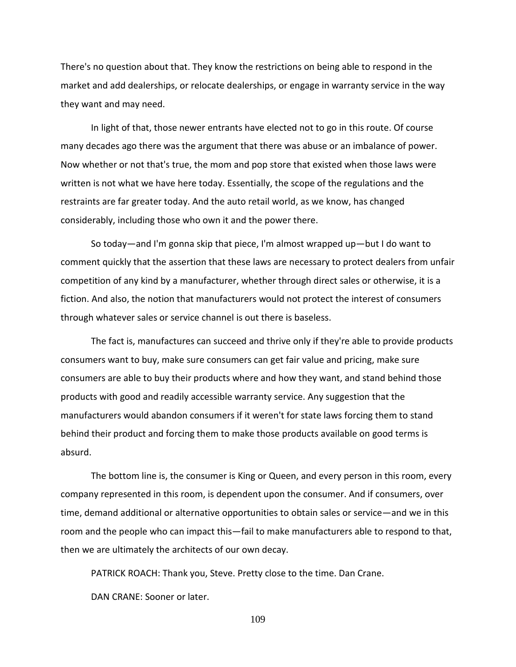There's no question about that. They know the restrictions on being able to respond in the market and add dealerships, or relocate dealerships, or engage in warranty service in the way they want and may need.

In light of that, those newer entrants have elected not to go in this route. Of course many decades ago there was the argument that there was abuse or an imbalance of power. Now whether or not that's true, the mom and pop store that existed when those laws were written is not what we have here today. Essentially, the scope of the regulations and the restraints are far greater today. And the auto retail world, as we know, has changed considerably, including those who own it and the power there.

So today—and I'm gonna skip that piece, I'm almost wrapped up—but I do want to comment quickly that the assertion that these laws are necessary to protect dealers from unfair competition of any kind by a manufacturer, whether through direct sales or otherwise, it is a fiction. And also, the notion that manufacturers would not protect the interest of consumers through whatever sales or service channel is out there is baseless.

The fact is, manufactures can succeed and thrive only if they're able to provide products consumers want to buy, make sure consumers can get fair value and pricing, make sure consumers are able to buy their products where and how they want, and stand behind those products with good and readily accessible warranty service. Any suggestion that the manufacturers would abandon consumers if it weren't for state laws forcing them to stand behind their product and forcing them to make those products available on good terms is absurd.

The bottom line is, the consumer is King or Queen, and every person in this room, every company represented in this room, is dependent upon the consumer. And if consumers, over time, demand additional or alternative opportunities to obtain sales or service—and we in this room and the people who can impact this—fail to make manufacturers able to respond to that, then we are ultimately the architects of our own decay.

PATRICK ROACH: Thank you, Steve. Pretty close to the time. Dan Crane.

DAN CRANE: Sooner or later.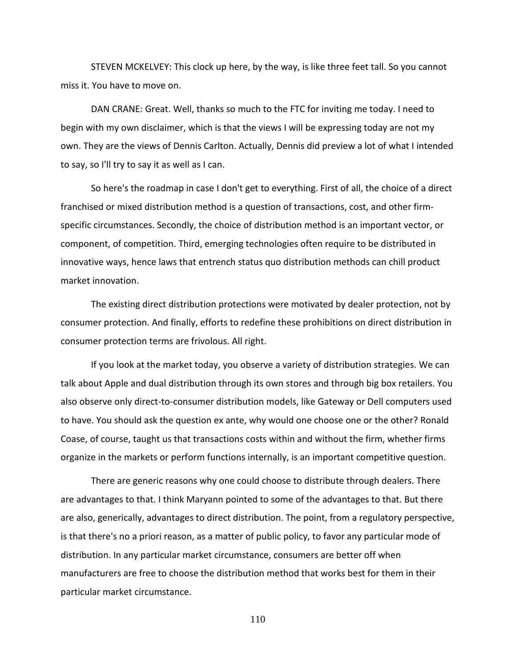STEVEN MCKELVEY: This clock up here, by the way, is like three feet tall. So you cannot miss it. You have to move on.

DAN CRANE: Great. Well, thanks so much to the FTC for inviting me today. I need to begin with my own disclaimer, which is that the views I will be expressing today are not my own. They are the views of Dennis Carlton. Actually, Dennis did preview a lot of what I intended to say, so I'll try to say it as well as I can.

So here's the roadmap in case I don't get to everything. First of all, the choice of a direct franchised or mixed distribution method is a question of transactions, cost, and other firmspecific circumstances. Secondly, the choice of distribution method is an important vector, or component, of competition. Third, emerging technologies often require to be distributed in innovative ways, hence laws that entrench status quo distribution methods can chill product market innovation.

The existing direct distribution protections were motivated by dealer protection, not by consumer protection. And finally, efforts to redefine these prohibitions on direct distribution in consumer protection terms are frivolous. All right.

If you look at the market today, you observe a variety of distribution strategies. We can talk about Apple and dual distribution through its own stores and through big box retailers. You also observe only direct-to-consumer distribution models, like Gateway or Dell computers used to have. You should ask the question ex ante, why would one choose one or the other? Ronald Coase, of course, taught us that transactions costs within and without the firm, whether firms organize in the markets or perform functions internally, is an important competitive question.

There are generic reasons why one could choose to distribute through dealers. There are advantages to that. I think Maryann pointed to some of the advantages to that. But there are also, generically, advantages to direct distribution. The point, from a regulatory perspective, is that there's no a priori reason, as a matter of public policy, to favor any particular mode of distribution. In any particular market circumstance, consumers are better off when manufacturers are free to choose the distribution method that works best for them in their particular market circumstance.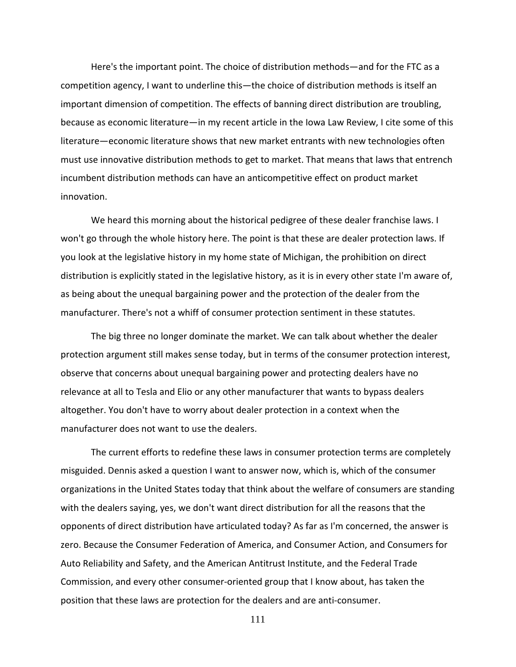Here's the important point. The choice of distribution methods—and for the FTC as a competition agency, I want to underline this—the choice of distribution methods is itself an important dimension of competition. The effects of banning direct distribution are troubling, because as economic literature—in my recent article in the Iowa Law Review, I cite some of this literature—economic literature shows that new market entrants with new technologies often must use innovative distribution methods to get to market. That means that laws that entrench incumbent distribution methods can have an anticompetitive effect on product market innovation.

We heard this morning about the historical pedigree of these dealer franchise laws. I won't go through the whole history here. The point is that these are dealer protection laws. If you look at the legislative history in my home state of Michigan, the prohibition on direct distribution is explicitly stated in the legislative history, as it is in every other state I'm aware of, as being about the unequal bargaining power and the protection of the dealer from the manufacturer. There's not a whiff of consumer protection sentiment in these statutes.

The big three no longer dominate the market. We can talk about whether the dealer protection argument still makes sense today, but in terms of the consumer protection interest, observe that concerns about unequal bargaining power and protecting dealers have no relevance at all to Tesla and Elio or any other manufacturer that wants to bypass dealers altogether. You don't have to worry about dealer protection in a context when the manufacturer does not want to use the dealers.

The current efforts to redefine these laws in consumer protection terms are completely misguided. Dennis asked a question I want to answer now, which is, which of the consumer organizations in the United States today that think about the welfare of consumers are standing with the dealers saying, yes, we don't want direct distribution for all the reasons that the opponents of direct distribution have articulated today? As far as I'm concerned, the answer is zero. Because the Consumer Federation of America, and Consumer Action, and Consumers for Auto Reliability and Safety, and the American Antitrust Institute, and the Federal Trade Commission, and every other consumer-oriented group that I know about, has taken the position that these laws are protection for the dealers and are anti-consumer.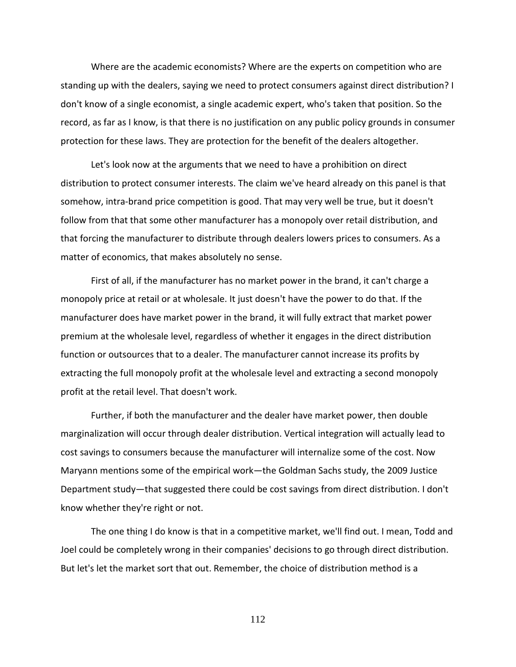Where are the academic economists? Where are the experts on competition who are standing up with the dealers, saying we need to protect consumers against direct distribution? I don't know of a single economist, a single academic expert, who's taken that position. So the record, as far as I know, is that there is no justification on any public policy grounds in consumer protection for these laws. They are protection for the benefit of the dealers altogether.

Let's look now at the arguments that we need to have a prohibition on direct distribution to protect consumer interests. The claim we've heard already on this panel is that somehow, intra-brand price competition is good. That may very well be true, but it doesn't follow from that that some other manufacturer has a monopoly over retail distribution, and that forcing the manufacturer to distribute through dealers lowers prices to consumers. As a matter of economics, that makes absolutely no sense.

First of all, if the manufacturer has no market power in the brand, it can't charge a monopoly price at retail or at wholesale. It just doesn't have the power to do that. If the manufacturer does have market power in the brand, it will fully extract that market power premium at the wholesale level, regardless of whether it engages in the direct distribution function or outsources that to a dealer. The manufacturer cannot increase its profits by extracting the full monopoly profit at the wholesale level and extracting a second monopoly profit at the retail level. That doesn't work.

Further, if both the manufacturer and the dealer have market power, then double marginalization will occur through dealer distribution. Vertical integration will actually lead to cost savings to consumers because the manufacturer will internalize some of the cost. Now Maryann mentions some of the empirical work—the Goldman Sachs study, the 2009 Justice Department study—that suggested there could be cost savings from direct distribution. I don't know whether they're right or not.

The one thing I do know is that in a competitive market, we'll find out. I mean, Todd and Joel could be completely wrong in their companies' decisions to go through direct distribution. But let's let the market sort that out. Remember, the choice of distribution method is a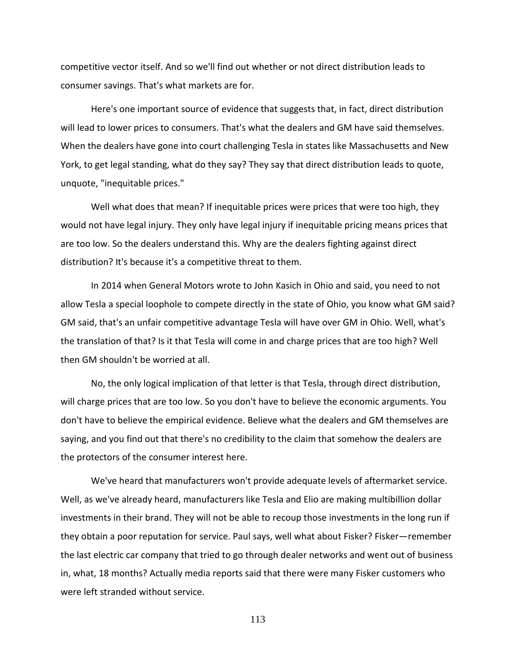competitive vector itself. And so we'll find out whether or not direct distribution leads to consumer savings. That's what markets are for.

Here's one important source of evidence that suggests that, in fact, direct distribution will lead to lower prices to consumers. That's what the dealers and GM have said themselves. When the dealers have gone into court challenging Tesla in states like Massachusetts and New York, to get legal standing, what do they say? They say that direct distribution leads to quote, unquote, "inequitable prices."

Well what does that mean? If inequitable prices were prices that were too high, they would not have legal injury. They only have legal injury if inequitable pricing means prices that are too low. So the dealers understand this. Why are the dealers fighting against direct distribution? It's because it's a competitive threat to them.

In 2014 when General Motors wrote to John Kasich in Ohio and said, you need to not allow Tesla a special loophole to compete directly in the state of Ohio, you know what GM said? GM said, that's an unfair competitive advantage Tesla will have over GM in Ohio. Well, what's the translation of that? Is it that Tesla will come in and charge prices that are too high? Well then GM shouldn't be worried at all.

No, the only logical implication of that letter is that Tesla, through direct distribution, will charge prices that are too low. So you don't have to believe the economic arguments. You don't have to believe the empirical evidence. Believe what the dealers and GM themselves are saying, and you find out that there's no credibility to the claim that somehow the dealers are the protectors of the consumer interest here.

We've heard that manufacturers won't provide adequate levels of aftermarket service. Well, as we've already heard, manufacturers like Tesla and Elio are making multibillion dollar investments in their brand. They will not be able to recoup those investments in the long run if they obtain a poor reputation for service. Paul says, well what about Fisker? Fisker—remember the last electric car company that tried to go through dealer networks and went out of business in, what, 18 months? Actually media reports said that there were many Fisker customers who were left stranded without service.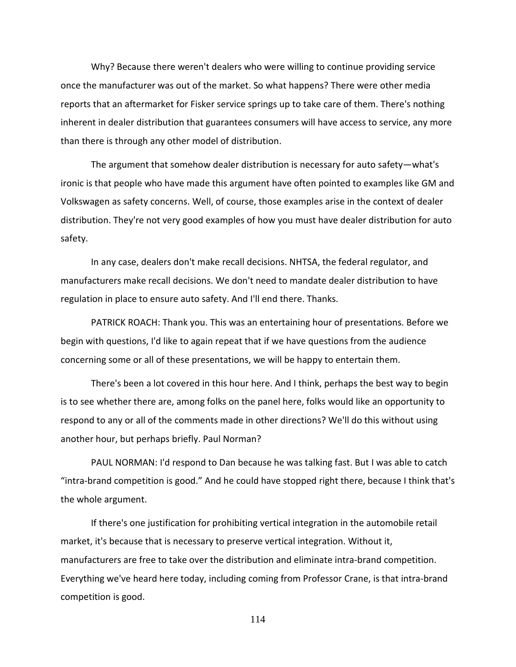Why? Because there weren't dealers who were willing to continue providing service once the manufacturer was out of the market. So what happens? There were other media reports that an aftermarket for Fisker service springs up to take care of them. There's nothing inherent in dealer distribution that guarantees consumers will have access to service, any more than there is through any other model of distribution.

The argument that somehow dealer distribution is necessary for auto safety—what's ironic is that people who have made this argument have often pointed to examples like GM and Volkswagen as safety concerns. Well, of course, those examples arise in the context of dealer distribution. They're not very good examples of how you must have dealer distribution for auto safety.

In any case, dealers don't make recall decisions. NHTSA, the federal regulator, and manufacturers make recall decisions. We don't need to mandate dealer distribution to have regulation in place to ensure auto safety. And I'll end there. Thanks.

PATRICK ROACH: Thank you. This was an entertaining hour of presentations. Before we begin with questions, I'd like to again repeat that if we have questions from the audience concerning some or all of these presentations, we will be happy to entertain them.

There's been a lot covered in this hour here. And I think, perhaps the best way to begin is to see whether there are, among folks on the panel here, folks would like an opportunity to respond to any or all of the comments made in other directions? We'll do this without using another hour, but perhaps briefly. Paul Norman?

PAUL NORMAN: I'd respond to Dan because he was talking fast. But I was able to catch "intra-brand competition is good." And he could have stopped right there, because I think that's the whole argument.

If there's one justification for prohibiting vertical integration in the automobile retail market, it's because that is necessary to preserve vertical integration. Without it, manufacturers are free to take over the distribution and eliminate intra-brand competition. Everything we've heard here today, including coming from Professor Crane, is that intra-brand competition is good.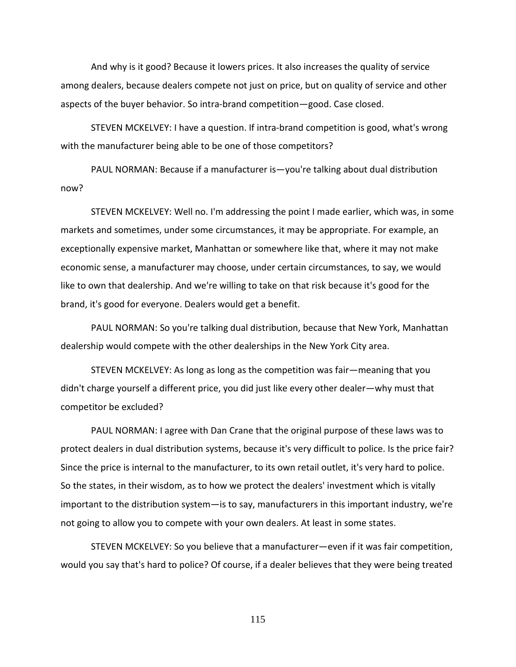And why is it good? Because it lowers prices. It also increases the quality of service among dealers, because dealers compete not just on price, but on quality of service and other aspects of the buyer behavior. So intra-brand competition—good. Case closed.

STEVEN MCKELVEY: I have a question. If intra-brand competition is good, what's wrong with the manufacturer being able to be one of those competitors?

PAUL NORMAN: Because if a manufacturer is—you're talking about dual distribution now?

STEVEN MCKELVEY: Well no. I'm addressing the point I made earlier, which was, in some markets and sometimes, under some circumstances, it may be appropriate. For example, an exceptionally expensive market, Manhattan or somewhere like that, where it may not make economic sense, a manufacturer may choose, under certain circumstances, to say, we would like to own that dealership. And we're willing to take on that risk because it's good for the brand, it's good for everyone. Dealers would get a benefit.

PAUL NORMAN: So you're talking dual distribution, because that New York, Manhattan dealership would compete with the other dealerships in the New York City area.

STEVEN MCKELVEY: As long as long as the competition was fair—meaning that you didn't charge yourself a different price, you did just like every other dealer—why must that competitor be excluded?

PAUL NORMAN: I agree with Dan Crane that the original purpose of these laws was to protect dealers in dual distribution systems, because it's very difficult to police. Is the price fair? Since the price is internal to the manufacturer, to its own retail outlet, it's very hard to police. So the states, in their wisdom, as to how we protect the dealers' investment which is vitally important to the distribution system—is to say, manufacturers in this important industry, we're not going to allow you to compete with your own dealers. At least in some states.

STEVEN MCKELVEY: So you believe that a manufacturer—even if it was fair competition, would you say that's hard to police? Of course, if a dealer believes that they were being treated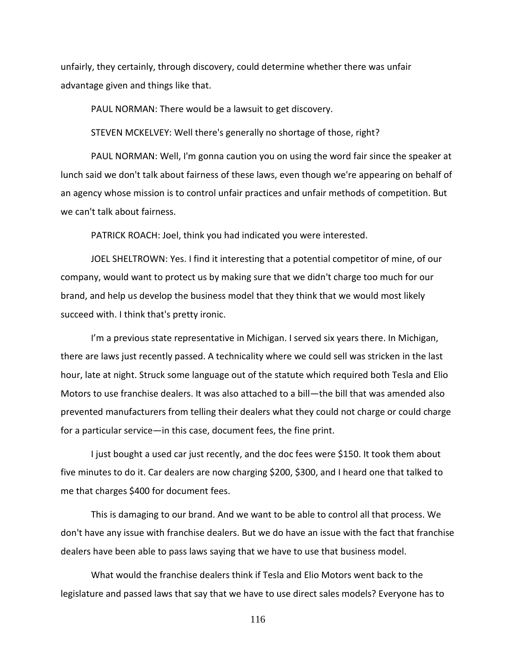unfairly, they certainly, through discovery, could determine whether there was unfair advantage given and things like that.

PAUL NORMAN: There would be a lawsuit to get discovery.

STEVEN MCKELVEY: Well there's generally no shortage of those, right?

PAUL NORMAN: Well, I'm gonna caution you on using the word fair since the speaker at lunch said we don't talk about fairness of these laws, even though we're appearing on behalf of an agency whose mission is to control unfair practices and unfair methods of competition. But we can't talk about fairness.

PATRICK ROACH: Joel, think you had indicated you were interested.

JOEL SHELTROWN: Yes. I find it interesting that a potential competitor of mine, of our company, would want to protect us by making sure that we didn't charge too much for our brand, and help us develop the business model that they think that we would most likely succeed with. I think that's pretty ironic.

I'm a previous state representative in Michigan. I served six years there. In Michigan, there are laws just recently passed. A technicality where we could sell was stricken in the last hour, late at night. Struck some language out of the statute which required both Tesla and Elio Motors to use franchise dealers. It was also attached to a bill—the bill that was amended also prevented manufacturers from telling their dealers what they could not charge or could charge for a particular service—in this case, document fees, the fine print.

I just bought a used car just recently, and the doc fees were \$150. It took them about five minutes to do it. Car dealers are now charging \$200, \$300, and I heard one that talked to me that charges \$400 for document fees.

This is damaging to our brand. And we want to be able to control all that process. We don't have any issue with franchise dealers. But we do have an issue with the fact that franchise dealers have been able to pass laws saying that we have to use that business model.

What would the franchise dealers think if Tesla and Elio Motors went back to the legislature and passed laws that say that we have to use direct sales models? Everyone has to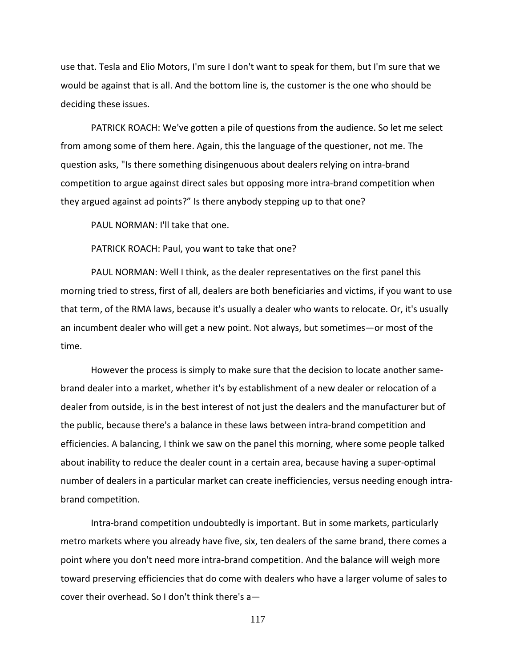use that. Tesla and Elio Motors, I'm sure I don't want to speak for them, but I'm sure that we would be against that is all. And the bottom line is, the customer is the one who should be deciding these issues.

PATRICK ROACH: We've gotten a pile of questions from the audience. So let me select from among some of them here. Again, this the language of the questioner, not me. The question asks, "Is there something disingenuous about dealers relying on intra-brand competition to argue against direct sales but opposing more intra-brand competition when they argued against ad points?" Is there anybody stepping up to that one?

PAUL NORMAN: I'll take that one.

PATRICK ROACH: Paul, you want to take that one?

PAUL NORMAN: Well I think, as the dealer representatives on the first panel this morning tried to stress, first of all, dealers are both beneficiaries and victims, if you want to use that term, of the RMA laws, because it's usually a dealer who wants to relocate. Or, it's usually an incumbent dealer who will get a new point. Not always, but sometimes—or most of the time.

However the process is simply to make sure that the decision to locate another samebrand dealer into a market, whether it's by establishment of a new dealer or relocation of a dealer from outside, is in the best interest of not just the dealers and the manufacturer but of the public, because there's a balance in these laws between intra-brand competition and efficiencies. A balancing, I think we saw on the panel this morning, where some people talked about inability to reduce the dealer count in a certain area, because having a super-optimal number of dealers in a particular market can create inefficiencies, versus needing enough intrabrand competition.

Intra-brand competition undoubtedly is important. But in some markets, particularly metro markets where you already have five, six, ten dealers of the same brand, there comes a point where you don't need more intra-brand competition. And the balance will weigh more toward preserving efficiencies that do come with dealers who have a larger volume of sales to cover their overhead. So I don't think there's a—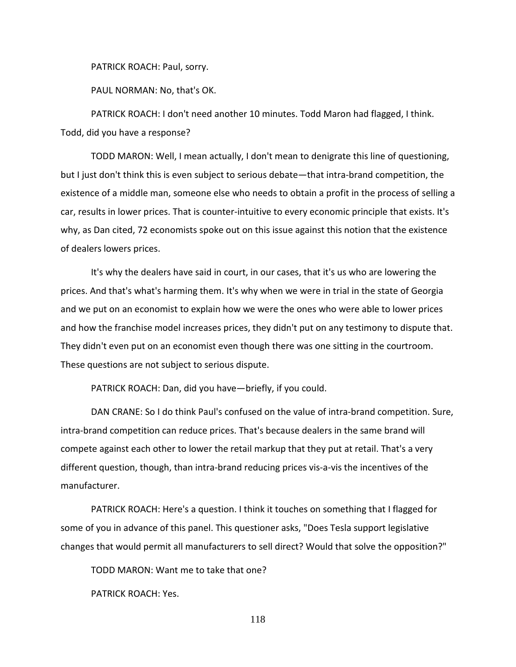PATRICK ROACH: Paul, sorry.

PAUL NORMAN: No, that's OK.

PATRICK ROACH: I don't need another 10 minutes. Todd Maron had flagged, I think. Todd, did you have a response?

TODD MARON: Well, I mean actually, I don't mean to denigrate this line of questioning, but I just don't think this is even subject to serious debate—that intra-brand competition, the existence of a middle man, someone else who needs to obtain a profit in the process of selling a car, results in lower prices. That is counter-intuitive to every economic principle that exists. It's why, as Dan cited, 72 economists spoke out on this issue against this notion that the existence of dealers lowers prices.

It's why the dealers have said in court, in our cases, that it's us who are lowering the prices. And that's what's harming them. It's why when we were in trial in the state of Georgia and we put on an economist to explain how we were the ones who were able to lower prices and how the franchise model increases prices, they didn't put on any testimony to dispute that. They didn't even put on an economist even though there was one sitting in the courtroom. These questions are not subject to serious dispute.

PATRICK ROACH: Dan, did you have—briefly, if you could.

DAN CRANE: So I do think Paul's confused on the value of intra-brand competition. Sure, intra-brand competition can reduce prices. That's because dealers in the same brand will compete against each other to lower the retail markup that they put at retail. That's a very different question, though, than intra-brand reducing prices vis-a-vis the incentives of the manufacturer.

PATRICK ROACH: Here's a question. I think it touches on something that I flagged for some of you in advance of this panel. This questioner asks, "Does Tesla support legislative changes that would permit all manufacturers to sell direct? Would that solve the opposition?"

TODD MARON: Want me to take that one?

PATRICK ROACH: Yes.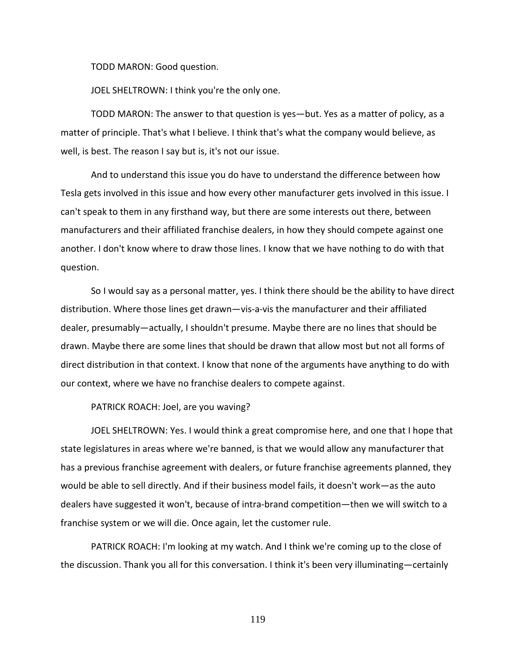TODD MARON: Good question.

JOEL SHELTROWN: I think you're the only one.

TODD MARON: The answer to that question is yes—but. Yes as a matter of policy, as a matter of principle. That's what I believe. I think that's what the company would believe, as well, is best. The reason I say but is, it's not our issue.

And to understand this issue you do have to understand the difference between how Tesla gets involved in this issue and how every other manufacturer gets involved in this issue. I can't speak to them in any firsthand way, but there are some interests out there, between manufacturers and their affiliated franchise dealers, in how they should compete against one another. I don't know where to draw those lines. I know that we have nothing to do with that question.

So I would say as a personal matter, yes. I think there should be the ability to have direct distribution. Where those lines get drawn—vis-a-vis the manufacturer and their affiliated dealer, presumably—actually, I shouldn't presume. Maybe there are no lines that should be drawn. Maybe there are some lines that should be drawn that allow most but not all forms of direct distribution in that context. I know that none of the arguments have anything to do with our context, where we have no franchise dealers to compete against.

PATRICK ROACH: Joel, are you waving?

JOEL SHELTROWN: Yes. I would think a great compromise here, and one that I hope that state legislatures in areas where we're banned, is that we would allow any manufacturer that has a previous franchise agreement with dealers, or future franchise agreements planned, they would be able to sell directly. And if their business model fails, it doesn't work—as the auto dealers have suggested it won't, because of intra-brand competition—then we will switch to a franchise system or we will die. Once again, let the customer rule.

PATRICK ROACH: I'm looking at my watch. And I think we're coming up to the close of the discussion. Thank you all for this conversation. I think it's been very illuminating—certainly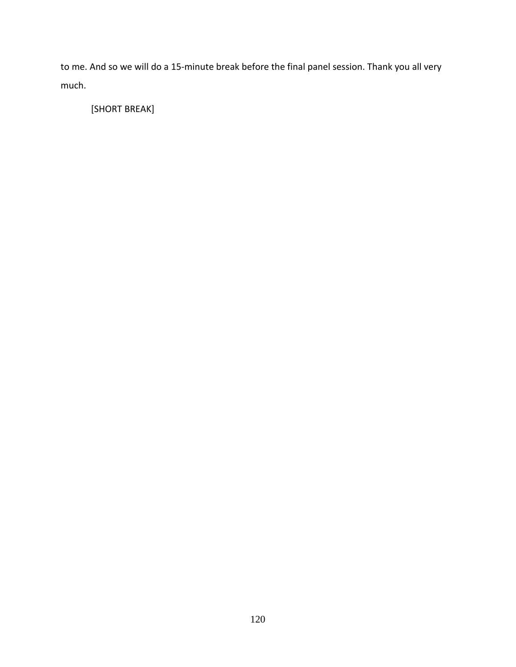to me. And so we will do a 15-minute break before the final panel session. Thank you all very much.

[SHORT BREAK]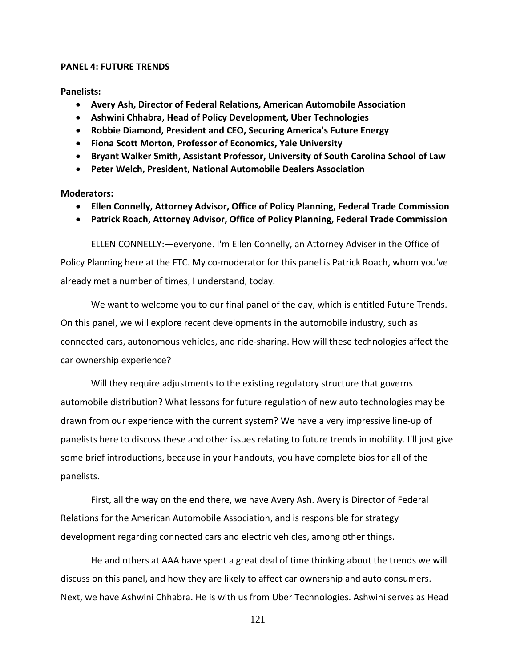## **PANEL 4: FUTURE TRENDS**

**Panelists:**

- **Avery Ash, Director of Federal Relations, American Automobile Association**
- **Ashwini Chhabra, Head of Policy Development, Uber Technologies**
- **Robbie Diamond, President and CEO, Securing America's Future Energy**
- **Fiona Scott Morton, Professor of Economics, Yale University**
- **Bryant Walker Smith, Assistant Professor, University of South Carolina School of Law**
- **Peter Welch, President, National Automobile Dealers Association**

**Moderators:**

- **Ellen Connelly, Attorney Advisor, Office of Policy Planning, Federal Trade Commission**
- **Patrick Roach, Attorney Advisor, Office of Policy Planning, Federal Trade Commission**

ELLEN CONNELLY:—everyone. I'm Ellen Connelly, an Attorney Adviser in the Office of Policy Planning here at the FTC. My co-moderator for this panel is Patrick Roach, whom you've already met a number of times, I understand, today.

We want to welcome you to our final panel of the day, which is entitled Future Trends. On this panel, we will explore recent developments in the automobile industry, such as connected cars, autonomous vehicles, and ride-sharing. How will these technologies affect the car ownership experience?

Will they require adjustments to the existing regulatory structure that governs automobile distribution? What lessons for future regulation of new auto technologies may be drawn from our experience with the current system? We have a very impressive line-up of panelists here to discuss these and other issues relating to future trends in mobility. I'll just give some brief introductions, because in your handouts, you have complete bios for all of the panelists.

First, all the way on the end there, we have Avery Ash. Avery is Director of Federal Relations for the American Automobile Association, and is responsible for strategy development regarding connected cars and electric vehicles, among other things.

He and others at AAA have spent a great deal of time thinking about the trends we will discuss on this panel, and how they are likely to affect car ownership and auto consumers. Next, we have Ashwini Chhabra. He is with us from Uber Technologies. Ashwini serves as Head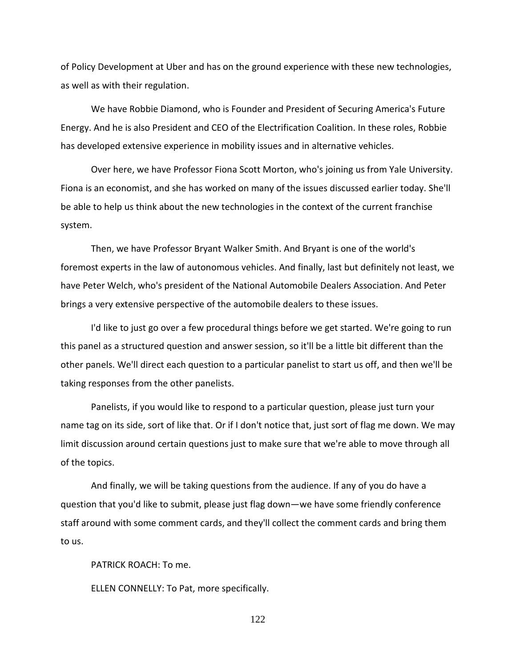of Policy Development at Uber and has on the ground experience with these new technologies, as well as with their regulation.

We have Robbie Diamond, who is Founder and President of Securing America's Future Energy. And he is also President and CEO of the Electrification Coalition. In these roles, Robbie has developed extensive experience in mobility issues and in alternative vehicles.

Over here, we have Professor Fiona Scott Morton, who's joining us from Yale University. Fiona is an economist, and she has worked on many of the issues discussed earlier today. She'll be able to help us think about the new technologies in the context of the current franchise system.

Then, we have Professor Bryant Walker Smith. And Bryant is one of the world's foremost experts in the law of autonomous vehicles. And finally, last but definitely not least, we have Peter Welch, who's president of the National Automobile Dealers Association. And Peter brings a very extensive perspective of the automobile dealers to these issues.

I'd like to just go over a few procedural things before we get started. We're going to run this panel as a structured question and answer session, so it'll be a little bit different than the other panels. We'll direct each question to a particular panelist to start us off, and then we'll be taking responses from the other panelists.

Panelists, if you would like to respond to a particular question, please just turn your name tag on its side, sort of like that. Or if I don't notice that, just sort of flag me down. We may limit discussion around certain questions just to make sure that we're able to move through all of the topics.

And finally, we will be taking questions from the audience. If any of you do have a question that you'd like to submit, please just flag down—we have some friendly conference staff around with some comment cards, and they'll collect the comment cards and bring them to us.

PATRICK ROACH: To me.

ELLEN CONNELLY: To Pat, more specifically.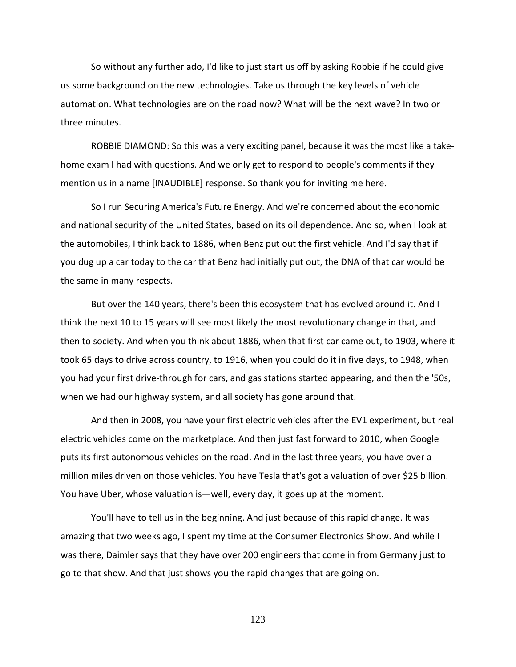So without any further ado, I'd like to just start us off by asking Robbie if he could give us some background on the new technologies. Take us through the key levels of vehicle automation. What technologies are on the road now? What will be the next wave? In two or three minutes.

ROBBIE DIAMOND: So this was a very exciting panel, because it was the most like a takehome exam I had with questions. And we only get to respond to people's comments if they mention us in a name [INAUDIBLE] response. So thank you for inviting me here.

So I run Securing America's Future Energy. And we're concerned about the economic and national security of the United States, based on its oil dependence. And so, when I look at the automobiles, I think back to 1886, when Benz put out the first vehicle. And I'd say that if you dug up a car today to the car that Benz had initially put out, the DNA of that car would be the same in many respects.

But over the 140 years, there's been this ecosystem that has evolved around it. And I think the next 10 to 15 years will see most likely the most revolutionary change in that, and then to society. And when you think about 1886, when that first car came out, to 1903, where it took 65 days to drive across country, to 1916, when you could do it in five days, to 1948, when you had your first drive-through for cars, and gas stations started appearing, and then the '50s, when we had our highway system, and all society has gone around that.

And then in 2008, you have your first electric vehicles after the EV1 experiment, but real electric vehicles come on the marketplace. And then just fast forward to 2010, when Google puts its first autonomous vehicles on the road. And in the last three years, you have over a million miles driven on those vehicles. You have Tesla that's got a valuation of over \$25 billion. You have Uber, whose valuation is—well, every day, it goes up at the moment.

You'll have to tell us in the beginning. And just because of this rapid change. It was amazing that two weeks ago, I spent my time at the Consumer Electronics Show. And while I was there, Daimler says that they have over 200 engineers that come in from Germany just to go to that show. And that just shows you the rapid changes that are going on.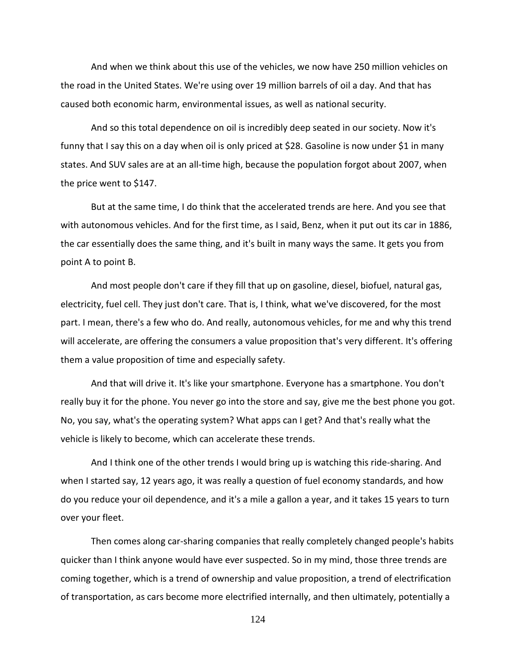And when we think about this use of the vehicles, we now have 250 million vehicles on the road in the United States. We're using over 19 million barrels of oil a day. And that has caused both economic harm, environmental issues, as well as national security.

And so this total dependence on oil is incredibly deep seated in our society. Now it's funny that I say this on a day when oil is only priced at \$28. Gasoline is now under \$1 in many states. And SUV sales are at an all-time high, because the population forgot about 2007, when the price went to \$147.

But at the same time, I do think that the accelerated trends are here. And you see that with autonomous vehicles. And for the first time, as I said, Benz, when it put out its car in 1886, the car essentially does the same thing, and it's built in many ways the same. It gets you from point A to point B.

And most people don't care if they fill that up on gasoline, diesel, biofuel, natural gas, electricity, fuel cell. They just don't care. That is, I think, what we've discovered, for the most part. I mean, there's a few who do. And really, autonomous vehicles, for me and why this trend will accelerate, are offering the consumers a value proposition that's very different. It's offering them a value proposition of time and especially safety.

And that will drive it. It's like your smartphone. Everyone has a smartphone. You don't really buy it for the phone. You never go into the store and say, give me the best phone you got. No, you say, what's the operating system? What apps can I get? And that's really what the vehicle is likely to become, which can accelerate these trends.

And I think one of the other trends I would bring up is watching this ride-sharing. And when I started say, 12 years ago, it was really a question of fuel economy standards, and how do you reduce your oil dependence, and it's a mile a gallon a year, and it takes 15 years to turn over your fleet.

Then comes along car-sharing companies that really completely changed people's habits quicker than I think anyone would have ever suspected. So in my mind, those three trends are coming together, which is a trend of ownership and value proposition, a trend of electrification of transportation, as cars become more electrified internally, and then ultimately, potentially a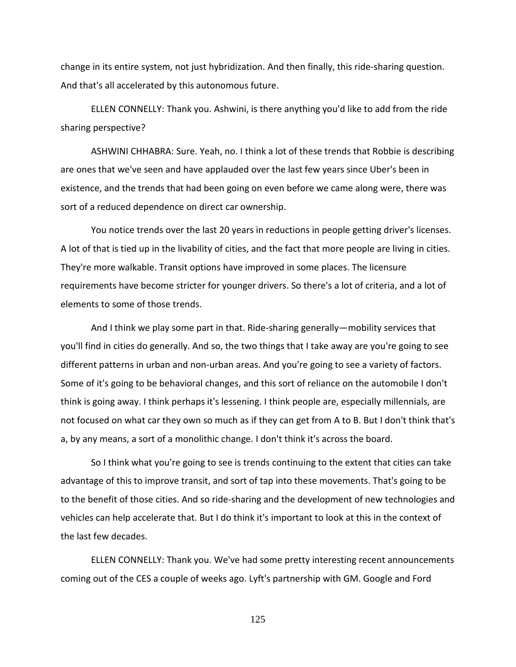change in its entire system, not just hybridization. And then finally, this ride-sharing question. And that's all accelerated by this autonomous future.

ELLEN CONNELLY: Thank you. Ashwini, is there anything you'd like to add from the ride sharing perspective?

ASHWINI CHHABRA: Sure. Yeah, no. I think a lot of these trends that Robbie is describing are ones that we've seen and have applauded over the last few years since Uber's been in existence, and the trends that had been going on even before we came along were, there was sort of a reduced dependence on direct car ownership.

You notice trends over the last 20 years in reductions in people getting driver's licenses. A lot of that is tied up in the livability of cities, and the fact that more people are living in cities. They're more walkable. Transit options have improved in some places. The licensure requirements have become stricter for younger drivers. So there's a lot of criteria, and a lot of elements to some of those trends.

And I think we play some part in that. Ride-sharing generally—mobility services that you'll find in cities do generally. And so, the two things that I take away are you're going to see different patterns in urban and non-urban areas. And you're going to see a variety of factors. Some of it's going to be behavioral changes, and this sort of reliance on the automobile I don't think is going away. I think perhaps it's lessening. I think people are, especially millennials, are not focused on what car they own so much as if they can get from A to B. But I don't think that's a, by any means, a sort of a monolithic change. I don't think it's across the board.

So I think what you're going to see is trends continuing to the extent that cities can take advantage of this to improve transit, and sort of tap into these movements. That's going to be to the benefit of those cities. And so ride-sharing and the development of new technologies and vehicles can help accelerate that. But I do think it's important to look at this in the context of the last few decades.

ELLEN CONNELLY: Thank you. We've had some pretty interesting recent announcements coming out of the CES a couple of weeks ago. Lyft's partnership with GM. Google and Ford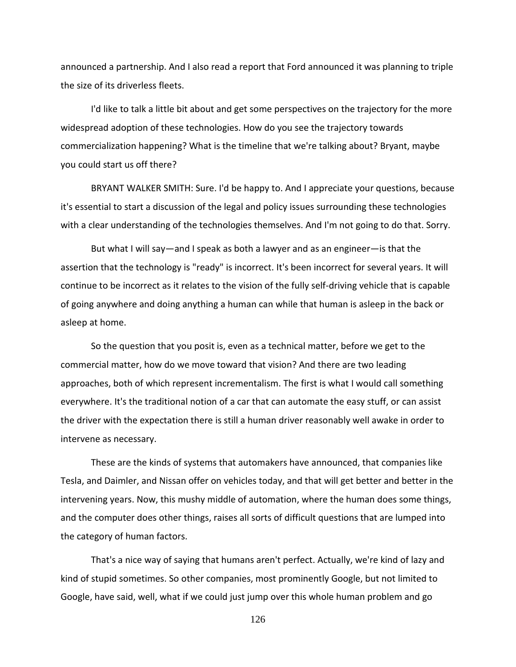announced a partnership. And I also read a report that Ford announced it was planning to triple the size of its driverless fleets.

I'd like to talk a little bit about and get some perspectives on the trajectory for the more widespread adoption of these technologies. How do you see the trajectory towards commercialization happening? What is the timeline that we're talking about? Bryant, maybe you could start us off there?

BRYANT WALKER SMITH: Sure. I'd be happy to. And I appreciate your questions, because it's essential to start a discussion of the legal and policy issues surrounding these technologies with a clear understanding of the technologies themselves. And I'm not going to do that. Sorry.

But what I will say—and I speak as both a lawyer and as an engineer—is that the assertion that the technology is "ready" is incorrect. It's been incorrect for several years. It will continue to be incorrect as it relates to the vision of the fully self-driving vehicle that is capable of going anywhere and doing anything a human can while that human is asleep in the back or asleep at home.

So the question that you posit is, even as a technical matter, before we get to the commercial matter, how do we move toward that vision? And there are two leading approaches, both of which represent incrementalism. The first is what I would call something everywhere. It's the traditional notion of a car that can automate the easy stuff, or can assist the driver with the expectation there is still a human driver reasonably well awake in order to intervene as necessary.

These are the kinds of systems that automakers have announced, that companies like Tesla, and Daimler, and Nissan offer on vehicles today, and that will get better and better in the intervening years. Now, this mushy middle of automation, where the human does some things, and the computer does other things, raises all sorts of difficult questions that are lumped into the category of human factors.

That's a nice way of saying that humans aren't perfect. Actually, we're kind of lazy and kind of stupid sometimes. So other companies, most prominently Google, but not limited to Google, have said, well, what if we could just jump over this whole human problem and go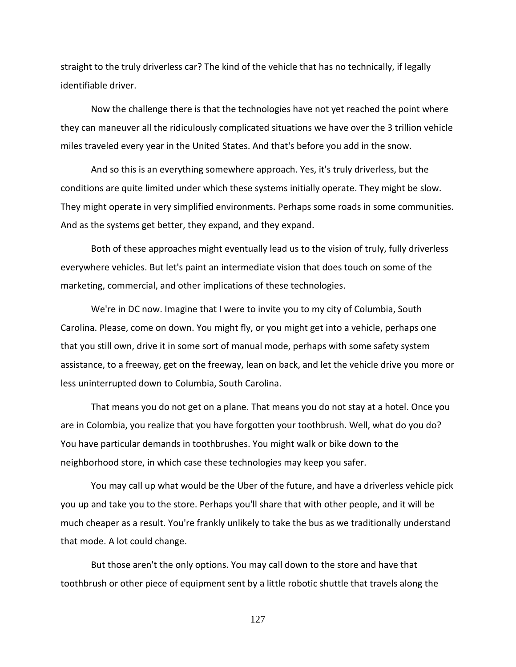straight to the truly driverless car? The kind of the vehicle that has no technically, if legally identifiable driver.

Now the challenge there is that the technologies have not yet reached the point where they can maneuver all the ridiculously complicated situations we have over the 3 trillion vehicle miles traveled every year in the United States. And that's before you add in the snow.

And so this is an everything somewhere approach. Yes, it's truly driverless, but the conditions are quite limited under which these systems initially operate. They might be slow. They might operate in very simplified environments. Perhaps some roads in some communities. And as the systems get better, they expand, and they expand.

Both of these approaches might eventually lead us to the vision of truly, fully driverless everywhere vehicles. But let's paint an intermediate vision that does touch on some of the marketing, commercial, and other implications of these technologies.

We're in DC now. Imagine that I were to invite you to my city of Columbia, South Carolina. Please, come on down. You might fly, or you might get into a vehicle, perhaps one that you still own, drive it in some sort of manual mode, perhaps with some safety system assistance, to a freeway, get on the freeway, lean on back, and let the vehicle drive you more or less uninterrupted down to Columbia, South Carolina.

That means you do not get on a plane. That means you do not stay at a hotel. Once you are in Colombia, you realize that you have forgotten your toothbrush. Well, what do you do? You have particular demands in toothbrushes. You might walk or bike down to the neighborhood store, in which case these technologies may keep you safer.

You may call up what would be the Uber of the future, and have a driverless vehicle pick you up and take you to the store. Perhaps you'll share that with other people, and it will be much cheaper as a result. You're frankly unlikely to take the bus as we traditionally understand that mode. A lot could change.

But those aren't the only options. You may call down to the store and have that toothbrush or other piece of equipment sent by a little robotic shuttle that travels along the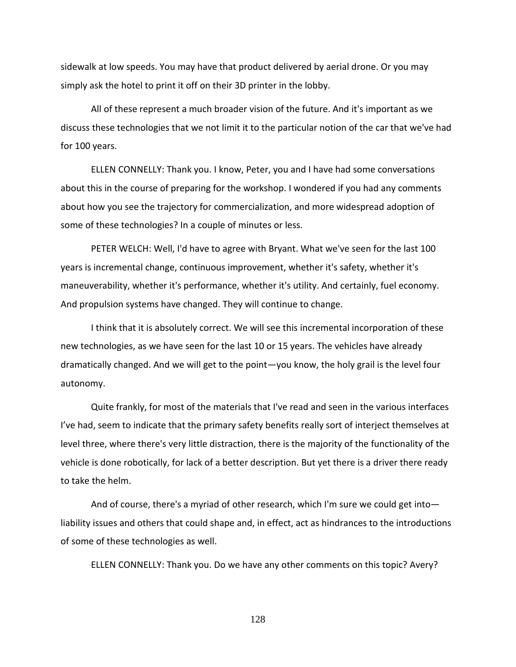sidewalk at low speeds. You may have that product delivered by aerial drone. Or you may simply ask the hotel to print it off on their 3D printer in the lobby.

All of these represent a much broader vision of the future. And it's important as we discuss these technologies that we not limit it to the particular notion of the car that we've had for 100 years.

ELLEN CONNELLY: Thank you. I know, Peter, you and I have had some conversations about this in the course of preparing for the workshop. I wondered if you had any comments about how you see the trajectory for commercialization, and more widespread adoption of some of these technologies? In a couple of minutes or less.

PETER WELCH: Well, I'd have to agree with Bryant. What we've seen for the last 100 years is incremental change, continuous improvement, whether it's safety, whether it's maneuverability, whether it's performance, whether it's utility. And certainly, fuel economy. And propulsion systems have changed. They will continue to change.

I think that it is absolutely correct. We will see this incremental incorporation of these new technologies, as we have seen for the last 10 or 15 years. The vehicles have already dramatically changed. And we will get to the point—you know, the holy grail is the level four autonomy.

Quite frankly, for most of the materials that I've read and seen in the various interfaces I've had, seem to indicate that the primary safety benefits really sort of interject themselves at level three, where there's very little distraction, there is the majority of the functionality of the vehicle is done robotically, for lack of a better description. But yet there is a driver there ready to take the helm.

And of course, there's a myriad of other research, which I'm sure we could get into liability issues and others that could shape and, in effect, act as hindrances to the introductions of some of these technologies as well.

ELLEN CONNELLY: Thank you. Do we have any other comments on this topic? Avery?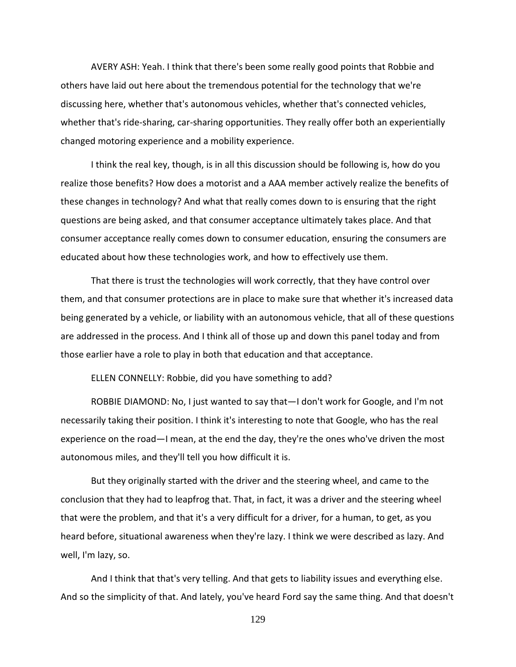AVERY ASH: Yeah. I think that there's been some really good points that Robbie and others have laid out here about the tremendous potential for the technology that we're discussing here, whether that's autonomous vehicles, whether that's connected vehicles, whether that's ride-sharing, car-sharing opportunities. They really offer both an experientially changed motoring experience and a mobility experience.

I think the real key, though, is in all this discussion should be following is, how do you realize those benefits? How does a motorist and a AAA member actively realize the benefits of these changes in technology? And what that really comes down to is ensuring that the right questions are being asked, and that consumer acceptance ultimately takes place. And that consumer acceptance really comes down to consumer education, ensuring the consumers are educated about how these technologies work, and how to effectively use them.

That there is trust the technologies will work correctly, that they have control over them, and that consumer protections are in place to make sure that whether it's increased data being generated by a vehicle, or liability with an autonomous vehicle, that all of these questions are addressed in the process. And I think all of those up and down this panel today and from those earlier have a role to play in both that education and that acceptance.

ELLEN CONNELLY: Robbie, did you have something to add?

ROBBIE DIAMOND: No, I just wanted to say that—I don't work for Google, and I'm not necessarily taking their position. I think it's interesting to note that Google, who has the real experience on the road—I mean, at the end the day, they're the ones who've driven the most autonomous miles, and they'll tell you how difficult it is.

But they originally started with the driver and the steering wheel, and came to the conclusion that they had to leapfrog that. That, in fact, it was a driver and the steering wheel that were the problem, and that it's a very difficult for a driver, for a human, to get, as you heard before, situational awareness when they're lazy. I think we were described as lazy. And well, I'm lazy, so.

And I think that that's very telling. And that gets to liability issues and everything else. And so the simplicity of that. And lately, you've heard Ford say the same thing. And that doesn't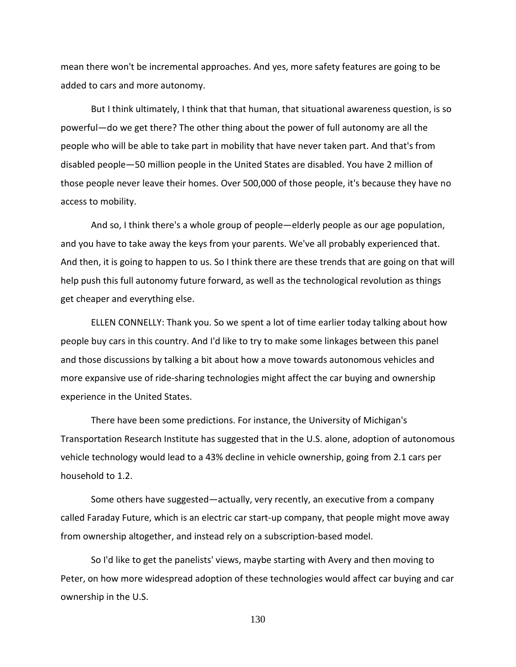mean there won't be incremental approaches. And yes, more safety features are going to be added to cars and more autonomy.

But I think ultimately, I think that that human, that situational awareness question, is so powerful—do we get there? The other thing about the power of full autonomy are all the people who will be able to take part in mobility that have never taken part. And that's from disabled people—50 million people in the United States are disabled. You have 2 million of those people never leave their homes. Over 500,000 of those people, it's because they have no access to mobility.

And so, I think there's a whole group of people—elderly people as our age population, and you have to take away the keys from your parents. We've all probably experienced that. And then, it is going to happen to us. So I think there are these trends that are going on that will help push this full autonomy future forward, as well as the technological revolution as things get cheaper and everything else.

ELLEN CONNELLY: Thank you. So we spent a lot of time earlier today talking about how people buy cars in this country. And I'd like to try to make some linkages between this panel and those discussions by talking a bit about how a move towards autonomous vehicles and more expansive use of ride-sharing technologies might affect the car buying and ownership experience in the United States.

There have been some predictions. For instance, the University of Michigan's Transportation Research Institute has suggested that in the U.S. alone, adoption of autonomous vehicle technology would lead to a 43% decline in vehicle ownership, going from 2.1 cars per household to 1.2.

Some others have suggested—actually, very recently, an executive from a company called Faraday Future, which is an electric car start-up company, that people might move away from ownership altogether, and instead rely on a subscription-based model.

So I'd like to get the panelists' views, maybe starting with Avery and then moving to Peter, on how more widespread adoption of these technologies would affect car buying and car ownership in the U.S.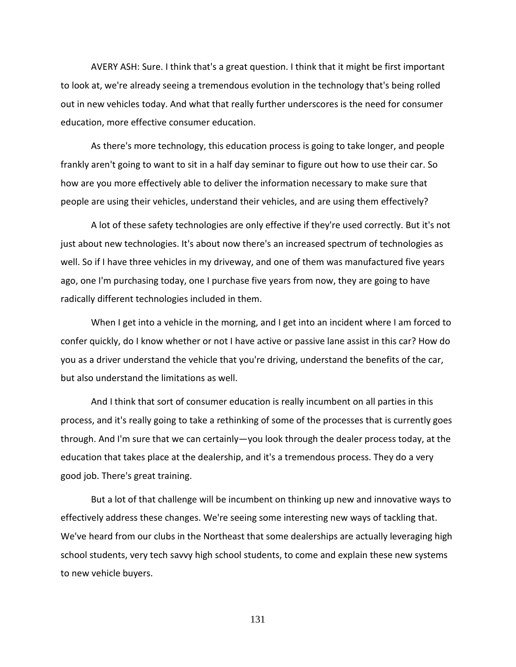AVERY ASH: Sure. I think that's a great question. I think that it might be first important to look at, we're already seeing a tremendous evolution in the technology that's being rolled out in new vehicles today. And what that really further underscores is the need for consumer education, more effective consumer education.

As there's more technology, this education process is going to take longer, and people frankly aren't going to want to sit in a half day seminar to figure out how to use their car. So how are you more effectively able to deliver the information necessary to make sure that people are using their vehicles, understand their vehicles, and are using them effectively?

A lot of these safety technologies are only effective if they're used correctly. But it's not just about new technologies. It's about now there's an increased spectrum of technologies as well. So if I have three vehicles in my driveway, and one of them was manufactured five years ago, one I'm purchasing today, one I purchase five years from now, they are going to have radically different technologies included in them.

When I get into a vehicle in the morning, and I get into an incident where I am forced to confer quickly, do I know whether or not I have active or passive lane assist in this car? How do you as a driver understand the vehicle that you're driving, understand the benefits of the car, but also understand the limitations as well.

And I think that sort of consumer education is really incumbent on all parties in this process, and it's really going to take a rethinking of some of the processes that is currently goes through. And I'm sure that we can certainly—you look through the dealer process today, at the education that takes place at the dealership, and it's a tremendous process. They do a very good job. There's great training.

But a lot of that challenge will be incumbent on thinking up new and innovative ways to effectively address these changes. We're seeing some interesting new ways of tackling that. We've heard from our clubs in the Northeast that some dealerships are actually leveraging high school students, very tech savvy high school students, to come and explain these new systems to new vehicle buyers.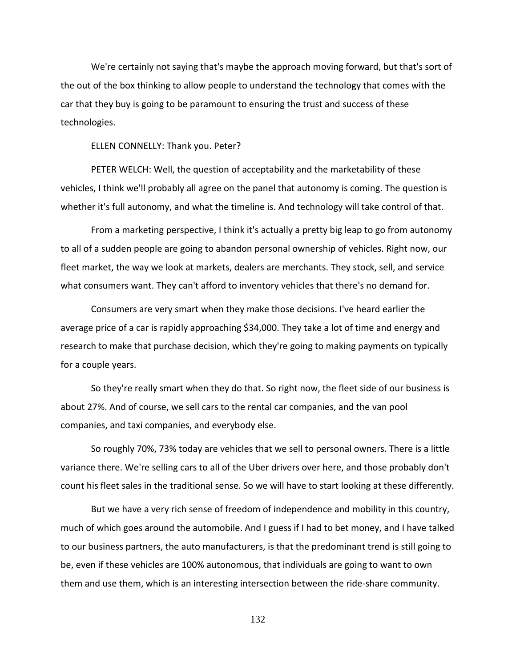We're certainly not saying that's maybe the approach moving forward, but that's sort of the out of the box thinking to allow people to understand the technology that comes with the car that they buy is going to be paramount to ensuring the trust and success of these technologies.

ELLEN CONNELLY: Thank you. Peter?

PETER WELCH: Well, the question of acceptability and the marketability of these vehicles, I think we'll probably all agree on the panel that autonomy is coming. The question is whether it's full autonomy, and what the timeline is. And technology will take control of that.

From a marketing perspective, I think it's actually a pretty big leap to go from autonomy to all of a sudden people are going to abandon personal ownership of vehicles. Right now, our fleet market, the way we look at markets, dealers are merchants. They stock, sell, and service what consumers want. They can't afford to inventory vehicles that there's no demand for.

Consumers are very smart when they make those decisions. I've heard earlier the average price of a car is rapidly approaching \$34,000. They take a lot of time and energy and research to make that purchase decision, which they're going to making payments on typically for a couple years.

So they're really smart when they do that. So right now, the fleet side of our business is about 27%. And of course, we sell cars to the rental car companies, and the van pool companies, and taxi companies, and everybody else.

So roughly 70%, 73% today are vehicles that we sell to personal owners. There is a little variance there. We're selling cars to all of the Uber drivers over here, and those probably don't count his fleet sales in the traditional sense. So we will have to start looking at these differently.

But we have a very rich sense of freedom of independence and mobility in this country, much of which goes around the automobile. And I guess if I had to bet money, and I have talked to our business partners, the auto manufacturers, is that the predominant trend is still going to be, even if these vehicles are 100% autonomous, that individuals are going to want to own them and use them, which is an interesting intersection between the ride-share community.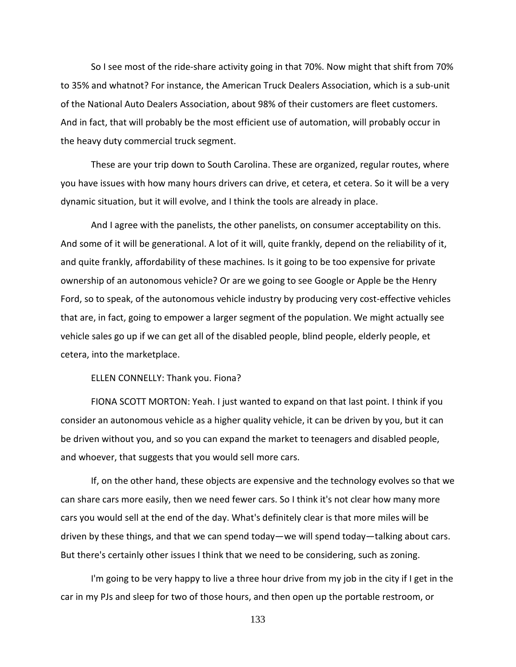So I see most of the ride-share activity going in that 70%. Now might that shift from 70% to 35% and whatnot? For instance, the American Truck Dealers Association, which is a sub-unit of the National Auto Dealers Association, about 98% of their customers are fleet customers. And in fact, that will probably be the most efficient use of automation, will probably occur in the heavy duty commercial truck segment.

These are your trip down to South Carolina. These are organized, regular routes, where you have issues with how many hours drivers can drive, et cetera, et cetera. So it will be a very dynamic situation, but it will evolve, and I think the tools are already in place.

And I agree with the panelists, the other panelists, on consumer acceptability on this. And some of it will be generational. A lot of it will, quite frankly, depend on the reliability of it, and quite frankly, affordability of these machines. Is it going to be too expensive for private ownership of an autonomous vehicle? Or are we going to see Google or Apple be the Henry Ford, so to speak, of the autonomous vehicle industry by producing very cost-effective vehicles that are, in fact, going to empower a larger segment of the population. We might actually see vehicle sales go up if we can get all of the disabled people, blind people, elderly people, et cetera, into the marketplace.

## ELLEN CONNELLY: Thank you. Fiona?

FIONA SCOTT MORTON: Yeah. I just wanted to expand on that last point. I think if you consider an autonomous vehicle as a higher quality vehicle, it can be driven by you, but it can be driven without you, and so you can expand the market to teenagers and disabled people, and whoever, that suggests that you would sell more cars.

If, on the other hand, these objects are expensive and the technology evolves so that we can share cars more easily, then we need fewer cars. So I think it's not clear how many more cars you would sell at the end of the day. What's definitely clear is that more miles will be driven by these things, and that we can spend today—we will spend today—talking about cars. But there's certainly other issues I think that we need to be considering, such as zoning.

I'm going to be very happy to live a three hour drive from my job in the city if I get in the car in my PJs and sleep for two of those hours, and then open up the portable restroom, or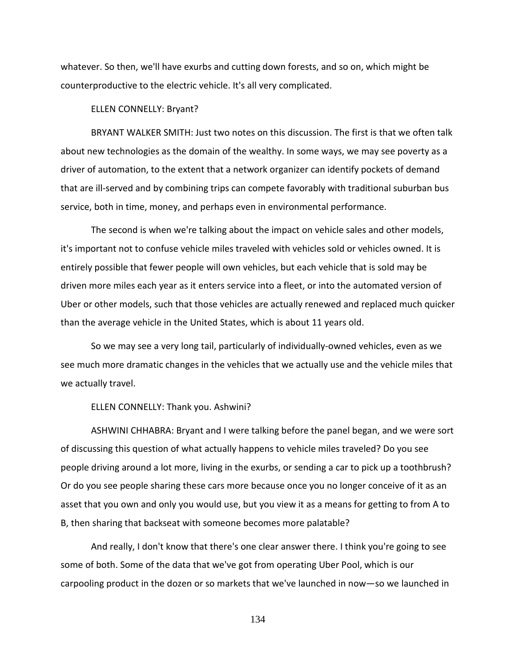whatever. So then, we'll have exurbs and cutting down forests, and so on, which might be counterproductive to the electric vehicle. It's all very complicated.

ELLEN CONNELLY: Bryant?

BRYANT WALKER SMITH: Just two notes on this discussion. The first is that we often talk about new technologies as the domain of the wealthy. In some ways, we may see poverty as a driver of automation, to the extent that a network organizer can identify pockets of demand that are ill-served and by combining trips can compete favorably with traditional suburban bus service, both in time, money, and perhaps even in environmental performance.

The second is when we're talking about the impact on vehicle sales and other models, it's important not to confuse vehicle miles traveled with vehicles sold or vehicles owned. It is entirely possible that fewer people will own vehicles, but each vehicle that is sold may be driven more miles each year as it enters service into a fleet, or into the automated version of Uber or other models, such that those vehicles are actually renewed and replaced much quicker than the average vehicle in the United States, which is about 11 years old.

So we may see a very long tail, particularly of individually-owned vehicles, even as we see much more dramatic changes in the vehicles that we actually use and the vehicle miles that we actually travel.

## ELLEN CONNELLY: Thank you. Ashwini?

ASHWINI CHHABRA: Bryant and I were talking before the panel began, and we were sort of discussing this question of what actually happens to vehicle miles traveled? Do you see people driving around a lot more, living in the exurbs, or sending a car to pick up a toothbrush? Or do you see people sharing these cars more because once you no longer conceive of it as an asset that you own and only you would use, but you view it as a means for getting to from A to B, then sharing that backseat with someone becomes more palatable?

And really, I don't know that there's one clear answer there. I think you're going to see some of both. Some of the data that we've got from operating Uber Pool, which is our carpooling product in the dozen or so markets that we've launched in now—so we launched in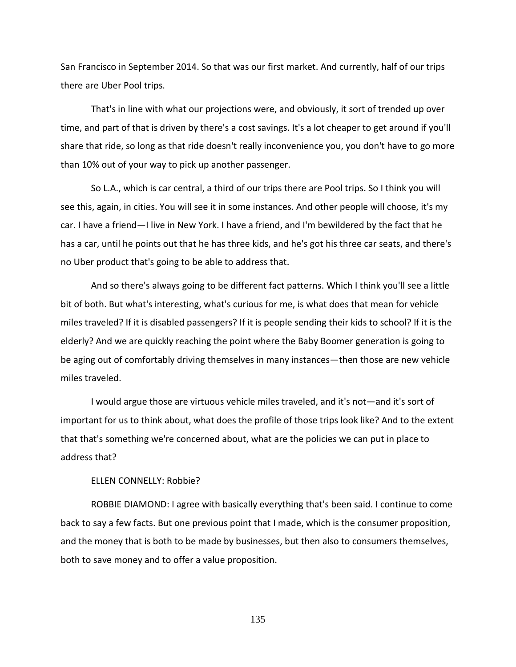San Francisco in September 2014. So that was our first market. And currently, half of our trips there are Uber Pool trips.

That's in line with what our projections were, and obviously, it sort of trended up over time, and part of that is driven by there's a cost savings. It's a lot cheaper to get around if you'll share that ride, so long as that ride doesn't really inconvenience you, you don't have to go more than 10% out of your way to pick up another passenger.

So L.A., which is car central, a third of our trips there are Pool trips. So I think you will see this, again, in cities. You will see it in some instances. And other people will choose, it's my car. I have a friend—I live in New York. I have a friend, and I'm bewildered by the fact that he has a car, until he points out that he has three kids, and he's got his three car seats, and there's no Uber product that's going to be able to address that.

And so there's always going to be different fact patterns. Which I think you'll see a little bit of both. But what's interesting, what's curious for me, is what does that mean for vehicle miles traveled? If it is disabled passengers? If it is people sending their kids to school? If it is the elderly? And we are quickly reaching the point where the Baby Boomer generation is going to be aging out of comfortably driving themselves in many instances—then those are new vehicle miles traveled.

I would argue those are virtuous vehicle miles traveled, and it's not—and it's sort of important for us to think about, what does the profile of those trips look like? And to the extent that that's something we're concerned about, what are the policies we can put in place to address that?

ELLEN CONNELLY: Robbie?

ROBBIE DIAMOND: I agree with basically everything that's been said. I continue to come back to say a few facts. But one previous point that I made, which is the consumer proposition, and the money that is both to be made by businesses, but then also to consumers themselves, both to save money and to offer a value proposition.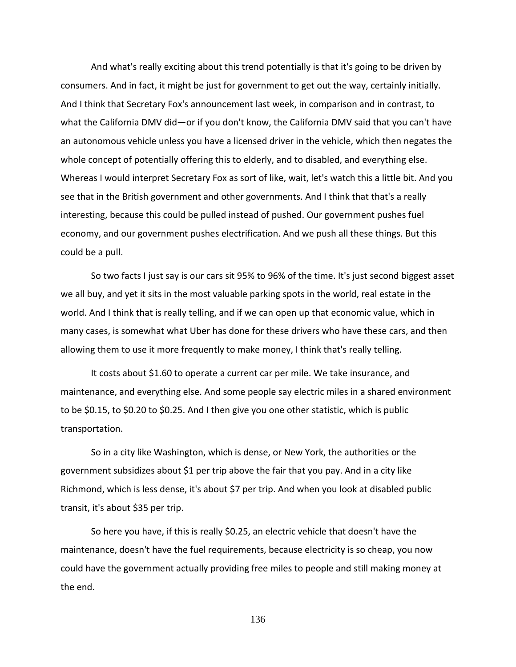And what's really exciting about this trend potentially is that it's going to be driven by consumers. And in fact, it might be just for government to get out the way, certainly initially. And I think that Secretary Fox's announcement last week, in comparison and in contrast, to what the California DMV did—or if you don't know, the California DMV said that you can't have an autonomous vehicle unless you have a licensed driver in the vehicle, which then negates the whole concept of potentially offering this to elderly, and to disabled, and everything else. Whereas I would interpret Secretary Fox as sort of like, wait, let's watch this a little bit. And you see that in the British government and other governments. And I think that that's a really interesting, because this could be pulled instead of pushed. Our government pushes fuel economy, and our government pushes electrification. And we push all these things. But this could be a pull.

So two facts I just say is our cars sit 95% to 96% of the time. It's just second biggest asset we all buy, and yet it sits in the most valuable parking spots in the world, real estate in the world. And I think that is really telling, and if we can open up that economic value, which in many cases, is somewhat what Uber has done for these drivers who have these cars, and then allowing them to use it more frequently to make money, I think that's really telling.

It costs about \$1.60 to operate a current car per mile. We take insurance, and maintenance, and everything else. And some people say electric miles in a shared environment to be \$0.15, to \$0.20 to \$0.25. And I then give you one other statistic, which is public transportation.

So in a city like Washington, which is dense, or New York, the authorities or the government subsidizes about \$1 per trip above the fair that you pay. And in a city like Richmond, which is less dense, it's about \$7 per trip. And when you look at disabled public transit, it's about \$35 per trip.

So here you have, if this is really \$0.25, an electric vehicle that doesn't have the maintenance, doesn't have the fuel requirements, because electricity is so cheap, you now could have the government actually providing free miles to people and still making money at the end.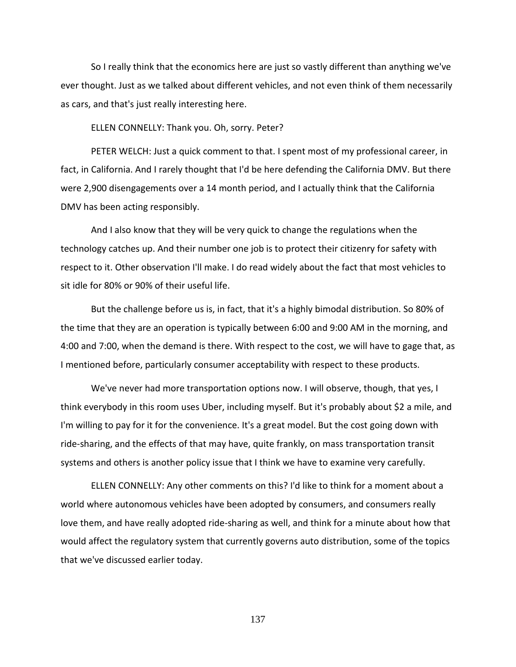So I really think that the economics here are just so vastly different than anything we've ever thought. Just as we talked about different vehicles, and not even think of them necessarily as cars, and that's just really interesting here.

ELLEN CONNELLY: Thank you. Oh, sorry. Peter?

PETER WELCH: Just a quick comment to that. I spent most of my professional career, in fact, in California. And I rarely thought that I'd be here defending the California DMV. But there were 2,900 disengagements over a 14 month period, and I actually think that the California DMV has been acting responsibly.

And I also know that they will be very quick to change the regulations when the technology catches up. And their number one job is to protect their citizenry for safety with respect to it. Other observation I'll make. I do read widely about the fact that most vehicles to sit idle for 80% or 90% of their useful life.

But the challenge before us is, in fact, that it's a highly bimodal distribution. So 80% of the time that they are an operation is typically between 6:00 and 9:00 AM in the morning, and 4:00 and 7:00, when the demand is there. With respect to the cost, we will have to gage that, as I mentioned before, particularly consumer acceptability with respect to these products.

We've never had more transportation options now. I will observe, though, that yes, I think everybody in this room uses Uber, including myself. But it's probably about \$2 a mile, and I'm willing to pay for it for the convenience. It's a great model. But the cost going down with ride-sharing, and the effects of that may have, quite frankly, on mass transportation transit systems and others is another policy issue that I think we have to examine very carefully.

ELLEN CONNELLY: Any other comments on this? I'd like to think for a moment about a world where autonomous vehicles have been adopted by consumers, and consumers really love them, and have really adopted ride-sharing as well, and think for a minute about how that would affect the regulatory system that currently governs auto distribution, some of the topics that we've discussed earlier today.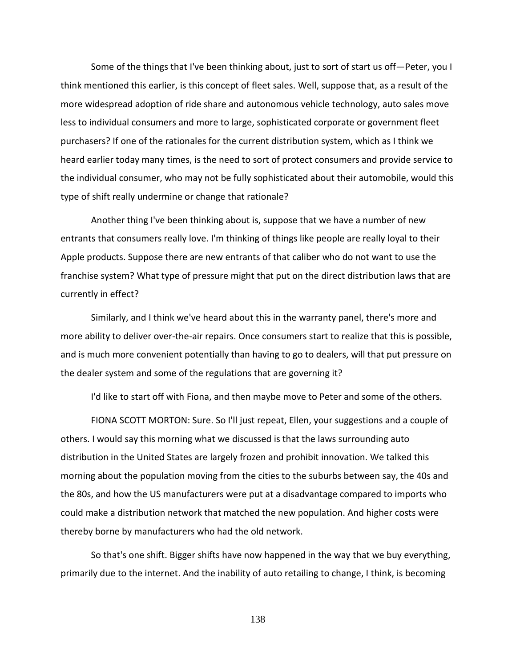Some of the things that I've been thinking about, just to sort of start us off—Peter, you I think mentioned this earlier, is this concept of fleet sales. Well, suppose that, as a result of the more widespread adoption of ride share and autonomous vehicle technology, auto sales move less to individual consumers and more to large, sophisticated corporate or government fleet purchasers? If one of the rationales for the current distribution system, which as I think we heard earlier today many times, is the need to sort of protect consumers and provide service to the individual consumer, who may not be fully sophisticated about their automobile, would this type of shift really undermine or change that rationale?

Another thing I've been thinking about is, suppose that we have a number of new entrants that consumers really love. I'm thinking of things like people are really loyal to their Apple products. Suppose there are new entrants of that caliber who do not want to use the franchise system? What type of pressure might that put on the direct distribution laws that are currently in effect?

Similarly, and I think we've heard about this in the warranty panel, there's more and more ability to deliver over-the-air repairs. Once consumers start to realize that this is possible, and is much more convenient potentially than having to go to dealers, will that put pressure on the dealer system and some of the regulations that are governing it?

I'd like to start off with Fiona, and then maybe move to Peter and some of the others.

FIONA SCOTT MORTON: Sure. So I'll just repeat, Ellen, your suggestions and a couple of others. I would say this morning what we discussed is that the laws surrounding auto distribution in the United States are largely frozen and prohibit innovation. We talked this morning about the population moving from the cities to the suburbs between say, the 40s and the 80s, and how the US manufacturers were put at a disadvantage compared to imports who could make a distribution network that matched the new population. And higher costs were thereby borne by manufacturers who had the old network.

So that's one shift. Bigger shifts have now happened in the way that we buy everything, primarily due to the internet. And the inability of auto retailing to change, I think, is becoming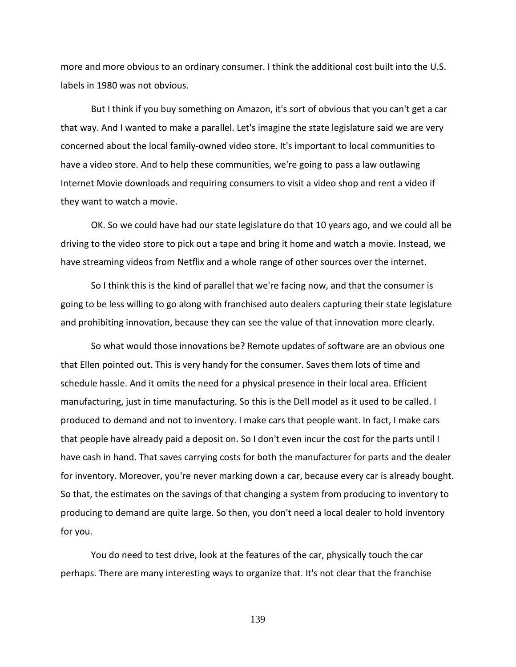more and more obvious to an ordinary consumer. I think the additional cost built into the U.S. labels in 1980 was not obvious.

But I think if you buy something on Amazon, it's sort of obvious that you can't get a car that way. And I wanted to make a parallel. Let's imagine the state legislature said we are very concerned about the local family-owned video store. It's important to local communities to have a video store. And to help these communities, we're going to pass a law outlawing Internet Movie downloads and requiring consumers to visit a video shop and rent a video if they want to watch a movie.

OK. So we could have had our state legislature do that 10 years ago, and we could all be driving to the video store to pick out a tape and bring it home and watch a movie. Instead, we have streaming videos from Netflix and a whole range of other sources over the internet.

So I think this is the kind of parallel that we're facing now, and that the consumer is going to be less willing to go along with franchised auto dealers capturing their state legislature and prohibiting innovation, because they can see the value of that innovation more clearly.

So what would those innovations be? Remote updates of software are an obvious one that Ellen pointed out. This is very handy for the consumer. Saves them lots of time and schedule hassle. And it omits the need for a physical presence in their local area. Efficient manufacturing, just in time manufacturing. So this is the Dell model as it used to be called. I produced to demand and not to inventory. I make cars that people want. In fact, I make cars that people have already paid a deposit on. So I don't even incur the cost for the parts until I have cash in hand. That saves carrying costs for both the manufacturer for parts and the dealer for inventory. Moreover, you're never marking down a car, because every car is already bought. So that, the estimates on the savings of that changing a system from producing to inventory to producing to demand are quite large. So then, you don't need a local dealer to hold inventory for you.

You do need to test drive, look at the features of the car, physically touch the car perhaps. There are many interesting ways to organize that. It's not clear that the franchise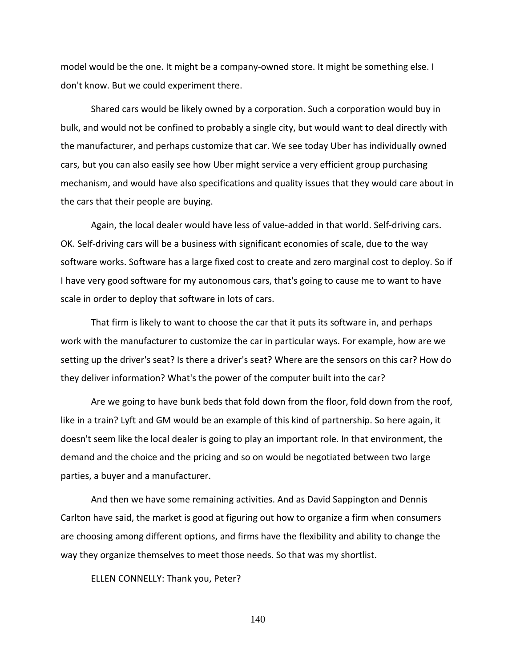model would be the one. It might be a company-owned store. It might be something else. I don't know. But we could experiment there.

Shared cars would be likely owned by a corporation. Such a corporation would buy in bulk, and would not be confined to probably a single city, but would want to deal directly with the manufacturer, and perhaps customize that car. We see today Uber has individually owned cars, but you can also easily see how Uber might service a very efficient group purchasing mechanism, and would have also specifications and quality issues that they would care about in the cars that their people are buying.

Again, the local dealer would have less of value-added in that world. Self-driving cars. OK. Self-driving cars will be a business with significant economies of scale, due to the way software works. Software has a large fixed cost to create and zero marginal cost to deploy. So if I have very good software for my autonomous cars, that's going to cause me to want to have scale in order to deploy that software in lots of cars.

That firm is likely to want to choose the car that it puts its software in, and perhaps work with the manufacturer to customize the car in particular ways. For example, how are we setting up the driver's seat? Is there a driver's seat? Where are the sensors on this car? How do they deliver information? What's the power of the computer built into the car?

Are we going to have bunk beds that fold down from the floor, fold down from the roof, like in a train? Lyft and GM would be an example of this kind of partnership. So here again, it doesn't seem like the local dealer is going to play an important role. In that environment, the demand and the choice and the pricing and so on would be negotiated between two large parties, a buyer and a manufacturer.

And then we have some remaining activities. And as David Sappington and Dennis Carlton have said, the market is good at figuring out how to organize a firm when consumers are choosing among different options, and firms have the flexibility and ability to change the way they organize themselves to meet those needs. So that was my shortlist.

ELLEN CONNELLY: Thank you, Peter?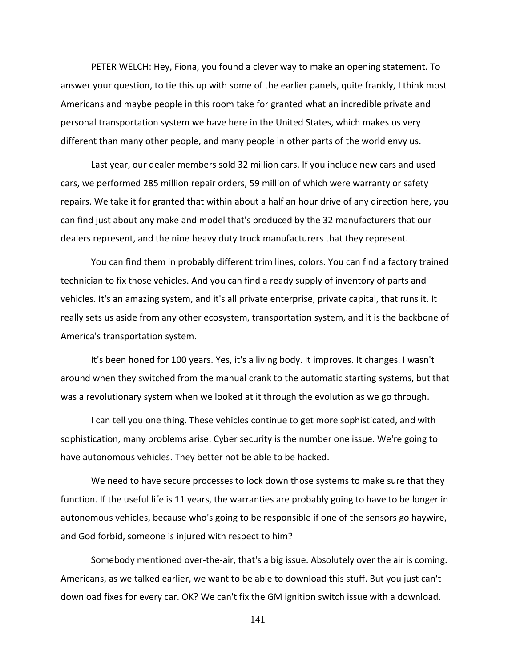PETER WELCH: Hey, Fiona, you found a clever way to make an opening statement. To answer your question, to tie this up with some of the earlier panels, quite frankly, I think most Americans and maybe people in this room take for granted what an incredible private and personal transportation system we have here in the United States, which makes us very different than many other people, and many people in other parts of the world envy us.

Last year, our dealer members sold 32 million cars. If you include new cars and used cars, we performed 285 million repair orders, 59 million of which were warranty or safety repairs. We take it for granted that within about a half an hour drive of any direction here, you can find just about any make and model that's produced by the 32 manufacturers that our dealers represent, and the nine heavy duty truck manufacturers that they represent.

You can find them in probably different trim lines, colors. You can find a factory trained technician to fix those vehicles. And you can find a ready supply of inventory of parts and vehicles. It's an amazing system, and it's all private enterprise, private capital, that runs it. It really sets us aside from any other ecosystem, transportation system, and it is the backbone of America's transportation system.

It's been honed for 100 years. Yes, it's a living body. It improves. It changes. I wasn't around when they switched from the manual crank to the automatic starting systems, but that was a revolutionary system when we looked at it through the evolution as we go through.

I can tell you one thing. These vehicles continue to get more sophisticated, and with sophistication, many problems arise. Cyber security is the number one issue. We're going to have autonomous vehicles. They better not be able to be hacked.

We need to have secure processes to lock down those systems to make sure that they function. If the useful life is 11 years, the warranties are probably going to have to be longer in autonomous vehicles, because who's going to be responsible if one of the sensors go haywire, and God forbid, someone is injured with respect to him?

Somebody mentioned over-the-air, that's a big issue. Absolutely over the air is coming. Americans, as we talked earlier, we want to be able to download this stuff. But you just can't download fixes for every car. OK? We can't fix the GM ignition switch issue with a download.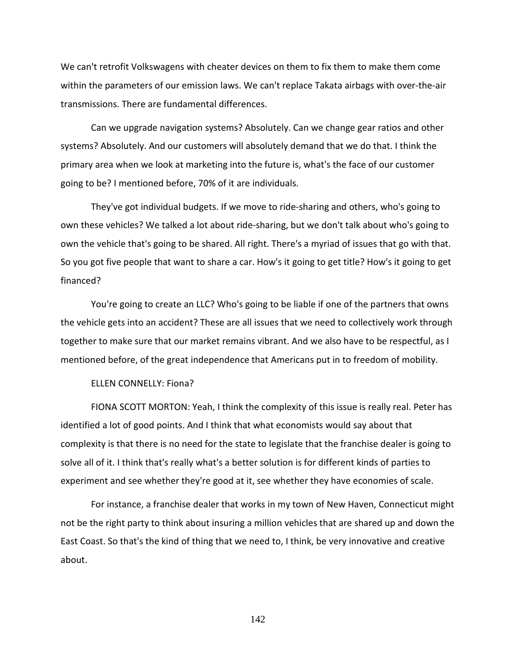We can't retrofit Volkswagens with cheater devices on them to fix them to make them come within the parameters of our emission laws. We can't replace Takata airbags with over-the-air transmissions. There are fundamental differences.

Can we upgrade navigation systems? Absolutely. Can we change gear ratios and other systems? Absolutely. And our customers will absolutely demand that we do that. I think the primary area when we look at marketing into the future is, what's the face of our customer going to be? I mentioned before, 70% of it are individuals.

They've got individual budgets. If we move to ride-sharing and others, who's going to own these vehicles? We talked a lot about ride-sharing, but we don't talk about who's going to own the vehicle that's going to be shared. All right. There's a myriad of issues that go with that. So you got five people that want to share a car. How's it going to get title? How's it going to get financed?

You're going to create an LLC? Who's going to be liable if one of the partners that owns the vehicle gets into an accident? These are all issues that we need to collectively work through together to make sure that our market remains vibrant. And we also have to be respectful, as I mentioned before, of the great independence that Americans put in to freedom of mobility.

## ELLEN CONNELLY: Fiona?

FIONA SCOTT MORTON: Yeah, I think the complexity of this issue is really real. Peter has identified a lot of good points. And I think that what economists would say about that complexity is that there is no need for the state to legislate that the franchise dealer is going to solve all of it. I think that's really what's a better solution is for different kinds of parties to experiment and see whether they're good at it, see whether they have economies of scale.

For instance, a franchise dealer that works in my town of New Haven, Connecticut might not be the right party to think about insuring a million vehicles that are shared up and down the East Coast. So that's the kind of thing that we need to, I think, be very innovative and creative about.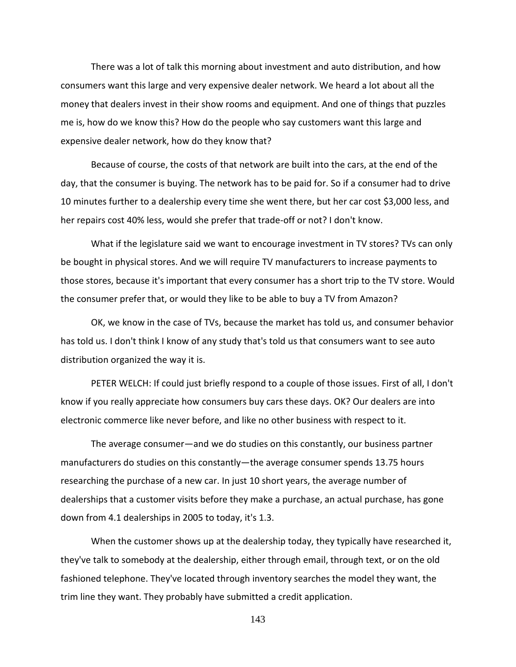There was a lot of talk this morning about investment and auto distribution, and how consumers want this large and very expensive dealer network. We heard a lot about all the money that dealers invest in their show rooms and equipment. And one of things that puzzles me is, how do we know this? How do the people who say customers want this large and expensive dealer network, how do they know that?

Because of course, the costs of that network are built into the cars, at the end of the day, that the consumer is buying. The network has to be paid for. So if a consumer had to drive 10 minutes further to a dealership every time she went there, but her car cost \$3,000 less, and her repairs cost 40% less, would she prefer that trade-off or not? I don't know.

What if the legislature said we want to encourage investment in TV stores? TVs can only be bought in physical stores. And we will require TV manufacturers to increase payments to those stores, because it's important that every consumer has a short trip to the TV store. Would the consumer prefer that, or would they like to be able to buy a TV from Amazon?

OK, we know in the case of TVs, because the market has told us, and consumer behavior has told us. I don't think I know of any study that's told us that consumers want to see auto distribution organized the way it is.

PETER WELCH: If could just briefly respond to a couple of those issues. First of all, I don't know if you really appreciate how consumers buy cars these days. OK? Our dealers are into electronic commerce like never before, and like no other business with respect to it.

The average consumer—and we do studies on this constantly, our business partner manufacturers do studies on this constantly—the average consumer spends 13.75 hours researching the purchase of a new car. In just 10 short years, the average number of dealerships that a customer visits before they make a purchase, an actual purchase, has gone down from 4.1 dealerships in 2005 to today, it's 1.3.

When the customer shows up at the dealership today, they typically have researched it, they've talk to somebody at the dealership, either through email, through text, or on the old fashioned telephone. They've located through inventory searches the model they want, the trim line they want. They probably have submitted a credit application.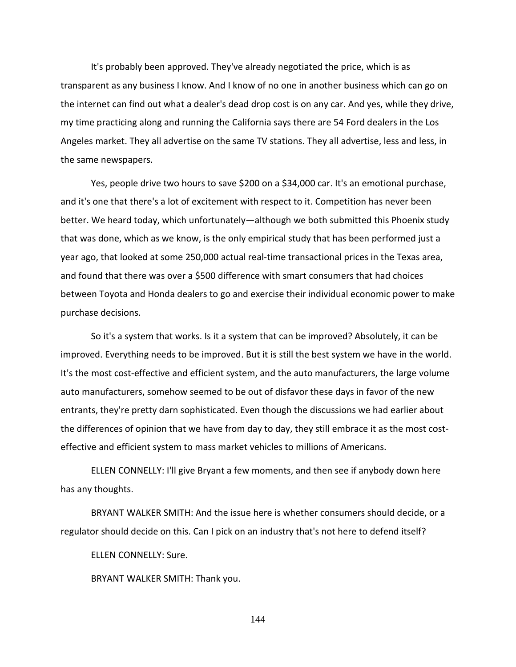It's probably been approved. They've already negotiated the price, which is as transparent as any business I know. And I know of no one in another business which can go on the internet can find out what a dealer's dead drop cost is on any car. And yes, while they drive, my time practicing along and running the California says there are 54 Ford dealers in the Los Angeles market. They all advertise on the same TV stations. They all advertise, less and less, in the same newspapers.

Yes, people drive two hours to save \$200 on a \$34,000 car. It's an emotional purchase, and it's one that there's a lot of excitement with respect to it. Competition has never been better. We heard today, which unfortunately—although we both submitted this Phoenix study that was done, which as we know, is the only empirical study that has been performed just a year ago, that looked at some 250,000 actual real-time transactional prices in the Texas area, and found that there was over a \$500 difference with smart consumers that had choices between Toyota and Honda dealers to go and exercise their individual economic power to make purchase decisions.

So it's a system that works. Is it a system that can be improved? Absolutely, it can be improved. Everything needs to be improved. But it is still the best system we have in the world. It's the most cost-effective and efficient system, and the auto manufacturers, the large volume auto manufacturers, somehow seemed to be out of disfavor these days in favor of the new entrants, they're pretty darn sophisticated. Even though the discussions we had earlier about the differences of opinion that we have from day to day, they still embrace it as the most costeffective and efficient system to mass market vehicles to millions of Americans.

ELLEN CONNELLY: I'll give Bryant a few moments, and then see if anybody down here has any thoughts.

BRYANT WALKER SMITH: And the issue here is whether consumers should decide, or a regulator should decide on this. Can I pick on an industry that's not here to defend itself?

ELLEN CONNELLY: Sure.

BRYANT WALKER SMITH: Thank you.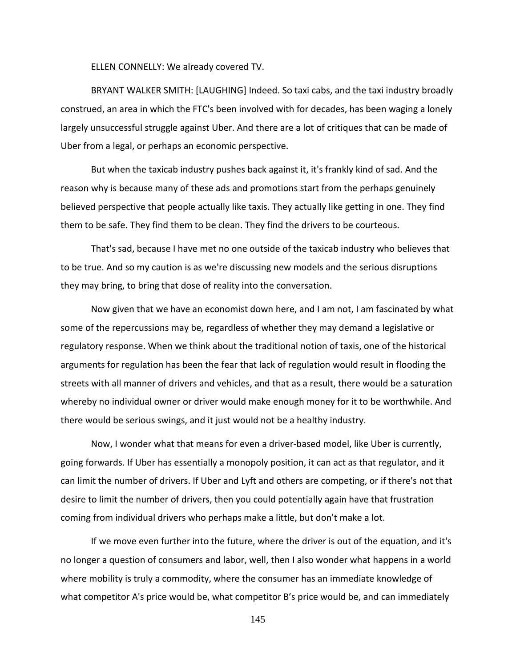ELLEN CONNELLY: We already covered TV.

BRYANT WALKER SMITH: [LAUGHING] Indeed. So taxi cabs, and the taxi industry broadly construed, an area in which the FTC's been involved with for decades, has been waging a lonely largely unsuccessful struggle against Uber. And there are a lot of critiques that can be made of Uber from a legal, or perhaps an economic perspective.

But when the taxicab industry pushes back against it, it's frankly kind of sad. And the reason why is because many of these ads and promotions start from the perhaps genuinely believed perspective that people actually like taxis. They actually like getting in one. They find them to be safe. They find them to be clean. They find the drivers to be courteous.

That's sad, because I have met no one outside of the taxicab industry who believes that to be true. And so my caution is as we're discussing new models and the serious disruptions they may bring, to bring that dose of reality into the conversation.

Now given that we have an economist down here, and I am not, I am fascinated by what some of the repercussions may be, regardless of whether they may demand a legislative or regulatory response. When we think about the traditional notion of taxis, one of the historical arguments for regulation has been the fear that lack of regulation would result in flooding the streets with all manner of drivers and vehicles, and that as a result, there would be a saturation whereby no individual owner or driver would make enough money for it to be worthwhile. And there would be serious swings, and it just would not be a healthy industry.

Now, I wonder what that means for even a driver-based model, like Uber is currently, going forwards. If Uber has essentially a monopoly position, it can act as that regulator, and it can limit the number of drivers. If Uber and Lyft and others are competing, or if there's not that desire to limit the number of drivers, then you could potentially again have that frustration coming from individual drivers who perhaps make a little, but don't make a lot.

If we move even further into the future, where the driver is out of the equation, and it's no longer a question of consumers and labor, well, then I also wonder what happens in a world where mobility is truly a commodity, where the consumer has an immediate knowledge of what competitor A's price would be, what competitor B's price would be, and can immediately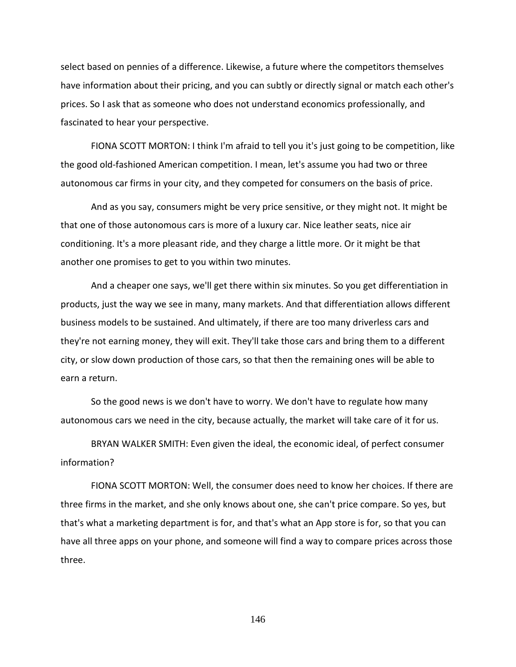select based on pennies of a difference. Likewise, a future where the competitors themselves have information about their pricing, and you can subtly or directly signal or match each other's prices. So I ask that as someone who does not understand economics professionally, and fascinated to hear your perspective.

FIONA SCOTT MORTON: I think I'm afraid to tell you it's just going to be competition, like the good old-fashioned American competition. I mean, let's assume you had two or three autonomous car firms in your city, and they competed for consumers on the basis of price.

And as you say, consumers might be very price sensitive, or they might not. It might be that one of those autonomous cars is more of a luxury car. Nice leather seats, nice air conditioning. It's a more pleasant ride, and they charge a little more. Or it might be that another one promises to get to you within two minutes.

And a cheaper one says, we'll get there within six minutes. So you get differentiation in products, just the way we see in many, many markets. And that differentiation allows different business models to be sustained. And ultimately, if there are too many driverless cars and they're not earning money, they will exit. They'll take those cars and bring them to a different city, or slow down production of those cars, so that then the remaining ones will be able to earn a return.

So the good news is we don't have to worry. We don't have to regulate how many autonomous cars we need in the city, because actually, the market will take care of it for us.

BRYAN WALKER SMITH: Even given the ideal, the economic ideal, of perfect consumer information?

FIONA SCOTT MORTON: Well, the consumer does need to know her choices. If there are three firms in the market, and she only knows about one, she can't price compare. So yes, but that's what a marketing department is for, and that's what an App store is for, so that you can have all three apps on your phone, and someone will find a way to compare prices across those three.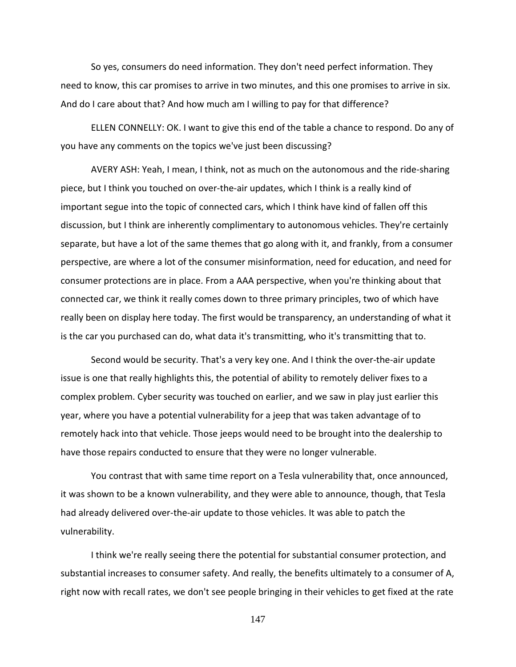So yes, consumers do need information. They don't need perfect information. They need to know, this car promises to arrive in two minutes, and this one promises to arrive in six. And do I care about that? And how much am I willing to pay for that difference?

ELLEN CONNELLY: OK. I want to give this end of the table a chance to respond. Do any of you have any comments on the topics we've just been discussing?

AVERY ASH: Yeah, I mean, I think, not as much on the autonomous and the ride-sharing piece, but I think you touched on over-the-air updates, which I think is a really kind of important segue into the topic of connected cars, which I think have kind of fallen off this discussion, but I think are inherently complimentary to autonomous vehicles. They're certainly separate, but have a lot of the same themes that go along with it, and frankly, from a consumer perspective, are where a lot of the consumer misinformation, need for education, and need for consumer protections are in place. From a AAA perspective, when you're thinking about that connected car, we think it really comes down to three primary principles, two of which have really been on display here today. The first would be transparency, an understanding of what it is the car you purchased can do, what data it's transmitting, who it's transmitting that to.

Second would be security. That's a very key one. And I think the over-the-air update issue is one that really highlights this, the potential of ability to remotely deliver fixes to a complex problem. Cyber security was touched on earlier, and we saw in play just earlier this year, where you have a potential vulnerability for a jeep that was taken advantage of to remotely hack into that vehicle. Those jeeps would need to be brought into the dealership to have those repairs conducted to ensure that they were no longer vulnerable.

You contrast that with same time report on a Tesla vulnerability that, once announced, it was shown to be a known vulnerability, and they were able to announce, though, that Tesla had already delivered over-the-air update to those vehicles. It was able to patch the vulnerability.

I think we're really seeing there the potential for substantial consumer protection, and substantial increases to consumer safety. And really, the benefits ultimately to a consumer of A, right now with recall rates, we don't see people bringing in their vehicles to get fixed at the rate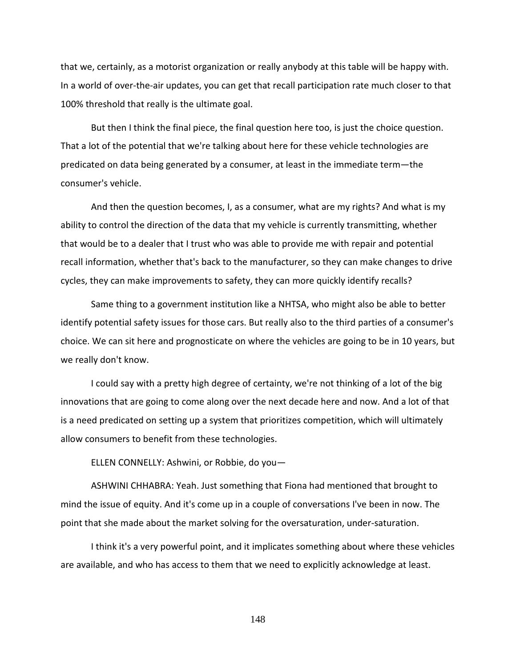that we, certainly, as a motorist organization or really anybody at this table will be happy with. In a world of over-the-air updates, you can get that recall participation rate much closer to that 100% threshold that really is the ultimate goal.

But then I think the final piece, the final question here too, is just the choice question. That a lot of the potential that we're talking about here for these vehicle technologies are predicated on data being generated by a consumer, at least in the immediate term—the consumer's vehicle.

And then the question becomes, I, as a consumer, what are my rights? And what is my ability to control the direction of the data that my vehicle is currently transmitting, whether that would be to a dealer that I trust who was able to provide me with repair and potential recall information, whether that's back to the manufacturer, so they can make changes to drive cycles, they can make improvements to safety, they can more quickly identify recalls?

Same thing to a government institution like a NHTSA, who might also be able to better identify potential safety issues for those cars. But really also to the third parties of a consumer's choice. We can sit here and prognosticate on where the vehicles are going to be in 10 years, but we really don't know.

I could say with a pretty high degree of certainty, we're not thinking of a lot of the big innovations that are going to come along over the next decade here and now. And a lot of that is a need predicated on setting up a system that prioritizes competition, which will ultimately allow consumers to benefit from these technologies.

ELLEN CONNELLY: Ashwini, or Robbie, do you—

ASHWINI CHHABRA: Yeah. Just something that Fiona had mentioned that brought to mind the issue of equity. And it's come up in a couple of conversations I've been in now. The point that she made about the market solving for the oversaturation, under-saturation.

I think it's a very powerful point, and it implicates something about where these vehicles are available, and who has access to them that we need to explicitly acknowledge at least.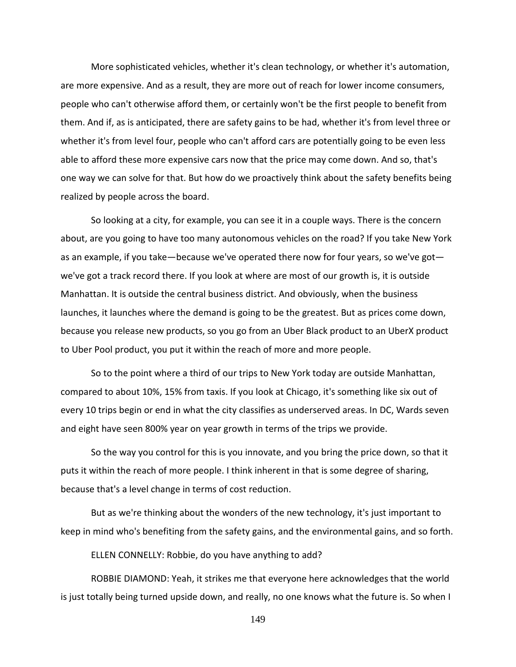More sophisticated vehicles, whether it's clean technology, or whether it's automation, are more expensive. And as a result, they are more out of reach for lower income consumers, people who can't otherwise afford them, or certainly won't be the first people to benefit from them. And if, as is anticipated, there are safety gains to be had, whether it's from level three or whether it's from level four, people who can't afford cars are potentially going to be even less able to afford these more expensive cars now that the price may come down. And so, that's one way we can solve for that. But how do we proactively think about the safety benefits being realized by people across the board.

So looking at a city, for example, you can see it in a couple ways. There is the concern about, are you going to have too many autonomous vehicles on the road? If you take New York as an example, if you take—because we've operated there now for four years, so we've got we've got a track record there. If you look at where are most of our growth is, it is outside Manhattan. It is outside the central business district. And obviously, when the business launches, it launches where the demand is going to be the greatest. But as prices come down, because you release new products, so you go from an Uber Black product to an UberX product to Uber Pool product, you put it within the reach of more and more people.

So to the point where a third of our trips to New York today are outside Manhattan, compared to about 10%, 15% from taxis. If you look at Chicago, it's something like six out of every 10 trips begin or end in what the city classifies as underserved areas. In DC, Wards seven and eight have seen 800% year on year growth in terms of the trips we provide.

So the way you control for this is you innovate, and you bring the price down, so that it puts it within the reach of more people. I think inherent in that is some degree of sharing, because that's a level change in terms of cost reduction.

But as we're thinking about the wonders of the new technology, it's just important to keep in mind who's benefiting from the safety gains, and the environmental gains, and so forth.

ELLEN CONNELLY: Robbie, do you have anything to add?

ROBBIE DIAMOND: Yeah, it strikes me that everyone here acknowledges that the world is just totally being turned upside down, and really, no one knows what the future is. So when I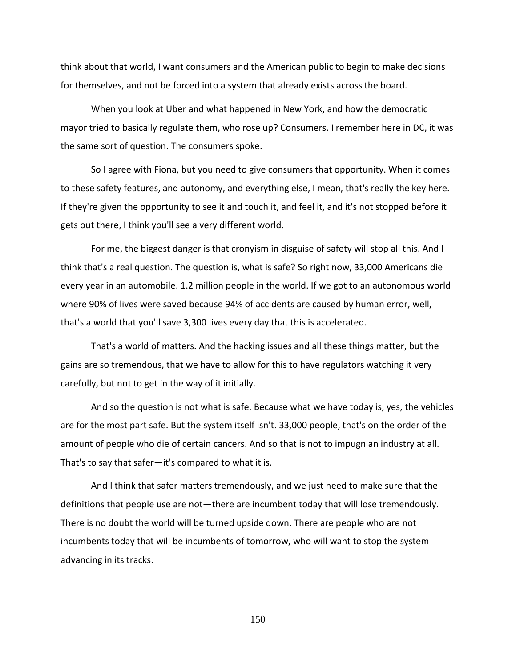think about that world, I want consumers and the American public to begin to make decisions for themselves, and not be forced into a system that already exists across the board.

When you look at Uber and what happened in New York, and how the democratic mayor tried to basically regulate them, who rose up? Consumers. I remember here in DC, it was the same sort of question. The consumers spoke.

So I agree with Fiona, but you need to give consumers that opportunity. When it comes to these safety features, and autonomy, and everything else, I mean, that's really the key here. If they're given the opportunity to see it and touch it, and feel it, and it's not stopped before it gets out there, I think you'll see a very different world.

For me, the biggest danger is that cronyism in disguise of safety will stop all this. And I think that's a real question. The question is, what is safe? So right now, 33,000 Americans die every year in an automobile. 1.2 million people in the world. If we got to an autonomous world where 90% of lives were saved because 94% of accidents are caused by human error, well, that's a world that you'll save 3,300 lives every day that this is accelerated.

That's a world of matters. And the hacking issues and all these things matter, but the gains are so tremendous, that we have to allow for this to have regulators watching it very carefully, but not to get in the way of it initially.

And so the question is not what is safe. Because what we have today is, yes, the vehicles are for the most part safe. But the system itself isn't. 33,000 people, that's on the order of the amount of people who die of certain cancers. And so that is not to impugn an industry at all. That's to say that safer—it's compared to what it is.

And I think that safer matters tremendously, and we just need to make sure that the definitions that people use are not—there are incumbent today that will lose tremendously. There is no doubt the world will be turned upside down. There are people who are not incumbents today that will be incumbents of tomorrow, who will want to stop the system advancing in its tracks.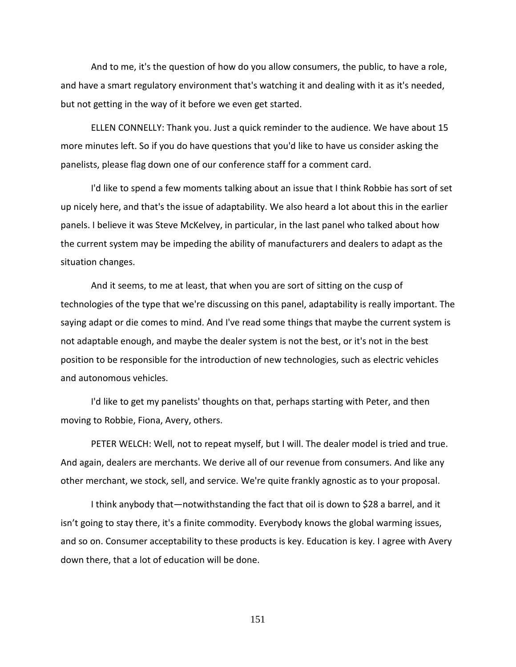And to me, it's the question of how do you allow consumers, the public, to have a role, and have a smart regulatory environment that's watching it and dealing with it as it's needed, but not getting in the way of it before we even get started.

ELLEN CONNELLY: Thank you. Just a quick reminder to the audience. We have about 15 more minutes left. So if you do have questions that you'd like to have us consider asking the panelists, please flag down one of our conference staff for a comment card.

I'd like to spend a few moments talking about an issue that I think Robbie has sort of set up nicely here, and that's the issue of adaptability. We also heard a lot about this in the earlier panels. I believe it was Steve McKelvey, in particular, in the last panel who talked about how the current system may be impeding the ability of manufacturers and dealers to adapt as the situation changes.

And it seems, to me at least, that when you are sort of sitting on the cusp of technologies of the type that we're discussing on this panel, adaptability is really important. The saying adapt or die comes to mind. And I've read some things that maybe the current system is not adaptable enough, and maybe the dealer system is not the best, or it's not in the best position to be responsible for the introduction of new technologies, such as electric vehicles and autonomous vehicles.

I'd like to get my panelists' thoughts on that, perhaps starting with Peter, and then moving to Robbie, Fiona, Avery, others.

PETER WELCH: Well, not to repeat myself, but I will. The dealer model is tried and true. And again, dealers are merchants. We derive all of our revenue from consumers. And like any other merchant, we stock, sell, and service. We're quite frankly agnostic as to your proposal.

I think anybody that—notwithstanding the fact that oil is down to \$28 a barrel, and it isn't going to stay there, it's a finite commodity. Everybody knows the global warming issues, and so on. Consumer acceptability to these products is key. Education is key. I agree with Avery down there, that a lot of education will be done.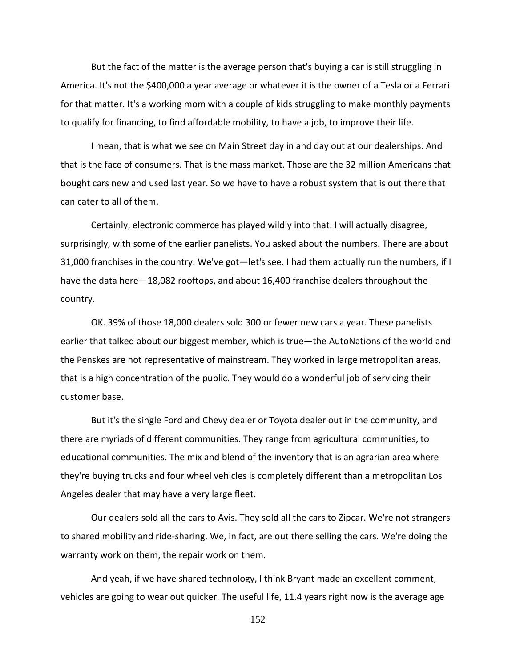But the fact of the matter is the average person that's buying a car is still struggling in America. It's not the \$400,000 a year average or whatever it is the owner of a Tesla or a Ferrari for that matter. It's a working mom with a couple of kids struggling to make monthly payments to qualify for financing, to find affordable mobility, to have a job, to improve their life.

I mean, that is what we see on Main Street day in and day out at our dealerships. And that is the face of consumers. That is the mass market. Those are the 32 million Americans that bought cars new and used last year. So we have to have a robust system that is out there that can cater to all of them.

Certainly, electronic commerce has played wildly into that. I will actually disagree, surprisingly, with some of the earlier panelists. You asked about the numbers. There are about 31,000 franchises in the country. We've got—let's see. I had them actually run the numbers, if I have the data here—18,082 rooftops, and about 16,400 franchise dealers throughout the country.

OK. 39% of those 18,000 dealers sold 300 or fewer new cars a year. These panelists earlier that talked about our biggest member, which is true—the AutoNations of the world and the Penskes are not representative of mainstream. They worked in large metropolitan areas, that is a high concentration of the public. They would do a wonderful job of servicing their customer base.

But it's the single Ford and Chevy dealer or Toyota dealer out in the community, and there are myriads of different communities. They range from agricultural communities, to educational communities. The mix and blend of the inventory that is an agrarian area where they're buying trucks and four wheel vehicles is completely different than a metropolitan Los Angeles dealer that may have a very large fleet.

Our dealers sold all the cars to Avis. They sold all the cars to Zipcar. We're not strangers to shared mobility and ride-sharing. We, in fact, are out there selling the cars. We're doing the warranty work on them, the repair work on them.

And yeah, if we have shared technology, I think Bryant made an excellent comment, vehicles are going to wear out quicker. The useful life, 11.4 years right now is the average age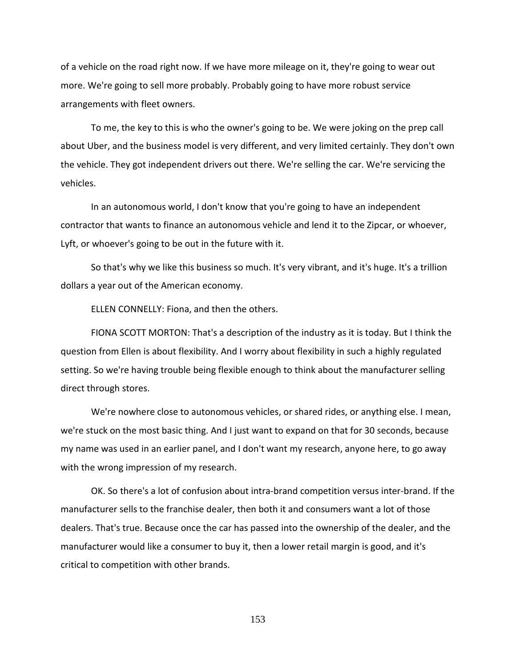of a vehicle on the road right now. If we have more mileage on it, they're going to wear out more. We're going to sell more probably. Probably going to have more robust service arrangements with fleet owners.

To me, the key to this is who the owner's going to be. We were joking on the prep call about Uber, and the business model is very different, and very limited certainly. They don't own the vehicle. They got independent drivers out there. We're selling the car. We're servicing the vehicles.

In an autonomous world, I don't know that you're going to have an independent contractor that wants to finance an autonomous vehicle and lend it to the Zipcar, or whoever, Lyft, or whoever's going to be out in the future with it.

So that's why we like this business so much. It's very vibrant, and it's huge. It's a trillion dollars a year out of the American economy.

ELLEN CONNELLY: Fiona, and then the others.

FIONA SCOTT MORTON: That's a description of the industry as it is today. But I think the question from Ellen is about flexibility. And I worry about flexibility in such a highly regulated setting. So we're having trouble being flexible enough to think about the manufacturer selling direct through stores.

We're nowhere close to autonomous vehicles, or shared rides, or anything else. I mean, we're stuck on the most basic thing. And I just want to expand on that for 30 seconds, because my name was used in an earlier panel, and I don't want my research, anyone here, to go away with the wrong impression of my research.

OK. So there's a lot of confusion about intra-brand competition versus inter-brand. If the manufacturer sells to the franchise dealer, then both it and consumers want a lot of those dealers. That's true. Because once the car has passed into the ownership of the dealer, and the manufacturer would like a consumer to buy it, then a lower retail margin is good, and it's critical to competition with other brands.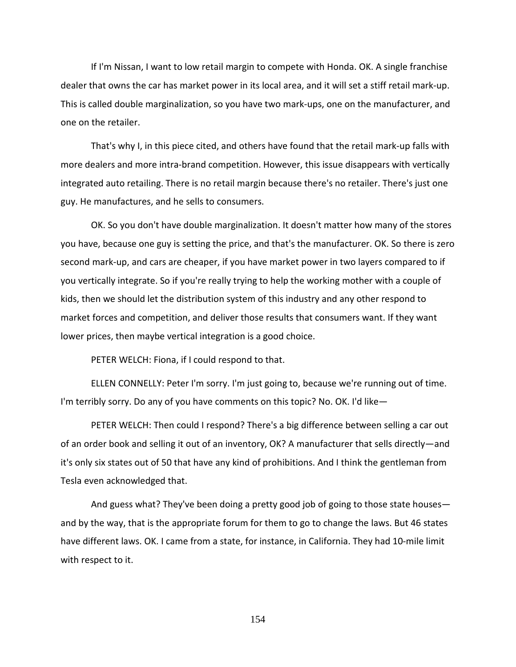If I'm Nissan, I want to low retail margin to compete with Honda. OK. A single franchise dealer that owns the car has market power in its local area, and it will set a stiff retail mark-up. This is called double marginalization, so you have two mark-ups, one on the manufacturer, and one on the retailer.

That's why I, in this piece cited, and others have found that the retail mark-up falls with more dealers and more intra-brand competition. However, this issue disappears with vertically integrated auto retailing. There is no retail margin because there's no retailer. There's just one guy. He manufactures, and he sells to consumers.

OK. So you don't have double marginalization. It doesn't matter how many of the stores you have, because one guy is setting the price, and that's the manufacturer. OK. So there is zero second mark-up, and cars are cheaper, if you have market power in two layers compared to if you vertically integrate. So if you're really trying to help the working mother with a couple of kids, then we should let the distribution system of this industry and any other respond to market forces and competition, and deliver those results that consumers want. If they want lower prices, then maybe vertical integration is a good choice.

PETER WELCH: Fiona, if I could respond to that.

ELLEN CONNELLY: Peter I'm sorry. I'm just going to, because we're running out of time. I'm terribly sorry. Do any of you have comments on this topic? No. OK. I'd like—

PETER WELCH: Then could I respond? There's a big difference between selling a car out of an order book and selling it out of an inventory, OK? A manufacturer that sells directly—and it's only six states out of 50 that have any kind of prohibitions. And I think the gentleman from Tesla even acknowledged that.

And guess what? They've been doing a pretty good job of going to those state houses and by the way, that is the appropriate forum for them to go to change the laws. But 46 states have different laws. OK. I came from a state, for instance, in California. They had 10-mile limit with respect to it.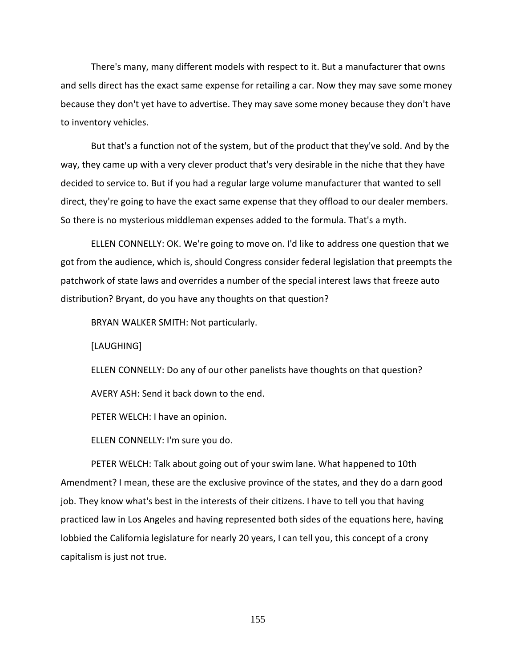There's many, many different models with respect to it. But a manufacturer that owns and sells direct has the exact same expense for retailing a car. Now they may save some money because they don't yet have to advertise. They may save some money because they don't have to inventory vehicles.

But that's a function not of the system, but of the product that they've sold. And by the way, they came up with a very clever product that's very desirable in the niche that they have decided to service to. But if you had a regular large volume manufacturer that wanted to sell direct, they're going to have the exact same expense that they offload to our dealer members. So there is no mysterious middleman expenses added to the formula. That's a myth.

ELLEN CONNELLY: OK. We're going to move on. I'd like to address one question that we got from the audience, which is, should Congress consider federal legislation that preempts the patchwork of state laws and overrides a number of the special interest laws that freeze auto distribution? Bryant, do you have any thoughts on that question?

BRYAN WALKER SMITH: Not particularly.

[LAUGHING]

ELLEN CONNELLY: Do any of our other panelists have thoughts on that question? AVERY ASH: Send it back down to the end.

PETER WELCH: I have an opinion.

ELLEN CONNELLY: I'm sure you do.

PETER WELCH: Talk about going out of your swim lane. What happened to 10th Amendment? I mean, these are the exclusive province of the states, and they do a darn good job. They know what's best in the interests of their citizens. I have to tell you that having practiced law in Los Angeles and having represented both sides of the equations here, having lobbied the California legislature for nearly 20 years, I can tell you, this concept of a crony capitalism is just not true.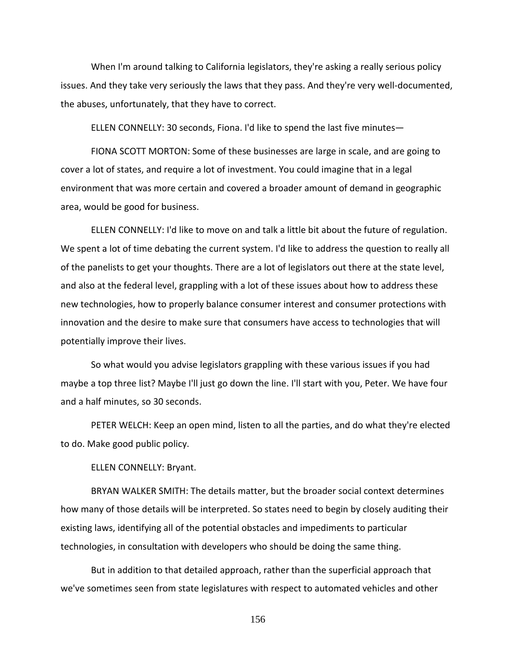When I'm around talking to California legislators, they're asking a really serious policy issues. And they take very seriously the laws that they pass. And they're very well-documented, the abuses, unfortunately, that they have to correct.

ELLEN CONNELLY: 30 seconds, Fiona. I'd like to spend the last five minutes—

FIONA SCOTT MORTON: Some of these businesses are large in scale, and are going to cover a lot of states, and require a lot of investment. You could imagine that in a legal environment that was more certain and covered a broader amount of demand in geographic area, would be good for business.

ELLEN CONNELLY: I'd like to move on and talk a little bit about the future of regulation. We spent a lot of time debating the current system. I'd like to address the question to really all of the panelists to get your thoughts. There are a lot of legislators out there at the state level, and also at the federal level, grappling with a lot of these issues about how to address these new technologies, how to properly balance consumer interest and consumer protections with innovation and the desire to make sure that consumers have access to technologies that will potentially improve their lives.

So what would you advise legislators grappling with these various issues if you had maybe a top three list? Maybe I'll just go down the line. I'll start with you, Peter. We have four and a half minutes, so 30 seconds.

PETER WELCH: Keep an open mind, listen to all the parties, and do what they're elected to do. Make good public policy.

ELLEN CONNELLY: Bryant.

BRYAN WALKER SMITH: The details matter, but the broader social context determines how many of those details will be interpreted. So states need to begin by closely auditing their existing laws, identifying all of the potential obstacles and impediments to particular technologies, in consultation with developers who should be doing the same thing.

But in addition to that detailed approach, rather than the superficial approach that we've sometimes seen from state legislatures with respect to automated vehicles and other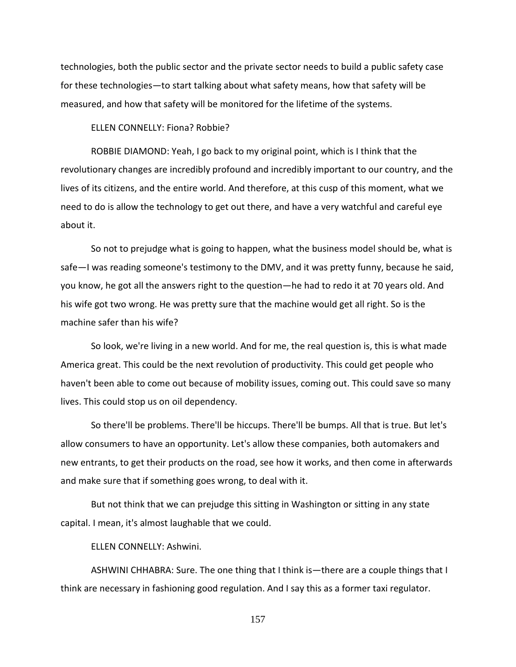technologies, both the public sector and the private sector needs to build a public safety case for these technologies—to start talking about what safety means, how that safety will be measured, and how that safety will be monitored for the lifetime of the systems.

ELLEN CONNELLY: Fiona? Robbie?

ROBBIE DIAMOND: Yeah, I go back to my original point, which is I think that the revolutionary changes are incredibly profound and incredibly important to our country, and the lives of its citizens, and the entire world. And therefore, at this cusp of this moment, what we need to do is allow the technology to get out there, and have a very watchful and careful eye about it.

So not to prejudge what is going to happen, what the business model should be, what is safe—I was reading someone's testimony to the DMV, and it was pretty funny, because he said, you know, he got all the answers right to the question—he had to redo it at 70 years old. And his wife got two wrong. He was pretty sure that the machine would get all right. So is the machine safer than his wife?

So look, we're living in a new world. And for me, the real question is, this is what made America great. This could be the next revolution of productivity. This could get people who haven't been able to come out because of mobility issues, coming out. This could save so many lives. This could stop us on oil dependency.

So there'll be problems. There'll be hiccups. There'll be bumps. All that is true. But let's allow consumers to have an opportunity. Let's allow these companies, both automakers and new entrants, to get their products on the road, see how it works, and then come in afterwards and make sure that if something goes wrong, to deal with it.

But not think that we can prejudge this sitting in Washington or sitting in any state capital. I mean, it's almost laughable that we could.

ELLEN CONNELLY: Ashwini.

ASHWINI CHHABRA: Sure. The one thing that I think is—there are a couple things that I think are necessary in fashioning good regulation. And I say this as a former taxi regulator.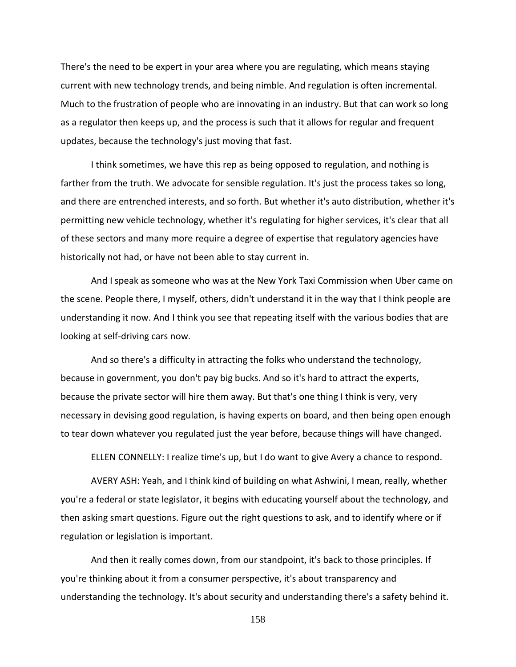There's the need to be expert in your area where you are regulating, which means staying current with new technology trends, and being nimble. And regulation is often incremental. Much to the frustration of people who are innovating in an industry. But that can work so long as a regulator then keeps up, and the process is such that it allows for regular and frequent updates, because the technology's just moving that fast.

I think sometimes, we have this rep as being opposed to regulation, and nothing is farther from the truth. We advocate for sensible regulation. It's just the process takes so long, and there are entrenched interests, and so forth. But whether it's auto distribution, whether it's permitting new vehicle technology, whether it's regulating for higher services, it's clear that all of these sectors and many more require a degree of expertise that regulatory agencies have historically not had, or have not been able to stay current in.

And I speak as someone who was at the New York Taxi Commission when Uber came on the scene. People there, I myself, others, didn't understand it in the way that I think people are understanding it now. And I think you see that repeating itself with the various bodies that are looking at self-driving cars now.

And so there's a difficulty in attracting the folks who understand the technology, because in government, you don't pay big bucks. And so it's hard to attract the experts, because the private sector will hire them away. But that's one thing I think is very, very necessary in devising good regulation, is having experts on board, and then being open enough to tear down whatever you regulated just the year before, because things will have changed.

ELLEN CONNELLY: I realize time's up, but I do want to give Avery a chance to respond.

AVERY ASH: Yeah, and I think kind of building on what Ashwini, I mean, really, whether you're a federal or state legislator, it begins with educating yourself about the technology, and then asking smart questions. Figure out the right questions to ask, and to identify where or if regulation or legislation is important.

And then it really comes down, from our standpoint, it's back to those principles. If you're thinking about it from a consumer perspective, it's about transparency and understanding the technology. It's about security and understanding there's a safety behind it.